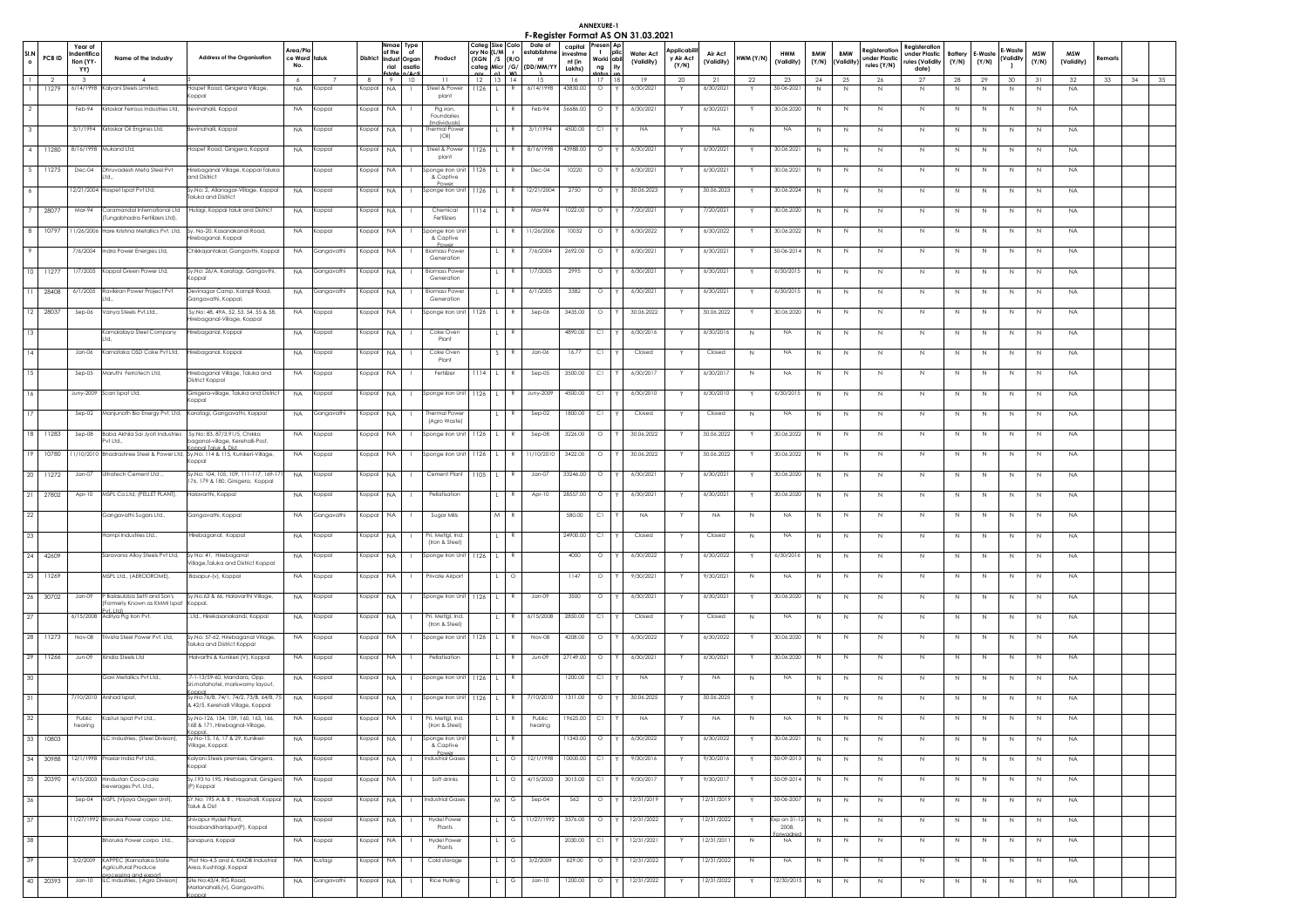ANNEXURE-1<br>**F-Register Format AS ON 31.03.2021** 

|                 |          | Year of<br>dentifico                 |                                                                                |                                                                                                              | Area/Plc             |            |                 | Nmae Type<br>of the<br>of              |                                                        | ory No (L/M r  | Categ Sixe Colo                     | Date of<br>establishm            | nvestme          | capital Presen Ap<br>$\mathbf{t}$ | plic | <b>I'MEYISIEI FUITIUI AS ON ST.03.2021</b><br><b>Water Act</b> | Applicabili        | Air Act         |           | <b>HWM</b>       | <b>BMW</b>   | <b>BMW</b>     | Reaisteration                | Registeration<br>under Plastic | <b>Battery</b>    | - Wash        | -Waste                     | <b>MSW</b> | <b>MSW</b>      |         |          |
|-----------------|----------|--------------------------------------|--------------------------------------------------------------------------------|--------------------------------------------------------------------------------------------------------------|----------------------|------------|-----------------|----------------------------------------|--------------------------------------------------------|----------------|-------------------------------------|----------------------------------|------------------|-----------------------------------|------|----------------------------------------------------------------|--------------------|-----------------|-----------|------------------|--------------|----------------|------------------------------|--------------------------------|-------------------|---------------|----------------------------|------------|-----------------|---------|----------|
|                 | PCB ID   | fion (YY-<br>YY)                     | Name of the Industry                                                           | <b>Address of the Organisation</b>                                                                           | ce Ward taluk<br>No. |            | <b>District</b> | Indust Organ<br>rial<br>asatic         | Product                                                |                | $(XGN$ /S $(R/O)$<br>categ Micr /G/ | nt<br>(DD/MM/YY                  | nt (in<br>Lakhs) | Worki abil<br>ng                  | Ιih  | (Validity)                                                     | v Air Act<br>(Y/N) | (Validity)      | HWM (Y/N) | (Validity)       | (Y/N)        | (Validity)     | under Plastic<br>rules (Y/N) | rules (Validity<br>date)       | (Y/N)             | (Y/N)         | (Validity                  | (Y/N)      | (Validity)      | Remaris |          |
|                 | 11279    | $\overline{\mathbf{3}}$<br>6/14/1998 | $\sim$<br>Kalyani Steels Limited,                                              | Hospet Road, Ginigera Village                                                                                | 6<br><b>NA</b>       | Koppal     | 8<br>(oppal     | 10<br>- 9<br><b>NA</b><br>$\mathbf{L}$ | 11<br>Steel & Powe                                     | $1126$ L       | 12 13 14                            | 15<br>R<br>6/14/1998             | 16<br>43830.00   | 17<br>$\circ$                     | 18   | 19<br>6/30/202                                                 | 20<br>Y            | 21<br>6/30/2021 | 22<br>Y   | 23<br>30-06-2021 | 24<br>N      | - 25<br>N      | 26<br>$\mathbb N$            | 27<br>$\mathbb N$              | 28<br>$\mathbb N$ | 29<br>$\,N\,$ | 30 <sup>°</sup><br>$\,N\,$ | 31<br>N    | 32<br><b>NA</b> | 33      | 34<br>35 |
|                 |          |                                      |                                                                                | oppal                                                                                                        |                      |            |                 |                                        | plant                                                  |                |                                     |                                  |                  |                                   |      |                                                                |                    |                 |           |                  |              |                |                              |                                |                   |               |                            |            |                 |         |          |
|                 |          | Feb-94                               | Kirloskar Ferrous Industries Ltd,                                              | Bevinahalli, Koppal                                                                                          |                      | NA Koppal  | Koppal          | NA.                                    | Pig iron,<br>Foundaries<br><i><b>[Individuals]</b></i> |                | $\mathbf{L}$                        | Feb-94<br>R                      | 56686.00         | $\circ$                           |      | 6/30/2021                                                      |                    | 6/30/2021       | Y         | 30.06.2020       | N            | N <sub>N</sub> | N                            | N                              | N                 | N             | N                          | N          | <b>NA</b>       |         |          |
|                 |          | 3/1/1994                             | Kirloskar Oil Engines Ltd,                                                     | levinahalli, Koppal                                                                                          | <b>NA</b>            | Koppal     | (oppal          | NA                                     | hermal Powe<br>(Oil)                                   |                |                                     | 3/1/1994                         | 4500.00          | C1                                |      | <b>NA</b>                                                      |                    | <b>NA</b>       | N         | <b>NA</b>        | N            | N              | N                            | N                              | N                 | N             | N                          | N          | <b>NA</b>       |         |          |
| -4 1            |          |                                      | 11280 8/16/1998 Mukand Ltd,                                                    | Hospet Road, Ginigera, Koppal                                                                                | <b>NA</b>            | Koppal     | Koppal          | <b>NA</b>                              | Steel & Power<br>plant                                 |                | $1126$ L R                          | 8/16/1998                        | 43988.00         | $\circ$                           |      | 6/30/2021                                                      |                    | 6/30/2021       | Y         | 30.06.2021       | N            | N              | $\mathbb N$                  | $\mathbb N$                    | $\mathbb N$       | N             | N                          | N          | <b>NA</b>       |         |          |
| 5               | 11275    |                                      | Dec-04 Dhruvadesh Meta Steel Pvt<br>ht I                                       | Hirebaganal Village, Koppal Taluka<br>and District                                                           |                      | Koppal     | Koppal          | NA.                                    | Sponge Iron Unit<br>& Captive                          | $1126$ L       |                                     | Dec-04<br>R.                     | 10220            | $\circ$                           |      | 6/30/202                                                       |                    | 6/30/2021       | Y         | 30.06.2021       | N            | N              | N                            | $\mathbb N$                    | N                 | $\mathbb N$   | N                          | N          | <b>NA</b>       |         |          |
| -6              |          | 12/21/2004                           | lospet Ispat Pvt Ltd,                                                          | Sy.No: 2, Allanagar-Village, Koppal<br><b>Faluka and District</b>                                            | <b>NA</b>            | Koppal     | Koppal          | <b>NA</b><br>$\mathbf{L}$              | Power<br>Sponge Iron Unit                              | 1126           | $\mathsf{L}$                        | 12/21/2004<br>R                  | 2750             | $\circ$                           |      | 30.06.2023                                                     | Y                  | 30.06.2023      | Y         | 30.06.2024       | N            | N              | N.                           | N                              | N                 | N             | N                          | N          | <b>NA</b>       |         |          |
|                 | 28077    | Mar-94                               | Coramandal International Ltd<br>Tungabhadra Fertilizers Ltd),                  | Hulagi, Koppal taluk and District                                                                            | <b>NA</b>            | Koppal     | (oppal          | NA                                     | Chemica<br>Fertilizers                                 | 1114           |                                     | $\mathbb{R}$<br>Mar-94           | 1022.00          | $\circ$                           |      | 7/20/2021                                                      |                    | 7/20/2021       | Y         | 30.06.2020       | N            | N              | $\mathbb N$                  | $\mathbb N$                    | $\mathbb N$       | $\mathbb N$   | N                          | N          | <b>NA</b>       |         |          |
| 8               | 10797    |                                      |                                                                                | 11/26/2006 Hare Krishna Metallics Pvt. Ltd, Sy. No-20, Kasanakandi Road,                                     | <b>NA</b>            | Koppal     | Koppal          | NA                                     | Sponge Iron Uni                                        |                |                                     | 11/26/2006<br>R                  | 10032            | $\circ$                           |      | 6/30/2022                                                      |                    | 6/30/2022       | Y         | 30.06.2022       | N            | N              | N                            | $\mathbb N$                    | N                 | $\mathbb N$   | N                          | N          | <b>NA</b>       |         |          |
|                 |          | 7/6/2004                             | Indra Power Energies Ltd,                                                      | irebaganal, Koppal<br>Chikkajantakal, Gangavthi, Koppal                                                      | <b>NA</b>            | Gangavathi | (oppal          | NA.                                    | & Captive<br><b>Biomass Powe</b>                       |                | $\mathbf{L}$                        | R<br>7/6/2004                    | 2692.00          | $\circ$                           |      | 6/30/202                                                       |                    | 6/30/2021       | Y         | 30-06-2014       | $\mathbb{N}$ | N              | $\mathbb N$                  | $\mathbb N$                    | N                 | $\mathbb N$   | N                          | N          | NA              |         |          |
| 10              | 11277    | 1/7/2005                             | Koppal Green Power Ltd,                                                        | Sy.No: 26/A, Karatagi, Gangavthi,                                                                            | <b>NA</b>            | Gangavathi | (oppal          | NA                                     | Generation<br><b>Biomass Powe</b>                      |                |                                     | 1/7/2005<br>$\mathbb{R}$         | 2995             | $\circ$                           |      | 6/30/2021                                                      |                    | 6/30/2021       | Y         | 6/30/2015        | N            | N              | $\mathbb N$                  | $\mathbb N$                    | N                 | N             | N                          | N          | <b>NA</b>       |         |          |
| 11              | 28408    | 6/1/2005                             | Ravikiran Power Project Pvt                                                    | oppal)<br>Devinagar Camp, Kampli Road,                                                                       | <b>NA</b>            | Gangavath  | Koppal          | NA                                     | Generation<br><b>Biomass Powe</b>                      |                |                                     | 6/1/2005                         | 3382             | $\circ$                           |      | 6/30/202                                                       |                    | 6/30/2021       | Y         | 6/30/2015        | N            | N              | $\mathbb N$                  | $\mathbb N$                    | N                 | $\mathbb N$   | N                          | N          | <b>NA</b>       |         |          |
|                 |          |                                      |                                                                                | Gangavathi, Koppal.                                                                                          |                      |            |                 |                                        | Generation                                             |                |                                     |                                  |                  |                                   |      |                                                                |                    |                 |           |                  |              |                |                              |                                |                   |               |                            |            |                 |         |          |
|                 | 12 28037 | Sep-06                               | /anya Steels Pvt.Ltd                                                           | Sy.No: 48, 49A, 52, 53, 54, 55 & 58,<br>irebaganal-Village, Koppal                                           | <b>NA</b>            | Koppal     | Koppal          | NA.<br>$\mathbf{I}$                    | Sponge Iron Uni                                        | $1126$ L       |                                     | R<br>Sep-06                      | 3435.00          | $\circ$                           |      | 30.06.2022                                                     |                    | 30.06.2022      | Y         | 30.06.2020       | $\mathbb N$  | N              | N                            | $\mathbb N$                    | N                 | $\mathbb N$   | N                          | N          | <b>NA</b>       |         |          |
|                 |          |                                      | Kamalalaya Steel Company                                                       | Hirebaganal, Koppal                                                                                          | <b>NA</b>            | Koppal     | Koppal          | NA.                                    | Coke Oven<br>Plant                                     |                |                                     |                                  | 4890.00          | C1                                |      | 6/30/2016                                                      |                    | 6/30/2016       | N         | NA               | N            | N              | N                            | N                              | N                 | N             | N                          | N          | <b>NA</b>       |         |          |
|                 |          | $Jan-06$                             | Karnataka OSD Coke Pvt Ltd,                                                    | Hirebaganal, Koppal                                                                                          | <b>NA</b>            | Koppal     | (oppal          | NA                                     | Coke Oven<br>Plant                                     |                |                                     | Jan-06                           | 16.77            | C1                                |      | Closed                                                         |                    | Closed          | N         | <b>NA</b>        | N            | N              | N                            | N                              | N                 | N             | N                          | N          | <b>NA</b>       |         |          |
|                 |          | $Sep-05$                             | Maruthi Ferrotech Ltd,                                                         | lirebaganal Village, Taluka and<br>District Koppal                                                           | <b>NA</b>            | Koppal     | Koppal          | NA                                     | Fertilize                                              | 1114           | $\mathbf{1}$                        | $Sep-05$<br>R                    | 3500.00          | C1                                |      | 6/30/201                                                       |                    | 6/30/2017       | N         | <b>NA</b>        | N            | N              | N                            | $\mathbb N$                    | N                 | $\mathbb N$   | N                          | N          | <b>NA</b>       |         |          |
| 16              |          |                                      | Juny-2009 Scan Ispat Ltd,                                                      | Ginigera-village, Taluka and District<br>Koppal                                                              |                      | NA Koppal  |                 | Koppal NA<br>$\mathbf{1}$              | Sponge Iron Unit                                       | $1126$ L       |                                     | R<br>Juny-2009                   | 4500.00          | CI IY                             |      | 6/30/2010                                                      | Y                  | 6/30/2010       | Y         | 6/30/2015        | N            | N              | N                            | N                              | N                 | N             | N                          | N          | <b>NA</b>       |         |          |
|                 |          | $Sep-02$                             |                                                                                | Manjunath Bio Energy Pvt. Ltd, Karatagi, Gangavathi, Koppal                                                  | <b>NA</b>            | Gangavath  | oppal           | <b>NA</b>                              | <b>Thermal Powe</b><br>(Agro Waste                     |                |                                     | $Sep-02$<br>R                    | 1800.00          | C1                                |      | Closed                                                         |                    | Closed          | N         | <b>NA</b>        | N            | N              | N                            | N                              | N                 | N             | N                          | N          | <b>NA</b>       |         |          |
| 18 <sup>1</sup> | 11283    | $Sep-08$                             | Baba Akhila Sai Jyoti Industries Sy.No: 83, 87/3,91/5, Chikka<br>vt Ltd.,      | baganal-village, Kerehalli-Post                                                                              | <b>NA</b>            | Koppal     | (oppal          | NA.                                    | Sponge Iron Uni                                        | 1126           |                                     | $\mathbb R$<br>$Sep-08$          | 3226.00          | $\circ$                           |      | 30.06.2022                                                     |                    | 30.06.2022      | Y         | 30.06.2022       | N            | N              | $\mathbb{N}$                 | $\mathbb N$                    | $\mathbb N$       | N             | N                          | N          | <b>NA</b>       |         |          |
|                 | 19 10780 |                                      |                                                                                | annal Taluk & Dist<br>11/10/2010 Bhadrashree Steel & Power Ltd, Sy.No: 114 & 115, Kunikeri-Village,<br>oppal | <b>NA</b>            | Koppal     | Koppal          | NA.                                    | Sponge Iron Unit                                       | 1126           | $\mathbf{1}$                        | 11/10/2010<br>R                  | 3422.00          | $\circ$                           |      | 30.06.2022                                                     |                    | 30.06.2022      | Y         | 30.06.2022       | N            | N              | N                            | $\mathbb N$                    | N                 | N             | N                          | N          | NA              |         |          |
| 20              | 11272    | $Jan-07$                             | Jitratech Cement Ltd.                                                          | Sy.No: 104, 105, 109, 111-117, 169-171<br>176, 179 & 180, Ginigera, Koppal                                   | <b>NA</b>            | Koppal     | Koppal          | <b>NA</b>                              | Cement Plant                                           | 1105           | L.                                  | R<br>Jan-07                      | 33246.00         | $\circ$                           |      | 6/30/2021                                                      |                    | 6/30/2021       | Y         | 30.06.2020       | N            | N              | N                            | N                              | N                 | N             | N                          | N          | <b>NA</b>       |         |          |
|                 | 21 27802 | Apr-10                               | MSPL Co.Ltd, (PELLET PLANT),                                                   | Halavarthi, Koppal                                                                                           | <b>NA</b>            | Koppal     | (oppal          | NA                                     | Pellatisation                                          |                | $\mathsf{L}$                        | $\mathbb{R}$<br>Apr-10           | 28557.00         | $\circ$                           |      | 6/30/2021                                                      |                    | 6/30/2021       | Y         | 30.06.2020       | N            | $\mathbb N$    | $\mathbb N$                  | $\mathbb N$                    | $\mathbb N$       | $\,N\,$       | $\mathbb N$                | N          | <b>NA</b>       |         |          |
| 22              |          |                                      | Gangavathi Sugars Ltd.,                                                        | Gangavathi, Koppal                                                                                           | <b>NA</b>            | Gangavath  | Koppal          | NA                                     | Sugar Mills                                            |                | $M$ R                               |                                  | 580.00           | C1                                |      | NA.                                                            |                    | <b>NA</b>       | N         | <b>NA</b>        | N            | N              | N                            | $\mathbb N$                    | N                 | $\mathbb N$   | N                          | N          | NA              |         |          |
| 23              |          |                                      | Hampi Industries Ltd.,                                                         | Hirebaganal, Koppal                                                                                          | <b>NA</b>            | Koppal     | Koppal          | NA.                                    | Pri. Metigl, Ind                                       |                | L                                   | R                                | 24900.00         | C1                                |      | Closed                                                         |                    | Closed          | N         | <b>NA</b>        | N            | N              | N                            | $\mathbb N$                    | N                 | N             | N                          | N          | <b>NA</b>       |         |          |
|                 | 24 42609 |                                      | Garavana Alloy Steels Pvt Ltd.                                                 | Sy No: 41, Hirebaganal                                                                                       | <b>NA</b>            | Koppal     | Koppal          | NA.                                    | (Iron & Steel)<br>Sponge Iron Unit                     | $1126$ L       |                                     | $\mathbb{R}$                     | 4000             | $\circ$                           |      | 6/30/2022                                                      |                    | 6/30/2022       | Y         | 6/30/2016        | $\mathbb{N}$ | N              | N                            | N                              | N                 | N             | N                          | N          | <b>NA</b>       |         |          |
| 25              | 11269    |                                      | MSPL Ltd., (AERODROME),                                                        | Village,Taluka and District Koppal<br>Basapur-(v), Koppal                                                    | <b>NA</b>            | Koppal     | (oppal          | NA                                     | Private Airpor                                         |                |                                     | $\circ$                          | 1147             | $\circ$                           |      | 9/30/2021                                                      |                    | 9/30/2021       | N         | <b>NA</b>        | Ν            | N              | N                            | $\mathbb N$                    | $\mathbb N$       | N             | N                          | N          | <b>NA</b>       |         |          |
| 26              | 30702    | $Jan-09$                             | P Balasubba Setti and Son's                                                    | Sy.No.63 & 66, Halavarthi Village,                                                                           | <b>NA</b>            | Koppal     | Koppal          | <b>NA</b>                              | Sponge Iron Unit                                       | $1126$ L       |                                     | $Jan-09$<br>R                    | 3500             | $\circ$                           |      | 6/30/2021                                                      |                    | 6/30/2021       | Y         | 30.06.2020       | N            | N              | $\mathbb N$                  | $\mathbb N$                    | $\mathbb N$       | N             | N                          |            | <b>NA</b>       |         |          |
|                 |          |                                      | Formerly Known as KMMI Ispat<br>ut I tdl                                       | oppal.                                                                                                       |                      |            |                 |                                        |                                                        |                |                                     |                                  |                  |                                   |      |                                                                |                    |                 |           |                  |              |                |                              |                                |                   |               |                            | N          |                 |         |          |
| 27              |          |                                      | 6/15/2008 Aditya Pig Iron Pvt.                                                 | , Ltd., Hirekasanakandi, Koppal                                                                              |                      | NA Koppal  | Koppal          | NA.<br>$\mathbf{1}$                    | Pri, Metlal, Ind.<br>(Iron & Steel)                    |                | $\blacksquare$                      | R<br>6/15/2008                   | 2850.00          | C1                                |      | Closed                                                         | Y                  | Closed          | N         | <b>NA</b>        | N            | N              | N                            | N                              | N                 | N             | N                          | N          | <b>NA</b>       |         |          |
| 28              | 11273    | Nov-08                               | rivista Steel Power Pvt. Ltd,                                                  | Sy.No: 57-62, Hirebaganal Village,<br><b>Faluka and District Koppal</b>                                      | <b>NA</b>            | Koppal     | Koppal          | <b>NA</b>                              | Sponge Iron Uni                                        | 1126           | L.                                  | $\mathbb{R}$<br>Nov-08           | 4208.00          | $\circ$                           |      | 6/30/2022                                                      |                    | 6/30/2022       | Y         | 30.06.2020       | N            | N              | N                            | $\mathbb N$                    | N                 | N             | N                          | N          | <b>NA</b>       |         |          |
|                 | 29 11266 | Jun-09                               | Xindia Steels Ltd                                                              | Halvarthi & Kunikeri (V), Koppal                                                                             | <b>NA</b>            | Koppal     | Koppal          | <b>NA</b>                              | Pellatisation                                          |                |                                     | Jun-09<br>R                      | 27149.00         | $\circ$                           |      | 6/30/2021                                                      |                    | 6/30/2021       | Y         | 30.06.2020       | N            | N              | $\mathbb N$                  | $\mathbb N$                    | $\mathbb N$       | N             | N                          | N          | <b>NA</b>       |         |          |
| 30              |          |                                      | Gavi Metallics Pvt Ltd                                                         | 7-1-13/59-60, Mandara, Opp.<br>ri.matahotel, mariswamy layout,                                               | <b>NA</b>            | Koppal     | Koppal          | NA.                                    | Sponge Iron Unit                                       | $1126$ $L$     |                                     | -R                               | 1200.00          | C1                                |      | <b>NA</b>                                                      |                    | <b>NA</b>       | N         | <b>NA</b>        | N            | N              | N                            | $\,N$                          | N                 | N             | N                          | N          | <b>NA</b>       |         |          |
| 31              |          |                                      | 7/10/2010 Arshad Ispat,                                                        | Sy.No:76/B, 74/1, 74/2, 73/B, 64/B, 75<br>& 42/5, Kerehalli Village, Koppal                                  | <b>NA</b>            | Koppal     | Koppal          | NA.<br>$\mathbf{I}$                    | Sponge Iron Unit                                       | $1126$ $\perp$ |                                     | 7/10/2010<br>R                   | 1311.00          | $\circ$                           |      | 30.06.2025                                                     |                    | 30.06.2025      | Y         |                  | N            | N              | N                            | N <sub>1</sub>                 | N                 | N             | N                          | N          | <b>NA</b>       |         |          |
| 32              |          | Public<br>hearing                    | Kasturi Ispat Pvt Ltd.,                                                        | Sy.No-126, 154, 159, 160, 163, 166,<br>168 & 171, Hirebagnal-Village,                                        | <b>NA</b>            | Koppal     | Koppal          | <b>NA</b>                              | Pri. Metigl, Ind<br>(Iron & Steel)                     |                |                                     | $\mathbb R$<br>Public<br>hearing | 19625.00         | C1                                |      | <b>NA</b>                                                      |                    | <b>NA</b>       | N         | <b>NA</b>        | $\mathbb N$  | N              | $\mathbb N$                  | $\mathbb N$                    | N                 | N             | N                          | N          | <b>NA</b>       |         |          |
|                 | 33 10803 |                                      | LC Industries, (Steel Division),                                               | oppal.<br>Sy.No-15, 16, 17 & 29, Kunikeri-<br>Village, Koppal.                                               | NA                   | Koppal     | Koppal          | <b>NA</b>                              | Sponge Iron Ur<br>& Captive                            |                |                                     | R                                | 11343.00         | $\circ$                           |      | 6/30/2022                                                      |                    | 6/30/2022       |           | 30.06.2021       | N            | N              | $\mathbb N$                  | $\,N$                          | N                 | N             | N                          | N          | NA              |         |          |
| 34              | 30988    | 12/1/1998                            | Praxiar India Pvt Ltd                                                          | Kalyani Steels premises, Ginigera,<br>oppal)                                                                 | <b>NA</b>            | Koppal     | Koppal          | <b>NA</b><br>$\mathbf{L}$              | <b>Industrial Gase:</b>                                |                | $\overline{1}$ 0                    | 12/1/1998                        | 10000.00         | C1                                |      | 9/30/2016                                                      |                    | 9/30/2016       | Y         | 30-09-2013       | N            | N              | N                            | $\mathbb N$                    | N                 | $\mathbb N$   | N                          | N          | NA.             |         |          |
| 35              | 20390    |                                      | 4/15/2003 Hindustan Coca-cola<br>everages Pvt. Ltd.,                           | Sy.193 to 195, Hirebaganal, Ginigera<br>(P) Koppal                                                           | <b>NA</b>            | Koppal     | Koppal          | <b>NA</b>                              | Soft drinks                                            |                | $\blacksquare$                      | 4/15/2003<br>$\circ$             | 3015.00          | C1                                |      | 9/30/2017                                                      |                    | 9/30/2017       | Y         | 30-09-2014       | N            | N              | N                            | $\mathbb N$                    | N                 | N             | N                          | N          | <b>NA</b>       |         |          |
| 36              |          | $Sep-04$                             | MSPL (Vijaya Oxygen Unit),                                                     | SY.No: 195 A & B, Hosahalli, Koppal<br>Faluk & Dist                                                          | <b>NA</b>            | Koppal     | Koppal          | <b>NA</b>                              | <b>Industrial Gases</b>                                |                | M                                   | G<br>$Sep-04$                    | 562              | $\circ$                           |      | 12/31/2019                                                     |                    | 12/31/2019      | Y         | 30-06-2007       | N            | N              | $\mathbb N$                  | $\mathbb N$                    | $\mathbb N$       | N             | N                          | N          | <b>NA</b>       |         |          |
| 37              |          |                                      | 1/27/1992 Bhoruka Power corpo Ltd.,                                            | Shivapur Hydel Plant.                                                                                        | <b>NA</b>            | Koppal     | Koppal          | NA.<br>$\mathbf{L}$                    | <b>Hydel Power</b>                                     |                | $\blacksquare$                      | 11/27/1992<br>G                  | 3376.00          | $\circ$                           |      | 12/31/2022                                                     |                    | 12/31/2022      | Y         | Exp on 31-12-    | N            | $\mathbb{N}$   | N                            | $\mathbb N$                    | N                 | $\,$ N        | N                          | N          | NA.             |         |          |
| 38              |          |                                      | horuka Power corpo Ltd.,                                                       | osabandiharlapur(P), Koppal<br>Sanapura, Koppal                                                              | <b>NA</b>            | Koppal     | Koppal          | <b>NA</b>                              | Plants<br><b>Hydel Power</b>                           |                | $\mathbf{L}$                        | G                                | 2030.00          | <sub>C1</sub>                     |      | 12/31/2021                                                     |                    | 12/31/2011      | N         | 2008.<br>NA.     | N            | N              | N                            | $\mathbb N$                    | $\mathbb N$       | $\,$ N        | N                          | N          | <b>NA</b>       |         |          |
| 39              |          | 3/2/2009                             | KAPPEC (Karnataka State                                                        | Plot No-4,5 and 6, KIADB Industrial                                                                          | <b>NA</b>            | Kustagi    | (oppal          | NA                                     | Plants<br>Cold storage                                 |                |                                     | 3/2/2009<br>G                    | 629.00           | $\circ$                           |      | 12/31/2022                                                     |                    | 12/31/2022      | N         | <b>NA</b>        | N            | N              | $\mathbb N$                  | $\mathbb N$                    | N                 | N             | N                          | N          | <b>NA</b>       |         |          |
|                 | 40 20393 | $Jan-10$                             | Agricultural Produce<br>cessing and export<br>ILC Industries, ( Agro Division) | Area, Kushtagi, Koppal<br>Site No:43/4, RG Road,                                                             | <b>NA</b>            | Gangavathi | (oppal          | <b>NA</b>                              | Rice Hulling                                           |                |                                     | G<br>$Jan-10$                    | 1200.00          | $\circ$                           |      | 12/31/2022                                                     |                    | 12/31/2022      |           | 12/30/2015       | N            | N              | Ν                            | $\mathbb N$                    | N                 | $\mathbb N$   | $\mathbb N$                | N          | <b>NA</b>       |         |          |
|                 |          |                                      |                                                                                | (arlanahalli,(v), Gangavathi,                                                                                |                      |            |                 |                                        |                                                        |                |                                     |                                  |                  |                                   |      |                                                                |                    |                 |           |                  |              |                |                              |                                |                   |               |                            |            |                 |         |          |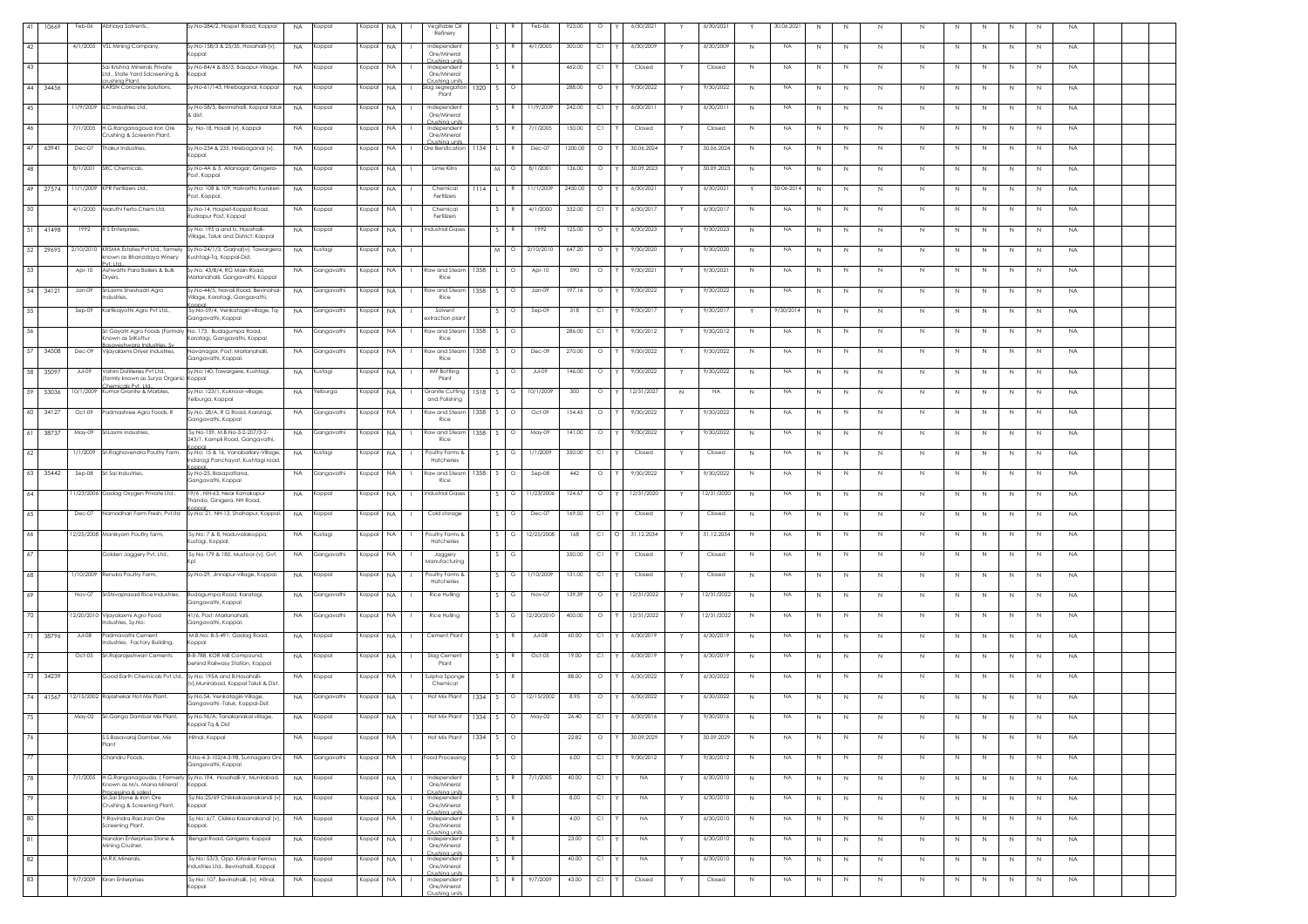| 41 | 10669    | Feb-06        | Abhaya Solvents.,                                                                                      | Sv.No-284/2, Hospet Road, Koppal                                                   | <b>NA</b> | Koppal     | Koppal    | <b>NA</b> | Vegitable Oil<br>Refinery                   |        |                   | Feb-06                | 923.00  | $\circ$ | 6/30/2021        | Y | 6/30/2021  | Y            | 30.06.202 | N              | N       | N           | N            |    |             |              | - N            | <b>NA</b> |  |
|----|----------|---------------|--------------------------------------------------------------------------------------------------------|------------------------------------------------------------------------------------|-----------|------------|-----------|-----------|---------------------------------------------|--------|-------------------|-----------------------|---------|---------|------------------|---|------------|--------------|-----------|----------------|---------|-------------|--------------|----|-------------|--------------|----------------|-----------|--|
| 42 |          |               | 4/1/2005 VSL Mining Company,                                                                           | Sy.No-158/3 & 25/35, Hosahalli-(v),<br>Koppal                                      | <b>NA</b> | Koppal     | Koppal    | <b>NA</b> | Independer<br>Ore/Mineral                   |        |                   | 4/1/2005              | 300.00  | C1      | 6/30/2009        |   | 6/30/2009  | N            | <b>NA</b> | N              | N       |             | $\mathbb N$  |    |             |              | $\overline{N}$ | <b>NA</b> |  |
| 43 |          |               | Sai Krishna Minerals Private<br>Ltd., State Yard Sdcreening &                                          | Sy.No-84/4 & 85/3, Basapur-Village,<br>Koppal                                      | <b>NA</b> | Koppal     | Koppal    | <b>NA</b> | `rushina uni<br>Independent<br>Ore/Mineral  |        |                   |                       | 462.00  | C1      | Closed           |   | Closed     | N            | NA        | N              | N       | N           | N            |    | N           |              | $\mathbb{N}$   | <b>NA</b> |  |
|    | 44 34456 |               | rushina Plant.<br>KARSN Concrete Solutions,                                                            | Sy.No-61/143, Hirebaganal, Koppal                                                  | <b>NA</b> | Koppal     | Koppal    | NA.       | Crushina units<br>lag segregation<br>Plant  | 1320   | S.                | $\circ$               | 288.00  | $\circ$ | 9/30/2022        |   | 7/30/2022  | N            | NA        | N              | N       | N           | N            | N. | N           | N            | N              | <b>NA</b> |  |
| 45 |          |               | 11/9/2009 ILC Industries Ltd,                                                                          | Sy.No-58/3, Bevinahalli, Koppal taluk<br>L dist.                                   | <b>NA</b> | Koppal     | Koppal    | <b>NA</b> | Independer<br>Ore/Mineral                   |        |                   | 11/9/2009             | 242.00  | C1      | 6/30/2011        |   | 6/30/201   | N            | NA        | N              | N       | N           | $\mathbb N$  |    | $\mathbb N$ | N            | $\mathbb{N}$   | <b>NA</b> |  |
| 46 |          |               | 7/1/2005 H.G.Ranganagoud Iron Ore<br>Crushing & Screenin Plant,                                        | Sy. No-18, Hosalli (v), Koppal                                                     | <b>NA</b> | Koppal     | Koppal NA |           | Crushina units<br>Independer<br>Ore/Mineral |        |                   | 7/1/2005              | 150.00  | C1      | Closed           |   | Closed     | $\mathbb{N}$ | NA        | N              | N       | N           | N            | N  | $\mathbb N$ | N            | $\mathbb{N}$   | <b>NA</b> |  |
|    | 47 63941 | Dec-07        | <b>Thakur Industries</b>                                                                               | Sy.No-234 & 235, Hirebaganal (v),<br>Koppal                                        | <b>NA</b> | Koppal     | Koppal    | <b>NA</b> | Crushina unit<br>Ore Benification           | 1134   |                   | Dec-07                | 1200.00 | $\circ$ | 30.06.2024       |   | 30.06.2024 | N            | <b>NA</b> | $\mathbb N$    | N       | N           | N            |    | N           | N            | N              | <b>NA</b> |  |
| 48 |          | 8/1/2001      | SRC Chemicals,                                                                                         | Sy.No-4A & 5, Allanagar, Ginigera-                                                 | <b>NA</b> | Koppal     | Koppal    | <b>NA</b> | Lime Kilns                                  |        | M                 | 8/1/2001              | 136.00  | $\circ$ | 30.09.2023       |   | 30.09.2023 | N            | <b>NA</b> | N              | N       | N           | N            |    | N           |              | N              | <b>NA</b> |  |
|    | 49 27574 |               | 11/1/2009 KPR Fertilizers Ltd.,                                                                        | Post, Koppal<br>Sy.No: 108 & 109, Halvarthi, Kunikeri                              | <b>NA</b> | (oppal     | Koppal    | NA        | Chemical                                    | 1114   |                   | 11/1/2009             | 2450.00 | $\circ$ | 6/30/2021        |   | 6/30/202   |              | 30-06-201 | N              | N       | N           | N            |    | -N          | N            | N.             | <b>NA</b> |  |
| 50 |          |               | 4/1/2000 Maruthi Ferto.Chem Ltd,                                                                       | Post, Koppal.<br>Sy.No-14, Hospet-Koppal Road,                                     | <b>NA</b> | Koppal     | Koppal    | <b>NA</b> | Fertilizers<br>Chemical                     |        | $\sim$            | 4/1/2000              | 332.00  | C1      | 6/30/2017        |   | 6/30/2017  | $\,N\,$      | <b>NA</b> | $\mathbb N$    | N       | $\mathbb N$ | $\,N\,$      | N  | N           | N            | $\mathbb{N}$   | <b>NA</b> |  |
|    | 51 41498 | 1992          | R S Enterprises,                                                                                       | Rudrapur Post, Koppal<br>Sv No: 195 a and b. Hosahalli-                            | <b>NA</b> | Koppal     | Koppal NA |           | Fertilizer:<br>Industrial Gase:             |        | S.                | 1992                  | 125.00  | $\circ$ | 6/30/2023        | Y | 9/30/2023  | N            | <b>NA</b> | N              | N       | N           | N            | N  | N           | N            | N              | <b>NA</b> |  |
|    | 52 29695 |               | 2/10/2010 KRSMA Estates Pvt Ltd., formely                                                              | Village, Taluk and District: Koppal<br>Sy.No-24/1/3, Garjnal(v), Tawargera         | <b>NA</b> | Kustagi    | Koppal    | <b>NA</b> |                                             |        | M                 | 2/10/2010             | 647.20  | $\circ$ | 9/30/2020        |   | 9/30/2020  | $\mathbb{N}$ | <b>NA</b> | N              | N       | N           | N            |    | N.          | N            | N.             | <b>NA</b> |  |
| 53 |          | $Apr-10$      | nown as Bhanodaya Winery<br>Pvt. Ltd<br>Ashwathi Para Boilers & Bulk                                   | Kushtagi-Tq, Koppal-Dist.<br>Sy.No. 43/B/4, RG Main Road,                          | <b>NA</b> | Gangavathi | Koppal    | <b>NA</b> | <b>Raw and Ste</b>                          | 1358   |                   | Apr-10<br>$\circ$     | 590     | $\circ$ | 9/30/2021        |   | 9/30/2021  | N            | <b>NA</b> | $\mathbb N$    | N       | $\mathbb N$ | $\mathbb N$  |    | Ν           |              | $\mathbb{N}$   | <b>NA</b> |  |
|    |          |               | Dryers,                                                                                                | Marlanahalli, Gangavathi, Koppal<br>Sv.No-44/5. Navali Road. Bevinahal-            |           |            |           |           | Rice                                        |        |                   |                       |         |         |                  |   |            |              |           |                |         |             |              |    |             |              |                |           |  |
|    | 54 34121 | Jan-09        | SriLaxmi Sheshadri Agro<br>Industries                                                                  | Village, Karatagi, Gangavathi,                                                     | <b>NA</b> | Gangavathi | Koppal    | <b>NA</b> | Raw and Sted<br>Rice                        | 1358   |                   | Jan-09<br>$\circ$     | 197.16  | $\circ$ | 9/30/2022        |   | 9/30/2022  | N            | <b>NA</b> | N              | N       | N           | N            |    |             |              | N              | <b>NA</b> |  |
| 55 |          | $Sep-09$      | Kartikajyothi Agro Pvt Ltd.,                                                                           | Sy.No-59/4, Venkatagiri-village, Tq-<br>Gangavathi, Koppal                         | <b>NA</b> | Gangavathi | Koppal    | <b>NA</b> | Solvent<br>xtraction plan                   |        |                   | Sep-09<br>Ο           | 318     | СI      | 9/30/2017        |   | 7/30/201   | Y            | 9/30/201  | N              | N       | -N          | N.           |    | N.          | -N           | N.             | <b>NA</b> |  |
| 56 |          |               | Sri Gayatri Agro Foods (Formaly No. 173, Budagumpa Road,<br>nown as SriKottur<br>asaveshwara Industrie | Karatagi, Gangavathi, Koppal                                                       | <b>NA</b> | Gangavathi | Koppal    | <b>NA</b> | Raw and Steam<br>Rice                       | 1358   |                   |                       | 286.00  | C1      | 9/30/2012        |   | 9/30/2012  | $\,N\,$      | <b>NA</b> | $\overline{N}$ | N       | $\mathbb N$ | $\mathbb{N}$ |    | $\mathbb N$ | N            | $\mathbb{N}$   | <b>NA</b> |  |
|    | 57 34508 | Dec-09        | Vijayalaxmi Driyer Industries,                                                                         | Navanagar, Post: Marlanahalli,<br>Gangavathi, Koppal.                              | <b>NA</b> | Gangavathi | Koppal    | <b>NA</b> | <b>Raw and Steam</b><br>Rice                | 1358 S |                   | Dec-09<br>$\circ$     | 270.00  | $\circ$ | 9/30/2022        |   | 9/30/2022  | $\,N\,$      | NA        | $\mathbb N$    | N       | N           | $\,N\,$      | N  | $\mathbb N$ | N            | N              | <b>NA</b> |  |
|    | 58 35097 | <b>Jul-09</b> | Vahini Distilleries Pvt Ltd<br>formly known as Surya Organic Koppal<br>Themicals Pvt Ltd               | Sy.No:140, Tawargere, Kushtagi,                                                    | <b>NA</b> | Kustagi    | Koppal    | <b>NA</b> | <b>IMF Bottling</b><br>Plant                |        | S                 | $\circ$<br>Jul-09     | 146,00  | $\circ$ | 9/30/2022        | Y | 9/30/2022  | N            | <b>NA</b> | N              | N       | N           | N            | N  | N           | N            | N              | <b>NA</b> |  |
|    | 59 53036 |               | 10/1/2009 Kumar Granite & Marbles,                                                                     | Sy.No: 123/1, Kuknoor-village,<br>'elburga, Koppal                                 | <b>NA</b> | Yelburga   | Koppal    | <b>NA</b> | Granite Cutting<br>and Polishing            | 1518   |                   | 10/1/2009             | 300     | $\circ$ | 12/31/2027       | N | <b>NA</b>  | N            | NA        | $\mathbb N$    | N       | N           | N.           |    | N           |              | N              | <b>NA</b> |  |
|    | 60 34127 | Oct-09        | Padmashree Agro Foods, R                                                                               | Sy.No. 28/A, R G Road, Karatagi,<br>Gangavathi, Koppal                             | <b>NA</b> | Gangavathi | Koppal    | <b>NA</b> | <b>Raw and Stear</b><br>Rice                | 1358   |                   | $\circ$<br>Oct-09     | 154.45  | $\circ$ | 9/30/2022        |   | 9/30/2022  | N            | <b>NA</b> | N              | N       | N           | N            |    |             |              | N              | <b>NA</b> |  |
|    | 61 38737 | May-09        | Sril axmi Industries                                                                                   | Sy.No-159, M.B.No-3-2-207/3-2-<br>243/1, Kampli Road, Gangavathi,                  | <b>NA</b> | Gangavathi | Koppal    | NA        | Raw and Stear<br>Rice                       | 1358   | -S -              | May-09<br>$\circ$     | 141.00  | $\circ$ | 9/30/2022        |   | 9/30/2022  | N            | NA        | N              | N       | N           | N            | N  | N           | N            | N              | <b>NA</b> |  |
| 62 |          |               | 1/1/2009 Sri.Raghavendra Poultry Farm,                                                                 | Sy.No: 15 & 16, Vanaballary-Village,<br>Indaragi Panchayat, Kushtagi road          | <b>NA</b> | Kustagi    | Koppal    | <b>NA</b> | Poultry Forms &<br>Hatcheries               |        |                   | 1/1/2009<br>G         | 350.00  | C1      | Closed           |   | Closed     | N            | <b>NA</b> | N              | N       | N           | N.           | N. | N           | N            | N              | <b>NA</b> |  |
|    | 63 35442 | $Sep-08$      | Sri Sai Industries,                                                                                    | onna<br>Sy.No-25, Basapattana,<br>Gangavathi, Koppal                               | <b>NA</b> | Gangavathi | Koppal    | <b>NA</b> | aw and Stea<br>Rice                         | 1358   |                   | $Sep-08$              | 442     | $\circ$ | 9/30/2022        |   | 9/30/2022  | N            | <b>NA</b> | N              | N       | N           | N            | N. | N           | N            | N              | <b>NA</b> |  |
| 64 |          |               | 1/23/2006 Gadag Oxygen Private Ltd.,                                                                   | 19/6, NH-63, Near Kanakapur<br>lhanda, Ginigera, NH Road,                          | <b>NA</b> | Koppal     | Koppal    | <b>NA</b> | Industrial Gase                             |        |                   | 11/23/2006<br>G       | 124.67  | $\circ$ | 12/31/2020       |   | 12/31/2020 | N            | <b>NA</b> | N              | N       |             | $\mathbb N$  |    | N           |              | $\overline{N}$ | <b>NA</b> |  |
| 65 |          | Dec-07        |                                                                                                        | Namadhari Farm Fresh, Pvt.Itd Sy.No: 21, NH-13, Shahapur, Koppal.                  | <b>NA</b> | Koppal     | Koppal    | <b>NA</b> | Cold storage                                |        |                   | Dec-07                | 169.50  | C1      | Closed           |   | Closed     | N            | NA        | N              | N       | N           | N            |    | N           |              | N              | <b>NA</b> |  |
| 66 |          |               | 12/25/2008 Manikyam Poultry farm,                                                                      | Sy.No: 7 & 8, Naduvalakoppa,<br>Kustagi, Koppal.                                   | NA        | lustagi    | Koppal    | NA.       | Poultry Forms &<br>Hatcheries               |        |                   | 12/25/2008            | 168     | C1      | 31.12.2034       |   | 31.12.2034 | N            | NA        | N              | N       | N           | N.           |    | -N          | N            | N              | <b>NA</b> |  |
| 67 |          |               | Golden Jaggery Pvt, Ltd.,                                                                              | Sy.No-179 & 180, Mustoor-(v), Gvt,                                                 | <b>NA</b> | Gangavathi | Koppal    | <b>NA</b> | Jaggery<br><b>Manufacturing</b>             |        |                   | G                     | 350.00  | C1      | Closed           |   | Closed     | N            | <b>NA</b> | $\mathbb N$    | N       | $\mathbb N$ | N            | N  | $\mathbb N$ | $\mathbb{N}$ | $\,N\,$        | <b>NA</b> |  |
| 68 |          |               | 1/10/2009 Renuka Poultry Farm,                                                                         | Sy.No-29, Jinnapur-village, Koppal.                                                | <b>NA</b> | Koppal     | Koppal    | <b>NA</b> | Poultry Forms &                             |        | $\sim$            | 1/10/2009<br>G        | 131.00  | C1      | Closed           |   | Closed     | $\,N\,$      | NA        | $\,N\,$        | $\,N\,$ | N           | $\,N\,$      | N  | $\mathbb N$ | N            | N              | <b>NA</b> |  |
| 69 |          | Nov-07        | SriShivaprasad Rice Industries,                                                                        | Budagumpa Road, Karatagi,                                                          | <b>NA</b> | Gangavathi | Koppal    | <b>NA</b> | Hatcherie:<br>Rice Hulling                  |        | S.                | Nov-07<br>G           | 139.39  | $\circ$ | 12/31/2022       |   | 2/31/2022  | N            | NA        | N              | N       | N           | N.           | N. | -N          | N            | N              | <b>NA</b> |  |
| 70 |          |               | 12/20/2010 Vijayalaxmi Agro Food                                                                       | Gangavathi, Koppal<br>41/6, Post: Marlanahalli,                                    | <b>NA</b> | Gangavathi | Koppal    | <b>NA</b> | Rice Hulling                                |        |                   | 12/20/2010            | 400.00  | $\circ$ | 12/31/2022       |   | 12/31/2022 | N            | NA        | N              | N       |             | $\mathbb N$  |    |             |              | N              | <b>NA</b> |  |
|    | 38796    | Jul-08        | Industries, Sy.No:<br>Padmavathi Cement                                                                | Gangavathi, Koppal.<br>M.B.No: 8-5-491: Gadag Road,                                | <b>NA</b> | Koppal     | Koppal    | <b>NA</b> | Cement Plant                                |        |                   | Jul-08                | 60.00   | C1      | 6/30/2019        |   | 6/30/2019  | N            | <b>NA</b> | N              | N       |             | N            |    |             |              | N              | <b>NA</b> |  |
| 72 |          |               | Industries, Factory Building,<br>Oct-05 Sri.Rajarajeshwari Cements                                     | Koppal<br>8-8-788, KOR Mill Compound,                                              | <b>NA</b> | Koppal     | Koppal    | <b>NA</b> | Slag Cement                                 |        |                   | Oct-05                | 19.00   | C1      | 6/30/2019        |   | 6/30/201   | N            | NA        | $\mathbb N$    | N       | N           | N            | N  | N           | N            | N              | <b>NA</b> |  |
|    | 73 34239 |               | Good Earth Chemicals Pvt Ltd., Sy No: 195A and B, Hosahalli-                                           | ehind Railwasy Station, Koppal                                                     | <b>NA</b> | Koppal     | Koppal    | <b>NA</b> | Plant<br>Sulpha Sponge                      |        |                   |                       | 88.00   | $\circ$ | 6/30/2022        |   | 6/30/2022  | N            | NA        | N              | N       | N           | N            | N. | N           | N            | N              | <b>NA</b> |  |
|    | 74 41567 |               | 12/15/2002 Rajashekar Hot Mix Plant,                                                                   | (v),Munirabad, Koppal Taluk & Dist.<br>Sy.No.54, Venkatagiri-Village,              | <b>NA</b> | Gangavathi | Koppal    | <b>NA</b> | Chemical<br>Hot Mix Plant                   | 1334   | S.                | $\circ$<br>12/15/2002 | 8.95    | $\circ$ | 6/30/2022        |   | 6/30/2022  | N            | <b>NA</b> | N              | N       | N           | N            | N. | N           | N            | N              | <b>NA</b> |  |
| 75 |          |               | May-02 Sri.Ganga Dambar Mix Plant,                                                                     | Gangavathi -Taluk, Koppal-Dsit.<br>Sy.No.96/A, Tanakanakal village,                | <b>NA</b> | Koppal     | Koppal NA |           | Hot Mix Plant                               | 1334   |                   | May-02<br>$\circ$     | 26.40   | C1      | 6/30/2016<br>Y I |   | 9/30/2016  |              | <b>NA</b> |                |         |             |              |    |             |              | $\mathbb{N}$   | <b>NA</b> |  |
|    |          |               | S.S.Basavaraj Damber, Mix                                                                              | Koppal Tq & Dist<br>Hitnal, Koppal                                                 |           |            |           |           | Hot Mix Plant                               |        |                   |                       | 22.82   | $\circ$ | 30.09.2029       |   | 30.09.2029 |              |           |                |         |             |              |    |             |              |                |           |  |
| 76 |          |               | Plant                                                                                                  |                                                                                    | <b>NA</b> | Koppal     | Koppal    | <b>NA</b> |                                             | 1334   | $\sim$<br>$\circ$ |                       |         |         |                  |   |            | N            | <b>NA</b> | $\mathbb N$    | N       | N           | N            | N  | N           | N            | N              | <b>NA</b> |  |
| 77 |          |               | Chandru Foods,                                                                                         | H.No-4-3-102/4-3-98, Sunnagara Oni<br>Gangavathi, Koppal                           | <b>NA</b> | Gangavathi | Koppal    | <b>NA</b> | ood Processing                              |        |                   | $\circ$               | 6.00    | C1      | 9/30/2012        |   | 9/30/2012  | N            | <b>NA</b> | N              | N       | N           | N            | N  | N           | N            | N              | <b>NA</b> |  |
| 78 |          |               | Inown as M/s. Mana Mineral<br>rocessing & sales)                                                       | 7/1/2005 H.G.Ranganagouda, (Formerly Sy.No.194, Hosahalli-V, Munirabad,<br>Koppal. | <b>NA</b> | Koppal     | Koppal    | <b>NA</b> | Independen<br>Ore/Mineral<br>Crushina units |        |                   | 7/1/2005              | 40.00   | C1      | <b>NA</b>        |   | 6/30/2010  | $\,N\,$      | <b>NA</b> | $\mathbb N$    | N       | $\mathbb N$ | N            | N  | $\mathbb N$ | N            | $\mathbb{N}$   | <b>NA</b> |  |
| 79 |          |               | Sri.Sai Stone & Iron Ore<br>Crushing & Screening Plant,                                                | Sv.No:25/69 Chikkakasanakandi (v)<br>Koppal                                        | <b>NA</b> | Koppal     | Koppal NA |           | Independen<br>Ore/Mineral<br>Crushina units |        |                   |                       | 8.00    | C1      | <b>NA</b>        | Y | 6/30/2010  | N            | NA        | N              | N       | $\,N$       | N            | N  | N           | N            | N              | <b>NA</b> |  |
| 80 |          |               | Y.Ravindra Rao,Iron Ore<br>Screening Plant,                                                            | Sy.No: 6/7, Ckikka Kasanakandi (v),<br>Koppal.                                     | <b>NA</b> | Koppal     | Koppal    | <b>NA</b> | Independen<br>Ore/Mineral<br>Crushina units |        |                   |                       | 4.00    | C1      | NA               | Y | 6/30/2010  | N            | <b>NA</b> | N              | N       | N           | N            | N. | N           | N            | N              | <b>NA</b> |  |
| 81 |          |               | Nandan Enterprises Stone &<br>Mining Crusher,                                                          | Bengal Road, Ginigera, Koppal                                                      | <b>NA</b> | Koppal     | Koppal    | <b>NA</b> | Independen<br>Ore/Mineral                   |        |                   |                       | 23.00   | C1      | NA               |   | 6/30/2010  | N            | NA        | N              | N       | N           | $\mathbb N$  |    | N           | N            | $\mathbb{N}$   | <b>NA</b> |  |
| 82 |          |               | M.R.K.Minerals,                                                                                        | Sy.No: 53/3, Opp. Kirloskar Ferrous<br>Industries Ltd., Bevinahalli, Koppal        | <b>NA</b> | Koppal     | Koppal    | <b>NA</b> | Crushina unit<br>Independe<br>Ore/Mineral   |        |                   |                       | 40.00   | C1      | <b>NA</b>        |   | 6/30/2010  | $\mathbb{N}$ | NA        | N              | N       | $\mathbb N$ | N            | N  | $\mathbb N$ | N            | N              | <b>NA</b> |  |
| 83 |          |               | 9/7/2009 Kiran Enterprises                                                                             | Sy.No: 107, Bevinahalli, (v), Hitnal,<br>Koppal                                    | <b>NA</b> | Koppal     | Koppal    | <b>NA</b> | irushina unit<br>Independent<br>Ore/Mineral |        |                   | 9/7/2009              | 43.00   | C1      | Closed           |   | Closed     | N            | <b>NA</b> | N              | N       | N           | N            | N  | $\,N$       | N            | N              | <b>NA</b> |  |
|    |          |               |                                                                                                        |                                                                                    |           |            |           |           | Crushina unit                               |        |                   |                       |         |         |                  |   |            |              |           |                |         |             |              |    |             |              |                |           |  |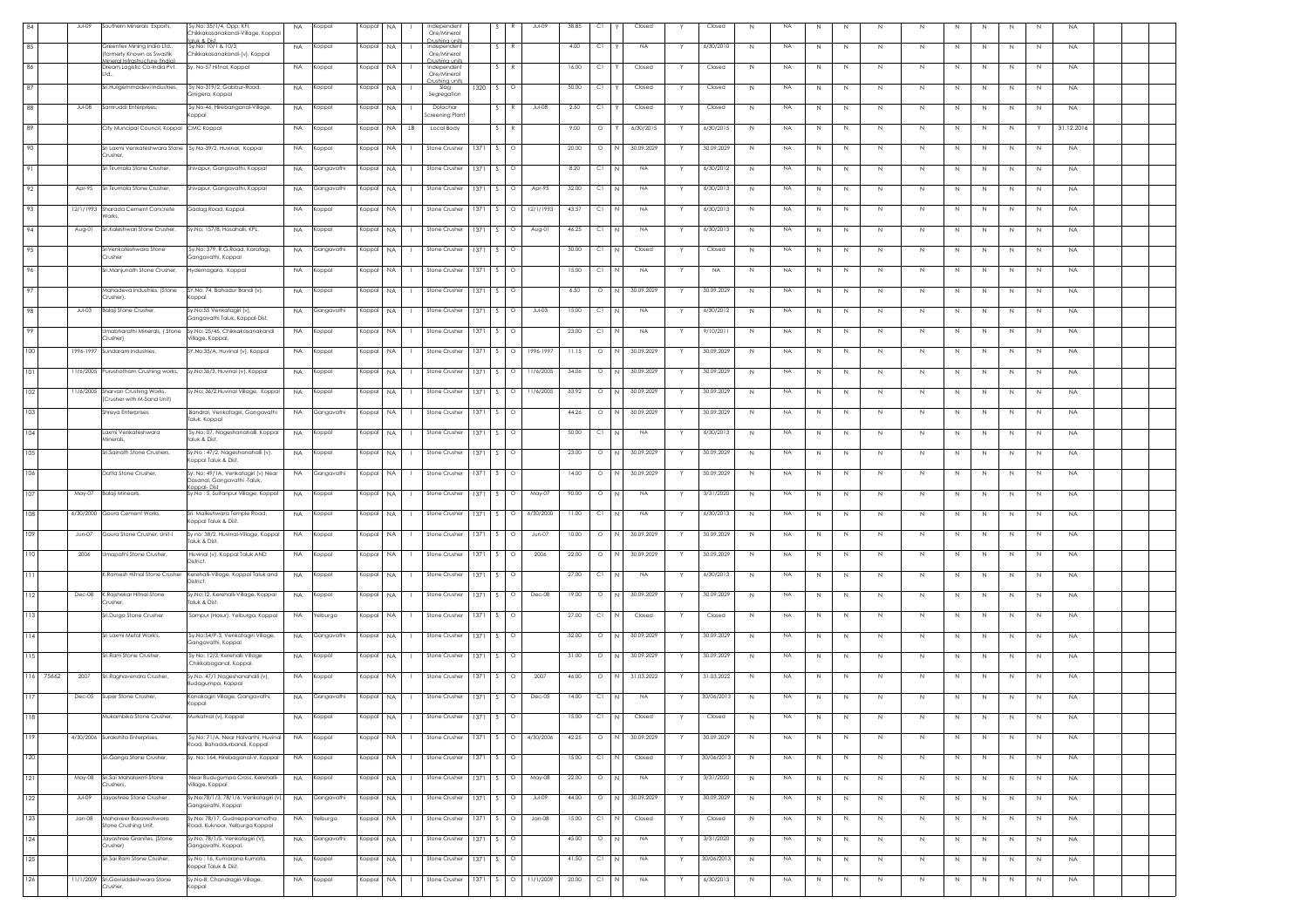| 84        | Jul-09    | Southern Minerals Exports,                                          | Sy.No: 35/1/4, Opp. KFI,<br>hikkakasanakandi-Village, Koppa<br>aluk & Dist             | NA.       | Koppal     | Koppal | <b>NA</b>                 | Independent<br>Ore/Mineral                  |        |               | Jul-09               | 38.85 | C1       |              | Closed           | Closed     | <b>NA</b><br>N           | N           | N       | N           | N           | N  | N<br>N                       | N | <b>NA</b>  |  |
|-----------|-----------|---------------------------------------------------------------------|----------------------------------------------------------------------------------------|-----------|------------|--------|---------------------------|---------------------------------------------|--------|---------------|----------------------|-------|----------|--------------|------------------|------------|--------------------------|-------------|---------|-------------|-------------|----|------------------------------|---|------------|--|
| 85        |           | Greentex Mining India Ltd.,<br>wmerly Known as Swastik              | y.No: 10/1 & 10/3,<br>hikkakasanakandi-(v), Koppal                                     | <b>NA</b> | Koppal     | Koppal | <b>NA</b>                 | `rushina unit<br>Independent<br>Ore/Mineral |        | $\mathbb{R}$  |                      | 4.00  | C1       |              | <b>NA</b>        | 6/30/2010  | N<br><b>NA</b>           | N           | N       | $\mathbb N$ | $\mathbb N$ | N  | N<br>N                       | N | <b>NA</b>  |  |
| 86        |           | neral Infrastructure (India<br>Dream Logistic Co-India Pvt.<br>Ltd. | y. No-57 Hitnal, Koppal                                                                | <b>NA</b> | Koppal     | Koppal | NA                        | rushina unit<br>Independent<br>Ore/Mineral  |        |               |                      | 16.00 | C1       |              | Closed           | Closed     | N<br><b>NA</b>           | N           | N       | N           | N           | N  | N.<br>N                      | N | <b>NA</b>  |  |
| 87        |           | iri.Huligemmadevi Industries,                                       | Sy.No-319/2, Gabbur-Road,<br>inigera, Koppal                                           | <b>NA</b> | Koppal     | Koppal | <b>NA</b>                 | ushina un<br>Slag<br>Segregation            | 1320   | S.            | C                    | 50.00 | C1       |              | Closed           | Closed     | NA<br>N                  | N           | N       | N           | N           | N. | N.<br>N                      | N | <b>NA</b>  |  |
| 88        | $Jul-08$  | Samruddi Enterprises,                                               | Sy.No-46, Hirebanganal-Village,<br>loapa                                               | <b>NA</b> | Koppal     | Koppal | <b>NA</b>                 | Dolochar<br>Screening Plant                 |        |               | Jul-08               | 2.50  | C1       |              | Closed           | Closed     | <b>NA</b><br>N           | N           | N       | $\mathbb N$ | $\mathbb N$ | N  | N<br>N                       | N | <b>NA</b>  |  |
| 89        |           | City Muncipal Council, Koppal                                       | CMC Koppal                                                                             | <b>NA</b> | Koppal     | Koppal | NA<br>LB                  | Local Body                                  |        |               |                      | 9.00  | $\circ$  |              | 6/30/2015        | 6/30/2015  | <b>NA</b><br>N           | N           | N       | N           | N           | N  | N<br>N                       |   | 31.12.2016 |  |
| 90        |           | Sri Laxmi Venkateshwara Stone<br>Crusher.                           | Sy.No-39/2, Huvinal, Koppal                                                            | <b>NA</b> | Koppal     | Koppal | NA.<br>л.                 | Stone Crusher                               | 1371 S |               | $\circ$              | 20.00 | $\circ$  | IN.          | 30.09.2029       | 30.09.2029 | N<br>NA                  | N           | N       | N           | N           | N  | N<br>N                       | N | <b>NA</b>  |  |
| 91        |           | Sri Tirumala Stone Crusher,                                         | Shivapur, Gangavathi, Koppal                                                           | <b>NA</b> | Gangavathi | Koppal | <b>NA</b>                 | Stone Crusher                               | 1371   |               |                      | 8.20  | C1       |              | NA.              | 6/30/2012  | <b>NA</b><br>N           | N           | N       | N           | N           | N  | N.<br>N                      | N | <b>NA</b>  |  |
| 92        | Apr-95    | Sri Tirumala Stone Crusher,                                         | Shivapur, Gangavathi, Koppal                                                           | <b>NA</b> | Gangavathi | Koppal | NA.                       | Stone Crusher                               | 1371   |               | Apr-95               | 32.00 | C1       |              | $_{\sf NA}$      | 6/30/2013  | $\mathbb N$<br><b>NA</b> | N           | N       | N           | $\mathbb N$ | N  | N<br>N                       | N | <b>NA</b>  |  |
| 93        |           | 12/1/1993 Sharada Cement Concrete                                   | Gadag Road, Koppal.                                                                    | <b>NA</b> | Koppal     | Koppal | <b>NA</b><br>$\mathbf{L}$ | Stone Crusher                               | 1371   | S.            | 12/1/1993<br>$\circ$ | 43.57 | СI       | $\mathsf{N}$ | <b>NA</b><br>Y   | 6/30/2013  | N<br><b>NA</b>           | N           | N       | N           | N           | N  | $\,N\,$<br>N                 | N | <b>NA</b>  |  |
| 94        | Aug-01    | Sri.Kaleshwari Stone Crusher,                                       | Sy.No: 157/8, Hosahalli, KPL.                                                          | <b>NA</b> | Koppal     | Koppal | <b>NA</b><br>л.           | Stone Crusher   1371                        |        | S.            | $\circ$<br>Aug-01    | 46.25 | $CI$ $N$ |              | NA.<br>Y         | 6/30/2013  | N<br><b>NA</b>           | N           | N       | N.          | N           | N  | N<br>N                       | N | <b>NA</b>  |  |
| 95        |           | iriVenkateshwara Stone                                              | Sy.No: 379, R.G.Road, Karatagi,<br>Gangavathi, Koppal                                  | <b>NA</b> | Gangavathi | Koppal | <b>NA</b>                 | Stone Crusher                               | 1371   | S.            | C                    | 30.00 | C1       |              | Closed           | Closed     | <b>NA</b><br>N           | N           | N       | N           | N           | N  | N<br>N                       | N | <b>NA</b>  |  |
| 96        |           | Crusher<br>Sri.Manjunath Stone Crusher,                             | Hydernagara, Koppal                                                                    | <b>NA</b> | Koppal     | Koppal | <b>NA</b>                 | Stone Crusher                               | 1371   | S.            | $\circ$              | 15.00 | C1       | I N          | NA.              | <b>NA</b>  | <b>NA</b><br>N           | N           | N       | N           | $\mathbb N$ | N  | $\mathbb N$<br>N             | N | <b>NA</b>  |  |
| 97        |           | Mahadeva Industries, (Stone                                         | SY.No: 74, Bahadur Bandi (v),                                                          | <b>NA</b> | Koppal     | Koppal | <b>NA</b>                 | Stone Crusher                               | 1371   |               | Ω                    | 6.50  | $\circ$  | I N          | 30.09.2029       | 30.09.2029 | N<br><b>NA</b>           | N           | N       | N           | N           | N  | N<br>N                       | N | <b>NA</b>  |  |
| 98        | $Jul-03$  | Crusher),<br>Balaji Stone Crusher,                                  | loqqo<br>iy.No:55 Venkatagiri (v),                                                     | NA.       | Gangavathi | Koppal | NA.                       | Stone Crusher                               | 1371   | S.            | $Jul-03$<br>$\circ$  | 15.00 | C1       |              | NA.              | 6/30/2012  | <b>NA</b><br>N           | N           | N       | N           | N           | N  | N.<br>N                      | N | <b>NA</b>  |  |
| - 99      |           | Jmabharathi Minerals, (Stone                                        | iangavathi Taluk, Koppal-Dist.<br>Sy.No: 25/45, Chikkakasanakandi                      | <b>NA</b> | Koppal     | Koppal | <b>NA</b>                 | Stone Crusher                               | 1371   | s             |                      | 23.00 | C1       |              | <b>NA</b>        | 9/10/2011  | N<br><b>NA</b>           | N           | N       | N           | $\mathbb N$ | N  | $\mathbb N$<br>N             | N | <b>NA</b>  |  |
| 100       |           | (rusher<br>1996-1997 Sundaram Industries                            | illage, Koppal.<br>Y.No:35/A, Huvinal (v), Koppal                                      | <b>NA</b> | Koppal     | Koppal | NA                        | Stone Crusher                               | 1371   | $\mathcal{L}$ | $\circ$<br>1996-1997 | 11.15 | $\circ$  | I N          | 30.09.2029       | 30.09.2029 | N<br><b>NA</b>           | $\,N\,$     | $\,N\,$ | N           | $\mathbb N$ | N  | $\,N\,$<br>N                 | N | <b>NA</b>  |  |
| 101       | 11/6/2005 | Purushotham Crushing works,                                         | v.No:36/3, Huvinal (v), Koppal                                                         | <b>NA</b> | Koppal     | Koppal | NA.                       | Stone Crusher                               | 1371   | -S.           | 11/6/2005<br>$\circ$ | 34.06 | $\circ$  | N            | 30.09.2029       | 30.09.2029 | N<br>NA                  | N           | N       | N           | $\mathbb N$ | N  | N<br>N                       | N | <b>NA</b>  |  |
| 102       |           | 11/6/2005 Sharvan Crushing Works,                                   | Sy.No: 36/2,Huvinal Village, Koppal                                                    | <b>NA</b> | Koppal     | Koppal | <b>NA</b>                 | Stone Crusher                               | 1371   |               | 11/6/2005            | 33.92 | $\circ$  | N            | 30.09.2029       | 30.09.2029 | <b>NA</b><br>N           | N           | N       | N           | N           |    | N.<br>N.                     | N | <b>NA</b>  |  |
| 103       |           | (Crusher with M-Sand Unit)<br>Shreya Enterprises                    | Bandral, Venkatagiri, Gangavathi                                                       | NA        | Gangavathi | Koppal | <b>NA</b>                 | Stone Crusher                               | 1371   |               |                      | 44.26 | $\circ$  |              | 30.09.2029       | 30.09.2029 | N<br><b>NA</b>           | N           | N       | $\mathbb N$ | $\mathbb N$ | N  | $\mathbb N$<br>N             | N | <b>NA</b>  |  |
| 104       |           | Laxmi Venkateshwara                                                 | aluk, Koppal<br>Sy.No: 07, Nageshanahalli, Koppal                                      | <b>NA</b> | Koppal     | Koppal | NA.<br>л.                 | Stone Crusher                               | 1371 S |               | $\circ$              | 50.00 | C1       | IN.          | <b>NA</b>        | 6/30/2013  | N<br><b>NA</b>           | N           | N       | N           | N           | N  | N<br>N                       | N | <b>NA</b>  |  |
| 105       |           | Minerals,<br>Sri.Sainath Stone Crushers,                            | aluk & Dist.<br>Sy.No : 47/2, Nageshanahalli (v),                                      | <b>NA</b> | Koppal     | Koppal | <b>NA</b>                 | Stone Crusher                               | 1371   | -S.           | $\circ$              | 23.00 | $\circ$  | N            | 30.09.2029<br>Y. | 30.09.2029 | <b>NA</b><br>N           | N           | N       | N           | N           | N  | N.<br>N                      | N | <b>NA</b>  |  |
| 106       |           | Datta Stone Crusher,                                                | oppal Taluk & Dist.<br>y. No: 49/1A, Venkatagiri (v) Near                              | <b>NA</b> | Gangavathi | Koppal | <b>NA</b>                 | Stone Crusher                               | 1371   | s.            | O                    | 14.00 | $\circ$  |              | 30.09.2029       | 30.09.2029 | <b>NA</b><br>N           | N           | N       | N           | $\mathbb N$ | N  | N<br>N                       | N | <b>NA</b>  |  |
| 107       | May-07    | Balaji Minearls,                                                    | asanal, Gangavathi -Taluk,<br><b>200al-Dist</b><br>y.No : 5, Sultanpur Village, Koppal | <b>NA</b> | Koppal     | Koppal | NA.                       | Stone Crusher                               | 1371   | -S.           | May-07<br>$\circ$    | 90.00 | $\circ$  | I N          | NA.              | 3/31/2020  | <b>NA</b><br>N           | N           | N       | $\mathbb N$ | $\mathbb N$ | N  | $\mathbb N$<br>N             | N | <b>NA</b>  |  |
| 108       |           | 6/30/2000 Goura Cement Works,                                       | Sri. Malleshwara Temple Road,                                                          | <b>NA</b> | Koppal     | Koppal | <b>NA</b>                 | Stone Crusher                               | 1371   |               | 6/30/2000            | 11.00 | C1       | - N          | <b>NA</b>        | 6/30/2013  | N<br><b>NA</b>           | N           | N       | N           | $\mathbb N$ | N  | N<br>N                       | N | <b>NA</b>  |  |
| 109       | Jun-07    | Goura Stone Crusher, Unit-I                                         | oppal Taluk & Dist.<br>y no: 38/2, Huvinal-Village, Koppal                             | <b>NA</b> | Koppal     | Koppal | <b>NA</b>                 | Stone Crusher                               | 1371   |               | $Jun-07$<br>Ο        | 10.00 | $\circ$  |              | 30.09.2029       | 30.09.2029 | NA<br>N                  | N           | N       | N           | N           | N  | N.<br>N                      | N | <b>NA</b>  |  |
| 110       | 2006      | Umapathi Stone Crusher,                                             | aluk & Dist.<br>Huvinal (v), Koppal Taluk AND                                          | <b>NA</b> | Koppal     | Koppal | <b>NA</b>                 | Stone Crusher                               | 1371   | s             | $\circ$<br>2006      | 22.00 | $\circ$  |              | 30.09.2029       | 30.09.2029 | $\,N\,$<br><b>NA</b>     | $\mathbb N$ | N       | N           | $\mathbb N$ | N  | $\mathbb{N}$<br>$\mathbb{N}$ | N | <b>NA</b>  |  |
| 111       |           |                                                                     | istrict.                                                                               |           |            |        |                           |                                             |        |               |                      |       |          | l N          |                  |            |                          |             |         |             |             |    |                              |   |            |  |
|           |           | K.Ramesh Hitnal Stone Crusher                                       | Kerehalli-Village, Koppal Taluk and<br>istrict.                                        | <b>NA</b> | Koppal     | Koppal | NA.                       | Stone Crusher                               | 1371 S |               | $\circ$              | 27.00 | C1       |              | NA.              | 6/30/2013  | N<br><b>NA</b>           | N           | $\,N\,$ | N           | N           | N  | $\,N\,$<br>N                 | N | <b>NA</b>  |  |
| 112       | Dec-08    | K.Rajshekar Hitnal Stone<br>rusher.                                 | y.No:12, Kerehalli-Village, Koppal<br>aluk & Dist.                                     | NA.       | Koppal     | Koppal | NA.                       | Stone Crusher                               | 1371   | S.            | Dec-08<br>$\circ$    | 19.00 | $\circ$  | N            | 30.09.202<br>Y   | 30.09.2029 | <b>NA</b><br>N           | N           | N       | N.          | N           | N  | N<br>N                       | N | <b>NA</b>  |  |
| 113       |           | Sri.Durga Stone Crusher                                             | Sampur (Hosur), Yelburga, Koppal                                                       | <b>NA</b> | Yelburga   | Koppal | <b>NA</b>                 | Stone Crusher                               | 1371   |               |                      | 27.00 | C1       |              | Closed           | Closed     | <b>NA</b><br>N           | N           | N       | N           | $\mathbb N$ |    | N                            | N | <b>NA</b>  |  |
| 114       |           | Šri Laxmi Metal Work's,                                             | Sy.No:54/P-3, Venkatagiri Village,<br>Gangavathi, Koppal                               | <b>NA</b> | Gangavathi | Koppal | <b>NA</b>                 | Stone Crusher                               | 1371   |               |                      | 32.00 | $\circ$  |              | 30.09.2029       | 30.09.2029 | <b>NA</b><br>N           | N           | N       | N           | N           |    | N                            | N | <b>NA</b>  |  |
| 115       |           | Sri Ram Stone Crusher                                               | y No: 12/3, Kerehalli Village<br>Chikkabaganal, Koppal.                                | <b>NA</b> | Koppal     | Koppal | <b>NA</b><br>л.           | Stone Crusher                               | 1371 S |               | $\circ$              | 31.00 | $\circ$  | IN.          | 30.09.2029       | 30.09.2029 | N<br>NA                  | N           | N       | N           | N           | N  | N<br>N                       | N | <b>NA</b>  |  |
| 116 75662 | 2007      | Sri.Raghavendra Crusher,                                            | Sy.No. 47/1,Nageshanahalli (v),<br>Budagumpa, Koppal                                   | <b>NA</b> | Koppal     | Koppal | <b>NA</b><br>л.           | Stone Crusher   1371                        |        | S.            | 2007<br>$\circ$      | 46.00 | $\circ$  | I N          | 31.03.2022<br>Y. | 31.03.2022 | <b>NA</b><br>N           | N           | N       | N           | N           | N  | N<br>N                       | N | <b>NA</b>  |  |
| 117       | $Dec-05$  | Super Stone Crusher,                                                | Kanakagiri Village, Gangavathi,<br>(oppal                                              | <b>NA</b> | Gangavathi | Koppal | NA.<br>л.                 | Stone Crusher                               | 1371   | S.            | $\circ$<br>Dec-05    | 14.00 | C1       |              | NA.              | 30/06/2013 | NA<br>N                  | N           | N       | N           | $\mathbb N$ | N  | N<br>N                       | N | <b>NA</b>  |  |
| 118       |           | Mukambika Stone Crusher,                                            | Murkatnal (v), Koppal                                                                  | <b>NA</b> | Koppal     |        |                           | Koppal NA     Stone Crusher   1371   S      |        |               | $\circ$              | 15.00 | $CI$ N   |              | Closed           | Closed     | <b>NA</b><br>N           | N           | N       | Ν           |             | N  | N<br>N                       | N | <b>NA</b>  |  |
| 119       |           | 4/30/2006 Surakshita Enterprises.                                   | Sv.No: 71/A. Near Halvarthi. Huvinal<br>oad, Bahaddurbandi, Koppal                     | <b>NA</b> | Koppal     | Koppal | NA.<br>$\mathbf{L}$       | Stone Crusher 1371                          |        | S.            | 4/30/2006<br>$\circ$ | 42.25 | $\circ$  | I N          | 30.09.2029       | 30.09.2029 | <b>NA</b><br>N           | N           | N       | N           | N           | N  | N<br>N                       | N | <b>NA</b>  |  |
| 120       |           | Sri.Ganga Stone Crusher,                                            | , No: 164, Hirebaganal-V, Koppal                                                       | <b>NA</b> | Koppal     | Koppal | $_{\sf NA}$               | Stone Crusher                               | 1371   |               | C                    | 15.00 | C1       |              | Closed           | 30/06/2013 | <b>NA</b><br>N           | N           | N       | N           | N           | N  | N.<br>N                      | N | <b>NA</b>  |  |
| 121       |           | May-08 Sri.Sai Mahalaxmi Stone<br>tushers,                          | Near Budugumpa Cross, Kerehalli-<br>illage, Koppal                                     | <b>NA</b> | Koppal     | Koppal | <b>NA</b>                 | Stone Crusher                               | 1371 S |               | May-08<br>$\circ$    | 22.00 | $\circ$  | I N          | <b>NA</b>        | 3/31/2020  | N<br><b>NA</b>           | N           | N       | N           | $\mathbb N$ | N  | N<br>N                       | N | <b>NA</b>  |  |
| 122       | Jul-09    | Jayashree Stone Crusher,                                            | Sy.No:78/1/3, 78/1/6, Venkatagiri (v<br>angavathi, Koppal                              | <b>NA</b> | Gangavathi | Koppal | NA.                       | Stone Crusher   1371                        |        | -S.           | Jul-09<br>$\circ$    | 44.00 | $\circ$  | I N          | 30.09.2029<br>Y  | 30.09.2029 | N<br><b>NA</b>           | N           | N       | $\,N$       | N           | N  | N<br>N                       | N | NA         |  |
| 123       | Jan-08    | Mahaveer Basaveshwara<br><b>Stone Crushing Unit,</b>                | /.No; 78/17, Gudneppanamatha<br>oad, Kuknoor, Yelburga Koppal                          | <b>NA</b> | Yelburga   | Koppal | <b>NA</b>                 | Stone Crusher                               | 1371   | S.            | $Jan-08$<br>$\circ$  | 15.00 | C1       | - N          | Closed           | Closed     | <b>NA</b><br>N           | N           | N       | N           | N           | N  | N.<br>N                      | N | <b>NA</b>  |  |
| 124       |           | Jayashree Granites, (Stone<br>Crusher)                              | šy.No. 78/1/5, Venkatagiri (V),<br>angavathi, Koppal.                                  | <b>NA</b> | Gangavathi | Koppal | <b>NA</b>                 | Stone Crusher                               | 1371   | s             |                      | 45.00 | $\circ$  |              | <b>NA</b>        | 3/31/2020  | <b>NA</b><br>N           | $\mathbb N$ | N       | $\mathbb N$ | $\mathbb N$ | N  | $\mathbb{N}$<br>N            | N | <b>NA</b>  |  |
| 125       |           | Sri Sai Ram Stone Crusher,                                          | Sy.No : 16, Kumarana Kumata,<br>oppal Taluk & Dist.                                    | <b>NA</b> | Koppal     | Koppal | <b>NA</b>                 | Stone Crusher                               | 1371   |               |                      | 41.50 | C1       |              | NA.              | 30/06/2013 | NA<br>N                  | N           | N       | $\mathbb N$ | $\mathbb N$ | N  | N<br>N                       | N | <b>NA</b>  |  |
| 126       |           | 11/1/2009 Sri.Gavisiddeshwara Stone<br>tusher,                      | y.No-8, Chandragiri-Village,<br>loqqc                                                  | <b>NA</b> | Koppal     | Koppal | <b>NA</b><br>$\mathbf{1}$ | Stone Crusher                               | 1371   | S             | 11/1/2009<br>$\circ$ | 20.00 | C1       | N            | <b>NA</b>        | 6/30/2013  | N<br><b>NA</b>           | N           | N       | $\,N$       | $\mathbb N$ | N  | N<br>N                       | N | <b>NA</b>  |  |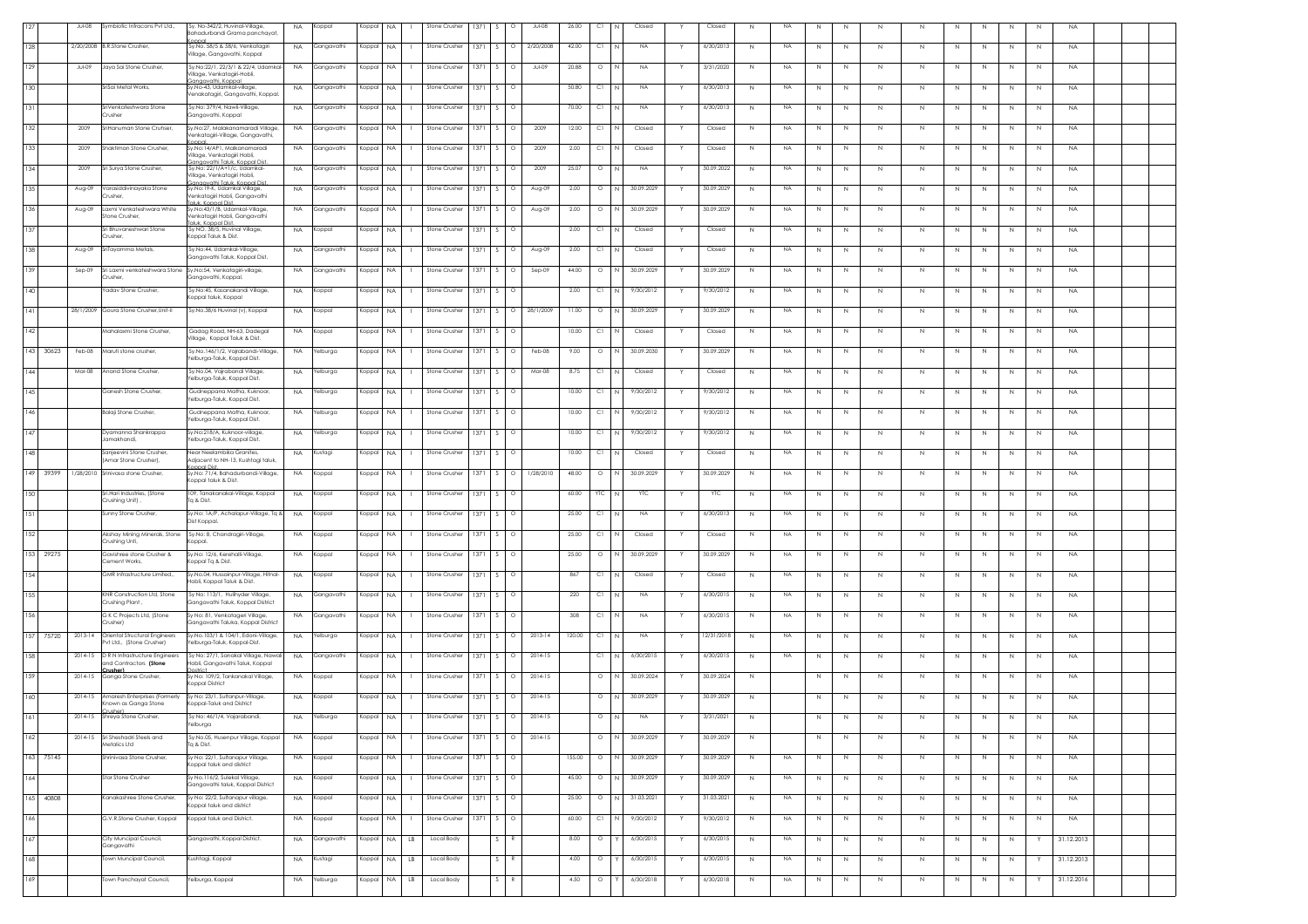|     |           | $Jul-08$    | mbiotic Infracons Pvt Ltd.,                                              | Sy. No-342/2, Huvinal-Village,<br>Bahadurbandi Grama panchayat                          | <b>NA</b> | oppal           | Koppal    | NA        | Stone Crusher            | 1371           | $\circ$  | Jul-08    | 26.00  | C1      |                | Closed     |   | Closed     | $\mathbb{N}$ | NA        |              |             |              |             |              |             |   |   | <b>NA</b>  |  |  |
|-----|-----------|-------------|--------------------------------------------------------------------------|-----------------------------------------------------------------------------------------|-----------|-----------------|-----------|-----------|--------------------------|----------------|----------|-----------|--------|---------|----------------|------------|---|------------|--------------|-----------|--------------|-------------|--------------|-------------|--------------|-------------|---|---|------------|--|--|
| 128 |           |             | 2/20/2008 B.R.Stone Crusher                                              | Sy.No. 58/5 & 58/6, Venkatagiri                                                         | <b>NA</b> | Gangavathi      | Koppal NA |           | Stone Crusher            | 1371<br>$\sim$ | $\Omega$ | 2/20/2008 | 42.00  | C1      |                | <b>NA</b>  |   | 6/30/2013  | N            | <b>NA</b> | N            | $\mathbb N$ | N.           | N           | N            | N.          | N | N | <b>NA</b>  |  |  |
| 129 |           | Jul-09      | Jaya Sai Stone Crusher,                                                  | Village, Gangavathi, Koppal<br>Sy.No:22/1, 22/3/1 & 22/4, Udamkal-                      | <b>NA</b> | Gangavathi      | Koppal    | <b>NA</b> | Stone Crusher            | 1371<br>S.     | $\circ$  | Jul-09    | 20.88  | $\circ$ |                | NA         |   | 3/31/2020  | N            | <b>NA</b> | N            | N           | -N           | N           | N.           | N           | N | N | <b>NA</b>  |  |  |
|     |           |             |                                                                          | /illage, Venkatagiri-Hobli,<br>ianaavathi. Koppal                                       |           |                 |           |           |                          |                |          |           |        |         |                |            |   |            |              |           |              |             |              |             |              |             |   |   |            |  |  |
| 130 |           |             | SriSai Metal Works,                                                      | Sy.No-43, Udamkal-village<br>enakatagiri, Gangavathi, Koppal.                           | <b>NA</b> | Gangavathi      | Koppal    | <b>NA</b> | Stone Crusher            | 1371 S         | $\circ$  |           | 50.80  | C1      |                | NA         |   | 6/30/2013  | N            | <b>NA</b> | N            | $\mathbb N$ | $\mathbb N$  | $\mathbb N$ | N            | N           | N | N | <b>NA</b>  |  |  |
| 131 |           |             | SriVenkateshwara Stone<br>Crusher                                        | ,Sy.No: 379/4, Nawli-Village,<br>Gangavathi, Koppal                                     | <b>NA</b> | Gangavathi      | Koppal NA |           | Stone Crusher            | 1371<br>S.     | $\circ$  |           | 70.00  | C1      | N              | <b>NA</b>  |   | 6/30/2013  | $\mathbb{N}$ | NA        | N            | $\mathbb N$ | $\mathbb N$  | N           | N            | N           | N | N | <b>NA</b>  |  |  |
| 132 |           | 2009        | SriHanuman Stone Cruhser.                                                | Sv.No:27, Malakanamaradi Village,<br>'enkatagiri-Village, Gangavathi,                   | <b>NA</b> | Gangavathi      | Koppal NA |           | Stone Crusher            | 1371 S         | $\circ$  | 2009      | 12.00  | C1      | N.             | Closed     |   | Closed     | N            | <b>NA</b> | N            | $\mathbb N$ | N            | N           | N            | N           | N | N | <b>NA</b>  |  |  |
| 133 |           | 2009        | Shaktiman Stone Crusher,                                                 | Sy.No:14/AP1, Malkanamaradi<br>'illage, Venkatagiri Hobli,                              | <b>NA</b> | Gangavathi      | Koppal NA |           | Stone Crusher            | 1371<br>-S.    | $\circ$  | 2009      | 2.00   | C1      | N              | Closed     |   | Closed     | N            | NA        | N            | N           | N            | N           | N.           | N.          | N | N | <b>NA</b>  |  |  |
| 134 |           | 2009        | Sri Surya Stone Crusher,                                                 | anaavathi Taluk, Konnal Dis<br>Sy.No: 22/1/A+1/c, Udamkal-                              | <b>NA</b> | Gangavathi      | Koppal    | <b>NA</b> | Stone Crusher            | 1371           | $\circ$  | 2009      | 25.07  | $\circ$ |                | NA         |   | 30.09.2022 | N            | <b>NA</b> | N            | $\mathbb N$ | N            | $\mathbb N$ | N            | N           | N | N | <b>NA</b>  |  |  |
| 135 |           | Aug-09      | Varasiddivinayaka Stone                                                  | illage, Venkatagiri Hobli,<br>naavathi Taluk. Konnal Di<br>Sy.No:19-K, Udamkal Village, | <b>NA</b> | Gangavathi      | Koppal NA |           | Stone Crusher            | 1371 S         | $\circ$  | Aug-09    | 2.00   | $\circ$ | N              | 30.09.2029 |   | 30.09.2029 | N            | <b>NA</b> | $\mathbb N$  | $\mathbb N$ | $\mathbb N$  | $\mathbb N$ | N            | $\,N\,$     | N | N | <b>NA</b>  |  |  |
|     |           |             | rusher,                                                                  | enkatagiri Hobli, Gangavathi<br>luk Konnal Dist.                                        |           |                 |           |           |                          |                |          |           |        |         | N              | 30.09.2029 |   |            |              |           |              |             |              |             |              |             |   |   |            |  |  |
| 136 |           | Aug-09      | Laxmi Venkateshwara White<br>Stone Crusher.                              | Sv.No:43/1/B. Udamkal-Village.<br>'enkatagiri Hobli, Gangavathi<br>aluk Koppal Dist     | NA        | Gangavathi      | Koppal NA |           | Stone Crusher            | 1371<br>$\sim$ | $\circ$  | Aug-09    | 2.00   | $\circ$ |                |            | Y | 30.09.2029 | N            | <b>NA</b> | N            | N           | N            | N           | $\mathbb N$  | N           | N | N | <b>NA</b>  |  |  |
| 137 |           |             | Sri Bhuvaneshwari Stone<br>Crusher,                                      | Sy NO. 38/5, Huvinal Village,<br>(oppal Taluk & Dist.                                   | NA        | oppal           | Koppal    | <b>NA</b> | Stone Crusher            | 1371<br>S.     | $\circ$  |           | 2.00   | C1      |                | Closed     |   | Closed     | $\mathbb{N}$ | <b>NA</b> | N            | $\mathbb N$ | N            | N           | N            | N           | N | N | <b>NA</b>  |  |  |
| 138 |           | Aug-09      | Šri <mark>Tayamma</mark> Metals,                                         | Sy.No:44, Udamkal-Village,<br>Gangavathi Taluk, Koppal Dist.                            | <b>NA</b> | iangavathi      | Koppal NA |           | Stone Crusher            | 1371 S         | $\circ$  | Aug-09    | 2.00   | C1      | N              | Closed     |   | Closed     | $\mathbb{N}$ | <b>NA</b> | N            | N           | $\mathbb N$  | $\mathbb N$ | N            | N           | N | N | <b>NA</b>  |  |  |
| 139 |           | $Sep-09$    | ISri Laxmi venkateshwara Stone Sy.No:54, Venkatagiri-village<br>Crusher, | Gangavathi, Koppal.                                                                     | <b>NA</b> | Gangavathi      | Koppal NA |           | Stone Crusher            | 1371           | $\circ$  | $Sep-09$  | 44.00  | $\circ$ | N              | 30.09.2029 |   | 30.09.2029 | N            | NA        | N            | $\mathbb N$ | N            | N           | N            | N.          | N | N | <b>NA</b>  |  |  |
| 140 |           |             | adav Stone Crusher,                                                      | y.No:45, Kasanakandi Village,                                                           | <b>NA</b> | logopi          | Koppal    | <b>NA</b> | Stone Crusher            | 1371<br>S.     | $\circ$  |           | 2.00   | C1      |                | 9/30/2012  |   | 7/30/2012  | N            | <b>NA</b> | $\mathbb{N}$ | N           | -N           | N           | N.           | N           | N | N | <b>NA</b>  |  |  |
| 141 |           |             | 28/1/2009 Goura Stone Crusher, Unit-II                                   | oppal taluk, Koppal<br>Sy.No.38/6 Huvinal (v), Koppal                                   | <b>NA</b> | Koppal          | Koppal    | <b>NA</b> | Stone Crusher            | 1371           |          | 28/1/2009 | 11.00  | $\circ$ |                | 30.09.2029 |   | 30.09.2029 | N            | <b>NA</b> | N            | $\mathbb N$ | $\mathbb N$  | $\mathbb N$ | N            | N           | N | N | <b>NA</b>  |  |  |
|     |           |             | Mahalaxmi Stone Crusher,                                                 |                                                                                         |           |                 |           |           |                          | -S -           |          |           |        | C1      | N              |            |   |            |              |           |              |             |              |             |              |             |   |   |            |  |  |
| 142 |           |             |                                                                          | Gadag Road, NH-63, Dadegal<br>'illage, Koppal Taluk & Dist.                             | NA        | Koppal          | Koppal NA |           | Stone Crusher            | 1371           | $\circ$  |           | 10.00  |         |                | Closed     |   | Closed     | N            | NA        | N            | N           | $\mathbb N$  | N           | N            | N           | N | N | <b>NA</b>  |  |  |
|     | 143 30623 | Feb-08      | Maruti stone crusher.                                                    | Sy.No.146/1/2, Vajrabandi-Village,<br>felburga-Taluk, Koppal Dist.                      | <b>NA</b> | felburga        | Koppal NA |           | Stone Crusher            | 1371 S         | $\circ$  | Feb-08    | 9.00   | $\circ$ | N.             | 30.09.2030 | Y | 30.09.2029 | N            | <b>NA</b> | N            | N           | N            | N           | N            | N           | N | N | <b>NA</b>  |  |  |
| 144 |           | Mar-08      | Anand Stone Crusher,                                                     | Sy.No.04, Vajrabandi Village,<br>elburaa-Taluk, Koppal Dist,                            | <b>NA</b> | Yelburga        | Koppal    | <b>NA</b> | Stone Crusher            | 1371           | $\circ$  | Mar-08    | 8.75   | C1      |                | Closed     |   | Closed     | N            | <b>NA</b> | $\mathbb{N}$ | $\mathbb N$ | N            | N           | N            | N.          | N | N | <b>NA</b>  |  |  |
| 145 |           |             | Ganesh Stone Crusher                                                     | Gudneppana Matha, Kuknoor,<br>felburga-Taluk, Koppal Dist.                              | <b>NA</b> | elburga         | Koppal    | NA        | Stone Crusher            | 1371           | $\circ$  |           | 10.00  | C1      |                | 9/30/2012  |   | 9/30/2012  | N            | <b>NA</b> | N            | $\mathbb N$ | N            | $\mathbb N$ | N            | N           | N | N | <b>NA</b>  |  |  |
| 146 |           |             | Balaji Stone Crusher,                                                    | Gudneppana Matha, Kuknoor                                                               | <b>NA</b> | <b>Yelburga</b> | Koppal NA |           | Stone Crusher            | $1371 S$ 0     |          |           | 10.00  | C1      | N.             | 9/30/2012  |   | 9/30/2012  | N            | <b>NA</b> | N            | N           | N            | N           | N            | N           | N | N | <b>NA</b>  |  |  |
| 147 |           |             | Dyamanna Shankrappa                                                      | elburga-Taluk, Koppal Dist.<br>Sy.No:218/A, Kuknoor-village,                            | <b>NA</b> | Yelburga        | Koppal NA |           | Stone Crusher            | 1371 S         |          |           | 10.00  | C1      | N              | 9/30/2012  | Y | 9/30/2012  | N            | <b>NA</b> | N            | $\mathbb N$ | N            | N           | N            | N.          | N | N | <b>NA</b>  |  |  |
| 148 |           |             | lamakhandi.<br>Sanjeevini Stone Crusher,                                 | elburga-Taluk, Koppal Dist.<br>Near Neelambika Granites,                                | <b>NA</b> | lustagi         | Koppal NA |           | Stone Crusher            | 1371 S         | $\circ$  |           | 10.00  | C1      |                | Closed     |   | Closed     | $\mathbb{N}$ | NA        | N            | $\mathbb N$ | N            | N           | N            | N           | N | N | <b>NA</b>  |  |  |
|     |           |             | Amar Stone Crusher)                                                      | Adjacent to NH-13, Kushtagi taluk,<br>oppal Dis                                         |           |                 |           |           |                          |                |          |           |        |         |                |            |   |            |              |           |              |             |              |             |              |             |   |   |            |  |  |
|     | 149 39399 |             | 1/28/2010 Srinivasa stone Crusher,                                       | Sy.No: 71/4, Bahadurbandi-Village,<br>oppal taluk & Dist.                               | <b>NA</b> | loqqo.          | Koppal NA |           | Stone Crusher            | 1371 S         | $\circ$  | 1/28/2010 | 48.00  | $\circ$ | N              | 30.09.2029 |   | 30.09.2029 | N            | <b>NA</b> | N            | N           | $\mathbb N$  | $\mathbb N$ | N            | $\mathbb N$ | N | N | <b>NA</b>  |  |  |
| 150 |           |             | Sri.Hari Industries, (Stone<br>Crushing Unit),                           | 109, Tanakanakal-Village, Koppal<br>Tq & Dist.                                          | <b>NA</b> | Koppal          | Koppal NA |           | Stone Crusher            | 1371<br>$\sim$ | $\circ$  |           | 60.00  | YTC     | N.             | <b>YTC</b> |   | <b>YTC</b> | N            | NA        | N            | N           | N            | N           | N            | N.          | N | N | <b>NA</b>  |  |  |
| 151 |           |             | Sunny Stone Crusher,                                                     | Sy.No: 1A/P, Achalapur-Village, Tq &<br>Dist Koppal.                                    | <b>NA</b> | oppal.          | Koppal    | <b>NA</b> | Stone Crusher            | 1371<br>S.     | $\circ$  |           | 25.00  | C1      |                | <b>NA</b>  |   | 6/30/2013  | N            | <b>NA</b> | N            | N           | -N           | N           | N.           | N           | N | N | <b>NA</b>  |  |  |
| 152 |           |             | Akshay Mining Minerals, Stone<br>trushing Unti,                          | Sy.No: 8, Chandragiri-Village,<br>oppal.                                                | NA        | (oppal          | Koppal NA |           | Stone Crusher            | 1371 S         | $\circ$  |           | 25.00  | C1      | N              | Closed     |   | Closed     | N            | NA        | $\mathbb N$  | $\mathbb N$ | $\mathbb{N}$ | $\mathbb N$ | $\mathbb{N}$ | N           | N | N | <b>NA</b>  |  |  |
|     | 153 29275 |             | Gavishree stone Crusher &                                                | Sy.No: 12/6, Kerehalli-Village,                                                         | <b>NA</b> | Koppal          | Koppal NA |           | Stone Crusher            | 1371 S         | $\circ$  |           | 25.00  | $\circ$ | N <sub>1</sub> | 30.09.2029 |   | 30.09.2029 | N            | NA        | $\,N\,$      | $\,$ N      | N            | N           | N            | $\,N\,$     | N | N | <b>NA</b>  |  |  |
| 154 |           |             | Cement Works,<br>GMR Infrastructure Limited                              | (oppal Tq & Dist.<br>Sy.No.04, Hussainpur-Village, Hitnal-                              | <b>NA</b> | Koppal          | Koppal NA |           | Stone Crusher            | 1371 S         | $\circ$  |           | 867    | C1      | N              | Closed     | Y | Closed     | N            | <b>NA</b> | N            | N           | N            | N           | N            | N           | N | N | <b>NA</b>  |  |  |
|     |           |             | KNR Construction Ltd, Stone                                              | tobli, Koppal Taluk & Dist.<br>Sy No: 113/1, Hulihyder Village,                         |           |                 |           |           |                          | 1371           |          |           | 220    | C1      |                | NA         |   |            |              | <b>NA</b> |              |             |              |             |              |             |   |   |            |  |  |
| 155 |           |             | Crushing Plant,                                                          | Gangavathi Taluk, Koppal District                                                       | <b>NA</b> | Gangavathi      | Koppal    | <b>NA</b> | Stone Crusher            |                |          |           |        |         |                |            |   | 6/30/2015  | N            |           | N            | $\mathbb N$ | $\mathbb N$  | $\mathbb N$ |              | $\mathbb N$ | N | N | <b>NA</b>  |  |  |
| 156 |           |             | G K C Projects Ltd, (Stone<br>Crusher)                                   | Sy No: 81, Venkatageri Village,<br>Gangavathi Taluka, Koppal District                   | <b>NA</b> | Gangavathi      | Koppal    | <b>NA</b> | Stone Crusher            | 1371<br>S.     |          |           | 308    | C1      |                | <b>NA</b>  |   | 6/30/2015  | $\mathbb{N}$ | NA        | N            | N           |              | $\mathbb N$ | N            | N           | N | N | NA         |  |  |
|     | 157 75720 |             | 2013-14 Oriental Structural Engineers<br>Pvt Ltd., (Stone Crusher)       | Sy.No.103/1 & 104/1, Edoni-Village,<br>alburga-Taluk, Koppal-Dist.                      | <b>NA</b> | <b>Yelburga</b> | Koppal NA |           | Stone Crusher            | 1371 S         | $\circ$  | 2013-14   | 120.00 | C1      | N.             | <b>NA</b>  |   | 12/31/2018 | N            | NA        | N            | N           | N            | N           | N            | N           | N | N | <b>NA</b>  |  |  |
| 158 |           | 2014-15     | D R N Infrastructure Engineers<br>and Contractors (Stone                 | Sy No: 27/1, Sanakal Village, Nawali<br>tobli. Ganaavathi Taluk. Koppal                 | <b>NA</b> | Gangavathi      | Koppal NA |           | Stone Crusher            | 1371 S         | $\circ$  | 2014-15   |        | C1      | N              | 6/30/2015  | Y | 6/30/2015  | N            | <b>NA</b> | N            | $\mathbb N$ | N            | N           | N            | N.          | N | N | <b>NA</b>  |  |  |
| 159 |           | 2014-15     | Crusher)<br>Ganga Stone Crusher                                          | istrict<br>Sy No: 109/2, Tankanakal Village,                                            | <b>NA</b> | Koppal          | Koppal NA |           | Stone Crusher            | 1371<br>S.     | $\circ$  | 2014-15   |        | $\circ$ | N              | 30.09.2024 |   | 30.09.2024 | N            |           | N            | $\mathbb N$ | N            | $\mathbb N$ | N            | N           | N | N | <b>NA</b>  |  |  |
| 160 |           | 2014-15     | Amaresh Enterprises (Formerly                                            | <b>Coppal District</b><br>Sy No: 23/1, Sultanpur-Village,                               | <b>NA</b> | (oppal          | Koppal NA |           | Stone Crusher            | 1371 S         | $\circ$  | 2014-15   |        | $\circ$ | N              | 30.09.2029 |   | 30.09.2029 | N            |           | N            | N           | $\mathbb N$  | Ν           | N            | N           | N | N | <b>NA</b>  |  |  |
|     |           | 2014-15     | inown as Ganga Stone<br>Inshert<br>Shreya Stone Crusher                  | Koppal-Taluk and District<br>Sv No: 46/1/4 Vaiarahandi                                  | <b>NA</b> | Yelburga        | Konnal NA |           |                          |                |          | $2014-1!$ |        |         |                |            |   | 3/31/202   |              |           |              |             |              |             |              |             |   |   |            |  |  |
|     |           |             |                                                                          | Yelburga                                                                                |           |                 |           |           |                          |                |          |           |        |         |                |            |   |            |              |           |              |             |              |             |              |             |   |   |            |  |  |
| 162 |           | $2014 - 15$ | Sri Sheshadri Steels and<br>etalics Ltd                                  | Sy.No.05, Husenpur Village, Koppal<br>Ta & Dist.                                        | <b>NA</b> | loqqo'          | Koppal    | <b>NA</b> | Stone Crusher            | 1371<br>S.     | $\circ$  | 2014-15   |        | $\circ$ | N              | 30.09.2029 |   | 30.09.2029 | N            |           | N            | N           | N            | N           | N            | N           | N | N | <b>NA</b>  |  |  |
|     | 163 75145 |             | Shrinivasa Stone Crusher,                                                | Sy No: 22/1, Sultanapur Village,<br>oppal taluk and district                            | <b>NA</b> | Koppal          | Koppal NA |           | Stone Crusher            | 1371 S         |          |           | 155.00 | $\circ$ | N              | 30.09.2029 |   | 30.09.2029 | N            | <b>NA</b> | $\mathbb N$  | $\mathbb N$ | $\mathbb{N}$ | $\mathbb N$ | $\mathbb{N}$ | N           | N | N | <b>NA</b>  |  |  |
| 164 |           |             | <b>Star Stone Crusher</b>                                                | Sy No.116/2, Sulekal Village,<br>Gangavathi taluk, Koppal District                      | NA.       | Koppal          | Koppal NA |           | Stone Crusher   1371   S |                | $\circ$  |           | 45.00  | $\circ$ | N I            | 30.09.2029 |   | 30.09.2029 | N            | <b>NA</b> | N            | N           | $\,$ N       | N           | $\mathbb N$  | N           | N | N | <b>NA</b>  |  |  |
| 165 | 40808     |             | Kanakashree Stone Crusher,                                               | Sy No: 22/2, Sultanapur village,<br>oppal taluk and district                            | <b>NA</b> | oppal.          | Koppal    | <b>NA</b> | Stone Crusher            | 1371 S         | $\circ$  |           | 25.00  | $\circ$ | $\mathbb{N}$   | 31.03.2021 | Y | 31.03.2021 | N            | <b>NA</b> | N            | N           | N            | N           | N            | N           | N | N | <b>NA</b>  |  |  |
| 166 |           |             | G.V.R.Stone Crusher, Koppal                                              | Koppal taluk and District.                                                              | <b>NA</b> | oppal           | Koppal NA |           | Stone Crusher            | 1371 S         | $\circ$  |           | 60.00  | C1      | N              | 9/30/2012  |   | 9/30/2012  | N            | <b>NA</b> | $\mathbb N$  | $\mathbb N$ | $\mathbb{N}$ | $\mathbb N$ | N            | N           | N | N | <b>NA</b>  |  |  |
| 167 |           |             | City Muncipal Council,                                                   | Gangavathi, Koppal District.                                                            | <b>NA</b> | iangavathi      | Koppal NA |           | Local Body<br>LB         |                |          |           | 8.00   | $\circ$ |                | 6/30/2015  |   | 6/30/2015  | $\mathbb{N}$ | NA        | N            | $\mathbb N$ | $\mathbb N$  | $\mathbb N$ | N            | N           | N |   | 31.12.2013 |  |  |
| 168 |           |             | Gangavathi<br>own Muncipal Council.                                      | Kushtagi, Koppal                                                                        | <b>NA</b> |                 |           |           | LB.<br>Local Body        | S.             |          |           | 4.00   | $\circ$ |                | 6/30/2015  |   | 6/30/2015  |              | <b>NA</b> |              |             |              |             |              |             |   |   | 31.12.2013 |  |  |
|     |           |             |                                                                          |                                                                                         |           | ustagi          | Koppal    | <b>NA</b> |                          |                |          |           |        |         |                |            |   |            | N            |           | N            | N           | N            | N           | N            | N           | N |   |            |  |  |
| 169 |           |             | Iown Panchayat Council,                                                  | Yelburga, Koppal                                                                        | <b>NA</b> | Yelburga        | Koppal NA |           | Local Body<br><b>LB</b>  | s I            |          |           | 4.50   | $\circ$ |                | 6/30/2018  | Y | 6/30/2018  | N            | <b>NA</b> | N            | $\mathbb N$ | N            | N           | N            | N           | N | Y | 31.12.2016 |  |  |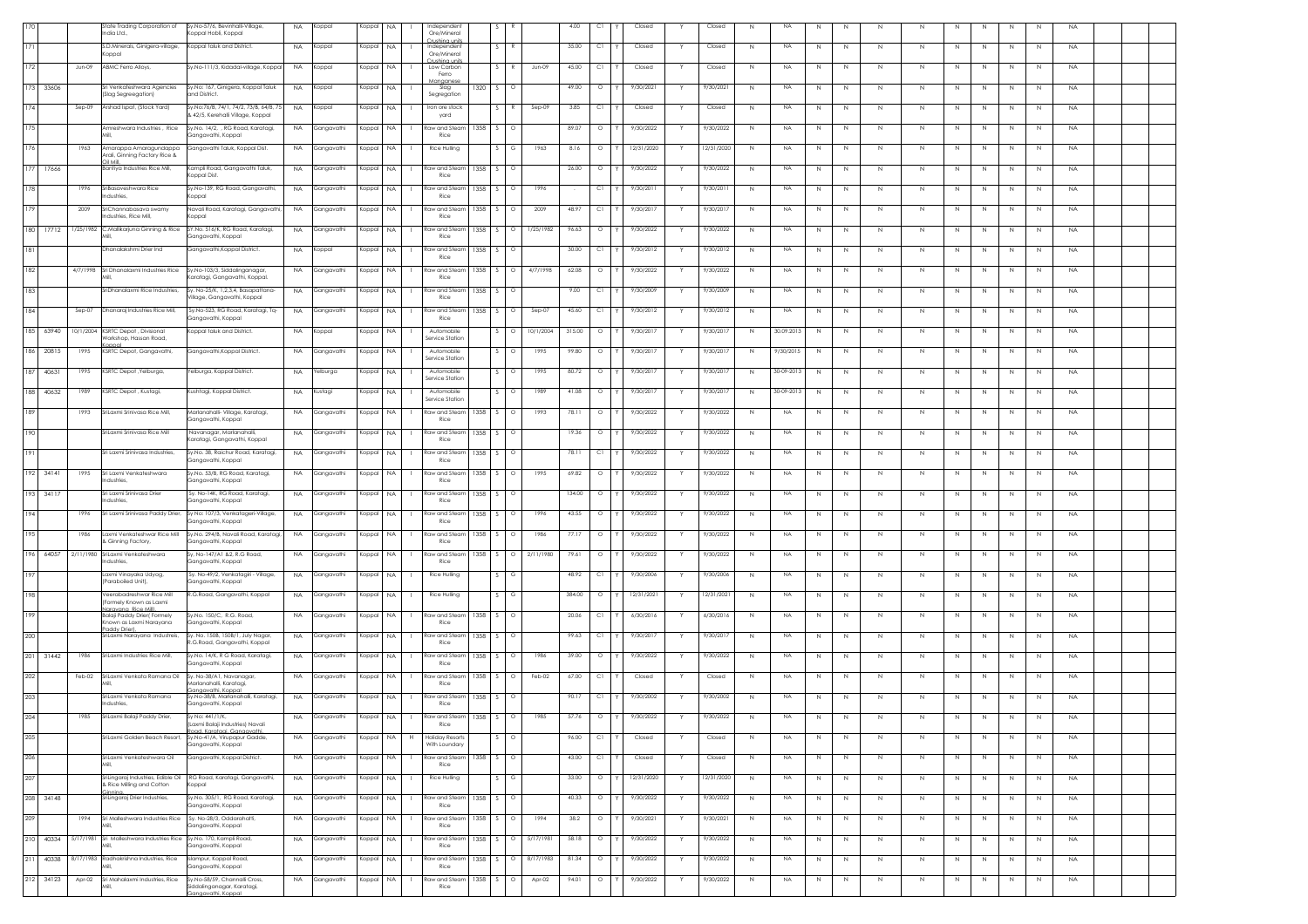|     |           |           | tate Trading Corporation of<br>India Ltd.,                                    | y.No-57/6, Bevinhalli-Village,<br>(oppal Hobli, Koppal                                    | <b>NA</b> | (oppal          | Koppal    | <b>NA</b>           | Independent<br>Ore/Mineral                  |      |                |           | 4.00   | C1        | Closed     |   | Closed     | N           | <b>NA</b>  | N           | N       | N           | N            | N. | N.           | -N           | N  | <b>NA</b> |  |  |
|-----|-----------|-----------|-------------------------------------------------------------------------------|-------------------------------------------------------------------------------------------|-----------|-----------------|-----------|---------------------|---------------------------------------------|------|----------------|-----------|--------|-----------|------------|---|------------|-------------|------------|-------------|---------|-------------|--------------|----|--------------|--------------|----|-----------|--|--|
|     |           |           | S.D.Minerals, Ginigera-village,<br>(oppal                                     | Koppal taluk and District.                                                                | <b>NA</b> | Koppal          | Koppal    | <b>NA</b>           | trishina unit<br>Independent<br>Ore/Mineral |      | R              |           | 35.00  | C1        | Closed     |   | Closed     | N           | <b>NA</b>  | N           | N       | $\mathbb N$ | $\mathbb N$  |    | $\mathbb N$  | N            | N  | <b>NA</b> |  |  |
| 172 |           | Jun-09    | ABMC Ferro Allovs.                                                            | Sy.No-111/3, Kidadal-village, Koppal                                                      | NA.       | Koppal          | Koppal    | <b>NA</b>           | ushing uni<br>Low Carbon<br>Ferro           |      |                | Jun-09    | 45.00  | C1        | Closed     |   | Closed     | N           | <b>NA</b>  | N           | N       | N           | N            |    | N            | N            | N  | <b>NA</b> |  |  |
| 173 | 33606     |           | ri Venkateshwara Agencies<br>Slag Segreegation)                               | Sy.No: 167, Ginigera, Koppal Taluk<br>and District.                                       | <b>NA</b> | Koppal          | Koppal    | <b>NA</b>           | naar<br>Slag<br>Segregation                 | 1320 | $\circ$        |           | 49.00  | $\circ$   | 9/30/2021  |   | 9/30/2021  | N           | NA         | N           | N       | N           | N            | N. | N.           | N            | N  | <b>NA</b> |  |  |
| 174 |           | $Sep-09$  | Arshad Ispat, (Stock Yard)                                                    | Sy.No:76/B, 74/1, 74/2, 73/B, 64/B, 75<br>3 42/5, Kerehalli Village, Koppal               | NA        | Koppal          | Koppal    | <b>NA</b>           | Iron ore stock                              |      |                | Sep-09    | 3.85   | C1        | Closed     |   | Closed     | N           | <b>NA</b>  | N           | N       | N           | $\mathbb N$  |    | $\mathbb N$  | N            | N  | <b>NA</b> |  |  |
| 175 |           |           |                                                                               | Amreshwara Industries , Rice Sy.No. 14/2, , RG Road, Karatagi,                            | <b>NA</b> | Gangavathi      | Koppal    | NA                  | yard<br>Raw and Steam                       | 1358 | $\circ$<br>S.  |           | 89.07  | $\circ$   | 9/30/2022  |   | 9/30/2022  | N           | <b>NA</b>  | N           | N       | N           | N            | Ν  | N            | N            | N  | <b>NA</b> |  |  |
| 176 |           | 1963      |                                                                               | Ganaavathi, Koppal<br>Amarappa Amaragundappa Gangavathi Taluk, Koppal Dist.               | <b>NA</b> | Gangavathi      | Koppal    | <b>NA</b>           | Rice<br>Rice Hulling                        |      | G.             | 1963      | 8.16   | $\circ$   | 12/31/2020 |   | 12/31/2020 | N           | NA         | N           | N       | N           | N            | N  | N            | N            | N  | <b>NA</b> |  |  |
|     | 177 17666 |           | Arali, Ginning Factory Rice &<br>liM liO<br>Bantiya Industries Rice Mill,     | Kampli Road, Gangavathi Taluk,                                                            | <b>NA</b> | Gangavathi      | Koppal    | <b>NA</b>           | Raw and Steam                               | 1358 | $\circ$        |           | 26.00  | $\circ$   | 9/30/2022  |   | 9/30/2022  | N           | NA         | N           | N       | N           | N            |    | N            | N            | N  | <b>NA</b> |  |  |
| 178 |           | 1996      | SriBasaveshwara Rice                                                          | Coppal Dist.<br>Sy.No-139, RG Road, Gangavathi,                                           | <b>NA</b> | Gangavathi      | Koppal    | NA                  | Rice<br>Raw and Steam                       | 1358 | $\circ$        | 1996      |        | C1        | 9/30/2011  |   | 9/30/2011  | $\mathbb N$ | <b>NA</b>  | N           | N       |             | $\,N\,$      |    | N            |              |    | NA        |  |  |
|     |           |           | adustries,                                                                    | (oppal                                                                                    |           |                 |           |                     | Rice                                        |      |                |           |        |           |            |   |            |             |            |             |         | N           |              |    |              | N            | N  |           |  |  |
| 179 |           | 2009      | SriChannabasava swamy<br>dustries, Rice Mill.                                 | Navali Road, Karatagi, Gangavathi,<br>oppal                                               | <b>NA</b> | Gangavathi      | Koppal    | NA                  | Raw and Steam<br>Rice                       | 1358 | $\circ$        | 2009      | 48.97  | C1        | 9/30/2017  |   | 9/30/2017  | N           | <b>NA</b>  | N           | N       | N           | $\,N\,$      | N  | N            | N            | N  | <b>NA</b> |  |  |
| 180 | 17712     |           | 1/25/1982 C.Mallikarjuna Ginning & Rice                                       | SY.No. 516/K, RG Road, Karatagi,<br>iangavathi, Koppal                                    | NA.       | Gangavathi      | Koppal    | NA                  | Raw and Steam<br>Rice                       | 1358 | $\circ$<br>S.  | 1/25/1982 | 96.63  | $\circ$   | 9/30/2022  |   | 9/30/2022  | N           | <b>NA</b>  | N           | N       | N           | N            | N. | N            | N            | N  | <b>NA</b> |  |  |
| 181 |           |           | Dhanalakshmi Drier Ind                                                        | Gangavathi, Koppal District.                                                              | <b>NA</b> | Koppal          | Koppal    | NA                  | Raw and Stear<br>Rice                       | 1358 | S.<br>$\circ$  |           | 30.00  | C1        | 9/30/2012  |   | 9/30/2012  | N           | <b>NA</b>  | N           | N       | N           | N            | N. | N            | N            | N  | <b>NA</b> |  |  |
| 182 |           | 4/7/1998  | Sri Dhanalaxmi Industries Rice                                                | Sy.No-103/3, Siddalinganagar,<br>aratagi, Gangavathi, Koppal.                             | <b>NA</b> | Gangavathi      | Koppal    | <b>NA</b>           | Raw and Stear<br>Rice                       | 1358 | $\circ$        | 4/7/1998  | 62.08  | $\circ$   | 9/30/2022  |   | 9/30/2022  | N           | <b>NA</b>  | N           | N       | $\mathbb N$ | N            | N  | $\mathbb N$  | N            | N  | <b>NA</b> |  |  |
| 183 |           |           | SriDhanalaxmi Rice Industries,                                                | Sy. No-25/K, 1,2,3,4, Basapattana-<br>/illage, Gangavathi, Koppal                         | NA.       | Gangavathi      | Koppal    | <b>NA</b>           | Raw and Steam<br>Rice                       | 1358 | $\circ$        |           | 9.00   | C1        | 9/30/2009  |   | 9/30/2009  | N           | <b>NA</b>  | N           | N       | N           | N            |    | N            | N            | N  | <b>NA</b> |  |  |
| 184 |           | $Sep-07$  | Dhanaraj Industries Rice Mill,                                                | Sy.No-523, RG Road, Karatagi, Tq-<br>iangavathi, Koppal                                   | <b>NA</b> | Gangavathi      | Koppal    | <b>NA</b>           | <b>Raw and Stear</b><br>Rice                | 1358 | $\circ$        | $Sep-07$  | 45.60  | C1        | 9/30/2012  |   | 9/30/2012  | N           | NA         | N           | N       | N           | N.           |    |              | -N           | N. | <b>NA</b> |  |  |
| 185 | 63940     |           | 10/1/2004 KSRTC Depot, Divisional<br>orkshop, Hassan Road,                    | Koppal taluk and District.                                                                | <b>NA</b> | Koppal          | Koppal    | NA                  | Automobile<br>Service Station               |      | $\circ$        | 10/1/2004 | 315.00 | $\circ$   | 9/30/2017  |   | 9/30/2017  | N           | 30.09.2013 | $\mathbb N$ | N       | $\mathbb N$ | $\mathbb{N}$ |    | $\mathbb N$  | N            | N  | <b>NA</b> |  |  |
|     | 186 20815 | 1995      | mna<br>KSRTC Depot, Gangavathi,                                               | Gangavathi, Koppal District.                                                              | <b>NA</b> | Gangavathi      | Koppal NA |                     | Automobile<br>Service Station               |      | $\circ$        | 1995      | 99.80  | $\circ$   | 9/30/2017  |   | 9/30/2017  | N           | 9/30/2015  | N           | $\,N\,$ | N           | $\,N\,$      | N  | $\,N\,$      | N            | N  | <b>NA</b> |  |  |
| 187 | 40631     | 1995      | KSRTC Depot, Yelburga,                                                        | Yelburga, Koppal District.                                                                | <b>NA</b> | <b>Yelburga</b> | Koppal    | <b>NA</b>           | Automobile<br>Service Station               |      | $\circ$<br>- 2 | 1995      | 80.72  | $\circ$   | 9/30/2017  | Y | 9/30/2017  | N           | 30-09-2013 | N           | N       | N           | N            | N  | N            | N            | N  | <b>NA</b> |  |  |
| 188 | 40632     | 1989      | KSRTC Depot, Kustagi,                                                         | Kushtagi, Koppal District.                                                                | <b>NA</b> | Kustagi         | Koppal    | <b>NA</b>           | Automobile<br>Service Station               |      | $\circ$        | 1989      | 41.08  | $\circ$   | 9/30/2017  |   | 9/30/2017  | N           | 30-09-2013 | N           | N       | N           | N.           |    | N            | N            | N  | <b>NA</b> |  |  |
| 189 |           | 1993      | SriLaxmi Srinivasa Rice Mill,                                                 | Marlanahalli- Village, Karatagi,<br>iangavathi, Koppal                                    | <b>NA</b> | Gangavathi      | Koppal    | <b>NA</b>           | Raw and Steam<br>Rice                       | 1358 | $\circ$        | 1993      | 78.11  | $\circ$   | 9/30/2022  |   | 9/30/2022  | N           | NA         | Ν           | N       | $\mathbb N$ | N            |    |              |              | N  | <b>NA</b> |  |  |
| 190 |           |           | SriLaxmi Srinivasa Rice Mill                                                  | Navanagar, Marlanahalli,                                                                  | <b>NA</b> | Gangavathi      | Koppal    | <b>NA</b><br>т.     | Raw and Steam<br>Rice                       | 1358 | $\circ$        |           | 19.36  | $\circ$   | 9/30/2022  |   | 9/30/2022  | N           | <b>NA</b>  | N           | N       | N           | N            | N  | N            | N            | N  | <b>NA</b> |  |  |
| 191 |           |           | Sri Laxmi Srinivasa Industries,                                               | aratagi, Gangavathi, Koppal<br>Sy.No. 38, Raichur Road, Karatagi,                         | <b>NA</b> | Gangavathi      | Koppal NA |                     | Raw and Steam                               | 1358 | $\circ$<br>S.  |           | 78.11  | C1        | 9/30/2022  | Y | 9/30/2022  | N           | <b>NA</b>  | N           | N       | N.          | N            | N  | N            | N            | N  | <b>NA</b> |  |  |
| 192 | 34141     | 1995      | Sri Laxmi Venkateshwara                                                       | Gangavathi, Koppal<br>Sy.No. 53/B, RG Road, Karatagi,                                     | <b>NA</b> | Gangavathi      | Koppal    | <b>NA</b>           | Rice<br>aw and Stear!                       | 1358 | $\circ$        | 1995      | 69.82  | $\circ$   | 9/30/2022  |   | 9/30/2022  | N           | <b>NA</b>  | N           | N       | N           | N            |    | N.           | N            | N. | <b>NA</b> |  |  |
|     | 193 34117 |           | ndustries,<br>Sri Laxmi Srinivasa Drier                                       | Gangavathi, Koppal<br>Sy. No-14K, RG Road, Karatagi,                                      | <b>NA</b> | Gangavathi      | Koppal    | <b>NA</b>           | Rice<br>Raw and Stear                       | 1358 | $\circ$        |           | 134.00 | $\circ$   | 9/30/2022  |   | 9/30/2022  | N           | <b>NA</b>  | N           | N       | $\mathbb N$ | N            | N  | $\mathbb N$  | N            | N  | <b>NA</b> |  |  |
| 194 |           | 1996      | dustries,                                                                     | Gangavathi, Koppal<br>Sri Laxmi Srinivasa Paddy Drier, Sy No: 107/3, Venkatageri-Village, | NA.       | Gangavathi      | Koppal    | <b>NA</b>           | Rice<br>Raw and Steam                       | 1358 | $\circ$        | 1996      | 43.55  | $\circ$   | 9/30/2022  |   | 9/30/2022  | N           | <b>NA</b>  | N           | N       | N           | N            |    | N            | N            | N  | <b>NA</b> |  |  |
| 195 |           | 1986      | Laxmi Venkateshwar Rice Mill                                                  | Gangavathi, Koppal<br>Sy.No. 294/B, Navali Road, Karatagi                                 | <b>NA</b> | Gangavathi      | Koppal    | <b>NA</b>           | Rice<br>taw and Steam                       | 1358 | $\circ$        | 1986      | 77.17  | $\circ$   | 9/30/2022  |   | 9/30/2022  | N           | <b>NA</b>  | N           | N       | N           | N.           | -N | N.           | N            | N  | <b>NA</b> |  |  |
| 196 | 64057     |           | Ginning Factory<br>2/11/1980 SriLaxmi Venkateshwara                           | angavathi, Koppal<br>y, No-147/A1 &2, R.G Road,                                           | <b>NA</b> | Gangavathi      | Koppal    | <b>NA</b>           | Rice<br>aw and Stear!                       | 1358 | $\circ$        | 2/11/1980 | 79.61  | $\circ$   | 9/30/2022  |   | 9/30/2022  | N           | <b>NA</b>  | N           | N       | N           | $\mathbb{N}$ |    |              | N            | N  | <b>NA</b> |  |  |
| 197 |           |           | dustries,<br>axmi Vinayaka Udyog,                                             | angavathi, Koppal<br>Sy. No-49/2, Venkatagiri - Village,                                  | <b>NA</b> | Gangavathi      | Koppal    | <b>NA</b>           | Rice<br>Rice Hulling                        |      | $\sim$<br>G    |           | 48.92  | C1        | 9/30/2006  |   | 9/30/2006  | N           | <b>NA</b>  | N           | $\,N\,$ | N           | $\,N\,$      | N  | $\,N\,$      | N            | N  | <b>NA</b> |  |  |
| 198 |           |           | (Paraboiled Unit),<br>eerabadreshwar Rice Mill                                | iangavathi, Koppal<br>.G.Road, Gangavathi, Koppal                                         | <b>NA</b> | Gangavathi      | Koppal    | NA.                 | Rice Hulling                                |      | G              |           | 384.00 | $\circ$   | 12/31/2021 |   | 12/31/2021 | N           | NA         |             |         | N           | N            | N. | N            | N            | N  | <b>NA</b> |  |  |
|     |           |           | Formely Known as Laxmi<br>Naravana Rice Mill).                                |                                                                                           |           |                 |           |                     |                                             |      |                |           |        |           |            |   |            |             |            | N           | N       |             |              |    |              |              |    |           |  |  |
| 199 |           |           | <b>Balaji Paddy Drier [ Formely</b><br>nown as Laxmi Narayana<br>addy Drier). | Sy.No. 150/C, R.G. Road,<br>angavathi, Koppal                                             | <b>NA</b> | Gangavathi      | Koppal    | <b>NA</b>           | aw and Stear<br>Rice                        | 1358 | $\circ$        |           | 20.06  | C1        | 6/30/2016  |   | 6/30/2016  | N           | <b>NA</b>  | N           | N       | N           | $\mathbb N$  |    |              |              | N  | <b>NA</b> |  |  |
| 200 |           |           | SriLaxmi Narayana Industreis,                                                 | Sy. No. 150B, 150B/1, July Nagar,<br>.G.Road, Gangavathi, Koppal                          | <b>NA</b> | Gangavathi      | Koppal    | NA                  | aw and Steam!<br>Rice                       | 1358 |                |           | 99.63  | C1        | 9/30/2017  |   | 9/30/2017  | N           | <b>NA</b>  | Ν           | N       | N           | N            |    |              |              | N  | <b>NA</b> |  |  |
|     | 201 31442 | 1986      | SriLaxmi Industries Rice Mill.                                                | Sv.No. 14/K, R G Road, Karatagi,<br>angavathi, Koppal                                     | <b>NA</b> | Gangavathi      | Koppal    | NA.<br>$\mathbf{L}$ | taw and Steam<br>Rice                       | 1358 | $\circ$        | 1986      | 39.00  | $\circ$   | 9/30/2022  |   | 9/30/2022  | N           | NA         | N           | N       | N           | N            | N  | N            | N            | N  | <b>NA</b> |  |  |
| 202 |           | Feb-02    | SriLaxmi Venkata Ramana Oil Sy. No-38/A1, Navanagar,                          | Aarlanahalli, Karataai,<br>anaavathi. Koppal                                              | NA.       | Gangavathi      | Koppal NA |                     | Raw and Steam<br>Rice                       | 1358 | $\circ$<br>S.  | Feb-02    | 67.00  | C1        | Closed     |   | Closed     | N           | NA         | N           | N       | N           | N.           | N. | N            | N            | N  | <b>NA</b> |  |  |
| 203 |           |           | iriLaxmi Venkata Ramana<br>Industries,                                        | Sy.No-38/B, Marlanahalli, Karatagi,<br>Gangavathi, Koppal                                 | <b>NA</b> | Gangavathi      | Koppal    | <b>NA</b>           | Raw and Steam<br>Rice                       | 1358 | $\circ$        |           | 90.17  | C1        | 9/30/2002  |   | 9/30/2002  | N           | NA         | N           | N       | N           | N            | N  | N            | N            | N  | <b>NA</b> |  |  |
| 204 |           |           | 1985 SriLaxmi Balaji Paddy Drier,                                             | Sy No: 441/1/K<br>axmi Balaji Industries) Navali.                                         | <b>NA</b> | Gangavathi      |           | Koppal NA           | Raw and Steam 1358<br>Rice                  |      | $S$ 0          | 1985      |        | 57.76 O Y | 9/30/2022  |   | 9/30/2022  | N           | <b>NA</b>  | N           |         |             |              |    | N            | N            | N  | <b>NA</b> |  |  |
| 205 |           |           | SriLaxmi Golden Beach Resort.                                                 | ad Karataai Ganaavathi.<br>Sv.No-41/A. Virupapur Gadde.<br>ianaavathi Konnal              | <b>NA</b> | Gangavathi      | Koppal NA | H                   | <b>Holiday Resorts</b><br>With Loundary     |      | $\circ$        |           | 96.00  | C1        | Closed     |   | Closed     | N           | <b>NA</b>  | N           | N       | N           | N            | N  | N            | N            | N  | NA        |  |  |
| 206 |           |           | SriLaxmi Venkateshwara Oil                                                    | Gangavathi, Koppal District.                                                              | <b>NA</b> | Gangavathi      | Koppal    | <b>NA</b>           | Raw and Steam<br>Rice                       | 1358 | $\circ$        |           | 43.00  | C1        | Closed     |   | Closed     | N           | <b>NA</b>  | N           | N       | N           | N            | N. | N            | N            | N  | <b>NA</b> |  |  |
| 207 |           |           | SriLingaraj Industries, Edible Oil<br>& Rice Milling and Cotton               | RG Road, Karatagi, Gangavathi,<br>loqqc                                                   | <b>NA</b> | Gangavathi      | Koppal    | <b>NA</b>           | Rice Hulling                                |      | G              |           | 33.00  | $\circ$   | 12/31/2020 |   | 12/31/2020 | $\,N\,$     | <b>NA</b>  | N           | N       | N           | $\,N\,$      | N  | N            | N            | N  | <b>NA</b> |  |  |
|     | 208 34148 |           | Sinnina.<br>SriLingaraj Drier Industries,                                     | Sy.No. 305/1, RG Road, Karatagi,<br>Gangavathi, Koppal                                    | NA.       | Gangavathi      | Koppal NA |                     | Raw and Steam<br>Rice                       | 1358 | S.<br>$\circ$  |           | 40.33  | $\circ$   | 9/30/2022  |   | 9/30/2022  | N           | <b>NA</b>  | N           | N       | $\,N$       | N            | N  | N            | N            | N  | <b>NA</b> |  |  |
| 209 |           | 1994      | iri Malleshwara Industries Rice                                               | Sy. No-28/3, Oddarahatti,<br>Gangavathi, Koppal                                           | <b>NA</b> | iangavathi      | Koppal    | <b>NA</b>           | Raw and Steam<br>Rice                       | 1358 | S.<br>$\circ$  | 1994      | 38.2   | $\circ$   | 9/30/2021  |   | 9/30/2021  | N           | <b>NA</b>  | N           | N       | N           | N.           | N. | N            | N            | N  | <b>NA</b> |  |  |
| 210 | 40334     | 5/17/1981 | Sri Malleshwara Industries Rice Sy.No. 170, Kampli Road,                      | Gangavathi, Koppal                                                                        | <b>NA</b> | Gangavathi      | Koppal    | <b>NA</b>           | Raw and Stear<br>Rice                       | 1358 | $\circ$        | 5/17/1981 | 58.18  | $\circ$   | 9/30/2022  |   | 9/30/2022  | N           | <b>NA</b>  | $\mathbb N$ | N       | $\mathbb N$ | N            |    | $\mathbb{N}$ | $\mathbb{N}$ | N  | <b>NA</b> |  |  |
| 211 | 40338     |           | 8/17/1983 Radhakrishna Industries, Rice                                       | slampur, Koppal Road,<br>angavathi, Koppal                                                | <b>NA</b> | Gangavathi      | Koppal    | NA                  | Raw and Stear<br>Rice                       | 1358 | $\Omega$       | 8/17/1983 | 81.34  | $\circ$   | 9/30/2022  |   | 9/30/2022  | N           | <b>NA</b>  | N           | N       | $\mathbb N$ | N            |    | N            | N            | N  | NA        |  |  |
| 212 | 34123     | Apr-02    | Sri Mahalaxmi Industries, Rice                                                | Sv.No-58/59. Channalli Cross.                                                             | <b>NA</b> | Gangavathi      | Koppal    | NA.<br>$\mathbf{L}$ | Raw and Steam                               | 1358 | S.<br>$\circ$  | Apr-02    | 94.01  | $\circ$   | 9/30/2022  | Y | 9/30/2022  | N           | <b>NA</b>  | N           | N       | N           | N            | N  | N            | N            | N  | <b>NA</b> |  |  |
|     |           |           |                                                                               | Siddalinganagar, Karatagi,<br>Sanaavathi Konnal                                           |           |                 |           |                     | Rice                                        |      |                |           |        |           |            |   |            |             |            |             |         |             |              |    |              |              |    |           |  |  |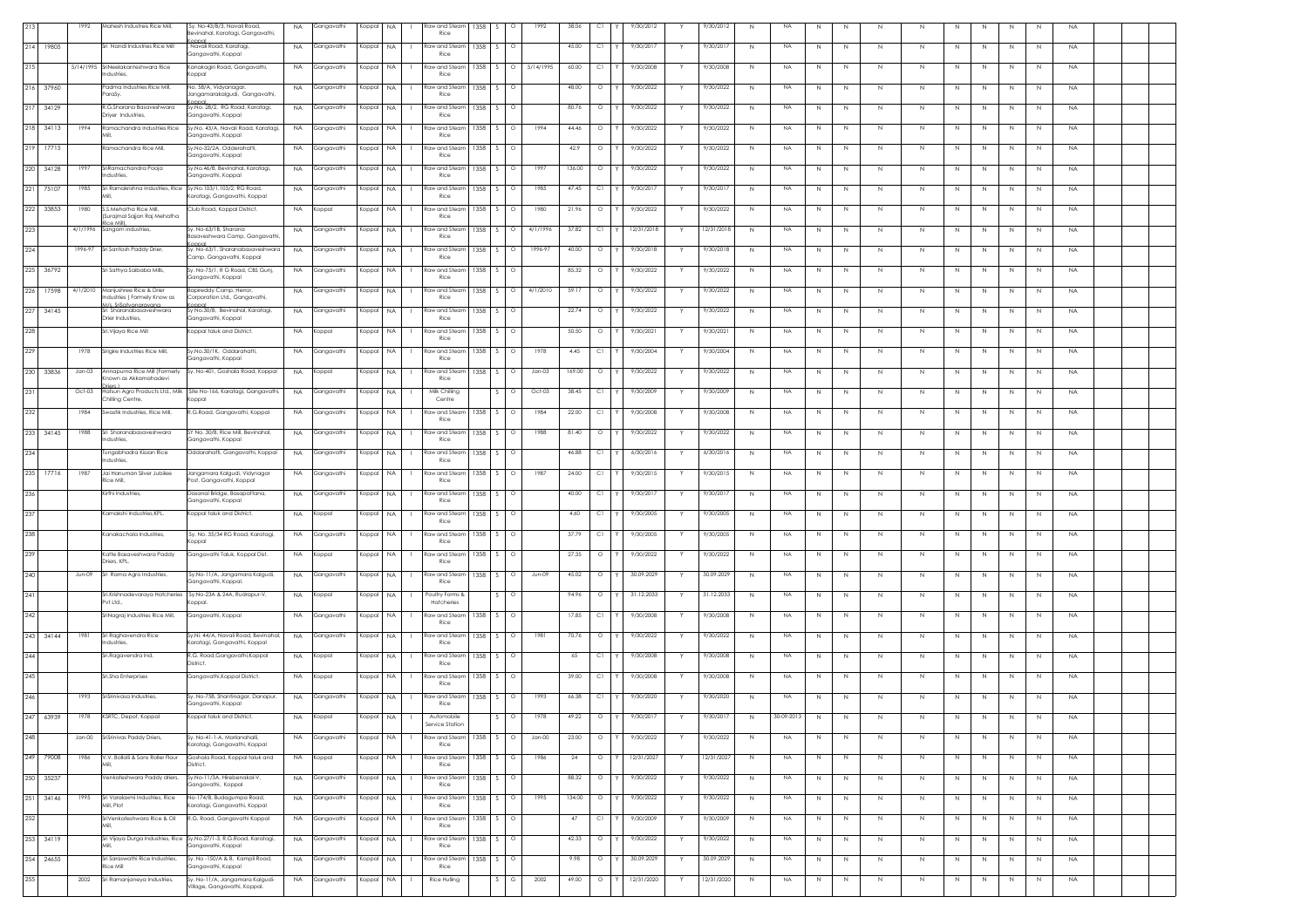| 213 |           | 1992     | Mahesh Industreis Rice Mill,                                                   | Sy. No-43/B/3, Navali Road,<br>evinahal, Karatagi, Gangavathi,               | <b>NA</b> | Gangavathi    | Koppal    | <b>NA</b> | Raw and Steam<br>Rice         | 1358       | $\circ$           | 1992      | 38.06  | C1      | 9/30/2012  |   | 9/30/2012  | N | NA        | N            | N           |             | N            |    |             |             | $\overline{N}$ | <b>NA</b> |  |
|-----|-----------|----------|--------------------------------------------------------------------------------|------------------------------------------------------------------------------|-----------|---------------|-----------|-----------|-------------------------------|------------|-------------------|-----------|--------|---------|------------|---|------------|---|-----------|--------------|-------------|-------------|--------------|----|-------------|-------------|----------------|-----------|--|
|     | 214 19805 |          | Sri Nandi Industries Rice Mill                                                 | Navali Road, Karataai<br>Gangavathi, Koppal                                  |           | NA Gangavathi | Koppal NA |           | Raw and Steam 1358<br>Rice    |            | $\circ$           |           | 45.00  | C1      | 9/30/2017  |   | 9/30/2017  | N | <b>NA</b> | N            | N           | N.          | N            | N. | N           | N.          | N              | <b>NA</b> |  |
| 215 |           |          | 5/14/1995 SriNeelakanteshwara Rice<br>Industries,                              | Kanakagiri Road, Gangavathi,<br>Koppal                                       | <b>NA</b> | Gangavathi    | Koppal    | NA.       | law and Steam<br>Rice         | 1358       |                   | 5/14/1995 | 60.00  | Сl      | 9/30/2008  |   | 9/30/2008  | N | <b>NA</b> | N            | N           | -N          | $\mathbb N$  |    |             |             | N.             | <b>NA</b> |  |
|     | 216 37960 |          | Padma Industries Rice Mill,<br>ParaSy.                                         | No. 58/A, Vidyanagar,<br>Jangamarakalgudi, Gangavathi,                       | <b>NA</b> | Gangavathi    | Koppal NA |           | <b>Raw and Steam</b><br>Rice  | 1358       | $\sim$<br>$\circ$ |           | 48.00  | $\circ$ | 9/30/2022  |   | 9/30/2022  | N | <b>NA</b> | N            | $\mathbb N$ | $\mathbb N$ | $\mathbb N$  | N  | N           | N           | $\mathbb{N}$   | <b>NA</b> |  |
|     | 217 34129 |          | R.G.Sharana Basaveshwara<br>Driyer Industries,                                 | Sy.No. 28/2, RG Road, Karatagi,<br>Gangavathi, Koppal                        |           | NA Gangavathi | Koppal NA |           | Raw and Steam   1358<br>Rice  |            | $\sim$            |           | 80.76  | $\circ$ | 9/30/2022  |   | 9/30/2022  | N | <b>NA</b> | N            | N           | N           | N            | N  | N           | N           | N              | <b>NA</b> |  |
|     | 218 34113 | 1994     | Ramachandra Industries Rice                                                    | Sy.No. 43/A, Navali Road, Karatagi,<br>Gangavathi, Koppal                    | <b>NA</b> | Gangavathi    | Koppal    | <b>NA</b> | aw and Steam<br>Rice          | 1358       |                   | 1994      | 44.46  | $\circ$ | 9/30/2022  |   | 9/30/2022  | N | <b>NA</b> | N            | N           | N           | N            | N. | N.          | N           | N              | <b>NA</b> |  |
|     | 219 17715 |          | Ramachandra Rice Mill                                                          | Sy.No-32/2A, Odderahatti,<br>Gangavathi, Koppal                              | <b>NA</b> | Gangavathi    | Koppal    | <b>NA</b> | aw and Steam<br>Rice          | 1358       |                   |           | 42.9   | $\circ$ | 9/30/2022  |   | 9/30/2022  | N | <b>NA</b> | N            | $\mathbb N$ | N           | $\mathbb N$  |    |             |             | $\mathbb{N}$   | <b>NA</b> |  |
|     | 220 34128 | 1997     | SriRamachandra Pooja<br>Industries                                             | Sy.No.46/B, Bevinahal, Karatagi,<br>Gangavathi, Koppal                       | <b>NA</b> | Gangavathi    | Koppal    | <b>NA</b> | Raw and Steam<br>Rice         | 1358       | $\circ$           | 1997      | 136.00 | $\circ$ | 9/30/2022  |   | 9/30/2022  | N | NA        | N            | $\mathbb N$ | $\mathbb N$ | N            | N  | $\mathbb N$ | N           | N              | <b>NA</b> |  |
| 221 | 75107     | 1985     | Sri Ramakrishna Industries, Rice Sy.No.103/1,103/2, RG Road,                   |                                                                              | <b>NA</b> | Gangavathi    | Koppal    | NA.       | Raw and Steam<br>Rice         | 1358       | $\circ$<br>$\sim$ | 1985      | 47.45  | C1      | 9/30/2017  |   | 9/30/2017  | N | <b>NA</b> | N            | $\mathbb N$ | $\mathbb N$ | N            | N  | N           | N           | N              | <b>NA</b> |  |
|     | 222 33853 | 1980     | S.S.Mehatha Rice Mill,                                                         | (aratagi, Gangavathi, Koppal<br>Club Road, Koppal District.                  | <b>NA</b> | Koppal        | Koppal NA |           | law and Steam                 | 1358       | $\circ$           | 1980      | 21.96  | $\circ$ | 9/30/2022  |   | 9/30/2022  | N | NA        | N            | $\mathbb N$ | N           | $\mathbb{N}$ | N  | N           | N           | N              | <b>NA</b> |  |
| 223 |           | 4/1/1996 | (Surajmal Sajjan Raj Mehatha<br>ice Mill<br>Sangam industries,                 | Sy. No-63/1B, Sharana                                                        |           | NA Gangavathi | Koppal    | <b>NA</b> | Rice<br>taw and Steam         | 1358       | $\circ$           | 4/1/1996  | 37.82  | C1      | 12/31/2018 |   | 12/31/2018 | N | NA        | N            | N           | $\mathbb N$ | $\mathbb N$  | N  | N           | N           | N              | <b>NA</b> |  |
| 224 |           | 1996-97  | Sri Santosh Paddy Drier                                                        | asaveshwara Camp, Gangavath<br>Sv. No-63/1. Sharanabasaveshwara              | <b>NA</b> | Gangavathi    | Koppal NA |           | Rice<br>taw and Steam         | 1358 S     | $\circ$           | 1996-97   | 40.00  | $\circ$ | 9/30/2018  |   | 9/30/2018  | N | <b>NA</b> | N            | $\mathbb N$ | N           | N            | N  | N           | N           | N              | <b>NA</b> |  |
|     | 225 36792 |          | Sri Sathya Saibaba Mills,                                                      | Camp, Gangavathi, Koppal<br>Sy. No-75/1, R G Road, CBS Gunj,                 | <b>NA</b> | Gangavathi    | Koppal    | <b>NA</b> | Rice<br><b>Raw and Steam</b>  | 1358       |                   |           | 85.32  | $\circ$ | 9/30/2022  |   | 9/30/2022  | N | <b>NA</b> | $\mathbb{N}$ | $\mathbb N$ | N           | N            |    | N           | N           | N              | <b>NA</b> |  |
| 226 | 17598     | 4/1/2010 | Manjushree Rice & Drier                                                        | Gangavathi, Koppal<br>Bapireddy Camp, Herror,                                | <b>NA</b> | Gangavathi    | Koppal    | NA.       | Rice<br>aw and Steam          | 1358       |                   | 4/1/2010  | 59.17  | $\circ$ | 9/30/2022  |   | 9/30/2022  | N | <b>NA</b> | N            | N           | -N          | $\mathbb N$  |    |             | N           | N.             | <b>NA</b> |  |
|     | 227 34145 |          | Industries (Formely Know as<br>Ms. SriSatvanaravana<br>Sri Sharanabasaveshwara | Corporation Ltd., Gangavathi,<br>Sy No.30/B, Bevinahal, Karatagi,            | <b>NA</b> | Gangavathi    | Koppal    | <b>NA</b> | Rice<br>law and Steam         | 1358       | $\circ$           |           | 22.74  | $\circ$ | 9/30/2022  |   | 9/30/2022  | N | <b>NA</b> | N            | $\mathbb N$ | $\mathbb N$ | $\mathbb N$  | N  | N           | N           | $\mathbb{N}$   | <b>NA</b> |  |
| 228 |           |          | Drier Industries,<br>Sri. Vijaya Rice Mill                                     | Gangavathi, Koppal<br>Koppal taluk and District.                             |           | NA Koppal     | Koppal NA |           | Rice<br>taw and Steam         | 1358       | $\sim$<br>$\circ$ |           | 50.50  | $\circ$ | 9/30/2021  |   | 9/30/2021  | N | <b>NA</b> | N            | N           | N           | N            | N  | N           | N           | N              | <b>NA</b> |  |
| 229 |           | 1978     | Sirigire Industries Rice Mill,                                                 | Sy.No.30/1K, Oddarahatti,                                                    | <b>NA</b> | Gangavathi    | Koppal    | <b>NA</b> | Rice<br>law and Steam         | 1358       | $\circ$           | 1978      | 4.45   | C1      | 9/30/2004  |   | 9/30/2004  | N | NA        | N            | N           | N           | N            | N  | N           | N           | N              | <b>NA</b> |  |
| 230 |           | $Jan-03$ | Annapurna Rice Mill (Formerly                                                  | Gangavathi, Koppal<br>Sy. No-401, Goshala Road, Koppal                       |           |               |           |           | Rice                          |            |                   | $Jan-03$  | 169.00 | $\circ$ | 9/30/2022  |   | 9/30/2022  |   | NA        |              |             |             |              |    |             |             |                |           |  |
|     | 33836     |          | Known as Akkamahadevi<br><b>Finns</b>                                          |                                                                              | <b>NA</b> | Koppal        | Koppal    | <b>NA</b> | aw and Stean<br>Rice          | 1358       |                   |           |        |         |            |   |            | N |           | N            | $\mathbb N$ | N           | $\mathbb N$  |    | N           | N           | N              | <b>NA</b> |  |
| 231 |           | Oct-03   | Chilling Centre,                                                               | Hatsun Agro Products Ltd., Milk Site No-166, Karatagi, Gangavathi,<br>Koppal | <b>NA</b> | Gangavathi    | Koppal    | <b>NA</b> | Milk Chilling<br>Centre       |            |                   | Oct-03    | 38.45  | C1      | 9/30/2009  |   | 9/30/2009  | N | <b>NA</b> | N            | $\mathbb N$ | $\mathbb N$ | $\mathbb N$  | N  | N           | N           | $\mathbb{N}$   | <b>NA</b> |  |
| 232 |           | 1984     | Swastik Industries, Rice Mill,                                                 | R.G.Road, Gangavathi, Koppal                                                 | NA.       | Gangavathi    | Koppal    | NA.       | Raw and Steam<br>Rice         | 1358       | $\circ$           | 1984      | 22.00  | C1      | 9/30/2008  |   | 9/30/2008  | N | <b>NA</b> | N            | N           | N           | N            | N  | N           | N           | N              | <b>NA</b> |  |
|     | 233 34145 | 1988     | Sri Sharanabasaveshwara<br>Industries,                                         | SY No. 30/B, Rice Mill, Bevinahal,<br>Gangavathi, Koppal                     | <b>NA</b> | Gangavathi    | Koppal NA |           | law and Steam<br>Rice         | 1358       |                   | 1988      | 81.40  | $\circ$ | 9/30/2022  |   | 9/30/2022  | N | <b>NA</b> | $\mathbb{N}$ | $\mathbb N$ | $\mathbb N$ | $\mathbb N$  |    | N           | N           | N              | <b>NA</b> |  |
| 234 |           |          | Tungabhadra Kissan Rice<br>Industries                                          | Oddarahatti, Gangavathi, Koppal                                              |           | NA Gangavathi | Koppal NA |           | Raw and Steam<br>Rice         | 1358       | $\circ$           |           | 46.88  | C1      | 6/30/2016  |   | 6/30/2016  | N | <b>NA</b> | N            | N           | N           | N            | N  | N           | N           | N              | <b>NA</b> |  |
| 235 | 17716     | 1987     | Jai Hanuman Silver Jubilee<br>Rice Mill.                                       | Jangamara Kalgudi, Vidynagar<br>Post, Gangavathi, Koppal                     | <b>NA</b> | Gangavathi    | Koppal NA |           | taw and Steam<br>Rice         | $1358$ $S$ | $\circ$           | 1987      | 24.00  | C1      | 9/30/2015  |   | 9/30/2015  | N | <b>NA</b> | N            | $\mathbb N$ | N           | N            | N  | N           | N           | N              | <b>NA</b> |  |
| 236 |           |          | Kirthi Industries,                                                             | Dasanal Bridge, Basapattana,<br>Gangavathi, Koppal                           | <b>NA</b> | Gangavathi    | Koppal    | <b>NA</b> | <b>Raw and Steam</b><br>Rice  | 1358       |                   |           | 40.00  | C1      | 9/30/2017  |   | 9/30/2017  | N | <b>NA</b> | N            | $\mathbb N$ | N           | N            |    | N           | N           | N              | <b>NA</b> |  |
| 237 |           |          | Kamakshi Industries, KPL                                                       | Koppal taluk and District.                                                   | <b>NA</b> | Koppal        | Koppal    | NA.       | taw and Steam<br>Rice         | 1358       |                   |           | 4.60   | Сl      | 9/30/2005  |   | 9/30/2005  | N | <b>NA</b> | N            | N           | -N          | $\mathbb N$  |    |             | N           | N.             | <b>NA</b> |  |
| 238 |           |          | Kanakachala Industries,                                                        | Sy. No. 35/34 RG Road, Karatagi,<br>loqqo                                    | <b>NA</b> | Gangavathi    | Koppal    | <b>NA</b> | law and Steam<br>Rice         | 1358       | $\sim$<br>$\circ$ |           | 37.79  | C1      | 9/30/2005  |   | 9/30/2005  | N | <b>NA</b> | N            | N           | N           | N            | N  | N           | N           | N              | <b>NA</b> |  |
| 239 |           |          | Katte Basaveshwara Paddy<br>Driers, KPL.                                       | Gangavathi Taluk, Koppal Dist.                                               |           | NA Koppal     | Koppal NA |           | Raw and Steam 1358 S<br>Rice  |            | $\circ$           |           | 27.35  | $\circ$ | 9/30/2022  | Y | 9/30/2022  | N | <b>NA</b> | N            | N           | N           | N            | N  | N           | N           | N              | <b>NA</b> |  |
| 240 |           | Jun-09   | Sri Rama Agro Industries,                                                      | Sy.No-11/A, Jangamara Kalgudi,<br>Gangavathi, Koppal.                        | <b>NA</b> | Gangavathi    | Koppal    | <b>NA</b> | law and Steam<br>Rice         | 1358       | $\circ$           | Jun-09    | 45.02  | $\circ$ | 30.09.2029 |   | 30.09.2029 | N | <b>NA</b> | N            | N           | N           | N            | N  | N           | N           | N              | <b>NA</b> |  |
| 241 |           |          | Sri.Krishnadevaraya Hatcheries<br>Pvt Ltd.,                                    | Sy.No-23A & 24A, Rudrapur-V,<br>Koppal.                                      | <b>NA</b> | Koppal        | Koppal    | <b>NA</b> | Poultry Forms &<br>Hatcheries |            |                   |           | 94.96  | $\circ$ | 31.12.2033 |   | 31.12.2033 | N | <b>NA</b> | N            | $\mathbb N$ | $\mathbb N$ | $\mathbb N$  | N  | N           | N           | N              | <b>NA</b> |  |
| 242 |           |          | SriNagraj Industries Rice Mill,                                                | Gangavathi, Koppal                                                           | <b>NA</b> | Gangavathi    | Koppal    | <b>NA</b> | taw and Steam<br>Rice         | 1358       |                   |           | 17.85  | C1      | 9/30/2008  |   | 9/30/2008  | N | <b>NA</b> | N            | N           | N           | $\mathbb N$  |    | N           | N           | N              | <b>NA</b> |  |
| 243 | 34144     | 1981     | Sri Raghavendra Rice<br>ndustries.                                             | Sy.Ni. 44/A, Navali Road, Bevinahal,<br>Karatagi, Gangavathi, Koppal         | <b>NA</b> | Gangavathi    | Koppal    | <b>NA</b> | aw and Steam<br>Rice          | 1358       | -S.<br>$\circ$    | 1981      | 70.76  | $\circ$ | 9/30/2022  |   | 9/30/2022  | N | <b>NA</b> | N            | N           | N           | N            | N. | N.          | N           | N              | <b>NA</b> |  |
| 244 |           |          | Sri.Ragavendra Ind,                                                            | R.G. Road,Gangavathi,Koppal<br>District.                                     | <b>NA</b> | Koppal        | Koppal    | <b>NA</b> | law and Steam<br>Rice         | 1358       |                   |           | 65     | C1      | 9/30/2008  |   | 9/30/2008  | N | <b>NA</b> | $\mathbb{N}$ | $\mathbb N$ | $\mathbb N$ | $\mathbb N$  |    | $\mathbb N$ | N           | N              | <b>NA</b> |  |
| 245 |           |          | Sri.Sha Enterprises                                                            | Gangavathi, Koppal District.                                                 | <b>NA</b> | Koppal        | Koppal NA |           | taw and Steam<br>Rice         | 1358       | $\circ$           |           | 39.00  | C1      | 9/30/2008  |   | 9/30/2008  | N | NA        | N            | $\mathbb N$ | $\mathbb N$ | N            | Ν  | N           | N           | N              | <b>NA</b> |  |
| 246 |           | 1993     | SriSriniyasa Industries                                                        | Sy. No-758, Shantinagar, Danapur,<br>Gangavathi, Koppal                      |           | NA Gangavathi | Koppal NA |           | Raw and Steam<br>Rice         | 1358 S     | $\circ$           | 1993      | 66.38  | CI Y    | 9/30/2020  |   | 9/30/2020  | N | <b>NA</b> | N            | N           | N           | N            | N  | N           | N           | N              | <b>NA</b> |  |
|     |           |          | 247 63939 1978 KSRTC, Depot, Koppal                                            |                                                                              | <b>NA</b> |               | Koppal NA |           | Automobil<br>Service Station  |            |                   | 1978      | 49.22  |         | 9/30/2013  |   | 9/30/201   |   | 30-09-20  |              |             |             |              |    |             |             |                |           |  |
| 248 |           | Jan-00   | SriSrinivas Paddy Driers,                                                      | Sy. No-41-1-A, Marlanahalli,<br>Caratagi, Gangavathi, Koppal                 | <b>NA</b> | Gangavathi    | Koppal    | <b>NA</b> | <b>Raw and Steam</b><br>Rice  | 1358       |                   | $Jan-00$  | 23.00  | $\circ$ | 9/30/2022  |   | 9/30/2022  | N | <b>NA</b> | N            | $\mathbb N$ | $\mathbb N$ | $\mathbb N$  | N  | N           | N           | N              | <b>NA</b> |  |
| 249 | 79008     | 1986     | V.V. Bollolli & Sons Roller Flour                                              | Goshala Road, Koppal taluk and<br>District.                                  | <b>NA</b> | Koppal        | Koppal    | <b>NA</b> | Raw and Steam<br>Rice         | 1358 S     | G                 | 1986      | 24     | $\circ$ | 12/31/2027 |   | 12/31/2027 | N | <b>NA</b> | N            | $\mathbb N$ | N           | $\mathbb N$  | N  | N           | N           | N              | <b>NA</b> |  |
| 250 | 35237     |          | Venkateshwara Paddy driers,                                                    | Sy.No-11/3A, Hirebenakal-V,<br>Ganaavathi, Koppal                            | <b>NA</b> | Gangavathi    | Koppal NA |           | law and Steam<br>Rice         | 1358       | -S.<br>$\circ$    |           | 88.32  | $\circ$ | 9/30/2022  |   | 9/30/2022  | N | <b>NA</b> | N            | N           | N           | N            | N  | N           | N           | N              | <b>NA</b> |  |
| 251 | 34146     | 1995     | Sri Varalaxmi Industries, Rice<br>Mill, Plot                                   | No-174/B, Budagumpa Road,<br>Karatagi, Gangavathi, Koppal                    | <b>NA</b> | Gangavathi    | Koppal    | <b>NA</b> | taw and Steam<br>Rice         | 1358       |                   | 1995      | 134.00 | $\circ$ | 9/30/2022  |   | 9/30/2022  | N | NA        | N            | $\mathbb N$ | N           | N            | N  | N           | N           | N              | <b>NA</b> |  |
| 252 |           |          | SriVenkateshwara Rice & Oil                                                    | R.G. Road, Gangavathi Koppal                                                 |           | NA Gangavathi | Koppal NA |           | Raw and Steam                 | 1358 S     | $\circ$           |           | 47     | C1      | 9/30/2009  |   | 9/30/2009  | N | <b>NA</b> | N            | $\mathbb N$ | N           | N            | N  | N           | N           | N              | <b>NA</b> |  |
|     | 253 34119 |          |                                                                                | Sri Vijaya Durga Industries, Rice Sy.No.27/1-3, R.G.Road, Karatagi,          |           | NA Gangavathi | Koppal NA |           | Rice<br>Raw and Steam         | 1358       |                   |           | 42.33  | $\circ$ | 9/30/2022  |   | 9/30/2022  | N | <b>NA</b> | N            | N           | N           | N            | N  | N           | N           | N              | <b>NA</b> |  |
| 254 | 24655     |          | Sri Saraswathi Rice Industries,                                                | Gangavathi, Koppal<br>Sy. No -150/A & B, Kampli Road,                        | <b>NA</b> | Gangavathi    | Koppal    | <b>NA</b> | Rice<br>law and Steam         | 1358       |                   |           | 9.98   | $\circ$ | 30.09.2029 |   | 30.09.2029 | N | <b>NA</b> | N            | N           | N           | N            | N. | N.          | N           | N              | <b>NA</b> |  |
| 255 |           | 2002     | Rice Mill<br>Sri Ramanjaneya Industries,                                       | Gangavathi, Koppal<br>Sy. No-11/A, Jangamara Kalgudi-                        | <b>NA</b> | Gangavathi    | Koppal    | <b>NA</b> | Rice<br>Rice Hulling          |            | G                 | 2002      | 49.00  | $\circ$ | 12/31/2020 |   | 12/31/2020 | N | <b>NA</b> | N            | $\mathbb N$ | N           | $\mathbb N$  | N  | $\mathbb N$ | $\mathbb N$ | N              | <b>NA</b> |  |
|     |           |          |                                                                                | Village, Gangavathi, Koppal.                                                 |           |               |           |           |                               |            |                   |           |        |         |            |   |            |   |           |              |             |             |              |    |             |             |                |           |  |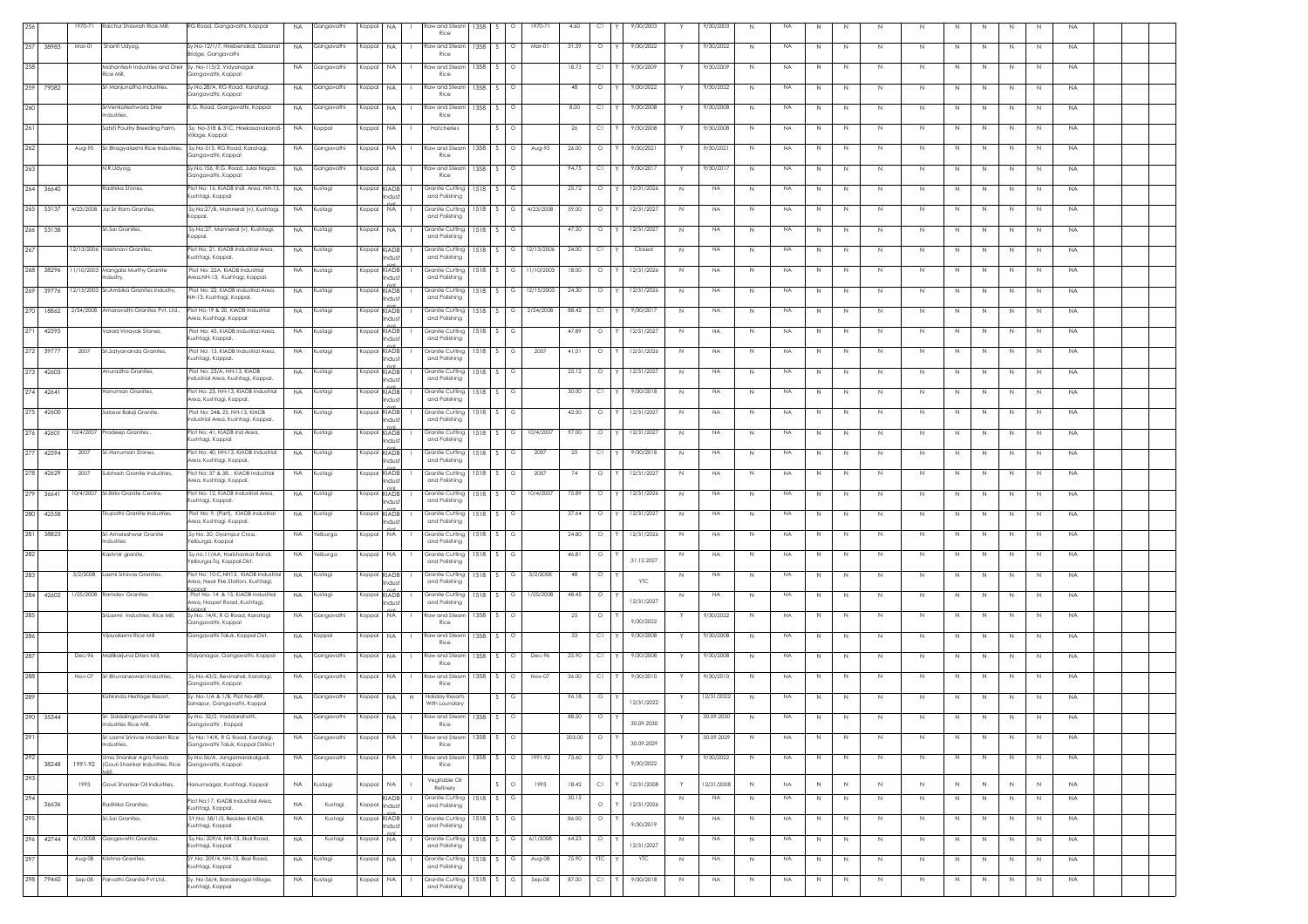| 256          | 1970-71  | Raichur Shiaviah Rice Mill,                               | RG Road, Gangavathi, Koppal                                              | <b>NA</b> | Gangavathi | Koppal       | <b>NA</b>              | Raw and Steam 1358<br>Rice              |            | $\circ$           | 1970-71    | 4.60   | C1      | 9/30/2003              |   | 9/30/2003  | N              | NA.             | N            |             | $\mathbb N$ |   |                              | N            | <b>NA</b> |  |  |
|--------------|----------|-----------------------------------------------------------|--------------------------------------------------------------------------|-----------|------------|--------------|------------------------|-----------------------------------------|------------|-------------------|------------|--------|---------|------------------------|---|------------|----------------|-----------------|--------------|-------------|-------------|---|------------------------------|--------------|-----------|--|--|
| 257 38983    | Mar-01   | Shanti Udyog,                                             | Sv No-12/1/7 Hirebenakal Dasanal<br>Bridge, Gangavathi                   | <b>NA</b> | Gangavathi | Koppal NA    |                        | Raw and Steam 1358<br>Rice              |            | $\Omega$          | Mar-01     | 31.59  | $\circ$ | 9/30/2022              |   | 9/30/2022  | <sup>N</sup>   | <b>NA</b>       | N            | N.          | N           | N | N<br>N.                      | N            | <b>NA</b> |  |  |
| 258          |          | Mahantesh Industries and Dreir<br>Rice Mill,              | Sy. No-113/2, Vidyanagar,<br>Gangavathi, Koppal                          | <b>NA</b> | Gangavathi | Koppal       | NA.                    | taw and Steam<br>Rice                   | 1358       |                   |            | 18.73  | Сl      | 9/30/2009              |   | 9/30/2009  | N              | <b>NA</b>       | N            | -N          | N           | N | N.                           | N            | <b>NA</b> |  |  |
| 259 79082    |          | Sri Manjunatha Industries,                                | Sy.No.28/A, RG Road, Karatagi,                                           | <b>NA</b> | Gangavathi | Koppal       | <b>NA</b>              | Raw and Steam                           | 1358       | $\circ$           |            | 48     | $\circ$ | 9/30/2022              |   | 9/30/2022  | N              | <b>NA</b><br>N  | N            | $\mathbb N$ | N           | N | $\mathbb N$<br>N             | N            | <b>NA</b> |  |  |
| 260          |          | SriVenkateshwara Drier                                    | Gangavathi, Koppal<br>R.G. Road, Gangavathi, Koppal                      | NA.       | Gangavathi | Koppal       | <b>NA</b>              | Rice<br>Raw and Steam 1358              |            | $\sim$            |            | 8.00   | C1      | 9/30/2008              |   | 9/30/2008  | N              | <b>NA</b><br>N  | N            | N.          | N           | N | N<br>N                       | N            | <b>NA</b> |  |  |
| 261          |          | ndustries,<br>Sahiti Poultry Breeding Farm,               | Sy. No-31B & 31C, Hirekasanakandi-                                       | <b>NA</b> | Koppal     | Koppal       | <b>NA</b>              | Rice<br>Hatcheries                      |            |                   |            | 26     | СI      | 9/30/2008              |   | 9/30/2008  | N              | <b>NA</b><br>N. | N            | N.          | N           | N | N<br>N                       | N            | <b>NA</b> |  |  |
| 262          | Aug-95   | Sri Bhagyalaxmi Rice Industries                           | 'illage, Koppal<br>Sy.No-515, RG Road, Karatagi,                         | <b>NA</b> | Gangavathi | Koppal       | <b>NA</b>              | law and Steam                           | 1358       |                   | Aug-95     | 26.00  | $\circ$ | 9/30/2021              |   | 9/30/2021  | $\mathbb N$    | <b>NA</b>       | $\mathbb{N}$ | N           | N           | N | $\mathbb N$                  | N            | <b>NA</b> |  |  |
| 263          |          | N.R.Udyog,                                                | Gangavathi, Koppal<br>Sy.No.156, R.G. Road, Julai Nagar,                 | <b>NA</b> | Gangavathi | Koppal       | <b>NA</b>              | Rice<br>Raw and Steam 1358              |            |                   |            | 94.75  | C1      | 9/30/2017              |   | 9/30/2017  | N              | NA.<br>N        | N            | $\mathbb N$ | N           | N | $\mathbb N$<br>N             | N            | <b>NA</b> |  |  |
| 264 36640    |          | Radhika Stones                                            | Gangavathi, Koppal<br>Plot No: 16, KIADB Indl. Area, NH-13.              | <b>NA</b> | Kustagi    | Koppal KIADB |                        | Rice<br>Granite Cutting 1518            |            | -S -<br>G         |            | 25.72  | $\circ$ | 12/31/2026             | N | NA.        | N              | <b>NA</b><br>N  | N            | N           | N           | N | N<br>N                       | N            | <b>NA</b> |  |  |
|              |          |                                                           | (ushtagi, Koppal                                                         |           |            |              | Indust                 | and Polishing                           |            |                   |            |        |         |                        |   |            |                |                 |              |             |             |   |                              |              |           |  |  |
| 265 53137    |          | 4/23/2008 Jai Sri Ram Granites,                           | Sy.No:27/B, Manneral (v), Kushtagi,<br>(oppal.                           | <b>NA</b> | Kustagi    | Koppal       | <b>NA</b>              | Granite Cutting<br>and Polishing        | 1518       | G                 | 4/23/2008  | 59.00  | $\circ$ | 12/31/2027             | N | <b>NA</b>  | N              | <b>NA</b><br>N  | N            | N.          | N           | N | N<br>N                       | N            | <b>NA</b> |  |  |
| 266 53138    |          | Sri.Sai Granites                                          | Sy.No:27, Manneral (v), Kushtagi,<br>Koppal.                             | <b>NA</b> | Kustagi    | Koppal NA    |                        | Granite Cutting<br>and Polishing        | 1518       | G                 |            | 47.50  | $\circ$ | 12/31/2027             | N | <b>NA</b>  | N              | <b>NA</b><br>N  | N            | N           | $\,$ N      | N | $\mathbb N$<br>N             | N            | <b>NA</b> |  |  |
| 267          |          | 12/13/2006 Vaishnavi Granites,                            | Plot No: 21. KIADB Industrial Area.<br>ushtagi, Koppal.                  | <b>NA</b> | Kustagi    | Koppal KIADB | Indust                 | Granite Cuttina<br>and Polishing        | $1518$ S   |                   | 12/13/2006 | 24.00  | C1      | Closed                 | N | <b>NA</b>  | N              | <b>NA</b><br>N  | N            | N.          | N           | N | N<br>N                       | N            | <b>NA</b> |  |  |
| 268 38296    |          | 11/10/2003 Mangala Murthy Granite<br>ndustry.             | Plot No: 22A, KIADB Industrial<br>Area,NH-13, Kushtagi, Koppal           | <b>NA</b> | Kustagi    | Koppal KIADB | Indust                 | Granite Cutting 1518<br>and Polishing   |            |                   | 11/10/2003 | 18.00  | $\circ$ | 12/31/2026             | N | <b>NA</b>  | N <sub>N</sub> | <b>NA</b>       | N            | N           | N           | N | N<br>N.                      | N            | <b>NA</b> |  |  |
| 269 39776    |          | 12/15/2003 Sri.Ambika Granites Industry,                  | Plot No: 22, KIADB Industrial Area,<br>VH-13, Kushtagi, Koppal.          | <b>NA</b> | Kustagi    |              | Koppal KIADB<br>Indust | Granite Cutting<br>and Polishing        | 1518       |                   | 12/15/2003 | 24.30  | $\circ$ | 12/31/2026             | N | <b>NA</b>  | N              | <b>NA</b>       | N            | -N          | N           | N | N<br>N                       | N            | <b>NA</b> |  |  |
| 270<br>18862 |          | 2/24/2008 Amaravathi Granites Pvt. Ltd.,                  | Plot No-19 & 20, KIADB Industrial<br>rea, Kushtagi, Koppal               | <b>NA</b> | Kustagi    | Koppal KIADB | Indust                 | Granite Cutting<br>and Polishing        | 1518       |                   | 2/24/2008  | 88.42  | C1      | 9/30/2017              | N | <b>NA</b>  | N              | <b>NA</b><br>N  | N            | N           | N           | N | $\mathbb N$<br>N             | N            | <b>NA</b> |  |  |
| 271 42595    |          | Varad Vinavak Stones.                                     | Plot No: 43, KIADB Industrial Area,<br>(ushtagi, Koppal.                 | <b>NA</b> | Kustagi    | Koppal KIADB | Indust                 | Granite Cutting<br>and Polishina        | 1518       | $\sim$            |            | 47.89  | $\circ$ | 12/31/2027             | N | <b>NA</b>  | N              | <b>NA</b><br>N  | N            | N.          | N           | N | N<br>N                       | N            | <b>NA</b> |  |  |
| 272 39777    | 2007     | Sri.Satyananda Granites,                                  | Plot No: 13, KIADB Industrial Area,<br>ushtagi, Koppal                   | <b>NA</b> | Kustagi    |              | Koppal KIADB<br>Indus  | Granite Cutting<br>and Polishing        | 1518       | G                 | 2007       | 41.01  | $\circ$ | 12/31/2026             | N | <b>NA</b>  | N              | <b>NA</b><br>N  | N            | N.          | N           | N | N<br>N                       | N            | <b>NA</b> |  |  |
| 273 42603    |          | Anuradha Granites                                         | Plot No: 23/A, NH-13, KIADB<br>idustrial Area, Kushtagi, Koppal.         | <b>NA</b> | Kustagi    | Koppal KIADB | Indust                 | Granite Cutting<br>and Polishing        | 1518       |                   |            | 25.12  | $\circ$ | 12/31/2027             | N | <b>NA</b>  | $\mathbb N$    | <b>NA</b>       | $\mathbb{N}$ | N           | $\mathbb N$ | N | $\mathbb{N}$<br>N            | $\mathbb{N}$ | <b>NA</b> |  |  |
| 274 42641    |          | <b>Hanuman Granites</b>                                   | Plot No: 23, NH-13, KIADB Industrial<br>Area, Kushtagi, Koppal.          | <b>NA</b> | Kustagi    | Koppal KIADB | Indust                 | Granite Cutting<br>and Polishing        | 1518       |                   |            | 30.00  | C1      | 9/30/2018              | N | <b>NA</b>  | N              | NA.<br>N        | N            | N           | N           | N | $\mathbb N$<br>N             | N            | NA        |  |  |
| 275 42600    |          | Salasar Balaji Granite                                    | Plot No: 24& 25, NH-13, KIADB<br>adustrial Area, Kushtaai, Koppal,       | <b>NA</b> | Kustagi    |              | Koppal KIADB<br>Indust | Granite Cutting<br>and Polishing        | 1518       | G                 |            | 42.50  | $\circ$ | 12/31/2027             | N | <b>NA</b>  | N              | <b>NA</b><br>N. | N            | -N          | N           | N | N<br>N                       | N            | <b>NA</b> |  |  |
| 276 42601    |          | 10/4/2007 Pradeep Granites                                | Plot No: 41, KIADB Ind Area,<br>ushtagi, Koppal                          | <b>NA</b> | Kustagi    | Koppal KIADB | Indust                 | Granite Cutting<br>and Polishing        | 1518       |                   | 10/4/2007  | 97.00  | $\circ$ | 12/31/2027             | N | <b>NA</b>  | $\mathbb N$    | <b>NA</b>       | $\mathbb N$  | $\mathbb N$ | $\mathbb N$ | N | $\mathbb{N}$<br>$\mathbb{N}$ | N            | <b>NA</b> |  |  |
| 277<br>42594 | 2007     | Sri.Hanuman Stones,                                       | Plot No: 40, NH-13, KIADB Industrial<br>Area, Kushtagi, Koppal.          | <b>NA</b> | Kustagi    |              | Koppal KIADB           | Granite Cutting<br>and Polishing        | 1518       |                   | 2007       | 25     | C1      | 9/30/2018              | N | <b>NA</b>  | N              | NA.<br>N        | N            | N           | N           | N | $\mathbb N$<br>N             | N            | <b>NA</b> |  |  |
| 278 42629    | 2007     | Subhash Granite Industries.                               | Plot No: 37 & 38, , KIADB Industrial                                     | <b>NA</b> | Kustagi    | Koppal KIADB | Indus                  | Granite Cuttina I                       | $1518$ $S$ | G                 | 2007       | 74     | $\circ$ | 12/31/2027             | N | <b>NA</b>  | N              | <b>NA</b><br>N  | N            | N.          | N           | N | N<br>N                       | N            | <b>NA</b> |  |  |
| 279 36641    |          | 10/4/2007 Sri.Birla Granite Centre,                       | vrea, Kushtagi, Koppal.<br>Plot No: 12, KIADB Industrial Area,           | <b>NA</b> | Kustagi    | Koppal KIADB | Indust                 | and Polishing<br><b>Granite Cutting</b> | 1518       |                   | 10/4/2007  | 75.89  | $\circ$ | 12/31/2026             | N | <b>NA</b>  | N <sub>N</sub> | <b>NA</b>       | N            | N           | N           | N | N<br>N.                      | N            | <b>NA</b> |  |  |
| 280 42558    |          | irupathi Granite Industries,                              | ushtagi, Koppal.<br>Plot No: 9, (Part), KIADB Industrial                 | <b>NA</b> | (ustagi    |              | Indust<br>Koppal KIADB | and Polishing<br>Granite Cutting        | 1518       |                   |            | 37.64  | $\circ$ | 12/31/2027             | N | <b>NA</b>  | N              | <b>NA</b>       | N            | -N          | N           | N | N                            | -N           | <b>NA</b> |  |  |
| 281 38823    |          | Sri Amareshwar Granite                                    | vrea, Kushtagi, Koppal.<br>Sy No. 20, Dyampur Cross,                     | <b>NA</b> | Yelburga   | Koppal       | Indust<br><b>NA</b>    | and Polishing<br>Granite Cutting        | 1518       | G                 |            | 24.80  | $\circ$ | 12/31/2026             | N | <b>NA</b>  | N              | <b>NA</b><br>N  | N            | N           | $\,N\,$     | N | $\mathbb N$<br>N             | N            | <b>NA</b> |  |  |
| 282          |          | adustries<br>Kashmir granite                              | elburga, Koppal<br>Sv.no.11/AA, Harishankar Bandi,                       | NA        | Yelburga   | Koppal       | NA.                    | and Polishing<br>Granite Cuttina        | 1518       | G<br>$\sim$       |            | 46.81  | $\circ$ |                        | N | <b>NA</b>  | N              | <b>NA</b><br>N  | N            | N           | N           | N | N<br>N                       | N            | <b>NA</b> |  |  |
| 283          | 3/2/2008 | Laxmi Srinivas Granites,                                  | elburga-Tq, Koppal-Dist.<br>Plot No: 10-C, NH13, KIADB Industrial        | <b>NA</b> | Kustagi    |              | Koppal KIADB           | and Polishing<br>Granite Cutting        | 1518       | G                 | 3/2/2008   | 48     | $\circ$ | 31.12.2027             | N | <b>NA</b>  | N              | NA.<br>N        | N            | N.          | N           | N | N<br>N                       | N            | <b>NA</b> |  |  |
| 284 42602    |          | 1/25/2008 Ramdev Granites                                 | Area, Near Fire Station, Kushtagi,<br>Plot No- 14 & 15, KIADB Industrial | <b>NA</b> | Kustagi    | Koppal KIADB | ndus                   | and Polishing<br>Granite Cutting        | 1518       |                   | 1/25/2008  | 48.45  | $\circ$ | <b>YTC</b>             |   | <b>NA</b>  | N              | <b>NA</b><br>N  | N            | N           | $\mathbb N$ | N | $\mathbb N$<br>N             | N            | <b>NA</b> |  |  |
| 285          |          | SriLaxmi Industries, Rice Mill.                           | Area, Hospet Road, Kushtagi,<br>Sy.No. 14/K, R G Road, Karatagi          | <b>NA</b> | Gangavathi | Koppal       | Indus<br>NA.           | and Polishing<br>Raw and Steam          | 1358       |                   |            | 25     | $\circ$ | 12/31/2027             |   | 9/30/2022  | N              | <b>NA</b>       | N            | N           | N           | N | N<br>N                       | N            | <b>NA</b> |  |  |
| 286          |          | Vijayalaxmi Rice Mill                                     | Gangavathi, Koppal<br>Ganaavathi Taluk, Koppal Dist,                     | <b>NA</b> | (oppal     | Koppal       | NA.                    | Rice<br>law and Steam                   | 1358       |                   |            | 33     | C1      | 9/30/2022<br>9/30/2008 |   | 9/30/2008  | N              | <b>NA</b><br>N. | N            |             | N           | N | N<br>N                       | N            | <b>NA</b> |  |  |
|              |          |                                                           |                                                                          |           |            |              |                        | Rice                                    |            |                   |            |        |         |                        |   |            |                |                 |              | N.          |             |   |                              |              |           |  |  |
| 287          | Dec-96   | Mallikarjuna Driers Mill,                                 | Vidyanagar, Gangavathi, Koppal                                           | <b>NA</b> | Gangavathi | Koppal       | <b>NA</b>              | Raw and Steam<br>Rice                   | 1358       |                   | Dec-96     | 25.90  | C1      | 9/30/2008              |   | 9/30/2008  | N              | <b>NA</b>       | N            | $\mathbb N$ | N           | N | $\mathbb N$<br>N             | N            | <b>NA</b> |  |  |
| 288          | Nov-07   | Sri Bhuvaneswari Industries,                              | Sy.No-43/2, Bevinahal, Karatagi,<br>Gangavathi, Koppal                   | <b>NA</b> | Gangavathi | Koppal       | <b>NA</b>              | Raw and Steam<br>Rice                   | 1358       | $\sim$<br>$\circ$ | Nov-07     | 36.00  | C1      | 9/30/2010              |   | 9/30/2010  | N              | NA.<br>N        | N            | N           | N           | N | N<br>N                       | N            | <b>NA</b> |  |  |
| 289          |          | Kishkinda Heritage Resort,                                | Sv. No-1/A & 1/B. Plot No-489.<br>Sanapur, Gangavathi, Koppal            | <b>NA</b> | Gangavathi | Koppal NA    | H                      | <b>Holiday Resorts</b><br>With Loundary |            |                   |            | 96.18  | $\circ$ | 12/31/2022             |   | 12/31/2022 | N              | <b>NA</b><br>N  | N            | N           | N           | N | N<br>N                       | N            | <b>NA</b> |  |  |
| 290 35344    |          | ndustries Rice Mill,                                      | Sv.No. 32/2. Vaddarahatti<br>Gangavathi , Koppal                         | <b>NA</b> | Ganaavath  |              | Koppal NA              | Raw and Steam<br>Rice                   | 1358       |                   |            | 88.50  |         | 30.09.2030             |   | 30.09.2030 |                | <b>NA</b>       |              |             |             |   |                              |              |           |  |  |
| 291          |          | Sri Laxmi Srinivas Modern Rice<br>ndustries,              | Sy No: 14/K, R G Road, Karatagi,<br>Gangavathi Taluk, Koppal District    | <b>NA</b> | Gangavathi | Koppal       | <b>NA</b>              | Raw and Steam<br>Rice                   | 1358       |                   |            | 203.00 | $\circ$ | 30.09.2029             |   | 30.09.2029 | N              | <b>NA</b><br>N  | N            | N           | N           | N | N<br>N                       | N            | <b>NA</b> |  |  |
| 292<br>38248 | 1991-92  | Jma Shankar Agro Foods<br>(Gouri Shankar Industries, Rice | Sy.No.56/A, Jangamarakalgudi,<br>Gangavathi, Koppal                      | <b>NA</b> | Gangavathi | Koppal       | <b>NA</b>              | Raw and Steam 1358<br>Rice              |            | $\sim$<br>$\circ$ | 1991-92    | 73.60  | $\circ$ | 9/30/2022              |   | 9/30/2022  | N              | <b>NA</b><br>N  | N            | N           | N           | N | $\mathbb N$<br>N             | N            | <b>NA</b> |  |  |
| 293          | 1993     | Gouri Shankar Oil Industries,                             | tanumsagar, Kushtagi, Koppal                                             | <b>NA</b> | Custagi    | Koppal       | $_{\sf NA}$            | Vegitable Oil<br>Refinery               |            |                   | 1993       | 18.42  | C1      | 12/31/2008             | Y | 12/31/2008 | N              | NA.<br>N        | $\mathbb N$  | N           | $\mathbb N$ | N | $\mathbb N$<br>$\mathbb{N}$  | N            | <b>NA</b> |  |  |
| 294<br>36636 |          | Radhika Granites,                                         | Plot No:17, KIADB Industrial Area,<br>(ushtagi, Koppal.                  | <b>NA</b> | Kustagi    |              | KIADB<br>Koppal Indust | <b>Granite Cutting</b><br>and Polishing | 1518       |                   |            | 30.15  | $\circ$ | 12/31/2026             | N | NA.        | N              | NA<br>N.        | N            | N           | N           | N | N<br>N                       | N            | <b>NA</b> |  |  |
| 295          |          | Sri.Sai Granites,                                         | SY.No: 38/1/3, Besides KIADB,<br>ushtagi, Koppal                         | <b>NA</b> | Kustagi    | Koppal KIADB | rini.<br>Indust        | Granite Cutting<br>and Polishing        | 1518       | G                 |            | 86.00  | $\circ$ | 9/30/2019              | Ν | <b>NA</b>  | N              | <b>NA</b><br>N  | N            | N           | N           | N | N<br>N                       | N            | <b>NA</b> |  |  |
| 296 42744    |          | 6/1/2008 Gangavathi Granites                              | Sv.No: 209/4. NH-13. Ilkal Road.<br>(ushtagi, Koppal                     | <b>NA</b> | Kustagi    | Koppal NA    |                        | Granite Cutting 1518<br>and Polishing   |            |                   | 6/1/2008   | 64.23  | $\circ$ | 12/31/2027             | N | <b>NA</b>  | N              | <b>NA</b><br>N  | N            | N.          | N           | N | N<br>N.                      | N            | NA        |  |  |
| 297          | Aug-08   | Krishna Granites,                                         | SY.No: 209/4, NH-13, Ilkal Road,<br>ushtagi, Koppal                      | <b>NA</b> | ustagi     | Koppal       | NA.                    | Granite Cutting 1518<br>and Polishina   |            |                   | Aug-08     | 75.90  | YTC.    | YTC                    | N | <b>NA</b>  | N              | <b>NA</b><br>N  | N            | N.          | N           | N | N<br>N                       | N            | <b>NA</b> |  |  |
| 298<br>79460 | $Sep-08$ | Parvathi Granite Pvt Ltd.,                                | Sy. No-56/4, Bandaragal-Village,<br>ushtagi, Koppal                      | <b>NA</b> | Kustagi    | Koppal       | <b>NA</b>              | Granite Cutting<br>and Polishing        | 1518       |                   | $Sep-08$   | 87.00  | C1      | 9/30/2018              | N | <b>NA</b>  | N              | <b>NA</b>       | N            | N           | $\mathbb N$ | N | $\mathbb N$<br>$\mathbb{N}$  | N            | <b>NA</b> |  |  |
|              |          |                                                           |                                                                          |           |            |              |                        |                                         |            |                   |            |        |         |                        |   |            |                |                 |              |             |             |   |                              |              |           |  |  |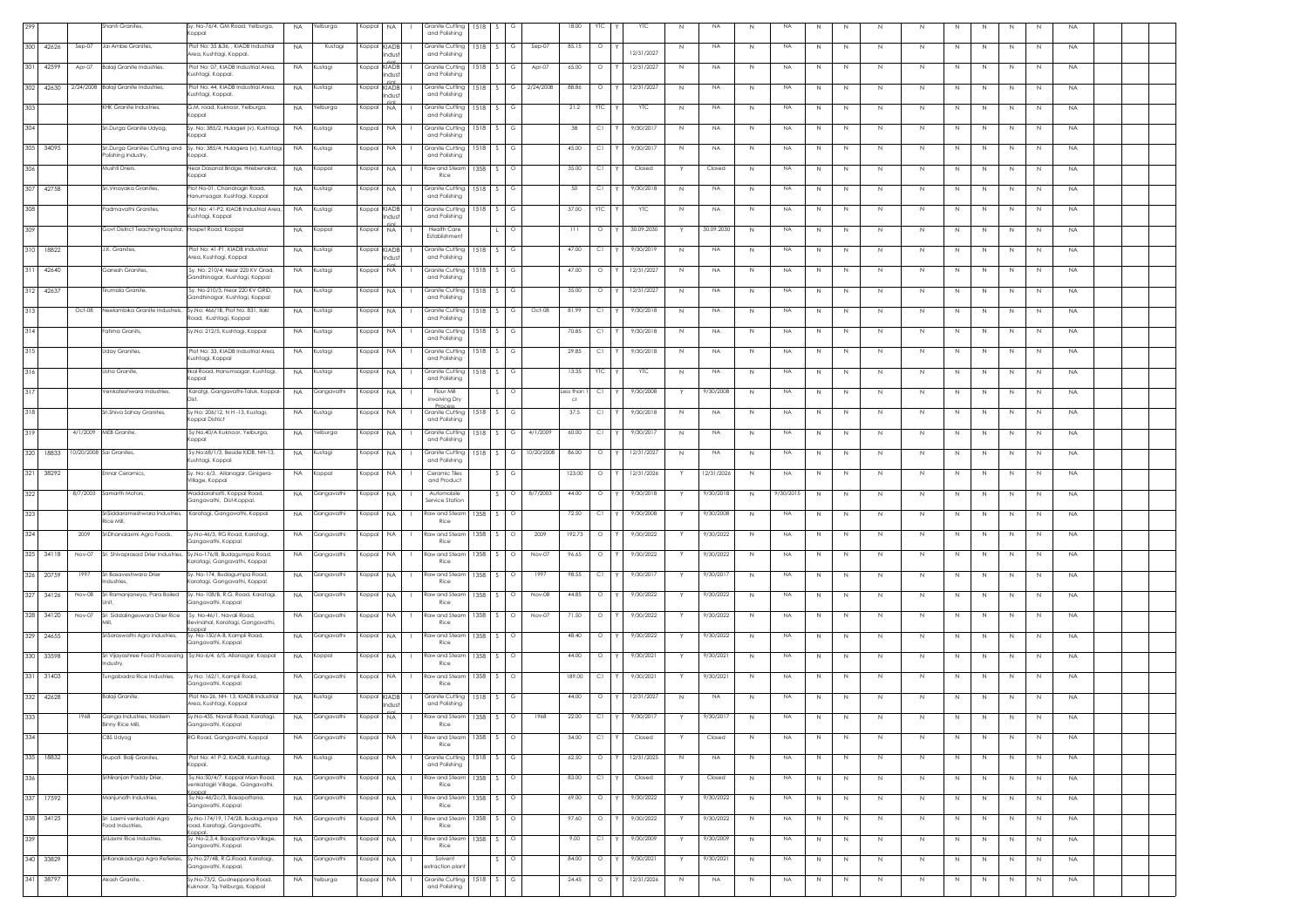|     |           |           | Shanti Granites,                                     | Sy. No-76/4, GM Road, Yelburga,<br>Koppal                                                          | <b>NA</b> | Yelburga        | Koppal       | NA                   | Granite Cutting<br>and Polishing        | 1518 | G                       |            | 18.00                   | YTC      | YTC        | $\mathbb N$ | NA         | N            | <b>NA</b> | $\,N\,$     | N | $\,N\,$     | $\,N\,$ | N            | N            | N  | N  | NA        |  |  |
|-----|-----------|-----------|------------------------------------------------------|----------------------------------------------------------------------------------------------------|-----------|-----------------|--------------|----------------------|-----------------------------------------|------|-------------------------|------------|-------------------------|----------|------------|-------------|------------|--------------|-----------|-------------|---|-------------|---------|--------------|--------------|----|----|-----------|--|--|
| 300 | 42626     | $Sep-07$  | Jai Ambe Granites                                    | Plot No: 35 &36. . KIADB Industrial<br>Area, Kushtagi, Koppal.                                     | <b>NA</b> | Kustagi         |              | Koppal KIADB<br>hdus | Granite Cuttina<br>and Polishing        | 1518 | G                       | $Sep-07$   | 85.15                   | $\circ$  | 12/31/2027 | N           | <b>NA</b>  | N            | <b>NA</b> | N           | N | N           | N.      | N            | N            | N  | N  | <b>NA</b> |  |  |
| 301 | 42599     | Apr-07    | <b>Balaji Granite Industries,</b>                    | Plot No: 07, KIADB Industrial Area,<br>ushtagi, Koppal.                                            | <b>NA</b> | lustagi         | Koppal KIADB | Indust               | <b>Granite Cutting</b><br>and Polishing | 518  |                         | Apr-07     | 65.00                   | $\circ$  | 12/31/2027 | N           | NA         |              | <b>NA</b> | N           | N | N.          | N       |              |              |    | N  | <b>NA</b> |  |  |
| 302 | 42630     | 2/24/2008 | Balaji Granite Industries,                           | Plot No: 44, KIADB Industrial Area,<br>ushtagi, Koppal.                                            | <b>NA</b> | (ustagi         | Koppa        | KIADB<br>ndust       | Granite Cutting<br>and Polishing        | 1518 |                         | 2/24/2008  | 88.86                   | $\circ$  | 12/31/2027 | N           | <b>NA</b>  |              | NA        | N           | N | N           | N       |              |              | N  | N  | <b>NA</b> |  |  |
| 303 |           |           | KHK Granite Industries,                              | 3.M. road, Kuknoor, Yelburga,<br>oppal                                                             | <b>NA</b> | Yelburga        | Koppal       | <b>NA</b>            | Granite Cuttina<br>and Polishing        | 1518 | G                       |            | 21.2                    | YTC      | YTC        | N           | <b>NA</b>  | N            | NA        | N           | N | N           | N       |              | N            | N  | N  | <b>NA</b> |  |  |
| 304 |           |           | Sri.Durga Granite Udyog,                             | Sy. No: 385/2, Hulageri (v), Kushtagi,<br>loapa                                                    | <b>NA</b> | Kustagi         | Koppal       | <b>NA</b>            | <b>Granite Cutting</b><br>and Polishing | 1518 | G                       |            | -38                     | C1       | 9/30/2017  | N           | NA         | N            | <b>NA</b> | N           | N | N           | N       |              | N            | N  | N  | <b>NA</b> |  |  |
| 305 | 34095     |           | iri.Durga Granites Cutting and<br>olishing Industry, | Sy. No: 385/4, Hulagera (v), Kushtagi,<br>(oppal.                                                  | <b>NA</b> | Kustagi         | Koppal       | NA                   | Granite Cutting<br>and Polishing        | 1518 |                         |            | 45.00                   | C.       | 9/30/2017  | N           | NA         | N            | <b>NA</b> | N           | N | N           | N       |              | N.           | N  | N. | <b>NA</b> |  |  |
| 306 |           |           | Mushti Driers,                                       | Near Dasanal Bridge, Hirebenakal,                                                                  | <b>NA</b> | Koppal          | Koppal       | NA                   | Raw and Steam                           | 1358 | $\circ$                 |            | 35.00                   | C1       | Closed     |             | Closed     | N            | <b>NA</b> | N           | N | N           | N       | N            | N            | N  | N  | <b>NA</b> |  |  |
|     | 307 42758 |           | Sri.Vinayaka Granites                                | oppal<br>Plot No-01, Chandragiri Road,                                                             | <b>NA</b> | Kustagi         | Koppal NA    |                      | Rice<br>Granite Cuttina                 | 1518 | G                       |            | 50                      | C1       | 9/30/2018  | N           | <b>NA</b>  | N.           | <b>NA</b> | N           | N | N           | N       | N            | N            | N  | N  | <b>NA</b> |  |  |
| 308 |           |           | admavathi Granites.                                  | -Ianumsagar. Kushtagi, Koppal<br>lot No: 41-P2, KIADB Industrial Area,                             | <b>NA</b> | (ustagi         | Koppal KIADB |                      | and Polishing<br><b>Granite Cutting</b> | 1518 | G                       |            | 37.00                   | YTC      | <b>YTC</b> | N           | NA         | N            | NA        | N           | N | N           | N.      |              | N            | N  | N  | <b>NA</b> |  |  |
| 309 |           |           | Govt District Teaching Hospital, Hospet Road, Koppal | ushtagi, Koppal                                                                                    | <b>NA</b> | Koppal          | Koppal       | a ıltın<br><b>NA</b> | and Polishing<br><b>Health Care</b>     |      | $\circ$                 |            | 111                     | $\circ$  | 30.09.2030 |             | 30.09.2030 | N            | <b>NA</b> | N           | N | $\mathbb N$ | N       | N            | N            | N  | N  | <b>NA</b> |  |  |
| 310 | 18822     |           | J.K. Granites,                                       | Plot No: 41-P1, KIADB Industrial                                                                   | <b>NA</b> | Kustagi         | Koppal KIADB |                      | Establishment<br>Granite Cuttina        | 1518 | G<br>S.                 |            | 47.00                   | C1       | 9/30/2019  | N           | <b>NA</b>  | N            | <b>NA</b> | N           | N | $\mathbb N$ | N       | N            | N            | N  | N  | <b>NA</b> |  |  |
| 311 | 42640     |           | Ganesh Granites,                                     | rea, Kushtagi, Koppal<br>Sy. No: 210/4, Near 220 KV Grad,                                          | <b>NA</b> | (ustagi         | Koppal       | ndust<br><b>NA</b>   | and Polishing<br>Granite Cutting        | 1518 | G                       |            | 47.00                   | $\circ$  | 12/31/2027 | N           | <b>NA</b>  | N            | NA        | N           | N | N           | N.      | N.           | N.           | N  | N  | <b>NA</b> |  |  |
| 312 | 42637     |           | Tirumala Granite,                                    | Gandhinagar, Kushtagi, Koppal<br>Sy. No-210/3, Near 220 KV GRID,                                   | <b>NA</b> | Kustagi         | Koppal       | <b>NA</b>            | and Polishing<br>Granite Cutting        | 518  |                         |            | 35.00                   | $\circ$  | 12/31/2027 | N           | NA         | $\mathbb{N}$ | <b>NA</b> | N           | N |             | N       |              |              |    | N  | <b>NA</b> |  |  |
| 313 |           | Oct-08    |                                                      | Gandhinagar, Kushtagi, Koppal<br>Neelambika Granite Industreis, Sy.No: 466/1B, Plot No. 831, Ilakl | <b>NA</b> | Kustagi         | Koppal       | NA                   | and Polishing<br>Granite Cutting        | 1518 | G                       | Oct-08     | 81.99                   | C1       | 9/30/2018  | Ν           | NA         | N            | <b>NA</b> | Ν           | N | $\mathbb N$ | N       |              |              | Ν  | N  | NA        |  |  |
| 314 |           |           | atima Granits                                        | toad, Kushtagi, Koppal<br>Sy.No: 212/5, Kushtagi, Koppal                                           | <b>NA</b> | Kustagi         | Koppal       | <b>NA</b>            | and Polishing<br>Granite Cuttina        | 1518 | G                       |            | 70.85                   | C1       | 9/30/2018  | N           | <b>NA</b>  | N            | NA        | N           | N | N           | N       |              | N            | N  | N  | <b>NA</b> |  |  |
| 315 |           |           | <b>Uday Granites</b>                                 | Plot No: 33, KIADB Industrial Area.                                                                | <b>NA</b> | Kustagi         | Koppal       | <b>NA</b>            | and Polishing<br><b>Granite Cutting</b> | 1518 | G                       |            | 29.85                   | C1       | 9/30/2018  | N           | <b>NA</b>  | N            | <b>NA</b> | N           | N | N           | N.      |              | N            | N  | N  | <b>NA</b> |  |  |
| 316 |           |           | Jsha Granite                                         | ushtagi, Koppal<br>Ikal Road, Hanumsagar, Kushtagi,                                                | <b>NA</b> | (ustagi         | Koppal       | NA                   | and Polishing<br><b>Granite Cutting</b> | 1518 | $\mathbf{s}$<br>G       |            | 13.35                   | YTC      | YTC        |             | NA         | N            | <b>NA</b> | N           | N |             | N       |              | N            | N  |    | <b>NA</b> |  |  |
|     |           |           |                                                      | (oppal                                                                                             |           |                 |              |                      | and Polishing                           |      |                         |            |                         |          |            | N           |            |              |           |             |   | N           |         |              |              |    | N  |           |  |  |
| 317 |           |           | Venkateshwara Industries,                            | Karatgi, Gangavathi-Taluk, Koppal-                                                                 | <b>NA</b> | Gangavathi      | Koppal       | NA                   | Flour Mill<br>involving Dry<br>Process  |      | $\circ$                 |            | ess than<br>$_{\rm cr}$ | C1       | 9/30/2008  |             | 9/30/2008  | N            | <b>NA</b> | N           | N | $\mathbb N$ | N       | N            | N            | N  | N  | <b>NA</b> |  |  |
| 318 |           |           | Sri.Shiva Sahay Granites,                            | Sy No: 206/12, N H -13, Kustagi,<br>Coppal District                                                | <b>NA</b> | Kustagi         | Koppal       | <b>NA</b>            | Granite Cuttina<br>and Polishing        | 518  | G                       |            | 37.5                    | C1       | 9/30/2018  | N           | <b>NA</b>  | N            | <b>NA</b> | N           | N | N           | N       |              | N            | -N | N  | <b>NA</b> |  |  |
| 319 |           | 4/1/2009  | MEB Granite,                                         | y.No.40/A Kuknoor, Yelburga,<br>(oppal                                                             | <b>NA</b> | 'elburga        | Koppa        | NA                   | Granite Cutting<br>and Polishing        | 1518 |                         | 4/1/2009   | 60.00                   | C.       | 9/30/2017  | N           | NA         | -N           | <b>NA</b> | N           | N | N           | N       |              |              | N  | N  | <b>NA</b> |  |  |
| 320 | 18833     |           | 10/20/2008 Sai Granites,                             | Sy.No:68/1/3, Beside KIDB, NH-13,<br>ushtagi, Koppal                                               | <b>NA</b> | Kustagi         | Koppal       | <b>NA</b>            | Granite Cutting<br>and Polishing        | 1518 | G                       | 10/20/2008 | 86.00                   | $\circ$  | 12/31/2027 | Ν           | <b>NA</b>  | N            | <b>NA</b> | N           | N | Ν           | N       |              | $\mathbb N$  | Ν  | N  | <b>NA</b> |  |  |
|     | 321 38292 |           | Ennar Ceramics,                                      | Sy. No: 6/3, Allanagar, Ginigera-<br>Village, Koppal                                               | <b>NA</b> | Koppal          | Koppal NA    |                      | Ceramic Tiles<br>and Product            |      | G                       |            | 123.00                  | $\circ$  | 12/31/2026 |             | 12/31/202  | N            | <b>NA</b> | N           | N | N           | N       | N            | N            | N  | N  | <b>NA</b> |  |  |
| 322 |           | 8/7/2003  | Samarth Motors,                                      | Naddarahatti, Koppal Road,<br>Gangavathi, Dist-Koppal.                                             | NA.       | Gangavathi      | Koppal       | <b>NA</b>            | Automobile<br>Service Station           |      | $\circ$                 | 8/7/2003   | 44.00                   | $\circ$  | 9/30/2018  |             | 9/30/2018  | N            | 9/30/2015 | N           | N | N           | N       | N.           | N            | N  | N  | <b>NA</b> |  |  |
| 323 |           |           | riSiddarameshwara Industries,<br>ice Mill,           | Karatagi, Gangavathi, Koppal                                                                       | <b>NA</b> | Gangavathi      | Koppal       | <b>NA</b>            | aw and Stear<br>Rice                    | 358  |                         |            | 72.50                   | C1       | 9/30/2008  |             | 9/30/2008  | $\mathbb{N}$ | <b>NA</b> | N           | N | N.          | N       |              |              |    | N  | <b>NA</b> |  |  |
| 324 |           | 2009      | SriDhanalaxmi Agro Foods,                            | Sy.No-46/3, RG Road, Karatagi,<br>angavathi, Koppal                                                | <b>NA</b> | Gangavathi      | Koppal       | NA                   | Raw and Steam<br>Rice                   | 1358 | $\circ$                 | 2009       | 192.73                  | $\circ$  | 9/30/2022  |             | 9/30/2022  | N            | <b>NA</b> | N           | N | $\mathbb N$ | $\,N\,$ |              | N            | N  | N  | NA        |  |  |
| 325 | 34118     | Nov-07    | Sri Shivaprasad Drier Industries,                    | Sy.No-176/8, Budagumpa Road,<br>aratagi, Gangavathi, Koppal                                        | <b>NA</b> | Gangavathi      | Koppal       | NA                   | taw and Steam<br>Rice                   | 1358 | $\circ$                 | Nov-07     | 96.65                   | $\circ$  | 9/30/2022  |             | 9/30/2022  | N            | NA        | N           | N | N           | N       | N            | N            | N  | N  | <b>NA</b> |  |  |
| 326 | 20759     | 1997      | Sri Basaveshwara Drier<br>dustries,                  | Sy. No-174, Budagumpa Road,<br>aratagi, Gangavathi, Koppal                                         | <b>NA</b> | Gangavathi      | Koppal       | <b>NA</b>            | <b>Raw and Stear</b><br>Rice            | 1358 | $\circ$                 | 1997       | 98.55                   | C1       | 9/30/2017  |             | 9/30/2017  | N            | <b>NA</b> | N           | N | N           | N       |              | $\mathbb N$  | N  | N  | <b>NA</b> |  |  |
| 327 | 34126     | Nov-08    | Sri Ramanjaneya, Para Boiled                         | Sy. No-108/B, R.G. Road, Karatagi,<br>angavathi, Koppal                                            | <b>NA</b> | Gangavathi      | Koppal       | NA                   | aw and Stear<br>Rice                    | 1358 | $\circ$                 | Nov-08     | 44.85                   | $\circ$  | 9/30/2022  |             | 9/30/2022  | N            | <b>NA</b> | N           | N | $\mathbb N$ | N       |              | N            | N  | N  | <b>NA</b> |  |  |
| 328 | 34120     | Nov-07    | iri Siddalingeswara Drier Rice                       | Sv. No-46/1. Navali Road.<br>evinahal, Karatagi, Gangavathi,                                       | <b>NA</b> | Gangavathi      | Koppal       | <b>NA</b>            | aw and Stear<br>Rice                    | 1358 | $\circ$                 | Nov-07     | 71.50                   | $\circ$  | 9/30/2022  |             | 9/30/2022  | N            | NA        | N           | N | N           | N       |              | N            | N  | N  | <b>NA</b> |  |  |
|     | 329 24655 |           | SriSaraswathi Agro Industries,                       | Sy. No-150/A-B, Kampli Road,<br>Gangavathi, Koppal                                                 | <b>NA</b> | Gangavathi      | Koppal       | <b>NA</b>            | aw and Stear<br>Rice                    | 1358 |                         |            | 48.40                   | $\circ$  | 9/30/2022  |             | 9/30/2022  | N            | NA        | N           | N | N           | N       |              | N            | -N | N  | <b>NA</b> |  |  |
| 330 | 33598     |           | ndustry,                                             | ri Vijayashree Food Processing Sy.No-6/4, 6/5, Allanagar, Koppal                                   | <b>NA</b> | (oppal          | Koppal       | NA                   | aw and Stear!<br>Rice                   | 1358 |                         |            | 44.00                   | $\circ$  | 9/30/2021  |             | 9/30/202   | -N           | <b>NA</b> | N           | N | N           | N       |              |              | N  | N  | <b>NA</b> |  |  |
|     | 331 31403 |           | ungabadra Rice Industries,                           | Sy No: 162/1, Kampli Road,<br>angavathi, Koppal                                                    | <b>NA</b> | Gangavathi      | Koppal       | NA                   | aw and Stear!<br>Rice                   | 1358 | $\circ$                 |            | 189.00                  | C1       | 9/30/2021  |             | 9/30/2021  | N            | <b>NA</b> | N           | N | Ν           | N       |              | $\mathbb N$  | Ν  | N  | <b>NA</b> |  |  |
|     | 332 42628 |           | Balaji Granite,                                      | Plot No-26, NH-13, KIADB Industrial<br>Area, Kushtagi, Koppal                                      | <b>NA</b> | Kustagi         | Koppal KIADB | Indust               | Granite Cutting<br>and Polishing        | 1518 | G<br>S.                 |            | 44.00                   | $\circ$  | 12/31/2027 | N           | <b>NA</b>  | N            | <b>NA</b> | N           | N | N           | N       | N            | N            | N  | N  | <b>NA</b> |  |  |
| 333 |           | 1968      | Ganga Industries, Modern<br>Binny Rice Mill,         | Sy.No-435, Navali Road, Karatagi,<br>Gangavathi, Koppal                                            | NA.       | Gangavathi      | Koppal       | NA                   | Raw and Steam<br>Rice                   | 1358 | $\circ$<br>S.           | 1968       | 22.00                   | C1<br>ΙY | 9/30/2017  |             | 9/30/2017  | N            | <b>NA</b> | N           | N | N           | N       | N            | N            | N  | N  | <b>NA</b> |  |  |
| 334 |           |           | CBS Udyog                                            | RG Road, Gangavathi, Koppal                                                                        | <b>NA</b> | Gangavathi      | Koppal       | NA.                  | Raw and Steam<br>Rice                   | 1358 | S<br>$\circ$            |            | 34.00                   | C1       | Closed     |             | Closed     | N            | <b>NA</b> | N           | N | $\mathbb N$ | N       | $\mathbb{N}$ | $\mathbb{N}$ | N  | N  | <b>NA</b> |  |  |
| 335 | 18832     |           | Tirupati Balji Granites,                             | Plot No: 41 P-2, KIADB, Kushtagi,<br>oppal.                                                        | <b>NA</b> | Kustagi         | Koppal       | NA.                  | Granite Cutting<br>and Polishing        | 1518 | G                       |            | 62.50                   | $\circ$  | 12/31/2025 | N           | <b>NA</b>  | N            | NA        | N           | N | N           | $\,N\,$ | N            | N            | N  | N  | <b>NA</b> |  |  |
| 336 |           |           | riNiranjan Paddy Drier,                              | Sy.No:50/4/7, Koppal Mian Road,<br>venkatagiri Village, Gangavathi,                                | <b>NA</b> | Gangavathi      | Koppal       | <b>NA</b>            | Raw and Steam<br>Rice                   | 1358 | $\circ$<br>S.           |            | 83.00                   | C1       | Closed     |             | Closed     | N            | <b>NA</b> | N           | N | N           | N       | N.           | N            | N  | N  | <b>NA</b> |  |  |
| 337 | 17592     |           | Manjunath Industries,                                | loago<br>Sy.No-46/2c/3, Basapattana,<br>angavathi, Koppal                                          | <b>NA</b> | Gangavathi      | Koppal       | <b>NA</b>            | Raw and Steam<br>Rice                   | 1358 | $\circ$                 |            | 69.00                   | $\circ$  | 9/30/2022  |             | 9/30/2022  | $\,N\,$      | <b>NA</b> | $\mathbb N$ | N | N           | $\,N\,$ |              | $\mathbb N$  | N  | N  | <b>NA</b> |  |  |
|     | 338 34125 |           | Sri Laxmi venkatadri Agro<br>ood Industries,         | Sy.No-174/19, 174/28, Budagumpa<br>bad, Karatagi, Gangavathi,                                      | <b>NA</b> | Gangavathi      | Koppal NA    |                      | Raw and Steam<br>Rice                   | 1358 | $\mathbf{s}$<br>$\circ$ |            | 97.60                   | $\circ$  | 9/30/2022  |             | 9/30/2022  | N            | NA        | N           | N | $\mathbb N$ | $\,N\,$ | N            | N            | N  | N  | <b>NA</b> |  |  |
| 339 |           |           | Sril axmi Rice Industries                            | Sy. No-2,3,4, Basapattana-Village,<br>angavathi, Koppal                                            | <b>NA</b> | Gangavathi      | Koppal       | NA                   | Raw and Steam<br>Rice                   | 1358 | S.<br>$\circ$           |            | 9.00                    | C1       | 9/30/2009  |             | 9/30/2009  | N            | <b>NA</b> | N           | N | $\mathbb N$ | N       | N            | N            | N  | N  | <b>NA</b> |  |  |
| 340 | 33829     |           | SriKanakadurga Agro Refieries,                       | Sy.No.27/4B, R.G.Road, Karatagi,<br>Gangavathi, Koppal.                                            | <b>NA</b> | Gangavathi      | Koppal       | <b>NA</b>            | Solvent<br>xtraction plan               |      | $\circ$                 |            | 84.00                   | $\circ$  | 9/30/2021  | Y           | 9/30/2021  | N            | <b>NA</b> | N           | N | N           | N       | N.           | N            | N  | N  | <b>NA</b> |  |  |
| 341 | 38797     |           | Akash Granite, .                                     | y.No-73/2, Gudneppana Road,<br>uknoor, Tq-Yelburga, Koppal                                         | <b>NA</b> | <b>Yelburga</b> | Koppal       | NA                   | <b>Granite Cutting</b><br>and Polishing | 1518 | G                       |            | 24.45                   | $\circ$  | 12/31/2026 | N           | NA.        | N            | NA        | N           | N | N           | N       | N.           | N            | N  | N  | <b>NA</b> |  |  |
|     |           |           |                                                      |                                                                                                    |           |                 |              |                      |                                         |      |                         |            |                         |          |            |             |            |              |           |             |   |             |         |              |              |    |    |           |  |  |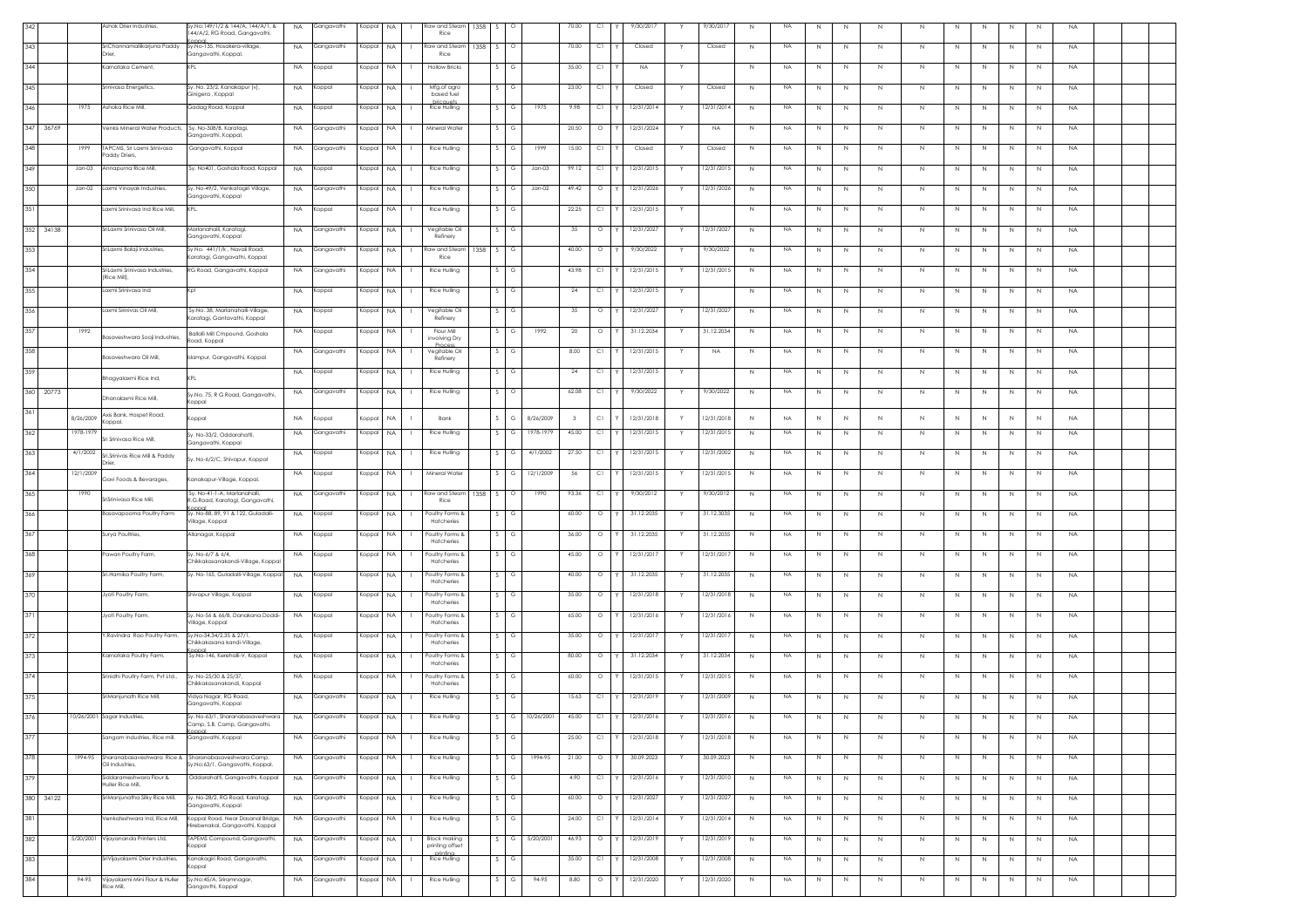|                 |           | Ashok Drier Industries                               | /.No:149/1/2 & 144/A, 144/A/1, &<br>44/A/2, RG Road, Gangavathi,     | <b>NA</b> | Gangavathi    | Koppal    | <b>NA</b>                 | Raw and Steam<br>Rice                   | 1358 |                    |                      | 70.00 | C1      | 9/30/2017        | 9/30/2017  | NA<br>$\mathbb{N}$   |              |         |             |              |              |                              |    | <b>NA</b> |  |
|-----------------|-----------|------------------------------------------------------|----------------------------------------------------------------------|-----------|---------------|-----------|---------------------------|-----------------------------------------|------|--------------------|----------------------|-------|---------|------------------|------------|----------------------|--------------|---------|-------------|--------------|--------------|------------------------------|----|-----------|--|
| 343             |           | SriChannamallikarjuna Paddy<br>Drier                 | Sy.No-135, Hosakera-village,<br>angavathi, Koppal.                   | <b>NA</b> | Gangavathi    | Koppal    | <b>NA</b>                 | Raw and Steam<br>Rice                   | 1358 |                    | $\Omega$             | 70.00 | C1      | Closed           | Closed     | N<br>NA              | N            | N       | N           | N            | N            | N<br>N                       | N  | <b>NA</b> |  |
| 344             |           | Carnataka Cement,                                    |                                                                      | <b>NA</b> | Koppal        | Koppal    | <b>NA</b>                 | <b>Hollow Bricks</b>                    |      |                    | G                    | 35.00 | C1      | <b>NA</b>        |            | NA<br>N              | N            | N       | N           | N            | N.           | N<br>N                       | N  | <b>NA</b> |  |
| 345             |           | Srinivasa Energetics,                                | y. No. 23/2, Kanakapur (v),                                          | <b>NA</b> | Koppal        | Koppal    | NA.                       | Mfg.of agro                             |      |                    |                      | 23.00 | C1      | Closed           | Closed     | $\,N\,$<br><b>NA</b> | $\mathbb N$  | N       | N           | $\mathbb N$  | N            | $\mathbb{N}$<br>$\mathbb{N}$ | N  | <b>NA</b> |  |
| 346             | 1975      | Ashoka Rice Mill,                                    | inigera , Koppal<br>adag Road, Koppal                                | <b>NA</b> | Koppal        | Koppal    | NA.                       | based fuel<br>bricauets<br>Rice Hulling |      |                    | 1975<br>G            | 9.98  | C1      | 12/31/2014       | 12/31/2014 | $\,N\,$<br><b>NA</b> |              |         | N           | $\mathbb N$  | N            | N<br>N                       | N  | <b>NA</b> |  |
|                 |           |                                                      |                                                                      |           |               |           |                           |                                         |      |                    |                      |       |         |                  |            |                      | N            | N       |             |              |              |                              |    |           |  |
| 347 36769       |           | /enkis Mineral Water Products,                       | Sv. No-308/B, Karatagi,<br>angavathi, Koppal.                        | <b>NA</b> | Gangavathi    | Koppal    | NA<br>$\mathbf{1}$        | Mineral Water                           |      | S.                 | G                    | 20.50 | $\circ$ | 12/31/2024       | <b>NA</b>  | N<br><b>NA</b>       | N            | N       | N           | N            | N            | N<br>N                       | N  | <b>NA</b> |  |
| 348             | 1999      | TAPCMS, Sri Laxmi Srinivasa<br>addy Driers,          | Gangavathi, Koppal                                                   | <b>NA</b> | Gangavathi    | Koppal    | <b>NA</b>                 | Rice Hulling                            |      |                    | 1999                 | 15.00 | C1      | Closed           | Closed     | NA<br>N              | N            | N       | N           | N            |              | N.<br>N.                     | N  | <b>NA</b> |  |
| 349             | $Jan-03$  | nnapurna Rice Mill,                                  | y. No401, Goshala Road, Koppal                                       | <b>NA</b> | Koppal        | Koppal    | NA.                       | Rice Hulling                            |      |                    | $Jan-03$             | 99.12 | C1      | 12/31/2015       | 12/31/2015 | <b>NA</b><br>N       | N            | N       | N           | $\mathbb N$  | N            | N<br>N                       | N  | <b>NA</b> |  |
| 350             | $Jan-02$  | axmi Vinayak Industries,                             | y. No-49/2, Venkatagiri Village,                                     | <b>NA</b> | Gangavathi    | Koppal    | NA.<br>$\mathbf{L}$       | Rice Hulling                            |      | S.                 | G<br>$Jan-02$        | 49.42 | $\circ$ | 12/31/2026<br>Y  | 12/31/2026 | N<br><b>NA</b>       | N            | N       | N           | $\mathbb N$  | N            | $\,N\,$<br>N                 | N  | <b>NA</b> |  |
| 351             |           | axmi Srinivasa Ind Rice Mill,                        | angavathi, Koppal<br>KPL.                                            | <b>NA</b> | Koppal        | Koppal    | <b>NA</b><br>$\mathbf{L}$ | Rice Hulling                            |      | $\mathcal{S}$<br>G |                      | 22.25 | C1      | 12/31/2015<br>Y  |            | N<br><b>NA</b>       | N            | N       | N           | N            | N            | N<br>N                       | N  | <b>NA</b> |  |
| 352<br>34138    |           | SriLaxmi Srinivasa Oil Mill,                         | Marlanahalli, Karatagi,                                              | <b>NA</b> | Gangavathi    | Koppal    | NA.                       | Vegitable Oil                           |      |                    | G                    | 35    | $\circ$ | 12/31/2027       | 12/31/2027 | N<br><b>NA</b>       | N            | N       | N           | N            | N            | N<br>N                       | N  | <b>NA</b> |  |
|                 |           |                                                      | angavathi, Koppal<br>y No. 441/1/k, Navali Road,                     |           |               |           |                           | Refinery                                |      |                    | G                    | 40.00 | $\circ$ |                  |            |                      |              |         |             |              |              |                              |    |           |  |
| 353             |           | SriLaxmi Balaji Industries,                          | aratagi, Gangavathi, Koppal                                          | <b>NA</b> | Gangavathi    | Koppal    | <b>NA</b>                 | Raw and Stean<br>Rice                   | 1358 |                    |                      |       |         | 9/30/2022        | 9/30/2022  | <b>NA</b><br>N       | N            | N       | $\mathbb N$ | N            | N            | N<br>N                       | N  | <b>NA</b> |  |
| 354             |           | SriLaxmi Srinivasa Industries.<br>(Rice Mill),       | RG Road, Gangavathi, Koppal                                          | <b>NA</b> | Gangavathi    | Koppal    | <b>NA</b>                 | Rice Hulling                            |      |                    | G                    | 43.98 | C1      | 12/31/2015       | 12/31/2015 | N<br><b>NA</b>       | N            | N       | N           | N            | N            | N.<br>N                      | N  | <b>NA</b> |  |
| 355             |           | axmi Srinivasa Ind                                   |                                                                      | NA.       | Koppal        | Koppal    | NA.<br>$\mathbf{L}$       | Rice Hulling                            |      |                    |                      | 24    | C1      | 12/31/2015<br>Y. |            | N<br>NA.             | N            | N       | N           | N            | N            | N.<br>N                      | N  | NA        |  |
| 356             |           | Laxmi Sirinivas Oil Mill,                            | Sy.No. 38, Marlanahalli-Village,<br>aratagi, Gantavathi, Koppal      | <b>NA</b> | Koppal        | Koppal    | <b>NA</b>                 | Vegitable Oil<br>Refinery               |      |                    |                      | 35    | $\circ$ | 12/31/202        | 12/31/2027 | <b>NA</b><br>N       | N            | N       | N           | $\mathbb N$  | N            | N<br>N                       | N  | <b>NA</b> |  |
| 357             | 1992      | asaveshwara Sooji Industries,                        | Ballolli Mill Cmpound, Goshala                                       | NA.       | Koppal        | Koppal    | NA                        | Flour Mill                              |      |                    | 1992<br>G            | 20    | $\circ$ | 31.12.2034       | 31.12.2034 | <b>NA</b><br>N       | N            | N       | N           | $\mathbb N$  | N            | N<br>N                       | N  | <b>NA</b> |  |
| 358             |           |                                                      | oad, Koppal                                                          | <b>NA</b> | Gangavathi    | Koppal    | NA                        | involving Dry<br>Proce<br>Vegitable Oil |      | S.                 | G                    | 8.00  | C1      | 12/31/2015       | <b>NA</b>  | N<br><b>NA</b>       | N            | N       | N           | N            | N            | N<br>N                       | N  | <b>NA</b> |  |
| 359             |           | Basaveshwara Oil Mill,                               | islampur, Gangavathi, Koppal                                         | <b>NA</b> | Koppal        | Koppal    | <b>NA</b>                 | Refinery<br>Rice Hulling                |      |                    |                      | 24    | C1      | 12/31/2015<br>Y  |            | <b>NA</b><br>N       | N            | N       | N           | N            | N.           | N.<br>N.                     | N  | <b>NA</b> |  |
|                 |           | Ihagyalaxmi Rice Ind,                                |                                                                      |           |               |           |                           |                                         |      |                    |                      |       |         |                  |            |                      |              |         |             |              |              |                              |    |           |  |
| 360<br>20773    |           | Dhanalaxmi Rice Mill,                                | Sy.No. 75, R G Road, Gangavathi,<br>oppal                            | <b>NA</b> | Gangavathi    | Koppal    | <b>NA</b>                 | Rice Hulling                            |      |                    |                      | 62.08 | C1      | 9/30/2022        | 9/30/2022  | <b>NA</b><br>N       | N            | N       | N           | $\mathbb N$  | N            | N<br>N                       | N  | <b>NA</b> |  |
| 361             | 8/26/2009 | Axis Bank, Hospet Road,<br>oppal.                    | (oppal                                                               | NA.       | Koppal        | Koppal    | <b>NA</b>                 | Bank                                    |      |                    | 8/26/2009<br>G       |       | C1      | 12/31/2018       | 12/31/2018 | N<br><b>NA</b>       | $\mathbb{N}$ | N       | $\mathbb N$ | $\mathbb{N}$ |              | N                            | -N | <b>NA</b> |  |
| 362             | 1978-1979 | ri Srinivasa Rice Mill,                              | v. No-33/2. Oddarahatti.<br>iangavathi, Koppal                       | <b>NA</b> | Gangavathi    | Koppal NA | $\perp$                   | Rice Hulling                            |      | S.                 | 1978-1979<br>G       | 45.00 | CI.     | 12/31/2015<br>Y  | 12/31/2015 | <b>NA</b><br>N       | N            | N       | N.          | N            | N            | N<br>N                       | N  | <b>NA</b> |  |
| 363             | 4/1/2002  | Sri.Srinivas Rice Mill & Paddy                       | , No-6/2/C, Shivapur, Koppal                                         | <b>NA</b> | Koppal        | Koppal    | <b>NA</b>                 | Rice Hulling                            |      | S.                 | 4/1/2002<br>G        | 27.50 | C1      | 12/31/2015       | 12/31/2002 | <b>NA</b><br>N       | N            | N       | N           | N            | N            | N<br>N                       | N  | <b>NA</b> |  |
| 364             | 12/1/2009 | <b>Irier</b><br>Gavi Foods & Bevarages,              | (anakapur-Village, Koppal.                                           | <b>NA</b> | Koppal        | Koppal    | NA.                       | Mineral Water                           |      | S.                 | 12/1/2009<br>G       | -56   | C1      | 12/31/2015       | 12/31/2015 | <b>NA</b><br>N       | N            | N       | $\mathbb N$ | $\mathbb N$  | N            | N<br>N                       | N  | <b>NA</b> |  |
| 365             | 1990      |                                                      | Sv. No-41-1-A. Marlanghalli.                                         | <b>NA</b> | Gangavathi    | Koppal    | <b>NA</b>                 | Raw and Steam                           | 1358 | S.                 | 1990<br>$\circ$      | 93.36 | C1      | 9/30/2012        | 9/30/2012  | N<br><b>NA</b>       | N            | N       | N           | N            | N            | N.<br>N                      | N  | <b>NA</b> |  |
| 366             |           | SriSrinivasa Rice Mill,<br>Basavapoorna Poultry Farm | .G.Road, Karatagi, Gangavathi,<br>y. No-88, 89, 91 & 122, Guladalli- | <b>NA</b> | Koppal        | Koppal    | NA.                       | Rice<br>Poultry Forms &                 |      |                    | G                    | 60.00 | $\circ$ | 31.12.2035       | 31.12.3035 | NA<br>N              | N            | N       | N           | N            | N.           | N<br>N                       | N  | <b>NA</b> |  |
|                 |           |                                                      | illage, Koppal                                                       |           |               |           |                           | Hatcheries                              |      |                    |                      |       |         |                  |            |                      |              |         |             |              |              |                              |    |           |  |
| 367             |           | Surya Poultries,                                     | llanagar, Koppal                                                     | <b>NA</b> | Koppal        | Koppal    | <b>NA</b>                 | Poultry Forms &<br>Hatcheries           |      | G                  |                      | 36.00 | $\circ$ | 31.12.2035       | 31.12.2035 | <b>NA</b><br>N       | N            | N       | N           | $\mathbb N$  | N            | N<br>N                       | N  | <b>NA</b> |  |
| 368             |           | awan Poultry Farm,                                   | y. No-6/7 & 6/4,<br>hikkakasanakandi-Village, Koppa                  | <b>NA</b> | Koppal        | Koppal    | NA<br>$\mathbf{1}$        | Poultry Forms &<br>Hatcheries           |      |                    | G                    | 45.00 | $\circ$ | 12/31/2017       | 12/31/2017 | N<br><b>NA</b>       | N            | $\,N\,$ | N           | N            | N            | $\,N\,$<br>N                 | N  | <b>NA</b> |  |
| 369             |           | Sri.Hamika Poultry Farm                              | ly. No-165, Guladalli-Village, Koppa                                 | <b>NA</b> | Koppal        | Koppal    | <b>NA</b><br>$\mathbf{1}$ | Poultry Forms &<br>Hatcheries           |      | S.                 | G                    | 40.00 | $\circ$ | 31.12.2035       | 31.12.2035 | N<br><b>NA</b>       | N            | N       | N           | N            | N            | N<br>N                       | N  | <b>NA</b> |  |
| 370             |           | Jyoti Poultry Farm,                                  | Shivapur Village, Koppal                                             | <b>NA</b> | Koppal        | Koppal    | <b>NA</b>                 | Poultry Forms &<br>Hatcheries           |      |                    |                      | 35.00 | $\circ$ | 12/31/2018       | 12/31/2018 | <b>NA</b><br>N       | N            | N       | N           | N            |              | N                            | N  | <b>NA</b> |  |
| 371             |           | lyoti Poultry Farm,                                  | r. No-56 & 66/B, Danakana Doddi                                      | <b>NA</b> | Koppal        | Koppal    | <b>NA</b>                 | Poultry Forms &                         |      |                    |                      | 65.00 | $\circ$ | 12/31/2016       | 12/31/2016 | N<br><b>NA</b>       | N            | N       | N           | N            |              | N                            | N  | <b>NA</b> |  |
| 372             |           | Y.Ravindra Rao Poultry Farm                          | illage, Koppal<br>v No-34 34/2 35 & 27/1                             | <b>NA</b> | Koppal        | Koppal    | NA.<br>$\mathbf{1}$       | Hatcheries<br>Poultry Forms &           |      |                    | G                    | 35.00 | $\circ$ | 12/31/2013       | 12/31/201  | N<br><b>NA</b>       | N            | N       | N           | N            | N            | N<br>N                       | N  | <b>NA</b> |  |
| 373             |           | Karnataka Poultry Farm,                              | :hikkakasana kandi-Village,<br>Sy.No-146, Kerehalli-V, Koppal        | <b>NA</b> | Koppal        | Koppal    | <b>NA</b>                 | Hatcheries<br>Poultry Forms &           |      |                    |                      | 80.00 | $\circ$ | 31.12.2034       | 31.12.2034 | <b>NA</b><br>N       | N            | N       | N           | N            | N            | N.<br>N                      | N  | <b>NA</b> |  |
|                 |           |                                                      |                                                                      |           |               |           |                           | Hatcheries                              |      |                    |                      |       |         |                  |            |                      |              |         |             |              |              |                              |    |           |  |
| 374             |           | irinidhi Poultry Farm, Pvt Ltd.,                     | /. No-25/30 & 25/37,<br>hikkakasanakandi. Koppal                     | <b>NA</b> | Koppal        | (oppal    | <b>NA</b>                 | Poultry Forms &<br>Hatcheries           |      |                    |                      | 60.00 | $\circ$ | 12/31/2015       | 12/31/2015 | <b>NA</b><br>N       | N            | N       | N           | $\mathbb N$  | N            | N<br>N                       | N  | <b>NA</b> |  |
| 375             |           | SriManjunath Rice Mill,                              | 'idya Nagar, RG Road,<br>angavathi, Koppal                           | <b>NA</b> | Gangavathi    | Koppal    | <b>NA</b>                 | Rice Hulling                            |      |                    | G                    | 15.63 | C1      | 12/31/2019       | 12/31/2009 | <b>NA</b><br>N       | N            | N       | $\mathbb N$ | N            |              |                              | N  | <b>NA</b> |  |
| 37 <sub>A</sub> |           | 10/26/2001 Sonor Industries                          | Sv Nn-63/1<br>Camp, S.B. Camp, Gangavathi,                           | <b>NA</b> |               | Konnal NA |                           | Rice Hulling                            |      |                    | $S = G = 10/26/2001$ | 45.00 | - 01    | 12/31/2016       | 12/31/201  | <b>NA</b>            |              |         |             |              |              |                              |    |           |  |
| 377             |           | Sangam Industries, Rice mill,                        | <b>Inno</b><br>Gangavathi, Koppal                                    | NA.       | Gangavathi    | Koppal    | <b>NA</b><br>$\mathbf{L}$ | Rice Hulling                            |      |                    | G                    | 25.00 | C1      | 12/31/2018<br>Y  | 12/31/2018 | <b>NA</b><br>N       | N            | N       | N           | N            | N            | N<br>N                       | N  | <b>NA</b> |  |
| 378             | 1994-95   | Oil Industries,                                      | Sharanabasaveshwara Rice & Sharanabasaveshwara Camp,                 | <b>NA</b> | Gangavathi    | Koppal NA | $\perp$                   | Rice Hulling                            |      | S.<br>G            | 1994-95              | 21.00 | $\circ$ | 30.09.2023<br>Y  | 30.09.2023 | N<br><b>NA</b>       | N            | N       | N           | N            | $\mathbb{N}$ | N<br>N                       | N  | <b>NA</b> |  |
| 379             |           | Siddarameshwara Flour &                              | .No:63/1, Gangavathi, Koppal.<br>Oddarahatti, Gangavathi, Koppal     |           | NA Gangavathi | Koppal NA | $\mathbf{1}$              | Rice Hulling                            |      | S.                 | G                    | 4.90  | C1      | 12/31/2016       | 12/31/2010 | N<br><b>NA</b>       | N            | N       | $\mathbb N$ | N            | N            | N<br>N                       | N  | <b>NA</b> |  |
| 380<br>34122    |           | Huller Rice Mill,<br>SriManjunatha Silky Rice Mill,  | iy. No-28/2, RG Road, Karatagi,                                      | <b>NA</b> | Gangavathi    | Koppal    | NA.                       | Rice Hulling                            |      | S.                 | G                    | 60.00 | $\circ$ | 12/31/2027<br>Y. | 12/31/2027 | <b>NA</b><br>N       | N            | N       | N           | N            | N            | N<br>N                       | N  | <b>NA</b> |  |
|                 |           |                                                      | angavathi, Koppal                                                    |           |               |           |                           |                                         |      |                    |                      |       |         |                  |            |                      |              |         |             |              |              |                              |    |           |  |
| 381             |           | Venkateshwara Ind, Rice Mill,                        | Koppal Road, Near Dasanal Bridge,<br>irebenakal, Gangavathi, Koppal  | NA.       | Gangavathi    | Koppal    | <b>NA</b>                 | Rice Hulling                            |      |                    |                      | 24.00 | C1      | 12/31/2014       | 12/31/2014 | N<br>NA              | N            | N       | N           | $\mathbb N$  | N            | N<br>N                       | N  | <b>NA</b> |  |
| 382             |           | 5/20/2001 Vijayananda Printers Ltd,                  | TAPEMS Compound, Gangavathi,<br>loqqo                                | <b>NA</b> | Gangavathi    | Koppal    | <b>NA</b>                 | <b>Block making</b><br>printing offset  |      |                    | 5/20/2001            | 46.93 | $\circ$ | 12/31/2019       | 12/31/2019 | <b>NA</b><br>N       | N            | N       | N           | N            | N            | N<br>N                       | N  | <b>NA</b> |  |
| 383             |           | SriVijayalaxmi Drier Industries,                     | Kanakagiri Road, Gangavathi,<br>loqqc                                | <b>NA</b> | Gangavathi    | Koppal    | NA.<br>л.                 | printing<br>Rice Hulling                |      |                    | G                    | 35.00 | C1      | 12/31/2008       | 12/31/2008 | N<br><b>NA</b>       | N            | N       | N           | N            | N            | N<br>N                       | N  | <b>NA</b> |  |
| 384             | 94-95     | Vijayalaxmi Mini Flour & Huller<br>lice Mill,        | y.No:45/A, Sriramnagar,<br>angavthi, Koppal                          | <b>NA</b> | Gangavathi    | Koppal    | <b>NA</b><br>$\mathbf{L}$ | Rice Hulling                            |      | S.                 | G<br>94-95           | 8.80  | $\circ$ | 12/31/2020<br>Y  | 12/31/2020 | NA<br>N              | $\,N\,$      | $\,N\,$ | N           | $\mathbb{N}$ | N            | $\,N\,$<br>N                 | N  | <b>NA</b> |  |
|                 |           |                                                      |                                                                      |           |               |           |                           |                                         |      |                    |                      |       |         |                  |            |                      |              |         |             |              |              |                              |    |           |  |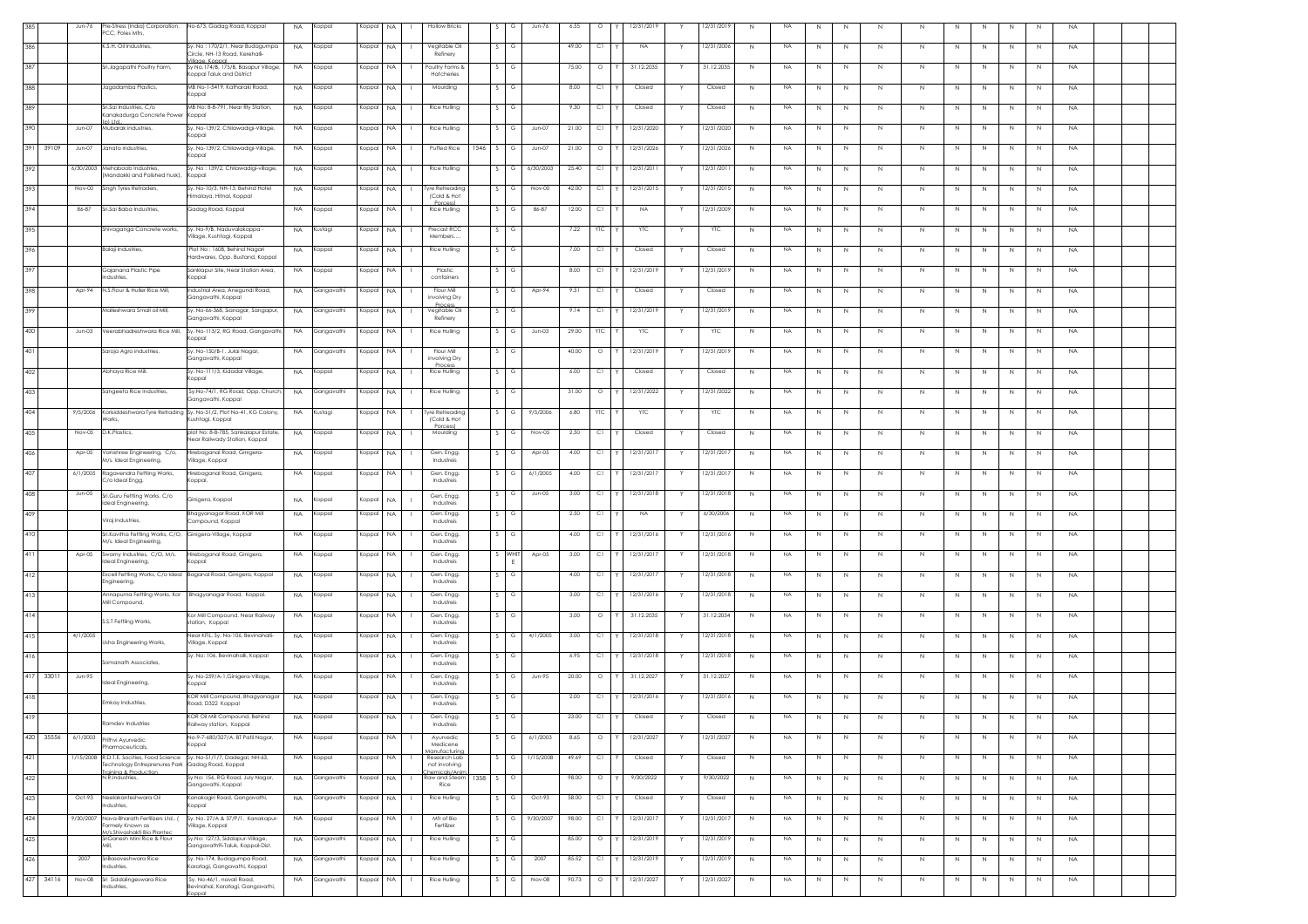|     | Jun-76              | re-Stress (India) Corporation,<br>CC, Poles Mfrs,                                    | No-673, Gadag Road, Koppal<br>NA.                                                                           | Koppal     | Koppal    | <b>NA</b> | <b>Hollow Bricks</b>                         |        | G       | Jun-76        | 6.55  | $\circ$    | 12/31/2019 |            | Y | 2/31/2019  | N            | NA        | $\mathbb{N}$ | N           | N.           | N           | N | N<br>N            | N            | <b>NA</b> |
|-----|---------------------|--------------------------------------------------------------------------------------|-------------------------------------------------------------------------------------------------------------|------------|-----------|-----------|----------------------------------------------|--------|---------|---------------|-------|------------|------------|------------|---|------------|--------------|-----------|--------------|-------------|--------------|-------------|---|-------------------|--------------|-----------|
| 386 |                     | K.S.H. Oil Industries,                                                               | Sy. No : 170/2/1, Near Budagumpa<br><b>NA</b><br>ircle, NH-13 Road, Kerehalli-                              | Koppal     | Koppal    | NA.       | Vegitable Oil<br>Refinery                    |        | G       |               | 49.00 | C1         | NA         |            |   | 12/31/2006 | $\mathbb{N}$ | <b>NA</b> | N            | N           |              | Ν           | N | N                 | N            | <b>NA</b> |
| 387 |                     | Sri.Jagapathi Poultry Farm,                                                          | ilage. Konne<br>Sy No.174/B, 175/B, Basapur Village,<br>NA.<br>(oppal Taluk and District                    | Koppal     | Koppal    | <b>NA</b> | Poultry Forms &<br>Hatcheries                |        | G       |               | 75.00 | $\circ$    | 31.12.2035 |            |   | 31.12.2035 | N            | <b>NA</b> | N            | $\mathbb N$ | N.           | N           | N | N<br>N.           | N            | <b>NA</b> |
| 388 |                     | Jagadamba Plastics,                                                                  | vB No-1-5419, Katharaki Road,<br><b>NA</b><br>(oppal                                                        | Koppal     | Koppa     | <b>NA</b> | Moulding                                     |        | G       |               | 8.00  | C1         | Closed     |            |   | Closed     | N            | NA        | N            | N           | N.           | N           | N | N<br>N            | N            | <b>NA</b> |
| 389 |                     | Sri.Sai Industries, C/o<br>anakadurga Concrete Power                                 | MB No: 8-8-791, Near Rly Station,<br><b>NA</b><br>Koppal                                                    | Koppal     | Koppal    | NA        | Rice Hulling                                 |        |         |               | 9.30  | C1         | Closed     |            |   | Closed     | N            | NA        | N            | $\mathbb N$ | N            | N           | N | $\mathbb N$<br>N  | N            | <b>NA</b> |
| 390 | Jun-07              | ») Ltd.<br>Mubarak industries,                                                       | Sy. No-139/2, Chilawadigi-Village,<br><b>NA</b><br>Koppal                                                   | Koppal     | Koppal    | NA.       | Rice Hulling                                 |        | G       | Jun-07        | 21.00 | C1         | 12/31/2020 |            |   | 12/31/2020 | N            | NA        | N            | $\mathbb N$ | N            | N           | N | N                 | N            | <b>NA</b> |
|     | 391 39109<br>Jun-07 | Janata industries.                                                                   | Sy. No-139/2, Chilawadigi-Village,<br>NA.<br>oppal                                                          | Koppal     | Koppal    | NA.       | Puffed Rice<br>1546                          | S.     | G       | Jun-07        | 21.00 | $\circ$    | 12/31/2026 |            |   | 12/31/2026 | N            | <b>NA</b> | N            | $\mathbb N$ | N.           | N           | N | N<br>N.           | N            | <b>NA</b> |
| 392 | 6/30/2003           | Mehaboob Industries,<br>Aandakki and Polished husk),                                 | Sy. No: 139/2, Chilawadigi-village,<br><b>NA</b><br>oppal                                                   | Koppal     | Koppal    | <b>NA</b> | Rice Hulling                                 |        | Ġ       | 6/30/2003     | 25.40 | C1         | 12/31/2011 |            |   | 12/31/2011 | N            | <b>NA</b> | N            | $\mathbb N$ | N            | N           | N | N<br>-N           | N            | <b>NA</b> |
| 393 | Nov-00              | Singh Tyres Retraders,                                                               | , No-10/3, NH-13, Behind Hotel<br><b>NA</b>                                                                 | Koppal     | Koppal    | NA.       | lyre Retreading                              |        | G       | Nov-00        | 42.00 | C1         | 12/31/2015 |            |   | 12/31/2015 | N            | NA        | N            | N           | N            | $\mathbb N$ | N | $\mathbb N$<br>N  | N            | <b>NA</b> |
| 394 | 86-87               | Sri.Sai Baba Industries,                                                             | malaya, Hitnal, Koppal<br>Gadag Road, Koppal<br><b>NA</b>                                                   | Koppal     | Koppal    | NA.       | (Cold & Hot<br>Rice Hulling                  |        | G       | 86-87         | 12.00 | C1         | <b>NA</b>  |            |   | 12/31/2009 | N            | <b>NA</b> | N            | $\mathbb N$ | N            | $\mathbb N$ | N | $\mathbb N$<br>N  | N            | <b>NA</b> |
| 395 |                     | Shivaganga Concrete works,                                                           | Sv. No-9/B. Naduvalakoppa -<br><b>NA</b>                                                                    | Kustagi    | Koppal    | NA        | Precast RCC                                  |        | G       |               | 7.22  | <b>YTC</b> | <b>YTC</b> |            |   | <b>YTC</b> | N            | NA        | N            | N           | N            | N           | N | N<br>N            | N            | <b>NA</b> |
| 396 |                     | Balaji Industries,                                                                   | /illage, Kushtagi, Koppal<br>Plot No : 1608, Behind Nagari<br><b>NA</b>                                     | Koppal     | Koppal    | NA.       | Members<br><b>Rice Hulling</b>               |        |         |               | 7.00  | C1         | Closed     |            |   | Closed     | $\mathbb{N}$ | NA        | N            | N           | N            | N           | N | N<br>N            | $\mathbb{N}$ | <b>NA</b> |
| 397 |                     | Gajanana Plastic Pipe                                                                | Hardwares, Opp. Bustand, Koppal<br>Sanklapur Site, Near Station Area,<br><b>NA</b>                          | Koppal     | Koppal    | NA.       | Plastic                                      |        | G       |               | 8.00  | C1         | 12/31/2019 |            |   | 12/31/2019 | N            | <b>NA</b> | N            | N           | $\mathbb N$  | N           | N | $\mathbb N$<br>N  | N            | <b>NA</b> |
| 398 |                     | dustries,<br>Apr-94 N.S. Flour & Huller Rice Mill,                                   | oppal<br>Industrial Area, Anegundi Road,<br><b>NA</b>                                                       |            |           | <b>NA</b> | container<br>Flour Mill                      |        | G       | Apr-94        | 9.51  | C1         | Closed     |            |   | Closed     | N            | NA        | N            | $\mathbb N$ |              | N           | N | N<br>N.           | $\mathbb{N}$ | <b>NA</b> |
|     |                     |                                                                                      | Gangavathi, Koppal                                                                                          | Gangavathi | Koppal    |           | involving Dry<br>Proces                      |        |         |               |       |            |            |            |   |            |              |           |              |             |              |             |   |                   |              |           |
| 399 |                     | Malleshwara Small oil Mill,                                                          | y. No-66-368, Sianagar, Sangapur,<br>NA.<br>angavathi, Koppal                                               | Gangavathi | Koppa     | NA.       | Vegitable Oil<br>Refinery                    |        | G       |               | 9.14  | C1         | 12/31/2019 |            |   | 2/31/201   | N            | <b>NA</b> | N            | N           | -N           | N           | N | N<br>N            | N            | <b>NA</b> |
| 400 | $Jun-03$            | Veerabhadreshwara Rice Mill                                                          | Sy. No-113/2, RG Road, Gangavathi<br><b>NA</b><br>oppal                                                     | Gangavathi | Koppal    | NA        | Rice Hulling                                 |        | G       | $Jun-03$      | 29.00 | YТC        | YTC        |            |   | YTC        | N            | <b>NA</b> | N            | $\mathbb N$ | $\mathbb N$  | $\mathbb N$ | N | $\mathbb N$<br>N  | N            | <b>NA</b> |
| 401 |                     | Saroja Agro industries,                                                              | Sy. No-150/B-1, Julai Nagar,<br><b>NA</b><br>Gangavathi, Koppal                                             | Gangavathi | Koppal    | NA.       | Flour Mill<br>involving Dry<br>Process       | $\sim$ | G       |               | 40.00 | $\circ$    | 12/31/2019 |            |   | 12/31/2019 | N            | NA        | $\mathbb N$  | $\mathbb N$ | N            | $\mathbb N$ | N | N<br>N            | N            | <b>NA</b> |
| 402 |                     | Abhaya Rice Mill.                                                                    | Sy. No-111/3, Kidadal Village,<br><b>NA</b><br>(oppal                                                       | Koppal     | Koppal    | NA.       | Rice Hulling                                 | S.     | G       |               | 6.00  | C1         | Closed     |            | Y | Closed     | N            | <b>NA</b> | N            | $\mathbb N$ | N            | N           | N | N<br>N            | N            | <b>NA</b> |
| 403 |                     | Sangeeta Rice Industries,                                                            | Sy.No-74/1, RG Road, Opp. Church,<br><b>NA</b><br>Gangavathi, Koppal                                        | Gangavathi | Koppal    | <b>NA</b> | Rice Hulling                                 |        |         |               | 31.00 | $\circ$    | 12/31/2022 |            |   | 12/31/2022 | N            | <b>NA</b> | N            | N           | N            | N           | N | N<br>$\mathbb{N}$ | N            | <b>NA</b> |
| 404 |                     | orks,                                                                                | 9/5/2006 Korisiddeshwara Tyre Retrading Sy. No-51/2, Plot No-41, KG Colony,<br><b>NA</b><br>ushtagi, Koppal | Kustagi    | Koppal    | NA.       | lyre Retreading<br>(Cold & Hot               |        | G       | 9/5/2006      | 6.80  | <b>YTC</b> | YTC        |            |   | YTC        | N            | <b>NA</b> | N            | N           | N            | N           |   | N                 | N            | <b>NA</b> |
| 405 |                     | Nov-05 D.K.Plastics,                                                                 | olot No: 8-8-785, Sankalapur Estate,<br><b>NA</b><br>ear Railwady Station, Koppal                           | Koppal     | Koppal    | NA        | Porcess1<br>Moulding                         |        | G       | Nov-05        | 2.50  | C1         | Closed     |            |   | Closed     | N            | NA        | N            | N           | N            | N           | N | N<br>N            | N            | <b>NA</b> |
| 406 | Apr-05              | Vanishree Engineering, C/o,<br>M/s. Ideal Engineering,                               | Hirebaganal Road, Ginigera-<br><b>NA</b><br>/illage, Koppal                                                 | Koppal     | Koppal    | <b>NA</b> | Gen. Engg.<br>Industreis                     |        | G       | Apr-05        | 4.00  | C1         | 12/31/2017 |            | Y | 12/31/2017 | N            | <b>NA</b> | N            | N           | N.           | N           | N | N<br>N            | N            | <b>NA</b> |
| 407 | 6/1/2005            | Ragavendra Fettling Works,<br>C/o Ideal Engg.                                        | irebaganal Road, Ginigera,<br><b>NA</b><br>oppal.                                                           | Koppal     | Koppal    | NA.       | Gen. Engg.<br>Industreis                     |        |         | 6/1/2005      | 4.00  | C1         | 12/31/2017 |            |   | 2/31/201   | $\mathbb{N}$ | NA        | N            | N           | N            | N           | N | N<br>N            | N            | <b>NA</b> |
| 408 | Jun-05              | Sri.Guru Fettling Works, C/o<br>Ideal Engineering,                                   | Ginigera, Koppal<br><b>NA</b>                                                                               | Koppal     | Koppal    | NA        | Gen. Engg.<br>Industreis                     |        | G       | Jun-05        | 3.00  | C1         | 12/31/2018 |            |   | 12/31/2018 | $\mathbb{N}$ | <b>NA</b> | N            | $\mathbb N$ | $\mathbb N$  | N           | N | N<br>N            | N            | <b>NA</b> |
| 409 |                     | Viraj Industries,                                                                    | Bhagyanagar Road, KOR Mill<br><b>NA</b><br>Compound, Koppal                                                 | Koppal     | Koppal    | <b>NA</b> | Gen. Engg<br>Industreis                      |        | G       |               | 2.50  | C1         | <b>NA</b>  |            |   | 6/30/2006  | N            | <b>NA</b> | N            | N           |              | N           | N | N<br>N.           | N            | <b>NA</b> |
| 410 |                     | Sri.Kavitha Fettling Works, C/O, Ginigera-Village, Koppal<br>M/s. Ideal Engineering, | <b>NA</b>                                                                                                   | Koppal     | Koppa     | <b>NA</b> | Gen. Engg.<br>Industreis                     |        | G       |               | 4.00  | C1         | 12/31/2016 |            |   | 2/31/2016  | N            | <b>NA</b> | $\mathbb N$  | N           | N.           | N           | N | N<br>N            | N            | <b>NA</b> |
| 411 | Apr-05              | Swamy Industries, C/O, M/s.<br>deal Engineering,                                     | lirebaganal Road, Ginigera,<br><b>NA</b><br>oppal                                                           | Koppal     | Koppal    | NA        | Gen. Engg.<br>Industreis                     |        | WHIT    | Apr-05        | 3.00  | C1         | 12/31/2017 |            |   | 12/31/2018 | N            | <b>NA</b> | N            | $\mathbb N$ | N            | N           | N | $\mathbb N$<br>N  | N            | <b>NA</b> |
| 412 |                     |                                                                                      | Excell Fettling Works, C/o Ideal Baganal Road, Ginigera, Koppal<br><b>NA</b>                                | Koppal     | Koppal    | NA.       | Gen. Engg.                                   |        | G       |               | 4.00  | C1         | 12/31/2017 |            |   | 12/31/2018 | N            | NA        | $\mathbb N$  | $\,N\,$     | N            | $\mathbb N$ | N | $\mathbb N$<br>N  | N            | <b>NA</b> |
| 413 |                     | Engineering,<br>Annapurna Fettling Works, Kor                                        | Bhagyanagar Road, Koppal.<br><b>NA</b>                                                                      | Koppal     | Koppal    | <b>NA</b> | Industreis<br>Gen. Engg.                     |        | G       |               | 3.00  | C1         |            | 12/31/2016 |   | 2/31/201   | N            | NA        | N            | N           | N            | N           | N | N<br>N.           | N            | <b>NA</b> |
| 414 |                     | Mill Compound,                                                                       | (or Mill Compound, Near Railway<br><b>NA</b>                                                                | Koppal     | Koppal    | NA        | Industreis<br>Gen. Engg.                     |        |         |               | 3.00  | $\circ$    | 31.12.2035 |            |   | 31.12.2034 | N            | NA        | N            | $\mathbb N$ |              | N           | N | N                 | N            | <b>NA</b> |
| 415 | 4/1/2005            | S.S.T Fettling Works,                                                                | ation, Koppal<br>lear KFIL, Sy. No-106, Bevinahalli-<br><b>NA</b>                                           | Koppal     | Koppa     | NA.       | Industreis<br>Gen. Engg.                     |        | G       | 4/1/2005      | 3.00  | C1         | 12/31/2018 |            |   | 12/31/2018 | N            | NA        | N            | N           |              | N           |   | N                 |              | <b>NA</b> |
| 416 |                     | Usha Engineering Works,                                                              | Village, Koppal<br>Sy. No: 106, Bevinahalli, Koppal<br>NA.                                                  | Koppal     | Koppal    | NA.       | Industreis<br>Gen. Engg.                     |        |         |               | 6.95  | C1         | 12/31/2018 |            |   | 12/31/2018 | N            | <b>NA</b> | N            | $\mathbb N$ | N.           | N           | N | N<br>N            | N            | <b>NA</b> |
|     | 417 33011<br>Jun-95 | omanath Associates,                                                                  | Sy. No-259/A-1, Ginigera-Village,<br><b>NA</b>                                                              | Koppal     | Koppal    | <b>NA</b> | Industreis<br>Gen. Engg.                     |        | G       | <b>Jun-95</b> | 20.00 | $\circ$    | 31.12.2027 |            |   | 31.12.2027 | N            | NA        | N            | N           | N            | N           | N | N<br>N.           | N            | <b>NA</b> |
| 418 |                     | deal Engineering,                                                                    | Koppal<br>KOR Mill Compound, Bhagyanagar<br><b>NA</b>                                                       | Koppal     | Koppal    | NA        | Industreis<br>Gen. Engg.                     |        |         |               | 2.00  | C1         | 12/31/2016 |            |   | 12/31/2016 | $\mathbb{N}$ | NA        | N            | N           | N            | N           | N | N<br>N            | N            | <b>NA</b> |
| 419 |                     | Emkay Industries,                                                                    | Road, D322 Koppal<br>KOR Oil Mill Compound, Behind<br><b>NA</b>                                             | Koppal     | Koppal NA |           | Industreis<br>Gen. Engg.                     |        | G       |               | 23.00 | C1<br>  Y  | Closed     |            |   | Closed     |              | <b>NA</b> |              |             |              |             |   |                   |              | <b>NA</b> |
| 420 |                     | Ramdev Industries                                                                    | Railway station, Koppal<br>No-9-7-680/327/A, BT Patil Nagar,                                                |            |           |           | Industreis<br>Avurvedic                      |        |         | 6/1/2003      |       | $\circ$    | 12/31/2027 |            |   | 12/31/2027 |              |           |              |             |              |             |   |                   |              |           |
|     | 35556<br>6/1/2003   | <b>hithvi Ayurvedic</b><br>armaceuticals.                                            | <b>NA</b><br>lpago                                                                                          | Koppal     | Koppal    | NA.       | Medicene<br>Manufacturin                     |        | G       |               | 8.65  |            |            |            | Y |            | N            | <b>NA</b> | N            | N           | $\mathbb N$  | N           | N | N<br>N            | N            | <b>NA</b> |
| 421 | /15/2008            | echnology Entreprenures Park<br>nining & Productio                                   | R.D.T.E. Socifies, Food Science Sy. No-51/1/7, Dadegal, NH-63,<br><b>NA</b><br>adag Road, Koppal            | Koppal     | Koppal    | <b>NA</b> | Research Lab<br>not involving<br>semicak/Ani |        | Ġ       | 1/15/2008     | 49.69 | C1         | Closed     |            |   | Closed     | N            | <b>NA</b> | N            | N           | N            | N           | N | N<br>N            | N            | <b>NA</b> |
| 422 |                     | N.R.Industries                                                                       | y No: 156, RG Road, July Nagar,<br><b>NA</b><br>angavathi, Koppal                                           | Gangavathi | Koppal    | NA.       | Raw and Steam<br>1358<br>Rice                | S.     | $\circ$ |               | 98.00 | $\circ$    | 9/30/2022  |            |   | 9/30/2022  | N            | <b>NA</b> | N            | $\mathbb N$ | N            | $\mathbb N$ | N | $\mathbb N$<br>N  | N            | <b>NA</b> |
| 423 | Oct-93              | Neelakanteshwara Oil<br>ndustries,                                                   | Kanakagiri Road, Gangavathi,<br>NA.<br>loqqo)                                                               | Gangavathi | Koppal    | <b>NA</b> | Rice Hulling                                 |        | G       | Oct-93        | 58.00 | C1         | Closed     |            | Y | Closed     | N            | NA        | N            | N           | N            | N           | N | N<br>N            | N            | <b>NA</b> |
| 424 | 9/30/2007           | Vava-Bharath Fertilizers Ltd., (<br>ormely Known as<br>M/s.Shivashakti Bio Plantec   | Sy. No. 27/A & 37/P/1, Kanakapur-<br><b>NA</b><br>/illage, Koppal                                           | Koppal     | Koppal    | <b>NA</b> | Mfr of Bio<br>Fertilizer                     | s.     | G       | 9/30/2007     | 98.00 | C1         | 12/31/2017 |            | Y | 2/31/2013  | N            | <b>NA</b> | N            | N           | N            | N           | N | N<br>N            | N            | <b>NA</b> |
| 425 |                     | SriGanesh Mini Rice & Flour                                                          | Sy.No: 127/3, Siddapur-Village,<br><b>NA</b><br>Gangavath9i-Taluk, Koppal-Dist.                             | Gangavathi | Koppal    | <b>NA</b> | <b>Rice Hulling</b>                          |        | G       |               | 85.00 | $\circ$    | 12/31/2019 |            |   | 12/31/2019 | N            | <b>NA</b> | $\mathbb N$  | $\mathbb N$ | $\mathbb{N}$ | $\mathbb N$ | N | $\mathbb{N}$<br>N | $\mathbb{N}$ | <b>NA</b> |
| 426 | 2007                | SriBasaveshwara Rice<br>ndustries,                                                   | iy. No-174, Budagumpa Road,<br><b>NA</b><br>aratagi, Gangavathi, Koppal                                     | Gangavathi | Koppal    | NA        | Rice Hulling                                 |        | G       | 2007          | 85.52 | C1         | 12/31/2019 |            |   | 12/31/2019 | N            | NA        | N            | $\mathbb N$ | N            | $\mathbb N$ | N | $\mathbb N$<br>N  | $\mathbb{N}$ | <b>NA</b> |
| 427 | 34116<br>Nov-08     | Sri Siddalingeswara Rice<br>ndustries.                                               | Sv. No-46/1, navali Road.<br><b>NA</b><br>evinahal, Karatagi, Gangavathi,                                   | Gangavathi | Koppal    | NA.       | Rice Hulling                                 | S.     | G       | Nov-08        | 90.73 | $\circ$    | 12/31/2027 |            | Y | 12/31/2027 | N            | <b>NA</b> | N            | N           | N            | N           | N | N<br>N            | N            | <b>NA</b> |
|     |                     |                                                                                      | <b>Inggr</b>                                                                                                |            |           |           |                                              |        |         |               |       |            |            |            |   |            |              |           |              |             |              |             |   |                   |              |           |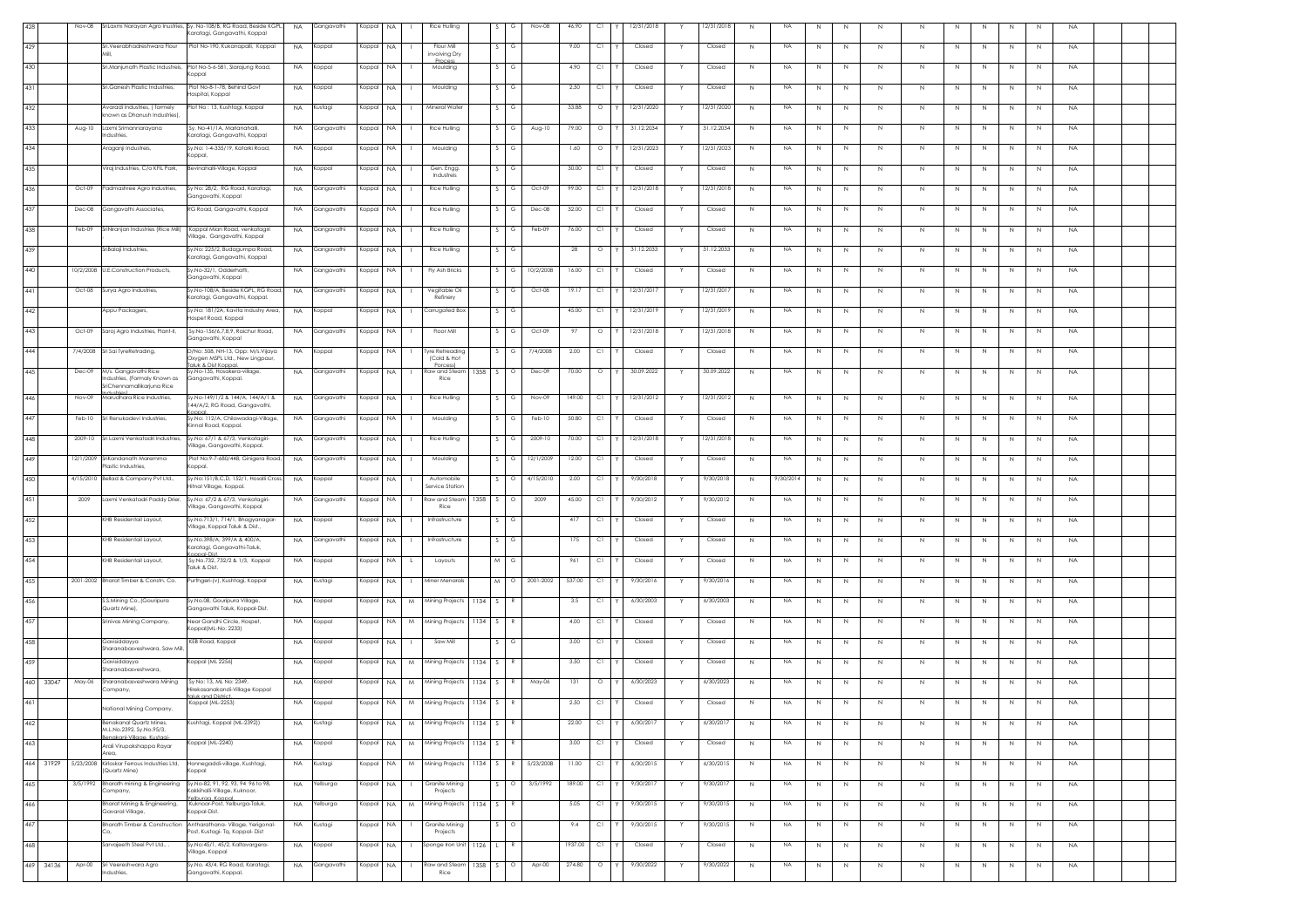|              | Nov-08    |                                                                               | SriLaxmi Narayan Agro Inustries, Sy. No-108/B, RG Road, Beside KGPI<br>(aratagi, Gangavathi, Koppal | <b>NA</b> | Gangavathi | Koppal    | <b>NA</b>                 | Rice Hulling                   |          | G                         | Nov-08    | 46.90   | C1      | 12/31/2018       | 12/31/2018 | <b>NA</b><br>N            | N           | N | $\,N$       | $\mathbb N$ | N            | N<br>N                       | N | <b>NA</b> |  |
|--------------|-----------|-------------------------------------------------------------------------------|-----------------------------------------------------------------------------------------------------|-----------|------------|-----------|---------------------------|--------------------------------|----------|---------------------------|-----------|---------|---------|------------------|------------|---------------------------|-------------|---|-------------|-------------|--------------|------------------------------|---|-----------|--|
| 429          |           | iri.Veerabhadreshwara Flour                                                   | Plot No-190, Kukanapalli, Koppal                                                                    | <b>NA</b> | Koppal     | Koppal    | NA.                       | Flour Mill<br>involving Dry    |          | G                         |           | 9.00    | C1      | Closed           | Closed     | <b>NA</b><br>N            | N           | N | N           | N           | N            | N<br>N                       | N | <b>NA</b> |  |
| 430          |           | Sri.Manjunath Plastic Industreis,                                             | Plot No-5-6-581, Slarajung Road,<br>oppal                                                           | <b>NA</b> | Koppal     | Koppal    | <b>NA</b>                 | <b>Process</b><br>Moulding     |          | G                         |           | 4.90    | C1      | Closed           | Closed     | <b>NA</b><br>N            | N           | N | $\mathbb N$ | N           | N            | N<br>N                       | N | <b>NA</b> |  |
| 431          |           | Sri.Ganesh Plastic Industries.                                                | Plot No-8-1-78. Behind Govt<br>ospital, Koppal                                                      | <b>NA</b> | Koppal     | Koppal    | <b>NA</b>                 | Moulding                       |          | G                         |           | 2.50    | C1      | Closed           | Closed     | N<br>NA                   | N           | N | N           | N           | N            | N.<br>N                      | N | <b>NA</b> |  |
| 432          |           | Avaradi Industries, ( formely                                                 | lot No : 13, Kushtagi, Koppal                                                                       | NA.       | Kustagi    | Koppal    | NA.<br>л.                 | Mineral Water                  |          |                           |           | 33.88   | $\circ$ | 12/31/2020<br>Y. | 12/31/2020 | N<br>NA                   | N           | N | N           | N           | N.           | N.<br>N                      | N | NA        |  |
| 433          | Aug-10    | nown as Dhanush Industries),<br>Laxmi Srimannarayana                          | Sy. No-41/1A, Marlanahalli.                                                                         | <b>NA</b> | Gangavathi | Koppal    | <b>NA</b>                 | Rice Hulling                   |          |                           | Aug-10    | 79.00   | $\circ$ | 31.12.2034       | 31.12.2034 | <b>NA</b><br>N            | N           | N | $\mathbb N$ | $\mathbb N$ | N            | N                            | N | <b>NA</b> |  |
| 434          |           | ndustries,<br><mark>Araganji Industreis</mark> ,                              | aratagi, Gangavathi, Koppal<br>y.No: 1-4-335/19, Katarki Road,                                      | <b>NA</b> | Koppal     | Koppal    | NA                        | Moulding                       |          | G                         |           | 1.60    | $\circ$ | 12/31/2023       | 12/31/2023 | <b>NA</b><br>N            | N           | N | N           | N           | N            | N<br>N                       | N | <b>NA</b> |  |
| 435          |           | Viraj Industries, C/o KFIL Park,                                              | oppal,<br>Jevinahalli-Village, Koppal                                                               | <b>NA</b> | Koppal     | Koppal    | <b>NA</b>                 | Gen. Engg.                     |          | S.<br>G                   |           | 30.00   | C1      | Closed           | Closed     | N<br>NA                   | N           | N | N           | N           | N            | N<br>N                       | N | <b>NA</b> |  |
| 436          | Oct-09    | Padmashree Agro Industries,                                                   | Sy No: 28/2, RG Road, Karatagi,                                                                     | <b>NA</b> | Gangavathi | Koppal    | <b>NA</b>                 | Industreis<br>Rice Hulling     |          |                           | Oct-09    | 99.00   | C1      | 12/31/2018<br>Y  | 12/31/2018 | <b>NA</b><br>N            |             |   |             | N           | N            | N.                           |   | <b>NA</b> |  |
|              |           |                                                                               | iangavathi, Koppal                                                                                  |           |            |           |                           |                                |          |                           |           |         |         |                  |            |                           | N           | N | N           |             |              | N                            | N |           |  |
| 437          | Dec-08    | Gangavathi Associates,                                                        | G Road, Gangavathi, Koppal                                                                          | <b>NA</b> | Gangavathi | Koppal    | NA.                       | Rice Hulling                   |          |                           | Dec-08    | 32.00   | C1      | Closed           | Closed     | <b>NA</b><br>N            | N           | N | N           | $\mathbb N$ | N            | N<br>N                       | N | <b>NA</b> |  |
| 438          | Feb-09    | SriNiranjan Industries (Rice Mill)                                            | Koppal Mian Road, venkatagiri<br>illage, Gangavathi, Koppal                                         | <b>NA</b> | Gangavathi | Koppal    | NA.<br>$\mathbf{1}$       | Rice Hulling                   |          | S.<br>G                   | Feb-09    | 76.00   | C1      | Closed           | Closed     | N<br><b>NA</b>            | N           | N | N           | N           | N            | N<br>N                       | N | <b>NA</b> |  |
| 439          |           | SriBalaji Industries,                                                         | y.No: 225/2, Budagumpa Road,<br>aratagi, Gangavathi, Koppal                                         | <b>NA</b> | Gangavathi | Koppal    | NA.                       | Rice Hulling                   |          | S.<br>G                   |           | 28      | $\circ$ | 31.12.2033<br>Y. | 31.12.2033 | <b>NA</b><br>N            | N           | N | N           | N           | N            | N.<br>N                      | N | <b>NA</b> |  |
| 440          | 10/2/2008 | U.E.Construction Products,                                                    | /.No-32/1, Odderhatti<br>angavathi, Koppal                                                          | <b>NA</b> | Gangavathi | Koppal    | <b>NA</b>                 | Fly Ash Bricks                 |          | s                         | 10/2/2008 | 16.00   | C1      | Closed           | Closed     | <b>NA</b><br>N            | N           | N | N           | N           | N            | N<br>N                       | N | <b>NA</b> |  |
| 441          | Oct-08    | Surya Agro Industries,                                                        | y.No-108/A, Beside KGPL, RG Road<br>aratagi, Gangavathi, Koppal.                                    | <b>NA</b> | Gangavathi | Koppal    | <b>NA</b>                 | Vegitable Oil<br>Refinery      |          | S.<br>G                   | Oct-08    | 19.17   | C1      | 12/31/2017       | 12/31/2017 | <b>NA</b><br>N            | N           | N | $\mathbb N$ | $\mathbb N$ | N            | N<br>N                       | N | <b>NA</b> |  |
| 442          |           | Appu Packagers,                                                               | Sv.No: 181/2A, Kavita Industry Area<br>ospet Road, Koppal                                           | <b>NA</b> | Koppal     | Koppal    | <b>NA</b><br>$\mathbf{1}$ | Corrugated Box                 |          |                           |           | 45.00   | C1      | 12/31/2019       | 12/31/2019 | N<br><b>NA</b>            | N           | N | N           | $\mathbb N$ | N            | N.<br>N                      | N | <b>NA</b> |  |
| 443          | Oct-09    | Saroj Agro Industries, Plant-II,                                              | Sy.No-156/6,7,8,9, Raichur Road,<br>iangavathi, Koppal                                              | NA.       | Gangavathi | Koppal    | NA.<br>л.                 | Floor Mill                     |          | G                         | Oct-09    | -97     | $\circ$ | 12/31/2018       | 12/31/2018 | NA<br>N                   | N           | N | N           | N           | N.           | N.<br>N                      | N | <b>NA</b> |  |
| 444          | 7/4/2008  | Sri Sai TyreRetrading,                                                        | /No: 508, NH-13, Opp: M/s.Vijaya<br>xygen MSPL Ltd., New Lingpaur,                                  | <b>NA</b> | Koppal     | Koppal    | <b>NA</b>                 | Tyre Retreading<br>(Cold & Hot |          |                           | 7/4/2008  | 2.00    | C1      | Closed           | Closed     | <b>NA</b><br>N            | N           | N | N           | $\mathbb N$ | N            | N<br>N                       | N | <b>NA</b> |  |
| 445          | Dec-09    | M/s. Gangavathi Rice                                                          | uk & Dist Konnal<br>y.No-135, Hosakera-village                                                      | NA.       | Gangavathi | Koppal    | NA.<br>$\mathbf{1}$       | <b>POICE</b><br>Raw and Steam  | 1358     | S<br>$\circ$              | Dec-09    | 70.00   | $\circ$ | 30.09.2022       | 30.09.2022 | N<br><b>NA</b>            | N           | N | N           | $\mathbb N$ | N            | $\,N\,$<br>N                 | N | <b>NA</b> |  |
| 446          | Nov-09    | ndustries, (Formaly Known as<br>riChennamallikarjuna Rice                     | angavathi, Koppal.<br>/.No-149/1/2 & 144/A, 144/A/1 &                                               |           |            |           | <b>NA</b>                 | Rice                           |          |                           | Nov-09    | 149.00  | C1      |                  |            | <b>NA</b>                 |             |   |             |             |              |                              |   |           |  |
|              |           | Marudhara Rice Industries,                                                    | 44/A/2, RG Road, Gangavathi,                                                                        | <b>NA</b> | Gangavathi | Koppal    |                           | Rice Hulling                   |          |                           |           |         |         | 12/31/2012       | 12/31/2012 | N                         | N           | N | N           | $\mathbb N$ | N            | N<br>N                       | N | <b>NA</b> |  |
| 447          | Feb-10    | Sri Renukadevi Industries,                                                    | y.No: 112/A, Chilawadagi-Village,<br>innal Road, Koppal.                                            | <b>NA</b> | Gangavathi | Koppal    | NA.                       | Moulding                       |          | $\sim$<br>G               | Feb-10    | 50.80   | C1      | Closed           | Closed     | <b>NA</b><br>N            | N           | N | N           | $\mathbb N$ | N            | N<br>N                       | N | <b>NA</b> |  |
| 448          | 2009-10   | Sri Laxmi Venkatadri Industries                                               | v.No: 67/1 & 67/3. Venkataairi-<br>illage, Gangavathi, Koppal.                                      | <b>NA</b> | Gangavathi | Koppal    | NA.<br>$\mathbf{1}$       | Rice Hulling                   |          | S<br>G                    | 2009-10   | 70.00   | C1      | 12/31/2018       | 12/31/2018 | N<br><b>NA</b>            | N           | N | N           | $\mathbb N$ | N            | N<br>N                       | N | <b>NA</b> |  |
| 449          |           | 12/1/2009 SriKandanath Maremma<br>lastic Industries,                          | Plot No:9-7-680/448, Ginigera Road,<br>oppal.                                                       | <b>NA</b> | Gangavathi | Koppal    | <b>NA</b>                 | Moulding                       |          |                           | 12/1/2009 | 12.00   | C1      | Closed           | Closed     | <b>NA</b><br>N            | N           | N | N           | N           |              | N.                           | N | <b>NA</b> |  |
| 450          | 4/15/2010 | Bellad & Company Pvt Ltd.,                                                    | /.No:151/B,C,D, 152/1, Hosalli Cross<br>itnal Village, Koppal.                                      | <b>NA</b> | Koppal     | Koppal    | NA                        | Automobile<br>Service Station  |          |                           | 4/15/2010 | 2.00    | C1      | 9/30/2018        | 9/30/2018  | 9/30/2014<br>N            | N           | N | N           | N           |              |                              | N | <b>NA</b> |  |
| 451          | 2009      | Laxmi Venkatadri Paddy Drier                                                  | y.No: 67/2 & 67/3, Venkatagiri-<br>illage, Gangavathi, Koppal                                       | <b>NA</b> | Gangavathi | Koppal    | <b>NA</b><br>л.           | Raw and Steam<br>Rice          | 1358     | -S.<br>$\circ$            | 2009      | 45.00   | C1      | 9/30/2012        | 9/30/2012  | N<br>NA                   | N           | N | N           | N           | N            | N<br>N.                      | N | <b>NA</b> |  |
| 452          |           | KHB Residentail Layout,                                                       | y.No.713/1, 714/1, Bhagyanagar-<br>illage, Koppal Taluk & Dist.,                                    | <b>NA</b> | Koppal     | Koppal    | <b>NA</b>                 | Infrastructure                 |          | G                         |           | 417     | C1      | Closed           | Closed     | NA<br>N                   | N           | N | N           | N           | N            | N.<br>N.                     | N | <b>NA</b> |  |
| 453          |           | KHB Residentail Layout,                                                       | /.No.398/A, 399/A & 400/A,<br>aratagi, Gangavathi-Taluk,                                            | <b>NA</b> | Gangavathi | Koppal    | NA                        | Infrastructure                 |          |                           |           | 175     | C1      | Closed           | Closed     | <b>NA</b><br>N            | N           | N | N           | $\mathbb N$ | N            | N<br>N                       | N | <b>NA</b> |  |
| 454          |           | (HB Residentail Layout,                                                       | y.No.732, 732/2 & 1/3, Koppal<br>aluk & Dist.                                                       | <b>NA</b> | Koppal     | Koppal    | NA                        | Layouts                        |          | M<br>G                    |           | 961     | C1      | Closed           | Closed     | <b>NA</b><br>N            | N           | N | Ν           | N           | N            | N<br>N                       | N | <b>NA</b> |  |
| 455          |           | 2001-2002 Bharat Timber & Constn. Co.                                         | Purthgeri-(v), Kushtagi, Koppal                                                                     | <b>NA</b> | Kustagi    | Koppal    | NA.<br>л.                 | <b>Miner Menarals</b>          |          | M <sub>1</sub><br>$\circ$ | 2001-2002 | 537.00  | C1      | 9/30/2016<br>Y   | 9/30/2016  | N<br><b>NA</b>            | N           | N | N           | N           | N            | N<br>N                       | N | <b>NA</b> |  |
| 456          |           | S.S.Mining Co., (Gouripura                                                    | y.No.08, Gouripura Village,                                                                         | NA.       | Koppal     | Koppal    | <b>NA</b><br>M            | Mining Projects                | 1134     | S.                        |           | 3.5     | C1      | 6/30/2003<br>Y.  | 6/30/2003  | NA<br>N                   | N           | N | N           | N           | N            | N<br>N                       | N | <b>NA</b> |  |
| 457          |           | Quartz Mine),<br>Srinivas Mining Company,                                     | angavathi Taluk, Koppal-Dist<br>Vear Gandhi Circle, Hospet,                                         | <b>NA</b> | Koppal     | Koppal    | <b>NA</b><br>M            | Mining Projects 1134 S         |          |                           |           | 4.00    | C1      | Closed           | Closed     | $\mathbb{N}$<br><b>NA</b> | $\mathbb N$ | N | N           | $\mathbb N$ | $\mathbb{N}$ | $\mathbb{N}$<br>$\mathbb{N}$ | N | <b>NA</b> |  |
| 458          |           | Gavisiddayya                                                                  | oppal(ML-No: 2233)<br>KEB Road, Koppal                                                              | <b>NA</b> | Koppal     | Koppal    | NA                        | Saw Mill                       |          | G                         |           | 3.00    | C1      | Closed           | Closed     | N<br><b>NA</b>            | N           | N | $\,N$       | N           | N            | N<br>N                       | N | NA        |  |
| 459          |           | haranabasveshwara, Saw Mil<br>Gavisiddayya                                    | oppal (ML 2256)                                                                                     | <b>NA</b> | Koppal     | Koppal    | NA.<br>M.                 | Mining Projects                | $1134$ S | R                         |           | 3.50    | C1      | Closed<br>Y      | Closed     | <b>NA</b><br>N            | N           | N | N.          | N           | N            | N.<br>N                      | N | <b>NA</b> |  |
| 460<br>33047 | May-06    | haranabasveshwara<br>Sharanabasveshwara Mining                                | Sy No: 13, ML No: 2349,                                                                             | <b>NA</b> | Koppal     | Koppal    | <b>NA</b><br>M            | Mining Projects                | 1134     |                           | May-06    | 131     | $\circ$ | 6/30/2023        | 6/30/2023  | <b>NA</b><br>$\mathbb{N}$ | N           | N |             | N           |              |                              | N | <b>NA</b> |  |
|              |           | Company,                                                                      | irekasanakandi-Village Koppal<br>aluk and District.                                                 |           |            |           |                           |                                |          |                           |           |         |         |                  |            |                           |             |   |             |             |              |                              |   |           |  |
| 461          |           | National Mining Company,                                                      | Koppal (ML-2253)                                                                                    | <b>NA</b> | Koppal     | Koppal NA |                           | M Mining Projects 1134         |          |                           |           | 2.50    | C1      | Closed           | Closed     | <b>NA</b>                 | N           | N |             | N           |              |                              | N | <b>NA</b> |  |
| 462          |           | nakanal Quartz Mines.<br>M.L.No.2392, Sy.No.95/3,<br>enakanl-Village, Kustaai | ushtagi, Koppal (ML-2392))                                                                          | <b>NA</b> | Kustagi    | Koppal    | NA.<br>M                  | Mining Projects 1134           |          |                           |           | 22.00   | Сl      | 6/30/2017        | 6/30/201   | <b>NA</b>                 |             |   |             |             |              |                              |   | NA        |  |
| 463          |           | Arali Virupakshappa Ravar<br>Area.                                            | (oppal (ML-2240)                                                                                    |           | NA Koppal  | Koppal    | NA                        | M Mining Projects 1134 S       |          | R                         |           | 3.00    | CI.     | Closed<br>Y      | Closed     | <b>NA</b><br>N            | N           | N | N           | N           | N            | N<br>N                       | N | <b>NA</b> |  |
| 464 31929    |           | 5/23/2008 Kirloskar Ferrous Industries Ltd,<br>(Quartz Mine)                  | lonnegaddi-village, Kushtagi,<br>oppal                                                              | <b>NA</b> | Kustagi    | Koppal    | <b>NA</b><br>M            | Mining Projects 1134 S         |          | $\mathbb{R}$              | 5/23/2008 | 11.00   | C1      | 6/30/2015        | 6/30/2015  | $_{\sf NA}$<br>N          | N           | N | $\mathbb N$ | N           | N            | $\,N\,$<br>N                 | N | <b>NA</b> |  |
| 465          | 3/5/1992  | Bharath mining & Engineering<br>`ompany,                                      | y.No-82, 91, 92, 93, 94 96 to 98,<br>akkihalli-Village, Kuknoor,                                    | <b>NA</b> | Yelburga   | Koppal    | NA<br>$\mathbf{1}$        | Granite Mining<br>Projects     |          | $\Omega$                  | 3/5/1992  | 189.00  | C1      | 9/30/2017        | 9/30/2017  | N<br><b>NA</b>            | N           | N | N           | $\mathbb N$ | N            | $\,N\,$<br>N                 | N | <b>NA</b> |  |
| 466          |           | Bharat Mining & Engineering,<br>Gavaral-Village,                              | lhuraa Konnal<br>Kuknoor-Post, Yelburga-Taluk,<br>oppal-Dist.                                       | <b>NA</b> | Yelburga   | Koppal    | <b>NA</b>                 | M Mining Projects              | 1134     | $\hat{\zeta}$<br>R        |           | 5.05    | C1      | 9/30/2015<br>Y   | 9/30/2015  | <b>NA</b><br>N            | N           | N | N           | N           | $\mathbb N$  | N<br>N                       | N | NA        |  |
| 467          |           | <b>Sharath Timber &amp; Construction</b>                                      | ntharathana- Village, Yerigonal-<br>ost, Kustagi- Tq, Koppal- Dist                                  | <b>NA</b> | Kustagi    | Koppal    | NA.                       | Granite Mining<br>Projects     |          |                           |           | 9.4     | C1      | 9/30/2015        | 9/30/2015  | N<br><b>NA</b>            | N           | N | N           | N           | N            | N<br>N                       | N | <b>NA</b> |  |
| 468          |           | Sarvajeeth Steel Pvt Ltd., .                                                  | y.No:45/1, 45/2, Kaltavargera-<br>illage, Koppal                                                    | <b>NA</b> | Koppal     | Koppal    | <b>NA</b>                 | Sponge Iron Unit               | $1126$ L | R                         |           | 1937.00 | C1      | Closed           | Closed     | <b>NA</b><br>N            | N           | N | N           | $\mathbb N$ | N            | N<br>N                       | N | <b>NA</b> |  |
| 469 34136    | Apr-00    | Sri Veereshwara Agro                                                          | Sy.No. 43/4, RG Road, Karatagi,                                                                     | <b>NA</b> | Gangavathi | Koppal    | NA.<br>$\mathbf{L}$       | Raw and Steam 1358 S           |          | $\circ$                   | Apr-00    | 274.80  | $\circ$ | 9/30/2022        | 9/30/2022  | N<br><b>NA</b>            | N           | N | N           | N           | N            | N<br>N                       | N | NA        |  |
|              |           | ndustries,                                                                    | angavathi, Koppal.                                                                                  |           |            |           |                           | Rice                           |          |                           |           |         |         |                  |            |                           |             |   |             |             |              |                              |   |           |  |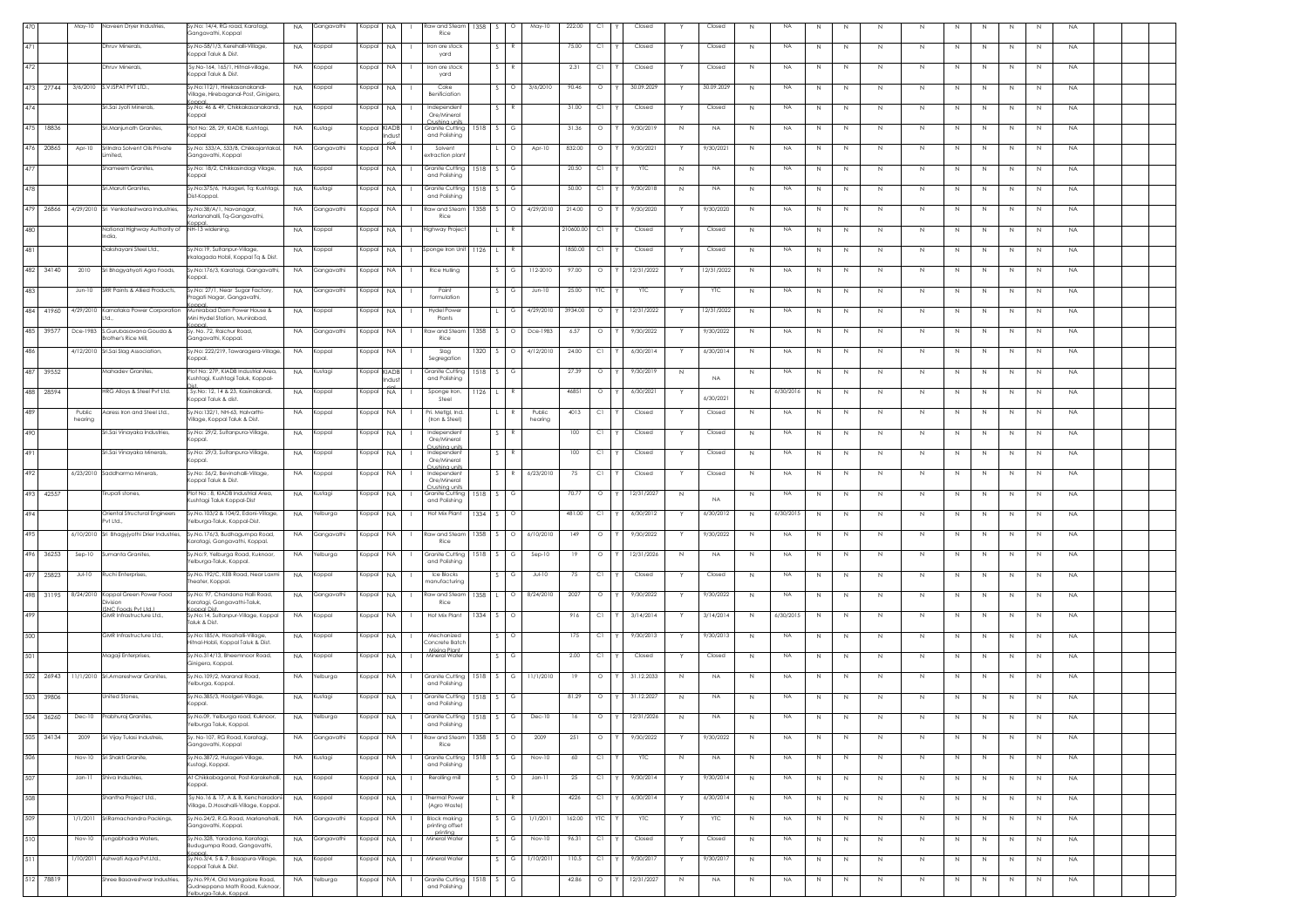|     |           | May-10            | Naveen Dryer Industries,                                   | Sy.No: 14/4, RG road, Karatagi,<br>Gangavathi, Koppal                      | <b>NA</b> | Gangavathi | Koppal       | NA           | Raw and Steam<br>Rice                              | 1358       | $\sim$ | $\circ$      | May-10            | 222.00    | C1         | Closed     |             | Closed     | $\,N\,$      | NA        | $\mathbb N$ | N | $\,N\,$     | $\,N\,$     | N            | N           | N            | $\,N\,$        | <b>NA</b>   |  |
|-----|-----------|-------------------|------------------------------------------------------------|----------------------------------------------------------------------------|-----------|------------|--------------|--------------|----------------------------------------------------|------------|--------|--------------|-------------------|-----------|------------|------------|-------------|------------|--------------|-----------|-------------|---|-------------|-------------|--------------|-------------|--------------|----------------|-------------|--|
| 471 |           |                   | <b>Dhruv Minerals</b>                                      | Sv.No-58/1/3, Kerehalli-Village<br>Koppal Taluk & Dist.                    | <b>NA</b> | Koppal     | Koppal       | <b>NA</b>    | Iron ore stock<br>yard                             |            |        |              |                   | 75.00     | C1         | Closed     |             | Closed     | N            | <b>NA</b> | N           | N | N           | N           | N.           | N           | N            | N              | <b>NA</b>   |  |
| 472 |           |                   | Dhruv Minerals                                             | Sy.No-164, 165/1, Hitnal-village,<br>Koppal Taluk & Dist.                  | <b>NA</b> | Koppal     | Koppal       | <b>NA</b>    | Iron ore stoc<br>yard                              |            |        |              |                   | 2.31      | C1         | Closed     |             | Closed     | N            | NA        | N           | N | N.          | N           |              |             |              | N              | <b>NA</b>   |  |
|     | 473 27744 |                   | 3/6/2010 S.V.ISPAT PVT LTD.,                               | Sy.No:112/1, Hirekasanakandi-<br>Village, Hirebaganal-Post, Ginigera       | <b>NA</b> | Koppal     | Koppal       | <b>NA</b>    | Coke<br>Benificiation                              |            |        |              | 3/6/2010          | 90.46     | $\circ$    | 30.09.2029 |             | 30.09.2029 | N            | NA        | Ν           | N | N           | N           |              |             |              | N              | <b>NA</b>   |  |
| 474 |           |                   | Sri.Sai Jvoti Minerals.                                    | Sv.No: 46 & 49. Chikkakasanakandi.<br>Koppal                               | <b>NA</b> | Koppal     | Koppal       | <b>NA</b>    | Independen<br>Ore/Mineral                          |            |        |              |                   | 31.00     | C1         | Closed     |             | Closed     | N            | NA        | $\mathbb N$ | N | N           | N           | N            | N           | N            | N              | <b>NA</b>   |  |
|     | 475 18836 |                   | Sri.Manjunath Granites                                     | Plot No: 28, 29, KIADB, Kushtagi,<br>Koppal                                | <b>NA</b> | Kustagi    | Koppal KIADE | ıdı K        | Crushing units<br>Granite Cutting<br>and Polishing | $1518$ S   |        | G            |                   | 31.36     | $\circ$    | 9/30/2019  | N           | <b>NA</b>  | N            | NA        | N           | N | N           | N.          | N            | N           | N            | N              | <b>NA</b>   |  |
|     | 476 20865 | Apr-10            | SriIndra Solvent Oils Private<br>mited,                    | Sy.No: 533/A, 533/B, Chikkajantakal<br>Gangavathi, Koppal                  | <b>NA</b> | Gangavathi | Koppal       | NA           | Solvent<br>xtraction plan                          |            |        |              | Apr-10            | 832.00    | $\circ$    | 9/30/2021  |             | 7/30/202   | N            | <b>NA</b> | N           | N | N           | N           |              | N.          | N            | N              | <b>NA</b>   |  |
| 477 |           |                   | Shameem Granites                                           | Sy.No: 18/2, Chikkasindagi Vilage,<br>Koppal                               | <b>NA</b> | oppal)     | Koppal       | NA           | Granite Cutting<br>and Polishing                   | 1518       |        | G            |                   | 20.50     | C1         | YTC        | N           | <b>NA</b>  | $\mathbb{N}$ | NA        | $\mathbb N$ | N | $\mathbb N$ | N           | N            | $\mathbb N$ | N            | $\overline{N}$ | <b>NA</b>   |  |
| 478 |           |                   | Sri.Maruti Granites                                        | Sy.No:375/6, Hulageri, Tq: Kushtagi,                                       | NA        | Kustagi    | Koppal       | NA           | Granite Cuttina                                    | 1518       |        |              |                   | 50.00     | C1         | 9/30/2018  | N           | <b>NA</b>  | N            | NA        | N           | N | N           | N           |              | N           | N            | N              | $_{\sf NA}$ |  |
| 479 | 26866     |                   | 4/29/2010 Sri Venkateshwara Industries,                    | Dist-Koppal.<br>Sy.No:38/A/1, Navanagar,                                   | NA        | Gangavathi | Koppal       | <b>NA</b>    | and Polishing<br>ow and Stean!                     | 1358       |        | Ο            | 4/29/2010         | 214.00    | $\circ$    | 9/30/2020  |             | 9/30/2020  | N            | <b>NA</b> | N           | N | N           | N           |              | N           | N            | N              | <b>NA</b>   |  |
| 480 |           |                   | National Highway Authority of                              | Marlanahalli, Tq-Gangavathi,<br><b>Inno</b><br>NH-13 widening,             | <b>NA</b> | Koppal     | Koppal       | <b>NA</b>    | Rice<br>lighway Projec                             |            |        |              |                   | 210600.00 | C1         | Closed     |             | Closed     | N            | NA        | N           | N | Ν           | N           |              | Ν           | N            | N              | <b>NA</b>   |  |
| 481 |           |                   | ndia,<br>Dakshayani Steel Ltd.,                            | Sy.No:19, Sultanpur-Village,                                               | NA        | Koppal     | Koppal NA    |              | Sponge Iron Unit                                   | $1126$ L   |        |              |                   | 1850.00   | C1         | Closed     |             | Closed     | N            | NA        | N           | N | N           | N           | N            | $\,N$       | N            | N              | <b>NA</b>   |  |
| 482 | 34140     | 2010              | Sri Bhagyahyoti Agro Foods,                                | Irkalagada Hobli, Koppal Tq & Dist.<br>Sy.No:176/3, Karatagi, Gangavathi,  | <b>NA</b> | Gangavathi | Koppal       | <b>NA</b>    | Rice Hulling                                       |            | S.     | G            | 112-2010          | 97.00     | $\circ$    | 12/31/2022 | Y           | 2/31/2022  | N            | NA.       | N           | N | N           | N           | N.           | N           | N            | N              | <b>NA</b>   |  |
| 483 |           | $Jun-10$          | SRR Paints & Allied Products,                              | Koppal.<br>Sy.No: 27/1, Near Sugar Factory,                                | <b>NA</b> | Gangavathi | Koppal       | NA           | Pain                                               |            |        |              | $Jun-10$          | 25.00     | YTC        | <b>YTC</b> |             | <b>YTC</b> | N            | NA        | N           | N | -N          | N           |              |             |              | N              | <b>NA</b>   |  |
|     | 484 41960 |                   | 4/29/2010 Karnataka Power Corporation                      | Pragati Nagar, Gangavathi,<br>oppal.<br>Munirabad Dam Power House &        | <b>NA</b> | Koppal     | Koppal       | <b>NA</b>    | formulation<br><b>Hydel Powe</b>                   |            |        |              | 4/29/2010         | 3934.00   | $\circ$    | 12/31/2022 |             | 12/31/2022 | N            | NA        | Ν           | N | $\mathbb N$ | N           |              |             |              | N              | <b>NA</b>   |  |
|     | 485 39577 |                   | Dce-1983 S.Gurubasavana Gouda &                            | Mini Hydel Station, Munirabad,<br>Sv. No. 72. Raichur Road.                | <b>NA</b> | Gangavathi | Koppal       | <b>NA</b>    | Plants<br>Raw and Steam                            | 1358       | -S -   | $\circ$      | Dce-1983          | 6.57      | $\circ$    | 9/30/2022  |             | 9/30/2022  | N            | NA        | N           | N | N           | N           |              | N           | N            | N              | <b>NA</b>   |  |
| 486 |           |                   | rother's Rice Mill.<br>4/12/2010 Sri.Sai Slag Association, | Gangavathi, Koppal.<br>Sy.No: 222/219, Tawaragera-Village,                 | <b>NA</b> | Koppal     | Koppal       | <b>NA</b>    | Rice<br>Slag                                       | 1320       |        | $\circ$      | 4/12/2010         | 24.00     | C1         | 6/30/2014  |             | 6/30/2014  | N            | <b>NA</b> | $\mathbb N$ |   | N           | N.          |              |             | N            |                | <b>NA</b>   |  |
|     |           |                   |                                                            | Koppal.<br>Plot No: 27P, KIADB Industrial Area,                            |           |            |              |              | Segregation                                        |            |        |              |                   |           | $\circ$    |            |             |            |              |           |             | N |             |             |              | N           |              | N              |             |  |
|     | 487 39552 |                   | Mahadev Granites,                                          | Kushtagi, Kushtagi Taluk, Koppal-                                          | <b>NA</b> | lustagi    | Koppal       | KIADE<br>ıdu | Granite Cutting<br>and Polishing                   | 1518       |        |              |                   | 27.39     |            | 9/30/2019  | N           | <b>NA</b>  | N            | <b>NA</b> | N           | N | N           | N           | N.           | N           | N            | N              | <b>NA</b>   |  |
|     | 488 28594 |                   | HRG Alloys & Steel Pvt Ltd.                                | , Sy.No: 12, 14 & 23, Kasinakandi,<br>Koppal Taluk & dist.                 | <b>NA</b> | Koppal     | Koppal       | NA           | Sponge Iron,<br>Steel                              | 1126       |        |              |                   | 46851     | $\circ$    | 6/30/2021  |             | 6/30/2021  | N            | 6/30/2016 | $\mathbb N$ | N | $\mathbb N$ | N           | N            | $\mathbb N$ | N            | N              | <b>NA</b>   |  |
| 489 |           | Public<br>hearing | Aaress Iron and Steel Ltd.,                                | Sv.No:132/1. NH-63. Halvarthi-<br>Village, Koppal Taluk & Dist.            | NA        | Koppal     | Koppal       | <b>NA</b>    | Pri, Metlal, Ind.<br>(Iron & Steel)                |            |        |              | Public<br>hearing | 4013      | C1         | Closed     |             | Closed     | N            | <b>NA</b> | N           | N | N           | N.          |              | N           | -N           | N              | <b>NA</b>   |  |
| 490 |           |                   | Sri.Sai Vinayaka Industries,                               | Sy.No: 29/2, Sultanpura-Village,<br>Koppal.                                | <b>NA</b> | Koppal     | Koppal       | NA           | Independen<br>Ore/Mineral<br>Crushina units        |            |        |              |                   | 100       | C1         | Closed     |             | Closed     | N            | NA        | N           | N | N           | N           |              |             | N            | N              | <b>NA</b>   |  |
| 491 |           |                   | Sri.Sai Vinayaka Minerals,                                 | Sy.No: 29/3, Sultanpura-Village<br>Koppal.                                 | <b>NA</b> | Koppal     | Koppal       | <b>NA</b>    | Independent<br>Ore/Mineral<br>Crushina unit        |            |        |              |                   | 100       | C1         | Closed     |             | Closed     | N            | <b>NA</b> | $\mathbb N$ | N | $\mathbb N$ | N           | N            | N           | N            | N              | <b>NA</b>   |  |
| 492 |           |                   | 6/23/2010 Saddharma Minerals,                              | Sy.No: 56/2, Bevinahalli-Village,<br>Koppal Taluk & Dist.                  | <b>NA</b> | Koppal     | Koppal NA    |              | Independent<br>Ore/Mineral<br>trushina unit        |            |        |              | 6/23/2010         | 75        | C1         | Closed     |             | Closed     | N            | NA        | N           | N | $\mathbb N$ | N           | N            | $\mathbb N$ | N            | N              | NA.         |  |
|     | 493 42557 |                   | Tirupati stones,                                           | Plot No: 8, KIADB Industrial Area,<br>Kushtagi Taluk Koppal-Dist           | <b>NA</b> | Kustagi    | Koppal       | <b>NA</b>    | Granite Cutting<br>and Polishing                   | 1518       | S.     |              |                   | 70.77     | $\circ$    | 12/31/202  | N.          | NA.        | N            | NA        | N           | N | N           | N.          |              | -N          | -N           | N              | <b>NA</b>   |  |
| 494 |           |                   | Oriental Structural Engineers<br>Pvt Ltd.,                 | Sy.No.103/2 & 104/2, Edoni-Village,<br>elburga-Taluk, Koppal-Dist.         | <b>NA</b> | Yelburga   | Koppal       | <b>NA</b>    | Hot Mix Plant                                      | 1334       |        |              |                   | 481.00    | C1         | 6/30/2012  |             | 6/30/2012  | N            | 6/30/2015 | N           | N | N           | $\mathbb N$ |              |             |              | N              | <b>NA</b>   |  |
| 495 |           |                   | 6/10/2010 Sri Bhagyjyothi Drier Industries,                | Sy.No.176/3, Budhagumpa Road,<br>Karatagi, Gangavathi, Koppal.             | <b>NA</b> | Gangavathi | Koppal       | <b>NA</b>    | <b>Raw and Stear</b><br>Rice                       | 1358       |        | $\Omega$     | 6/10/2010         | 149       | $\circ$    | 9/30/2022  |             | 9/30/2022  | N            | NA        | N           | N | $\mathbb N$ | N           |              | $\mathbb N$ | N            | N              | <b>NA</b>   |  |
|     | 496 36253 | $Sep-10$          | Sumanta Granites                                           | Sy.No:9, Yelburga Road, Kuknoor,<br>'elburga-Taluk, Koppal.                | <b>NA</b> | Yelburga   | Koppal       | <b>NA</b>    | Granite Cuttina<br>and Polishing                   | 1518       | S.     | G            | $Sep-10$          | 19        | $\circ$    | 12/31/2026 | N           | <b>NA</b>  | N            | <b>NA</b> | N           | N | N           | N           | N            | N           | N            | N              | <b>NA</b>   |  |
|     | 497 25823 | $Jul-10$          | Ruchi Enterprises                                          | Sy.No.192/C, KEB Road, Near Laxmi<br>heater, Koppal.                       | <b>NA</b> | Koppal     | Koppal       | <b>NA</b>    | Ice Blocks<br>nanufacturing                        |            |        | G            | $Jul-10$          | 75        | C1         | Closed     | Y           | Closed     | N            | <b>NA</b> | $\mathbb N$ | N | N           | N           | N            | N           | N            | N              | <b>NA</b>   |  |
|     | 498 31195 |                   | 8/24/2010 Koppal Green Power Food<br>Division              | Sy.No: 97, Chandana Halli Road,<br>Karatagi, Gangavathi-Taluk,             | NA        | Gangavathi | Koppal       | <b>NA</b>    | <b>Raw and Ster</b><br>Rice                        | 1358       |        | $\circ$      | 8/24/2010         | 2027      | $\circ$    | 9/30/2022  |             | 9/30/2022  | N            | NA        | N           | N | N           | N           | N            | $\mathbb N$ | N            | N              | <b>NA</b>   |  |
| 499 |           |                   | <b>ISNC Foods Pvt Ltd.</b><br>GMR Infrastructure Ltd       | oppal Dist.<br>Sy.No:14, Sultanpur-Village, Koppal<br>Taluk & Dist.        | <b>NA</b> | Koppal     | Koppal       | <b>NA</b>    | Hot Mix Plant                                      | $1334$ S   |        | $\circ$      |                   | 916       | C1         | 3/14/2014  |             | 3/14/2014  | N            | 6/30/2015 | N           | N | N           | N           |              | N           | N            | N              | <b>NA</b>   |  |
| 500 |           |                   | GMR Infrastructure Ltd.,                                   | Sy.No:185/A, Hosahalli-Village,<br>Hitnal-Hobli, Koppal Taluk & Dist       | <b>NA</b> | Koppal     | Koppal       | <b>NA</b>    | Mechanized<br>Concrete Batcl                       |            |        |              |                   | 175       | C1         | 9/30/2013  |             | 9/30/2013  | N            | <b>NA</b> | N           | N | -N          | N.          |              | N           | -N           | N              | <b>NA</b>   |  |
| 501 |           |                   | Magaji Enterprises,                                        | Sy.No.314/13, Bheemnoor Road,<br>Ginigera, Koppal.                         | <b>NA</b> | Koppal     | Koppal       | <b>NA</b>    | Mixing Plant<br>Mineral Water                      |            |        |              |                   | 2.00      | C1         | Closed     |             | Closed     | N            | NA        | N           | N | N           | N           |              | N.          | N            | N              | <b>NA</b>   |  |
| 502 | 26943     |                   | 11/1/2010 Sri.Amareshwar Granites,                         | Sy.No.109/2, Maranal Road,<br>'elburga, Koppal.                            | <b>NA</b> | Yelburga   | Koppal       | <b>NA</b>    | Granite Cutting<br>and Polishing                   | 1518 S     |        | G            | 11/1/2010         | 19        | $\circ$    | 31.12.2033 | N           | <b>NA</b>  | N            | <b>NA</b> | $\mathbb N$ | N | $\mathbb N$ | N           |              | $\mathbb N$ | N            | $\overline{N}$ | <b>NA</b>   |  |
|     | 503 39806 |                   | <b>United Stones</b>                                       | Sy.No.385/3, Hoolgeri-Village,<br>Koppal.                                  | <b>NA</b> | Kustagi    | Koppal NA    |              | Granite Cutting<br>and Polishing                   | $1518$ S   |        | G            |                   | 81.29     | $\circ$    | 31.12.2027 | N           | NA.        | N            | NA        | N           | N | $\mathbb N$ | N           | N            | $\mathbb N$ | N            | N              | <b>NA</b>   |  |
|     | 504 36260 |                   | Dec-10 Prabhuraj Granites,                                 | Sy.No.09, Yelburga road, Kuknoor,<br>elburga Taluk, Koppal.                | <b>NA</b> | Yelburga   | Koppal NA    |              | Granite Cutting 1518 S<br>and Polishing            |            |        | $\mathbb{G}$ | $Dec-10$          | 16        | $\circ$    | 12/31/2026 | N           | NA.        | N            | NA        | N           | N | N           | N           | N            | N           | N            | N              | <b>NA</b>   |  |
|     | 505 34134 | 2009              | Sri Vijay Tulasi Industreis,                               | Sy. No-107, RG Road, Karatagi,<br>Gangavathi, Koppal                       | <b>NA</b> | Gangavathi | Koppal       | <b>NA</b>    | Raw and Steam<br>Rice                              | $1358$ $S$ |        | $\circ$      | 2009              | 251       | $\circ$    | 9/30/2022  | Y           | 9/30/2022  | N            | <b>NA</b> | $\mathbb N$ | N | N           | N           | $\mathbb{N}$ | $\mathbb N$ | $\mathbb{N}$ | $\,N\,$        | <b>NA</b>   |  |
| 506 |           |                   | Nov-10 Sri Shakti Granite                                  | Sy.No.387/2, Hulageri-Village,<br>Kustagi, Koppal.                         | <b>NA</b> | Kustagi    | Koppal       | <b>NA</b>    | Granite Cutting<br>and Polishing                   | 1518       |        | G            | Nov-10            | 60        | C1         | YTC        | N           | <b>NA</b>  | $\,N\,$      | <b>NA</b> | $\mathbb N$ | N | N           | $\,N\,$     | N            | N           | N            | N              | <b>NA</b>   |  |
| 507 |           | $Jan-11$          | Shiva Indsutries,                                          | At Chikkabaganal, Post-Karakehalli,<br>Koppal.                             | <b>NA</b> | Koppal     | Koppal       | <b>NA</b>    | Rerolling mill                                     |            |        | Ο            | $Jan-11$          | 25        | C1         | 9/30/2014  |             | 9/30/2014  | N            | <b>NA</b> | N           | N | N           | N.          | N.           | N           | N            | N              | <b>NA</b>   |  |
| 508 |           |                   | Shantha Project Ltd.,                                      | Sy.No.16 & 17, A & B, Kencharadoni<br>Village, D.Hosahalli-Village, Koppal | <b>NA</b> | Koppal     | Koppal       | NA           | Thermal Power<br>(Agro Waste)                      |            |        |              |                   | 4226      | C1         | 6/30/2014  |             | 6/30/2014  | $\,N\,$      | <b>NA</b> | $\mathbb N$ | N | $\mathbb N$ | $\,N\,$     |              | $\mathbb N$ | N            | $\,N\,$        | <b>NA</b>   |  |
| 509 |           | 1/1/2011          | SriRamachandra Packings,                                   | Sy.No.24/2, R.G.Road, Marlanahalli,                                        | <b>NA</b> | Gangavathi | Koppal NA    |              | <b>Block making</b>                                |            |        | G            | 1/1/2011          | 162.00    | <b>YTC</b> | <b>YTC</b> |             | YTC        | $\,N\,$      | NA        | N           | N | N           | $\,N\,$     | N            | $\,N$       | N            | N              | <b>NA</b>   |  |
| 510 |           | Nov-10            | Tungabhadra Waters,                                        | Gangavathi, Koppal.<br>Sy.No.328, Yaradona, Karatagi,                      | <b>NA</b> | Gangavathi | Koppal       | <b>NA</b>    | printing offset<br>printing<br>Mineral Water       |            | $\sim$ | G            | Nov-10            | 96.31     | C1         | Closed     | Y           | Closed     | N            | NA        | N           | N | N           | N           | N            | N           | N            | N              | <b>NA</b>   |  |
| 511 |           |                   | 1/10/2011 Ashwati Aqua Pvt.Ltd.,                           | Budugumpa Road, Gangavathi,<br>Sy.No.3/4, 5 & 7, Basapura-Village,         | <b>NA</b> | Koppal     | Koppal       | <b>NA</b>    | Mineral Water                                      |            |        |              | 1/10/2011         | 110.5     | C1         | 9/30/2017  |             | 9/30/2017  | N            | <b>NA</b> | N           | N | N           | N.          | N.           | N           | N            | N              | <b>NA</b>   |  |
|     | 512 78819 |                   | Shree Basaveshwar Industries,                              | Koppal Taluk & Dist.<br>Sy.No.99/4, Old Mangalore Road,                    | <b>NA</b> | Yelburga   | Koppal       | <b>NA</b>    | Granite Cutting                                    | 1518       |        | G            |                   | 42.86     | $\circ$    | 12/31/2027 | $\mathbb N$ | NA.        | $\,N\,$      | NA        | $\mathbb N$ | N | N           | $\,N\,$     | N            | N           | N            | N              | <b>NA</b>   |  |
|     |           |                   |                                                            | Gudneppana Math Road, Kuknoor<br>n-Taluk Ko                                |           |            |              |              | and Polishing                                      |            |        |              |                   |           |            |            |             |            |              |           |             |   |             |             |              |             |              |                |             |  |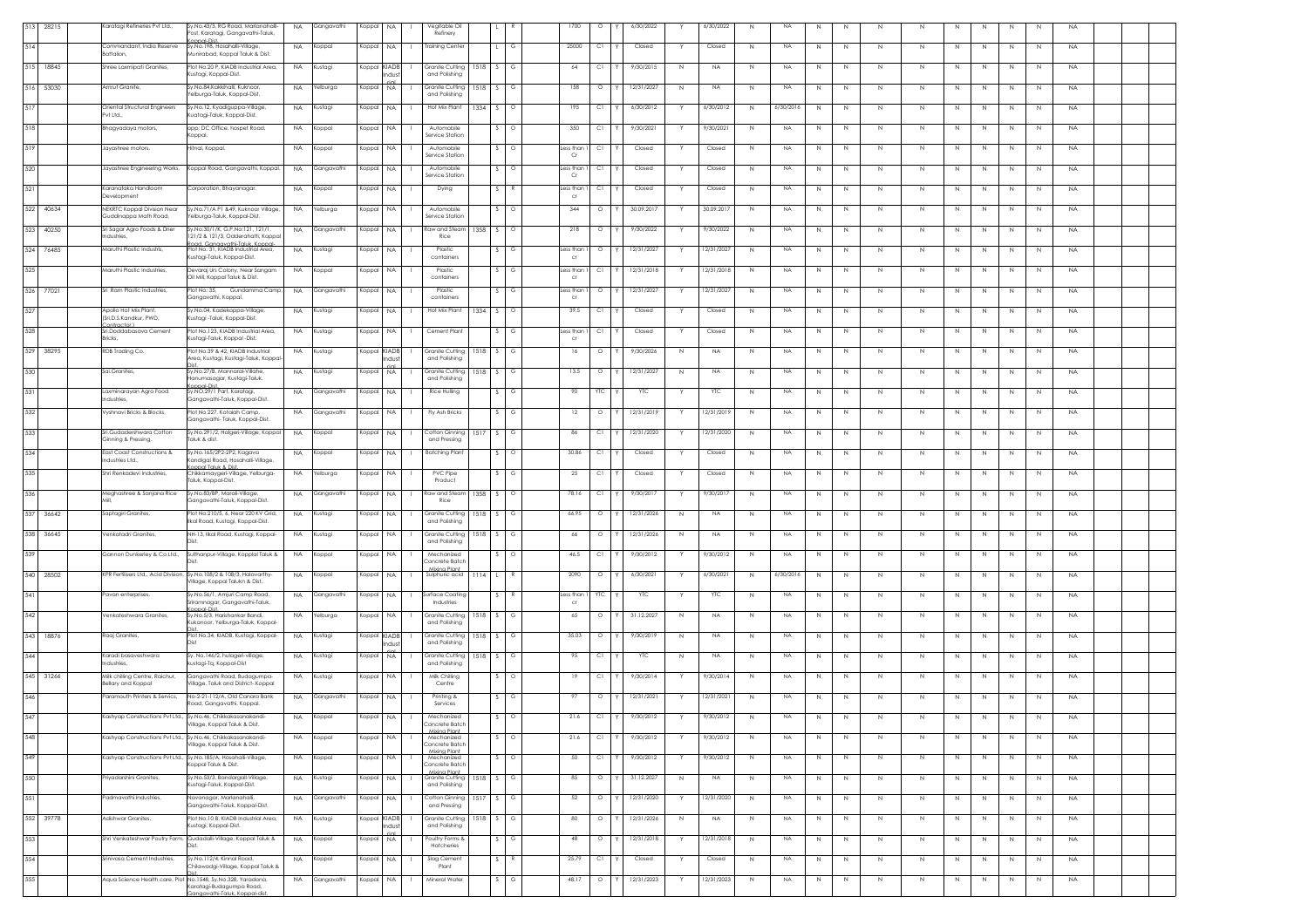|     | 513 28215 | Karatagi Refineries Pvt Ltd.,                                   | Sy.No.43/3, RG Road, Marlanahalli-<br>Post, Karatagi, Gangavathi-Taluk,                                 | <b>NA</b> | Gangavathi | Koppal       | <b>NA</b>  | Vegitable Oil<br>Refinery                        |            |              |          | 1700                       | $\circ$    | 6/30/2022  |             | 6/30/2022  | N            | NA        | N           | N |             |              |    |             |    | N              | <b>NA</b>   |  |
|-----|-----------|-----------------------------------------------------------------|---------------------------------------------------------------------------------------------------------|-----------|------------|--------------|------------|--------------------------------------------------|------------|--------------|----------|----------------------------|------------|------------|-------------|------------|--------------|-----------|-------------|---|-------------|--------------|----|-------------|----|----------------|-------------|--|
| 514 |           | Commandant, India Reserve<br>Battalion.                         | And-Inano<br>Sv.No.198. Hosahalli-Village.<br>Munirabad, Koppal Taluk & Dist.                           | <b>NA</b> | Koppal     | Koppal NA    |            | <b>Training Cente</b>                            |            | $\mathbf{1}$ | G        | 25000                      | C1         | Closed     |             | Closed     | N            | <b>NA</b> | N           | N | N           | N            | N. | N           | N  | N              | <b>NA</b>   |  |
|     | 515 18845 | Shree Laxmipati Granites,                                       | Plot No.20 P, KIADB Industrial Area,<br>Kustagi, Koppal-Dist.                                           | <b>NA</b> | Kustagi    | Koppal KIADB | hdus       | Granite Cutting<br>and Polishing                 | 1518       | S.           | G        | 64                         | C1         | 9/30/2015  | N           | <b>NA</b>  | N            | <b>NA</b> | N           | N | N           | N            |    |             |    | N              | <b>NA</b>   |  |
|     | 516 53030 | Amrut Granite,                                                  | Sy.No.84,Kakkihalli, Kuknoor,<br>elburga-Taluk, Koppal-Dist.                                            | <b>NA</b> | Yelburga   | Koppal NA    |            | Granite Cutting<br>and Polishing                 | 1518 S     |              | G        | 158                        | $\circ$    | 12/31/2027 | N           | <b>NA</b>  | N            | <b>NA</b> | $\mathbb N$ | N | $\mathbb N$ | N            | N  | N           | N  | N              | <b>NA</b>   |  |
| 517 |           | Oriental Structural Engineers<br>Pvt Ltd.,                      | Sy.No.12, Kyadiguppa-Village,<br>Kuatagi-Taluk, Koppal-Dist.                                            | <b>NA</b> | Kustagi    | Koppal NA    |            | Hot Mix Plant                                    | $1334$ S   |              | $\circ$  | 195                        | C1         | 6/30/2012  |             | 6/30/2012  | N            | 6/30/201  | N           | N | $\,N$       | N            | N  | $\,N$       | N  | N              | <b>NA</b>   |  |
| 518 |           | Bhagyadaya motors,                                              | opp: DC Office, hospet Road,<br>Koppal.                                                                 | <b>NA</b> | Koppal     | Koppal       | <b>NA</b>  | Automobile<br>Service Station                    |            | S.           |          | 350                        | C1         | 9/30/2021  | Y           | 7/30/202   | N            | NA        | N           | N | N           | N.           | N. | -N          | -N | N              | <b>NA</b>   |  |
| 519 |           | Jayashree motors                                                | Hitnal, Koppal.                                                                                         | <b>NA</b> | Koppal     | Koppal       | NA         | Automobile<br>Service Station                    |            |              |          | ess than.<br>Cr            | C1         | Closed     |             | Closed     | N            | NA        | N           | N | N           | $\mathbb N$  |    |             |    | N              | <b>NA</b>   |  |
| 520 |           | Jayashree Engineering Works,                                    | Koppal Road, Gangavathi, Koppal.                                                                        | <b>NA</b> | Gangavathi | Koppal       | <b>NA</b>  | Automobile<br>Service Station                    |            | $\sim$       | $\circ$  | ess than.<br>Cr            | C1         | Closed     |             | Closed     | $\,N\,$      | NA        | $\mathbb N$ | N | $\mathbb N$ | N            | N  | $\mathbb N$ | N  | N              | <b>NA</b>   |  |
| 521 |           | Karanataka Handloom<br>Development                              | Corporation, Bhayanagar.                                                                                | <b>NA</b> | Koppal     | Koppal       | <b>NA</b>  | Dying                                            |            | $S_{\perp}$  | - 8      | ess than<br>CF             | C1         | Closed     | Y           | Closed     | N            | <b>NA</b> | $\mathbb N$ | N | N           | N            | N  | N           | N  | N              | <b>NA</b>   |  |
|     | 522 40634 | NEKRTC Koppal Division Near<br>Guddinappa Math Road,            | Sy.No.71/A P1 &49, Kuknoor Village,<br>'elburga-Taluk, Koppal-Dist.                                     | <b>NA</b> | Yelburga   | Koppal       | <b>NA</b>  | Automobile<br>Service Station                    |            |              | $\circ$  | 344                        | $\circ$    | 30.09.2017 | Y           | 30.09.2017 | N            | <b>NA</b> | $\mathbb N$ | N | N           | N            | N  | N           | N  | N              | <b>NA</b>   |  |
|     | 523 40250 | Sri Sagar Agro Foods & Drier<br>ndustries,                      | Sy.No.30/1/K, G.P.No:121, 121/1,<br>121/2 & 121/3, Odderahatti, Koppa                                   | <b>NA</b> | Gangavathi | Koppal NA    |            | Raw and Steam<br>Rice                            | 1358 S     |              | $\circ$  | 218                        | $\circ$    | 9/30/2022  |             | 9/30/2022  | N            | NA        | N           | N | $\,N$       | N            | N  | N           | N  | N              | <b>NA</b>   |  |
|     | 524 76485 | Maruthi Plastic Industris.                                      | oad, Ganaavathi-Taluk, Koppal-<br>Plot No. 31, KIADB Industrial Area,                                   | <b>NA</b> | Kustagi    | Koppal       | <b>NA</b>  | Plastic<br>containers                            |            |              | G        | ess than.                  | $\circ$    | 12/31/2027 |             | 12/31/202  | N            | <b>NA</b> | N           | N | N           | N            | N  | N           | N  | N              | <b>NA</b>   |  |
| 525 |           | Maruthi Plastic Industries,                                     | Kustagi-Taluk, Koppal-Dist.<br>Devaraj Urs Colony, Near Sangam<br>Oil Mill, Koppal Taluk & Dist.        | <b>NA</b> | Koppal     | Koppal       | <b>NA</b>  | Plastic<br>containers                            |            |              |          | $\mathsf{cr}$<br>ess than  | C1         | 12/31/2018 |             | 12/31/2018 | N            | <b>NA</b> | N           | N | N           | N.           |    | N           | -N | N              | <b>NA</b>   |  |
|     | 526 77021 | Sri Ram Plastic Industries,                                     | Plot No: 35,<br>Gundamma Camp                                                                           | <b>NA</b> | Gangavathi | Koppal       | NA.        | Plastic                                          |            |              |          | CF<br>ess than             |            | 12/31/2027 |             | 2/31/2027  | $\mathbb{N}$ | NA        | N           | N | N           | N            |    | N.          | N  | N.             | <b>NA</b>   |  |
| 527 |           | Apollo Hot Mix Plant,                                           | Gangavathi, Koppal.<br>Sy.No.04, Kadekoppa-Village,                                                     | <b>NA</b> | Kustagi    | Koppal       | <b>NA</b>  | containers<br>Hot Mix Plant                      | 1334 S     |              | $\circ$  | CF<br>39.5                 | Сl         | Closed     |             | Closed     | $\,N\,$      | <b>NA</b> | $\mathbb N$ | N | $\mathbb N$ | N            | N  | $\mathbb N$ | N  | N              | <b>NA</b>   |  |
| 528 |           | [Sri.D.S.Kandkur, PWD,<br>ontractor.)<br>Sri.Doddabasava Cement | ustagi -Taluk, Koppal-Dist.<br>Plot No.123, KIADB Industrial Area,                                      | <b>NA</b> | Kustagi    | Koppal       | <b>NA</b>  | Cement Plant                                     |            |              |          | Less than                  | C1         | Closed     |             | Closed     | N            | NA        | N           | N | N           | N            | N  | $\,N$       | N  | N              | <b>NA</b>   |  |
|     | 529 38295 | Bricks.<br>RDB Trading Co.                                      | Kustagi-Taluk, Koppal -Dist.<br>Plot No.39 & 42, KIADB Industrial                                       | <b>NA</b> | Kustagi    | Koppal KIADE |            | Granite Cutting                                  | 1518       | S.           | G        | CF<br>16                   | $\circ$    | 9/30/2026  | N           | <b>NA</b>  | N            | NA        | N           | N | N           | N            | N. | N           | N  | N              | <b>NA</b>   |  |
| 530 |           | Sai.Granites,                                                   | Area, Kustaai, Kustaai-Taluk, Koppa<br>Sy.No.27/B, Mannaral-Villahe,                                    | <b>NA</b> | Kustagi    | Koppal       | ıdu.<br>NA | and Polishing<br>Granite Cutting                 | $1518$ $S$ |              | G        | 13.5                       | $\circ$    | 12/31/2027 | $\mathbb N$ | <b>NA</b>  | N            | <b>NA</b> | $\mathbb N$ | N | $\mathbb N$ | $\mathbb{N}$ |    | $\mathbb N$ | N  | $\mathbb{N}$   | $_{\sf NA}$ |  |
| 531 |           | Laxminarayan Agro Food                                          | Hanumasagar, Kustagi-Taluk,<br>.<br>Annal-Dist<br>Sy.NO.29/1 Part, Karatagi,                            | <b>NA</b> | Gangavathi | Koppal       | <b>NA</b>  | and Polishing<br>Rice Hulling                    |            |              | G        | 90                         | <b>YTC</b> | YTC        |             | YTC        | $\,N\,$      | NA        | N           | N | $\mathbb N$ | N            | N  | $\mathbb N$ | N  | $\mathbb{N}$   | <b>NA</b>   |  |
| 532 |           | Industries,<br>Vyshnavi Bricks & Blocks.                        | Gangavathi-Taluk, Koppal-Dist.<br>Plot No.227, Kotaiah Camp.                                            | <b>NA</b> | Gangavathi | Koppal       | NA         | Fly Ash Bricks                                   |            | $\mathsf{S}$ | G        | 12                         | $\circ$    | 12/31/2019 |             | 2/31/2019  | N            | NA        | N           | N | N           | N.           |    | N.          | N  | N              | <b>NA</b>   |  |
| 533 |           | Sri.Gudadershwara Cotton                                        | Gangavathi- Taluk, Koppal-Dist<br>Sy.No.291/2, Halgeri-Village, Koppal                                  | <b>NA</b> | Koppal     | Koppal       | <b>NA</b>  | Cotton Ginning                                   | $1517$ S   |              |          | 86                         | C1         | 12/31/2020 |             | 12/31/2020 | $\,N\,$      | <b>NA</b> | $\mathbb N$ | N | $\mathbb N$ | $\mathbb{N}$ |    | $\mathbb N$ | N  | $\mathbb{N}$   | <b>NA</b>   |  |
| 534 |           | Ginning & Pressing,<br>East Coast Constructions &               | Taluk & dist.<br>Sy.No.165/2P2-2P2, Kagava                                                              | <b>NA</b> | Koppal     | Koppal       | <b>NA</b>  | and Pressing<br><b>Batching Plant</b>            |            |              |          | 30.86                      | C1         | Closed     |             | Closed     | $\mathbb{N}$ | NA        | N           | N | N           | N            | N  | N           | N  | N              | <b>NA</b>   |  |
| 535 |           | industries Ltd.,<br>Shri Renkadevi Industries.                  | Kandigal Road, Hosahalli-Village,<br>pppal Taluk & Dist.<br>Chikkamaygeri-Village, Yelburga-            | <b>NA</b> | Yelburga   | Koppal       | <b>NA</b>  | <b>PVC Pipe</b>                                  |            |              | G        | -25                        | C1         | Closed     |             | Closed     | N            | NA        | N           | N | N           | N            | N  | N           | N  | N              | <b>NA</b>   |  |
| 536 |           | Meghashree & Sanjana Rice                                       | faluk, Koppal-Dist.<br>Sy.No.83/BP, Marali-Village,                                                     | <b>NA</b> | Gangavathi | Koppal       | <b>NA</b>  | Product<br>aw and Stean                          | 1358       | S            | $\circ$  | 78.16                      | C1         | 9/30/2017  |             | 9/30/2017  |              | NA        |             |   |             |              |    |             |    |                | <b>NA</b>   |  |
|     |           |                                                                 | Gangavathi-Taluk, Koppal-Dist.                                                                          |           |            |              |            | Rice                                             |            |              |          |                            |            |            |             |            | N            |           | N           | N | N           | N            |    | N           | -N | N              |             |  |
|     | 537 36642 | Saptagiri Granites,                                             | Plot No.210/5, 6, Near 220 KV Grid,<br>Ilkal Road, Kustagi, Koppal-Dist.                                | <b>NA</b> | Kustagi    | Koppal       | NA.        | Granite Cutting<br>and Polishing                 | 1518       |              |          | 66.95                      | $\circ$    | 12/31/2026 | N           | NA.        | N            | <b>NA</b> | N           | N | N           | N            |    |             | N  | N.             | <b>NA</b>   |  |
|     | 538 36645 | Venkatadri Granites,                                            | NH-13, Ilkal Road, Kustagi, Koppal-                                                                     | <b>NA</b> | Kustagi    | Koppal       | <b>NA</b>  | Granite Cutting<br>and Polishing                 | 1518 S     |              | G        | 66                         | $\circ$    | 12/31/2026 | N           | <b>NA</b>  | $\,N\,$      | NA        | $\mathbb N$ | N | N           | $\,N\,$      | N  | N           | N  | $\mathbb{N}$   | <b>NA</b>   |  |
| 539 |           | Gannon Dunkerley & Co.Ltd.,                                     | Sulthanpur-Village, Kopplal Taluk &                                                                     | <b>NA</b> | Koppal     | Koppal       | <b>NA</b>  | Mechanized<br>Concrete Batch<br>Mixing Plant     |            |              | $\Omega$ | 46.5                       | C1         | 9/30/2012  | Y           | 9/30/2012  | N            | NA        | N           | N | N           | N            | N  | $\mathbb N$ | N  | N              | <b>NA</b>   |  |
|     | 540 28502 |                                                                 | KPR Fertilisers Ltd., Acid Division, Sy.No.108/2 & 108/3, Halavarthy-<br>Village, Koppal Talukn & Dist. | <b>NA</b> | Koppal     | Koppal       | <b>NA</b>  | Sulphuric acid                                   | $1114$ L   |              |          | 2090                       | $\circ$    | 6/30/2021  | Y           | 6/30/2021  | N            | 6/30/2016 | N           | N | N           | N.           | N  | N           | N  | N              | <b>NA</b>   |  |
| 541 |           | Pavan enterprises,                                              | Sy.No.56/1, Amjuri Camp Road,<br>Sriramnagar, Gangavathi-Taluk,                                         | <b>NA</b> | Gangavathi | Koppal       | <b>NA</b>  | iurface Coatin<br>Industries                     |            |              |          | ess than.<br>$\mathsf{cr}$ | YTC        | YTC        |             | YTC        | N            | <b>NA</b> | N           | N | $\mathbb N$ | N            |    | $\mathbb N$ | N  | $\overline{N}$ | <b>NA</b>   |  |
| 542 |           | Venkateshwara Granites.                                         | Koppal-Dist.<br>Sy.No.5/3, Harishankar Bandi,<br>Kukanoor, Yelburga-Taluk, Koppal-                      | <b>NA</b> | Yelburga   | Koppal       | <b>NA</b>  | Granite Cuttina<br>and Polishing                 | 1518       |              | G        | 65                         | $\circ$    | 31.12.2027 | N           | <b>NA</b>  | N            | NA        | N           | N | N           | $\mathbb N$  |    | N           |    | N              | <b>NA</b>   |  |
|     | 543 18876 | Raaj Granites,                                                  | Plot No.34, KIADB, Kustagi, Koppal-                                                                     | <b>NA</b> | lustagi    | Koppal KIADE | dus        | <b>Granite Cutting</b><br>and Polishing          | 1518       | -S -         | G        | 35.03                      | $\circ$    | 9/30/2019  | N           | <b>NA</b>  | N            | NA        | N           | N | N           | N.           | N. | -N          | N  | N              | <b>NA</b>   |  |
| 544 |           | Karadi basaveshwara<br>ndustries,                               | Sy. No.146/2, hulageri-village,<br>kustagi-Tq, Koppal-Dist                                              | <b>NA</b> | Kustagi    | Koppal       | <b>NA</b>  | Granite Cutting<br>and Polishing                 | $1518$ S   |              |          | 95                         | C1         | YTC        | N           | <b>NA</b>  | N            | NA        | N           | N | N           | $\mathbb N$  |    | $\mathbb N$ | N  | $\mathbb{N}$   | <b>NA</b>   |  |
|     | 545 31266 | Milk chilling Centre, Raichur,<br>Bellary and Koppal            | Gangavathi Road, Budagumpa-<br>Village, Taluk and District- Koppal                                      | <b>NA</b> | Kustagi    | Koppal       | <b>NA</b>  | Milk Chilling<br>Centre                          |            |              | $\circ$  | 19                         | C1         | 9/30/2014  |             | 9/30/2014  | N            | NA        | N           | N | N           | N            | N  | Ν           | N  | $\mathbb{N}$   | <b>NA</b>   |  |
| 546 |           | Paramouth Printers & Servics.                                   | No-2-21-112/A. Old Canara Bank<br>Road, Gangavathi, Koppal.                                             | <b>NA</b> | Gangavathi | Koppal NA    |            | Printing &<br>Services                           |            | s I          | G        | 97                         | $\circ$    | 12/31/2021 | Y           | 12/31/202  | N            | NA.       | N           | N | N           | N.           | N  | N           | N  | N              | <b>NA</b>   |  |
| 547 |           |                                                                 | Sv.No.46. Chikkakasanakandi<br>Village, Koppal Taluk & Dist.                                            | NA.       |            | Koppal NA    |            | Concrete Batch                                   |            |              |          |                            |            | 9/30/2012  |             | 9/30/20    |              | <b>NA</b> |             |   |             |              |    |             |    |                |             |  |
| 548 |           |                                                                 | Kashyap Constructions Pvt Ltd., Sy.No.46, Chikkakasanakandi-<br>Village, Koppal Taluk & Dist.           | <b>NA</b> | Koppal     | Koppal       | NA         | Mixing Plant<br>Mechanized<br>Concrete Batch     |            |              | $\circ$  | 21.6                       | C1         | 9/30/2012  |             | 9/30/2012  | $\,N\,$      | <b>NA</b> | $\mathbb N$ | N | N           | $\mathbb N$  | N  | N           | N  | N              | <b>NA</b>   |  |
| 549 |           |                                                                 | Kashyap Constructions Pvt Ltd., Sy.No.185/A, Hosahalli-Village,<br>oppal Taluk & Dist.                  | <b>NA</b> | Koppal     | Koppal       | <b>NA</b>  | Mixing Plant<br>Mechanized<br>Concrete Batch     |            |              | $\circ$  | 50                         | C1         | 9/30/2012  |             | 9/30/2012  | $\,N\,$      | <b>NA</b> | $\mathbb N$ | N | N           | $\,N\,$      | N  | N           | N  | $\mathbb{N}$   | <b>NA</b>   |  |
| 550 |           | Priyadarshini Granites,                                         | Sy.No.53/3, Bandargall-Village,<br>Kustagi-Taluk, Koppal-Dist.                                          | <b>NA</b> | Kustagi    | Koppal       | <b>NA</b>  | Mixing Plant<br>Granite Cutting<br>and Polishing | 1518 S     |              | G        | 85                         | $\circ$    | 31.12.2027 | N           | <b>NA</b>  | N            | <b>NA</b> | N           | N | N           | N            | N  | N           | N  | N              | <b>NA</b>   |  |
| 551 |           | admavathi Industries,                                           | Navanagar, Marlanahalli,<br>Gangavathi-Taluk, Koppal-Dist.                                              | <b>NA</b> | Gangavathi | Koppal       | <b>NA</b>  | Cotton Ginning<br>and Pressing                   | 1517       |              |          | 52                         | $\circ$    | 12/31/2020 | Y           | 12/31/2020 | $\,N\,$      | <b>NA</b> | N           | N | N           | N            | N. | N           | N  | N              | <b>NA</b>   |  |
|     | 552 39778 | Adishwar Granites,                                              | Plot No.10 B, KIADB Industrial Area,<br>Kustagi, Koppal-Dist.                                           | <b>NA</b> | Kustagi    | Koppal KIADE | ndus       | Granite Cutting<br>and Polishing                 | 1518 S     |              | G        | 80                         | $\circ$    | 12/31/2026 | N           | NA.        | N            | NA        | $\mathbb N$ | N | $\mathbb N$ | N            | N  | N           | N  | N              | <b>NA</b>   |  |
| 553 |           |                                                                 | Shri Venkateshwar Poutry Form, Gudadalli-Village, Koppal Taluk &                                        | <b>NA</b> | Koppal     | Koppal       | <b>NA</b>  | Poultry Forms &<br>Hatcheries                    |            |              | G        | 48                         | $\circ$    | 12/31/2018 |             | 12/31/2018 | N            | <b>NA</b> | N           | N | N           | N            |    | N           | N  | N              | <b>NA</b>   |  |
| 554 |           | Srinivasa Cement Industries,                                    | Sy.No.112/4, Kinnal Road,<br>Chilawadgi-Village, Koppal Taluk &                                         | <b>NA</b> | Koppal     | Koppal       | <b>NA</b>  | Slag Cement<br>Plant                             |            | S.           |          | 25.79                      | C1         | Closed     |             | Closed     | N            | <b>NA</b> | N           | N | N           | N            | N. | N           | N  | N              | <b>NA</b>   |  |
| 555 |           |                                                                 | Aqua Science Health care, Plot No.1548, Sy.No.328, Yaradona,                                            | <b>NA</b> | Gangavathi | Koppal       | <b>NA</b>  | Mineral Water                                    |            |              | G        | 48.17                      | $\circ$    | 12/31/2023 |             | 12/31/2023 | N            | <b>NA</b> | $\mathbb N$ | N | $\mathbb N$ | $\mathbb N$  |    | $\mathbb N$ | N  | $\,N\,$        | <b>NA</b>   |  |
|     |           |                                                                 | Karatagi-Budagumpa Road,<br>ianaavathi-Taluk Koppal-dis                                                 |           |            |              |            |                                                  |            |              |          |                            |            |            |             |            |              |           |             |   |             |              |    |             |    |                |             |  |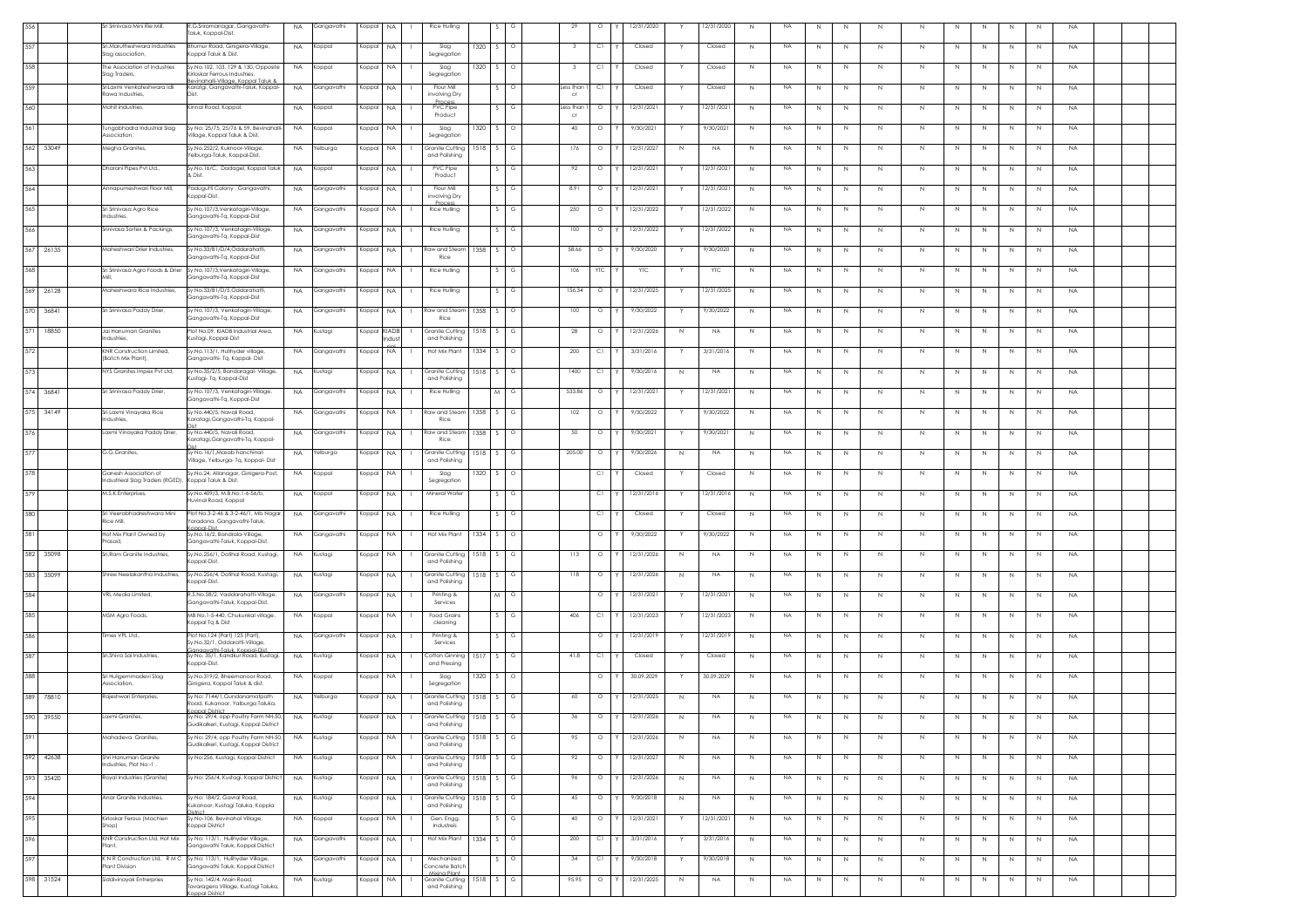|           |           | iri Srinivasa Mini Rie Mill,                             | G.Sriramanagar, Gangavathi-<br><b>NA</b><br>aluk, Koppal-Dist.                                                     | Gangavathi | Koppal | NA                 | Rice Hulling                                    |        |         | 29                | $\circ$ |   | 12/31/2020 |             | 2/31/2020   | N            | <b>NA</b> | N            | Ν           | N           | N           | N | N<br>N            | N            | <b>NA</b> |
|-----------|-----------|----------------------------------------------------------|--------------------------------------------------------------------------------------------------------------------|------------|--------|--------------------|-------------------------------------------------|--------|---------|-------------------|---------|---|------------|-------------|-------------|--------------|-----------|--------------|-------------|-------------|-------------|---|-------------------|--------------|-----------|
| 557       |           | Sri.Marutheshwara Industries<br>Slag association,        | Bhumur Road, Ginigera-Village,<br>NA.<br>oppal Taluk & Dist.                                                       | Koppal     | Koppal | NA.                | Slag<br>1320<br>Segregation                     | S.     | $\circ$ | $_{3}$            | C1      |   | Closed     |             | Closed      | N            | NA.       | N            | N           | N           | N           | N | N<br>N            | N            | <b>NA</b> |
| 558       |           | The Association of Industries<br>Slag Traders,           | Sy.No.102, 103, 129 & 130, Opposite<br><b>NA</b><br>Grinskar Ferrous Industries                                    | Koppal     | Koppal | NA.                | Slag<br>1320<br>Segregation                     |        | $\circ$ | - 3               | C1      |   | Closed     |             | Closed      | N            | NA        | N            | N           | N           | N           | N | N<br>N.           | N            | <b>NA</b> |
| 559       |           | riLaxmi Venkateshwara Idli<br>cawa Industries            | evinahalli-Village, Koppal Taluk &<br>Karatgi, Gangavathi-Taluk, Koppal<br><b>NA</b>                               | Gangavathi | Koppal | NA                 | Flour Mi<br>involving Dry                       |        |         | ess thar<br>Cf    | СI      |   | Closed     |             | Closed      | N            | NA        | N            | N           | N.          | N           | N | N<br>N            | N            | <b>NA</b> |
| 560       |           | Mohit industries,                                        | Kinnal Road, Koppal.<br>NA.                                                                                        | Koppal     | Koppal | NA                 | <b>Process</b><br>PVC Pipe                      |        | G       | Less than         | $\circ$ |   | 12/31/2021 |             | 12/31/2021  | N            | <b>NA</b> | N            | $\mathbb N$ | N           | N           | N | $\mathbb N$<br>N  | N            | <b>NA</b> |
| 561       |           | Tungabhadra Industrial Slag                              | Sv No: 25/75, 25/76 & 59, Bevinghalli-<br><b>NA</b>                                                                | Koppal     | Koppal | <b>NA</b>          | Product<br>Slag<br>1320                         | S.,    | $\circ$ | $_{\rm cr}$<br>40 | $\circ$ |   | 9/30/2021  |             | 9/30/2021   | N            | <b>NA</b> | N            | N           | N           | N           | N | N<br>N            | N            | <b>NA</b> |
| 562       | 53049     | ssociation,<br>Megha Granites,                           | 'illage, Koppal Taluk & Dist.<br>Sy.No.252/2, Kuknoor-Village,<br><b>NA</b>                                        | Yelburga   | Koppal | <b>NA</b>          | Segregation<br><b>Granite Cutting</b><br>1518   | S.     | G       | 176               | $\circ$ |   | 12/31/2027 | N           | <b>NA</b>   | N            | NA        | N            | N           | N           | N           | N | N<br>N            | N            | <b>NA</b> |
|           |           |                                                          | felburga-Taluk, Koppal-Dist.<br>Sy.No.16/C, Dadagel, Koppal Taluk                                                  |            |        | <b>NA</b>          | and Polishing<br>PVC Pipe                       |        | G       |                   | $\circ$ |   | 12/31/2021 |             | 2/31/2021   |              | NA        |              |             |             |             |   |                   |              |           |
| 563       |           | Dharani Pipes Pvt Ltd.,                                  | <b>NA</b><br>Dist.                                                                                                 | Koppal     | Koppal |                    | Product                                         |        |         | 92                |         |   |            |             |             | $\mathbb{N}$ |           | N            | N           | -N          | N           | N | N<br>N            | N            | <b>NA</b> |
| 564       |           | Annapurneshwari Floor Mill,                              | Padugutti Colony , Gangavathi,<br><b>NA</b><br>oppal-Dist.                                                         | Gangavathi | Koppal | NA.                | Flour Mill<br>involving Dry<br>Proces           |        | G       | 8.91              | $\circ$ |   | 12/31/2021 |             | 12/31/2021  | $\mathbb{N}$ | NA        | N            | $\mathbb N$ | N           | N           | N | $\mathbb N$<br>N  | $\mathbb{N}$ | <b>NA</b> |
| 565       |           | Sri Srinivasa Agro Rice<br>Industries,                   | Sy No.107/3,Venkatagiri-Village,<br><b>NA</b><br>Gangavathi-Tq, Koppal-Dist                                        | Gangavathi | Koppa  | NA.                | Rice Hulling                                    |        | G       | 250               | $\circ$ |   | 12/31/2022 |             | 2/31/2022   | N            | <b>NA</b> | N            | N           | N           | N           | N | $\mathbb N$<br>N  | N            | <b>NA</b> |
| 566       |           | Srinivasa Sortex & Packings,                             | Sy No.107/3, Venkatagiri-Village,<br><b>NA</b><br>Ganaavathi-Ta, Koppal-Dist                                       | Gangavathi | Koppal | NA                 | Rice Hulling                                    |        |         | 100               | $\circ$ |   | 12/31/2022 |             | 12/31/2022  | $\mathbb{N}$ | <b>NA</b> | N            | $\mathbb N$ | N           | N           | N | $\mathbb N$<br>N  | N            | <b>NA</b> |
| 567       | 26135     | Maheshwari Drier Industries,                             | Sy No.33/B1/D/4,Oddarahatti,<br><b>NA</b><br>angavathi-Tq, Koppal-Dist                                             | Gangavathi | Koppal | <b>NA</b>          | Raw and Steam<br>1358<br>Rice                   | $\sim$ | $\circ$ | 58.66             | $\circ$ |   | 9/30/2020  |             | 9/30/2020   | N            | NA        | N            | N           | N           | N           | N | $\mathbb N$<br>N  | N            | <b>NA</b> |
| 568       |           | Sri Srinivasa Agro Foods & Drier                         | Sv No.107/3, Venkatagiri-Village,<br><b>NA</b><br>angavathi-Tq, Koppal-Dist                                        | Gangavathi | Koppal | <b>NA</b>          | Rice Hulling                                    |        | G       | 106               | YTC     |   | <b>YTC</b> |             | YTC         | N            | <b>NA</b> | N            | $\mathbb N$ | N           | N           | N | N<br>N            | N            | <b>NA</b> |
|           | 569 26128 | Maheshwara Rice Industries,                              | Sy No.33/B1/D/5,Oddarahatti,<br>NA.<br>Gangavathi-Ta, Koppal-Dist                                                  | Gangavathi | Koppal | <b>NA</b>          | Rice Hulling                                    |        | G       | 156.34            | $\circ$ |   | 12/31/2025 |             | 12/31/2025  | N            | NA        | N            | N           | N           | N           | N | N<br>N.           | N            | <b>NA</b> |
| 570       | 36841     | iri Srinivasa Paddy Drier,                               | y No.107/3, Venkatagiri-Village,<br><b>NA</b>                                                                      | Gangavathi | Koppal | NA.                | Raw and Steam<br>1358                           |        |         | 100               | $\circ$ |   | 9/30/2022  |             | 9/30/2022   | N            | NA        | N            | N           | N           | N           | N | N<br>N            | N            | <b>NA</b> |
| 571       | 18850     | Jai Hanuman Granites                                     | Gangavathi-Tq, Koppal-Dist<br>Plot No.09, KIADB Industrial Area,<br>NA.                                            | Kustagi    | Koppal | <b>IADB</b>        | Rice<br>Granite Cutting<br>1518                 |        | G       | 28                | $\circ$ |   | 12/31/2026 | Ν           | <b>NA</b>   | $\mathbb{N}$ | <b>NA</b> | N            | $\mathbb N$ | N           | N           | N | $\mathbb N$<br>N  | N            | <b>NA</b> |
| 572       |           | dustries,<br>KNR Construction Limited                    | ustagi, Koppal-Dist<br>Sy.No.113/1, Hulihyder village<br><b>NA</b>                                                 | Gangavathi | Koppal | ndust<br><b>NA</b> | and Polishing<br>Hot Mix Plant<br>1334          | $\sim$ | $\circ$ | 200               | C1      |   | 3/31/2016  | Y           | 3/31/2016   | N            | <b>NA</b> | N            | N           | $\mathbb N$ | $\mathbb N$ | N | N<br>N            | N            | <b>NA</b> |
| 573       |           | 'Batch Mix Plant).<br>VYS Granites Impex Pvt Ltd,        | iangavathi- Tq, Koppal- Dist<br>Sy No.35/2/5, Bandaragal- Village,<br><b>NA</b>                                    | Kustagi    | Koppal | <b>NA</b>          | Granite Cutting<br>1518                         | S.     | G       | 1400              | C1      |   | 9/30/2016  | N           | <b>NA</b>   | N            | <b>NA</b> | N            | N           | N           | N           | N | N<br>N            | N            | <b>NA</b> |
| 574 36841 |           | Sri Srinivasa Paddy Drier                                | ustagi- Tq, Koppal-Dist<br>Sy No.107/3, Venkatagiri-Village,<br><b>NA</b>                                          | Gangavathi | Koppal | NA                 | and Polishing<br>Rice Hulling                   |        | G       | 533.86            | $\circ$ |   | 12/31/2021 |             | 12/31/2021  | N            | <b>NA</b> | N            | N           | N           | N           | N | $\mathbb{N}$<br>N | N            | <b>NA</b> |
|           | 575 34149 |                                                          | angavathi-Tq, Koppal-Dist                                                                                          |            |        |                    |                                                 |        |         |                   |         |   |            |             |             |              |           |              |             |             |             |   |                   |              |           |
|           |           | Sri Laxmi Vinayaka Rice<br>ndustries,                    | Sy No.440/5, Navali Road,<br><b>NA</b><br>aratagi,Gangavathi-Tq, Koppal-                                           | Gangavathi | Koppal | NA                 | Raw and Steam<br>1358<br>Rice                   |        | G       | 102               | $\circ$ |   | 9/30/2022  |             | 9/30/2022   | N            | NA        | N            | $\mathbb N$ | N           | N           | N | N<br>N.           | N            | <b>NA</b> |
| 576       |           | axmi Vinayaka Paddy Drier,                               | Sy No.440/5, Navali Road,<br><b>NA</b><br>aratagi,Gangavathi-Tq, Koppal-                                           | Gangavathi | Koppa  | NA.                | Raw and Stear<br>1358<br>Rice                   |        | $\circ$ | -50               | $\circ$ |   | 9/30/2021  |             | 7/30/202    | N            | NA        | N            | N           | N.          | N           | N | N<br>N            | N            | <b>NA</b> |
| 577       |           | G.G.Granites,                                            | Sy No.16/1, Masab hanchinal-<br><b>NA</b><br>'illage, Yelburga- Tq, Koppal- Dist                                   | Yelburga   | Koppal | NA.                | <b>Granite Cutting</b><br>1518<br>and Polishing |        |         | 205.00            | $\circ$ |   | 9/30/2026  | $\mathbb N$ | <b>NA</b>   | N            | <b>NA</b> | N            | $\mathbb N$ | N           | $\mathbb N$ | N | $\mathbb N$<br>N  | N            | <b>NA</b> |
| 578       |           | Ganesh Association of<br>ndustrieal Slag Traders (RGED), | iy.No.24, Allanagar, Ginigera-Post,<br><b>NA</b><br>Koppal Taluk & Dist.                                           | Koppal     | Koppal | <b>NA</b>          | Slag<br>1320<br>Segregation                     | S      | $\circ$ |                   | C1      |   | Closed     |             | Closed      | N            | NA        | N            | N           | N           | N           | N | $\mathbb N$<br>N  | N            | <b>NA</b> |
| 579       |           | M.S.K.Enterprises,                                       | v.No.409/3, M.B.No.1-6-56/b,<br>NA.<br>uvinal Road, Koppal                                                         | Koppal     | Koppal | NA.                | Mineral Water                                   |        | G       |                   | C1      |   | 12/31/2016 |             | 12/31/2016  | N            | NA        | N            | $\mathbb N$ | N           | N           | N | N<br>N            | N            | <b>NA</b> |
| 580       |           | iri Veerabhadreshwara Mini<br>tice Mill,                 | Plot No.3-2-46 & 3-2-46/1, Mb Nagar,<br><b>NA</b><br>aradona, Gangavathi-Taluk,                                    | Gangavathi | Koppal | <b>NA</b>          | Rice Hulling                                    |        | G       |                   | C1      |   | Closed     |             | Closed      | N            | NA        | $\mathbb{N}$ | N           | N.          | N           | N | N<br>-N           | N            | <b>NA</b> |
| 581       |           | Hot Mix Plant Owned by<br>rasad,                         | hiC-logog<br>Sy.No.16/2, Bandrala-Village,<br><b>NA</b><br>Gangavathi-Taluk, Koppal-Dist.                          | Gangavathi | Koppal | NA.                | Hot Mix Plant<br>1334                           |        | $\circ$ |                   | $\circ$ |   | 9/30/2022  |             | 9/30/2022   | N            | <b>NA</b> | N            | $\mathbb N$ | N           | N           | N | $\mathbb N$<br>N  | N            | <b>NA</b> |
| 582       | 35098     | Sri.Ram Granite Industries,                              | Sy.No.256/1, Dotihal Road, Kustagi,<br><b>NA</b><br>oppal-Dist.                                                    | Kustagi    | Koppal | NA                 | Granite Cutting<br>1518<br>and Polishing        | s.     | G       | 113               | $\circ$ |   | 12/31/2026 | $\mathbb N$ | <b>NA</b>   | N            | <b>NA</b> | $\mathbb N$  | $\mathbb N$ | N           | $\mathbb N$ | N | N<br>N            | N            | <b>NA</b> |
|           | 583 35099 | Shree Neelakantha Industries.                            | Sy.No.256/4, Dotihal Road, Kustagi,<br>NA.<br>oppal-Dist.                                                          | Kustagi    | Koppal | <b>NA</b>          | Granite Cutting<br>1518<br>and Polishing        | S.     | G       | 118               | $\circ$ |   | 12/31/2026 | N           | NA.         | N            | <b>NA</b> | N            | N           | N           | N           | N | N<br>N            | N            | <b>NA</b> |
| 584       |           | /RL Media Limited,                                       | 8.S.No.58/2, Vaddarahatti-Village,<br><b>NA</b><br>Gangavathi-Taluk, Koppal-Dist.                                  | Gangavathi | Koppal | NA                 | Printing &<br>Services                          |        |         |                   | $\circ$ |   | 12/31/2021 |             | 2/31/202    | N            | <b>NA</b> | N            | N           | N           | N           | N | N<br>N            | N            | <b>NA</b> |
| 585       |           | MSM Agro Foods,                                          | MB No.1-5-440, Chukunkal village,<br><b>NA</b>                                                                     | Koppal     | Koppal | NA.                | Food Grains                                     |        | G       | 406               | C1      |   | 12/31/2023 |             | 12/31/2023  | N            | <b>NA</b> | N            | $\mathbb N$ | N           | N           | N | $\mathbb N$<br>N  | N            | <b>NA</b> |
| 586       |           | Times VPL Ltd.,                                          | oppal Tq & Dist<br>Plot No.124 (Part) 125 (Part).<br>NA.                                                           | Gangavathi | Koppal | <b>NA</b>          | cleaning<br>Printing &                          |        | G       |                   | $\circ$ |   | 12/31/2019 |             | 12/31/2019  | N            | <b>NA</b> | N            | N           | N           | N           | N | N<br>N.           | $\mathbb{N}$ | <b>NA</b> |
| 587       |           | Sri.Shiva Sai Industries,                                | Sy.No.32/1, Oddaratti-Village,<br>anaavathi-Taluk, Koopal-Dist<br>Sy No. 35/1, Kandkur Road, Kustagi,<br><b>NA</b> | Kustagi    | Koppa  | <b>NA</b>          | Services<br>Cotton Ginning<br>1517              |        | G       | 41.8              | Сl      |   | Closed     |             | Closed      | N            | NA        | $\mathbb{N}$ | N           | N           | N           | N | N<br>N            | N            | <b>NA</b> |
| 588       |           | Sri Huligemmadevi Slag                                   | oppal-Dist<br>Sy.No.319/2, Bheemanoor Road,<br><b>NA</b>                                                           | Koppal     | Koppal | NA.                | and Pressing<br>Slag<br>1320                    |        | $\circ$ |                   | $\circ$ |   | 30.09.2029 |             | 30.09.2029  | N            | <b>NA</b> | N            | $\mathbb N$ | N           | N           | N | $\mathbb N$<br>N  | N            | <b>NA</b> |
|           | 589 78810 | ssociation,<br>Rajeshwari Enterpries,                    | inigera, Koppal Taluk & dist.<br>Sy No: 7144/1, Gundanamatpath<br><b>NA</b>                                        | Yelburga   | Koppal | NA.                | Segregation<br>Granite Cutting<br>1518          | s.     | G       | 60                | $\circ$ |   | 12/31/2025 | N           | NA.         | $\mathbb{N}$ | NA        | N            | N           | N           | N           | N | $\mathbb N$<br>N  | N            | <b>NA</b> |
| 590       |           | Laxmi Granites                                           | Road, Kukanoor, Yalburga Taluka,<br>onnal District<br>Sy No: 29/4, opp Poultry Farm NH-50,                         |            | Koppal |                    | and Polishing                                   |        |         |                   |         |   | 12/31/2026 |             |             |              | <b>NA</b> |              |             |             |             |   |                   |              |           |
|           | 39550     |                                                          | <b>NA</b><br>Gudikalkeri, Kustagi, Koppal District                                                                 | Kustagi    |        | NA                 | Granite Cutting 1518<br>and Polishing           |        | G       | 36                | $\circ$ | Y |            | $\,$ N      | <b>NA</b>   | N            |           |              | N           |             | N           |   | N                 | N            | <b>NA</b> |
| 591       |           | Mahadeva Granites,                                       | Sy No: 29/4, opp Poultry Farm NH-50,<br><b>NA</b><br>Gudikalkeri, Kustagi, Koppal District                         | Kustagi    | Koppal | <b>NA</b>          | Granite Cutting<br>1518<br>and Polishing        |        | G       | 95                | $\circ$ |   | 12/31/2026 | N           | NA.         | N            | NA        | $\mathbb{N}$ | $\mathbb N$ | N           | N           | N | N<br>N            | N            | <b>NA</b> |
| 592       | 42638     | Shri Hanuman Granite<br>ndustries, Plot No:-1,           | No:256, Kustagi, Koppal District<br><b>NA</b>                                                                      | Kustagi    | Koppal | NA                 | Granite Cutting<br>1518<br>and Polishing        |        | G       | 92                | $\circ$ |   | 12/31/2027 | N           | <b>NA</b>   | $\mathbb{N}$ | <b>NA</b> | N            | N           | N           | N           | N | $\mathbb N$<br>N  | N            | <b>NA</b> |
| 593       | 35420     | oyal Industries (Granite)                                | Sy No: 256/4, Kustagi, Koppal District<br><b>NA</b>                                                                | Kustagi    | Koppal | <b>NA</b>          | Granite Cutting<br>1518<br>and Polishing        |        | G       | 96                | $\circ$ |   | 12/31/2026 | N           | <b>NA</b>   | N            | <b>NA</b> | N            | $\mathbb N$ | N           | N           | N | N<br>N            | N            | <b>NA</b> |
| 594       |           | Anar Granite Industries,                                 | Sy No: 184/2, Gavral Road,<br><b>NA</b><br>ukanoor, Kustagi Taluka, Koppla                                         | Kustagi    | Koppal | <b>NA</b>          | Granite Cutting<br>1518<br>and Polishina        |        | G       | 45                | $\circ$ |   | 9/30/2018  | N           | <b>NA</b>   | N            | <b>NA</b> | N            | $\mathbb N$ | N           | N           | N | N<br>N            | N            | <b>NA</b> |
| 595       |           | irloskar Ferous (Machien<br>Shop)                        | istrict<br>Sy No-106, Bevinahal Village,<br><b>NA</b><br><b>Coppal District</b>                                    | Koppal     | Koppal | NA                 | Gen. Engg.<br>Industreis                        |        | G       | 40                | $\circ$ |   | 12/31/2021 |             | 12/31/2021  | N            | NA        | N            | $\mathbb N$ | N           | N           | N | N<br>N            | N            | <b>NA</b> |
| 596       |           | KNR Construction Ltd, Hot Mix<br>lant,                   | Sy No: 113/1, Hulihyder Village,<br><b>NA</b><br>angavathi Taluk, Koppal District                                  | Gangavathi | Koppal | NA                 | Hot Mix Plant<br>1334                           | S      | $\circ$ | 200               | C1      |   | 3/31/2016  |             | 3/31/2016   | N            | <b>NA</b> | N            | $\mathbb N$ | N           | N           | N | $\mathbb N$<br>N  | N            | <b>NA</b> |
| 597       |           | Nant Division                                            | (NR Construction Ltd. RMC Sv No: 113/1. Hulihyder Village.)<br><b>NA</b><br>Gangavathi Taluk, Koppal District      | Gangavathi | Koppal | NA.                | Mechanized<br>Concrete Batch                    |        | $\circ$ | -34               | C1      |   | 9/30/2018  |             | 9/30/2018   | N            | <b>NA</b> | N            | $\mathbb N$ | N.          | N           | N | N<br>N.           | N            | <b>NA</b> |
| 598       | 31524     | Siddivinayak Entrerpries                                 | y No: 142/4, Main Road,<br><b>NA</b>                                                                               | Kustagi    | Koppal | NA                 | Mixing Plant<br>Granite Cutting<br>1518         |        | G       | 95.95             | $\circ$ |   | 12/31/2025 | N           | $_{\sf NA}$ | N            | <b>NA</b> | N            | N           | N           | N           | N | $\mathbb N$<br>N  | N            | <b>NA</b> |
|           |           |                                                          | avaragera Village, Kustagi Taluka,                                                                                 |            |        |                    | and Polishing                                   |        |         |                   |         |   |            |             |             |              |           |              |             |             |             |   |                   |              |           |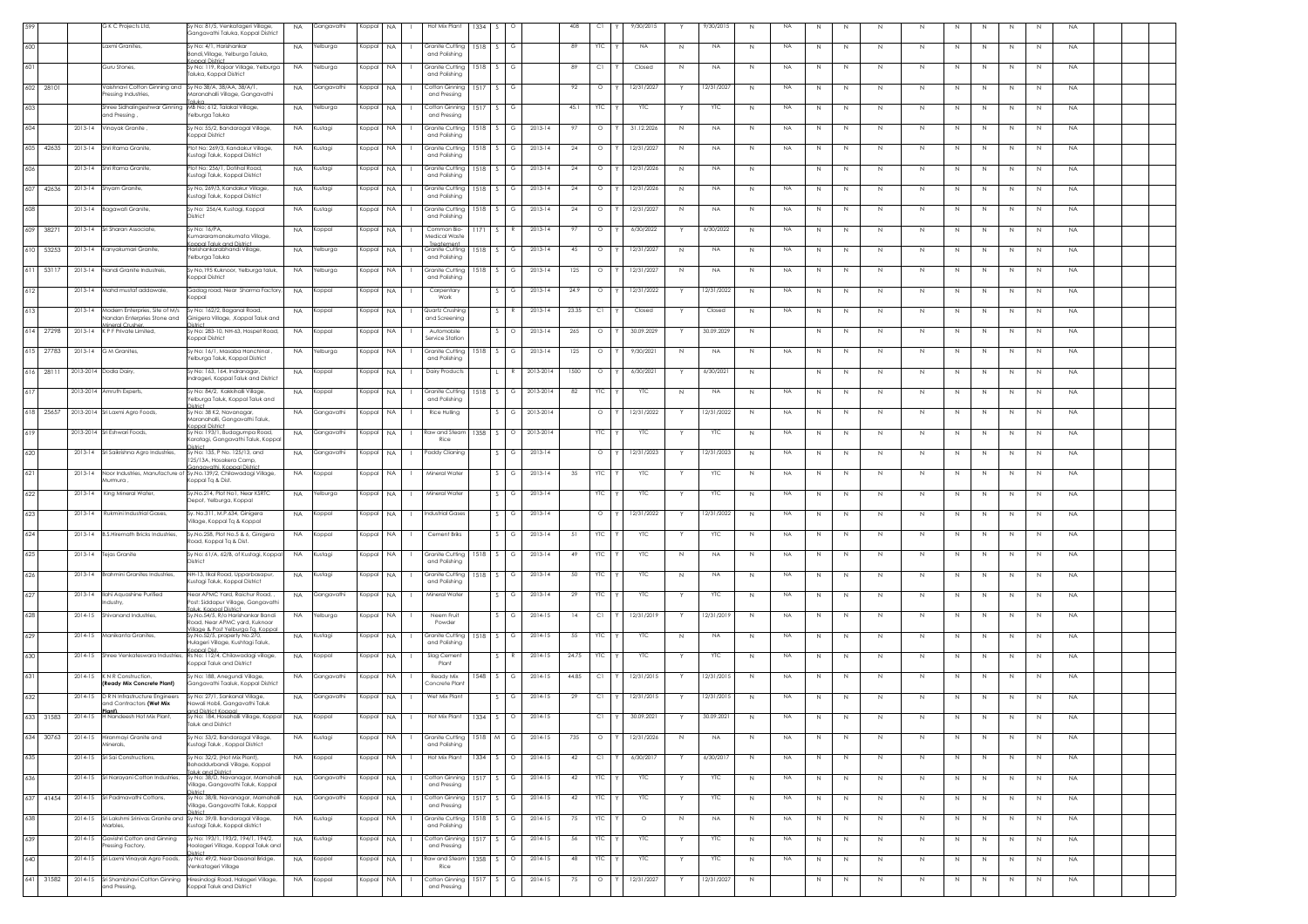|     |               |             | G K C Projects Ltd,                                                              | Sy No: 81/5, Venkatageri Village,<br>.<br>Gangavathi Taluka, Koppal District                                                  | <b>NA</b> | Gangavathi | Koppal    | <b>NA</b> | Hot Mix Plant                                  | 1334       |          |          |           | 408   | C1         | 9/30/2015  |             | 9/30/2015  | N            |           |             |         |              |              |              |             |    |                | <b>NA</b> |  |
|-----|---------------|-------------|----------------------------------------------------------------------------------|-------------------------------------------------------------------------------------------------------------------------------|-----------|------------|-----------|-----------|------------------------------------------------|------------|----------|----------|-----------|-------|------------|------------|-------------|------------|--------------|-----------|-------------|---------|--------------|--------------|--------------|-------------|----|----------------|-----------|--|
| 600 |               |             | Laxmi Granites                                                                   | Sy No: 4/1, Harishankar                                                                                                       | <b>NA</b> | Yelburga   | Koppal    | <b>NA</b> | Granite Cutting                                | 1518       |          | G        |           | 89    | YTC        | <b>NA</b>  | N           | <b>NA</b>  | N            | NA        | N           | N       | N            | N.           |              | N           |    | N              | <b>NA</b> |  |
|     |               |             |                                                                                  | Bandi, Village, Yelburga Taluka,<br>Konnal District<br>Sy No: 119, Rajoor Village, Yelburga                                   |           |            |           |           | and Polishing                                  |            |          |          |           |       |            |            |             |            |              |           |             |         |              |              |              |             |    |                |           |  |
| 601 |               |             | Guru Stones,                                                                     | Taluka, Koppal District                                                                                                       | <b>NA</b> | felburga   | Koppal    | <b>NA</b> | <b>Granite Cutting</b><br>and Polishing        | 1518       | S        | G        |           | 89    | C1         | Closed     | N           | <b>NA</b>  | N            | NA        | N           | N       | N            | N            |              | -N          | -N | N              | <b>NA</b> |  |
|     | 602 28101     |             | Vaishnavi Cotton Ginning and Sy No 38/A, 38/AA, 38/A/1,<br>ressing Industries,   | Maranahalli Village, Gangavathi                                                                                               | <b>NA</b> | Gangavathi | Koppal    | <b>NA</b> | Cotton Ginning<br>and Pressing                 | 1517       |          |          |           | 92    | $\circ$    | 12/31/2027 |             | 12/31/202  | N            | NA        | N           | N       | N            | N            |              | $\mathbb N$ | N  | $\mathbb{N}$   | <b>NA</b> |  |
| 603 |               |             | Shree Sidhalingeshwar Ginning MB No; 612, Talakal Village,                       | iluka                                                                                                                         | <b>NA</b> | Yelburga   | Koppal    | <b>NA</b> | Cotton Ginning                                 | 1517       |          | G        |           | 45.1  | <b>YTC</b> | <b>YTC</b> |             | YTC        | N            | NA        | N           | N       | $\mathbb N$  | N            | N            | N           | N  | $\mathbb{N}$   | <b>NA</b> |  |
| 604 |               | 2013-14     | and Pressing,<br>Vinayak Granite                                                 | Yelburga Taluka<br>Sy No: 55/2, Bandaragal Village,                                                                           | <b>NA</b> | Kustagi    | Koppal    | <b>NA</b> | and Pressing<br>Granite Cuttina                |            | $1518$ S | G        | 2013-14   | 97    | $\circ$    | 31.12.2026 | N           | <b>NA</b>  | N            | NA        | N           | N       | N            | N            | N            | N           | N  | N              | <b>NA</b> |  |
|     | 605 42635     |             | 2013-14 Shri Rama Granite,                                                       | Koppal District<br>Plot No: 269/3, Kandakur Village,                                                                          | <b>NA</b> | Kustagi    | Koppal    | <b>NA</b> | and Polishing<br>Granite Cutting               | 1518       |          | G        | 2013-14   | 24    | $\circ$    | 12/31/2027 | N           | <b>NA</b>  | N            | <b>NA</b> | N           | N       | N            | N.           |              | N           | N  | N              | <b>NA</b> |  |
| 606 |               | 2013-14     | Shri Rama Granite                                                                | Kustagi Taluk, Koppal District<br>Plot No: 256/1, Dotihal Road,                                                               | <b>NA</b> | Kustagi    | Koppal    | NA.       | and Polishing<br><b>Granite Cutting</b>        | 1518       |          |          | 2013-14   | 24    | $\circ$    | 12/31/2026 |             | NA.        | $\mathbb{N}$ |           | N           | N       |              | N            |              |             |    |                | <b>NA</b> |  |
|     |               |             |                                                                                  | Kustagi Taluk, Koppal District                                                                                                |           |            |           |           | and Polishing                                  |            |          |          |           |       |            |            | N           |            |              |           |             |         | N            |              |              | N           | N  | N              |           |  |
| 607 | 42636         |             | 2013-14 Shyam Granite,                                                           | Sy No, 269/3, Kandakur Village<br>Kustagi Taluk, Koppal District                                                              | <b>NA</b> | Kustagi    | Koppal    | <b>NA</b> | Granite Cutting<br>and Polishing               |            | 1518 S   | G        | 2013-14   | 24    | $\circ$    | 12/31/2026 | N           | <b>NA</b>  | $\,N\,$      | <b>NA</b> | $\mathbb N$ | N       | $\mathbb N$  | N            | N            | $\mathbb N$ | N  | $\mathbb{N}$   | <b>NA</b> |  |
| 608 |               |             | 2013-14 Bagawati Granite                                                         | Sy No: 256/4, Kustagi, Koppal<br><b>District</b>                                                                              | <b>NA</b> | Kustagi    | Koppal    | <b>NA</b> | Granite Cuttina<br>and Polishina               | 1518       | $\sim$   | G        | 2013-14   | 24    | $\circ$    | 12/31/2027 | N           | <b>NA</b>  | N            | NA        | N           | N       | $\mathbb N$  | N            | N            | $\mathbb N$ | N  | N              | <b>NA</b> |  |
|     | 609 38271     | $2013 - 14$ | Sri Sharan Associate,                                                            | Sy No: 16/PA,<br>Kumararamanakumata Village,                                                                                  | <b>NA</b> | Koppal     | Koppal    | NA        | Common Bio-<br>Medical Waste                   |            |          |          | 2013-14   | 97    | $\circ$    | 6/30/2022  |             | 6/30/2022  | $\mathbb{N}$ | <b>NA</b> | N           | N       | N            | N            | N.           | N           | N  | N              | <b>NA</b> |  |
|     | 610 53253     |             | 2013-14 Kanyakumari Granite                                                      | oppal Taluk and District<br>Harishankarabhandi Village,<br>Yelburga Taluka                                                    | <b>NA</b> | Yelburga   | Koppal    | NA        | Treatement<br>Granite Cutting<br>and Polishing | 1518       |          |          | 2013-14   | 45    | $\circ$    | 12/31/2027 | N           | <b>NA</b>  | N            | <b>NA</b> | N           | N       | Ν            | N            |              | N           |    | $\overline{N}$ | <b>NA</b> |  |
|     | 611 53117     |             | 2013-14 Nandi Granite Industreis                                                 | Sv No.195 Kuknoor, Yelburga taluk,<br>Koppal District                                                                         | <b>NA</b> | Yelburga   | Koppal    | <b>NA</b> | Granite Cuttina<br>and Polishing               | 1518       |          |          | 2013-14   | 125   | $\circ$    | 12/31/2027 | N           | <b>NA</b>  | N            | NA        | N           | N       | N            | N            |              | N           | N  | N              | <b>NA</b> |  |
| 612 |               | 2013-14     | Mahd mustaf addawale,                                                            | Gadag road, Near Sharma Factory<br>Koppal                                                                                     | <b>NA</b> | Koppal     | Koppal    | <b>NA</b> | Carpentary<br>Work                             |            | S.       | G        | 2013-14   | 24.9  | $\circ$    | 12/31/2022 | Y           | 2/31/2022  | N            | <b>NA</b> | N           | N       | N            | N            | N.           | N           | N  | N              | <b>NA</b> |  |
| 613 |               | 2013-14     | Modern Enterpries, Site of M/s                                                   | Sy No: 162/2, Baganal Road,                                                                                                   | <b>NA</b> | Koppal     | Koppal    | <b>NA</b> | Quartz Crushing                                |            |          |          | 2013-14   | 23.35 | C1         | Closed     |             | Closed     | $\,N\,$      | <b>NA</b> | N           | N       | $\mathbb N$  | $\mathbb N$  |              | N           | N  | $\mathbb{N}$   | <b>NA</b> |  |
|     | 614 27298     |             | Nandan Enterpries Stone and<br>lineral Crusher.<br>2013-14 K P F Private Limited | Ginigera Village, , Koppal Taluk and<br>Sy No: 283-10, NH-63, Hospet Road,                                                    | <b>NA</b> | Koppal     | Koppal NA |           | and Screening<br>Automobile                    |            |          | $\Omega$ | 2013-14   | 265   | $\circ$    | 30.09.2029 |             | 30.09.2029 | $\,N\,$      |           | N           | N       | N            | N            | N            | N           | N  | N              | <b>NA</b> |  |
|     |               |             | 2013-14 G M Granites.                                                            | Koppal District<br>Sv No: 16/1 Masaba Hanchinal                                                                               |           |            |           |           | Service Station<br>Granite Cuttina             | 1518       | S        | G        | 2013-14   | 125   | $\circ$    | 9/30/2021  |             | <b>NA</b>  | N            | NA        |             |         |              | $\mathbb N$  |              |             |    |                |           |  |
|     | 615 27783     |             |                                                                                  | Yelburga Taluk, Koppal District                                                                                               | <b>NA</b> | Yelburga   | Koppal    | <b>NA</b> | and Polishing                                  |            |          |          |           |       |            |            | N           |            |              |           | N           | N       | N            |              | N            | N           | N  | N              | <b>NA</b> |  |
|     | 616 28111     |             | 2013-2014 Dodla Dairy,                                                           | Sy No: 163, 164, Indranagar,<br>Indrageri, Koppal Taluk and District                                                          | <b>NA</b> | Koppal     | Koppal    | <b>NA</b> | Dairy Products                                 |            |          |          | 2013-2014 | 1500  | $\circ$    | 6/30/2021  |             | 6/30/2021  | N            |           | N           | N       | N            | N            |              | N           | -N | N              | <b>NA</b> |  |
| 617 |               |             | 2013-2014 Amruth Experts,                                                        | Sy No: 84/2, Kakkihalli Village,<br>Yelburga Taluk, Koppal Taluk and                                                          | <b>NA</b> | Koppal     | Koppal    | <b>NA</b> | Granite Cutting<br>and Polishing               | 1518       |          |          | 2013-2014 | 82    | YTC        | YTC        | N           | <b>NA</b>  | $\mathbb{N}$ | NA        | N           | N       | N            | N            |              | N           | N  | N              | <b>NA</b> |  |
|     | 618 25657     |             | 2013-2014 Sri Laxmi Agro Foods,                                                  | Sy No: 38 K2, Navanagar,<br>Maranahalli, Gangavathi Taluk,                                                                    | <b>NA</b> | Gangavathi | Koppal    | <b>NA</b> | Rice Hulling                                   |            |          | G        | 2013-2014 |       | $\circ$    | 12/31/2022 | Y           | 12/31/2022 | N            | <b>NA</b> | N           | N       | N            | N            | N            | N           | N  | N              | <b>NA</b> |  |
| 619 |               |             | 2013-2014 Sri Eshwari Foods,                                                     | Coppal District<br>Sy No: 193/1, Budagumpa Road,<br>Karatagi, Gangavathi Taluk, Koppa                                         | <b>NA</b> | Gangavathi | Koppal NA |           | Raw and Steam<br>Rice                          |            | 1358 S   | $\circ$  | 2013-2014 |       | YTC        | <b>ALC</b> | Y           | <b>YTC</b> | <sup>N</sup> | <b>NA</b> | N           | N       | N            | N            | N            | N           | N  | N              | <b>NA</b> |  |
| 620 |               |             | 2013-14 Sri Saikrishna Agro Industries,                                          | listrict<br>Sy No: 135, P No. 125/13, and<br>125/13A, Hosakera Camp,                                                          | <b>NA</b> | Gangavathi | Koppal    | <b>NA</b> | addy Clianing                                  |            |          |          | 2013-14   |       | $\circ$    | 12/31/2023 |             | 2/31/2023  | $\mathbb{N}$ | <b>NA</b> | N           | N       | N            | N            |              | N.          | N  | N.             | <b>NA</b> |  |
| 621 |               |             | Murmura                                                                          | Ganaavathi, Koppal District<br>2013-14 Noor Industries, Manufacture of Sy.No.139/2, Chilawadagi Village,<br>Koppal Tq & Dist. | <b>NA</b> | Koppal     | Koppal    | <b>NA</b> | Mineral Wate                                   |            | - S - I  | G        | 2013-14   | 35    | YTC        | YTC        |             | YTC        | N            | <b>NA</b> | $\mathbb N$ | N       | $\mathbb N$  | $\mathbb N$  | N            | Ν           | N  | $\mathbb{N}$   | <b>NA</b> |  |
| 622 |               |             | 2013-14 King Mineral Water,                                                      | Sv.No.214. Plot No1. Near KSRTC<br>Depot, Yelburga, Koppal                                                                    | <b>NA</b> | Yelburga   | Koppal    | <b>NA</b> | Mineral Water                                  |            | S.       | G        | 2013-14   |       | YTC        | <b>YTC</b> |             | <b>YTC</b> | N            | NA        | N           | N       | N            | N            |              | N           |    | N              | <b>NA</b> |  |
| 623 |               | 2013-14     | Rukmini Industrial Gases,                                                        | Sy. No.311, M.P.634, Ginigera<br>Village, Koppal Tq & Koppal                                                                  | NA        | Koppal     | Koppal    | <b>NA</b> | Industrial Gase                                |            | S.       |          | 2013-14   |       | $\circ$    | 12/31/2022 |             | 2/31/2022  | N            | NA        | N           | N       | N            | N.           |              | -N          | N  | N              | <b>NA</b> |  |
| 624 |               |             | 2013-14 B.S. Hiremath Bricks Industries,                                         | Sy.No.258, Plot No.5 & 6, Ginigera<br>load, Koppal Tq & Dist.                                                                 | <b>NA</b> | Koppal     | Koppal    | <b>NA</b> | Cement Briks                                   |            |          | G        | 2013-14   | 51    | YTC        | <b>YTC</b> |             | <b>YTC</b> | N            | NA        | $\mathbb N$ | N       | $\mathbb N$  | $\mathbb{N}$ |              | $\mathbb N$ | N  | $\mathbb{N}$   | <b>NA</b> |  |
| 625 |               |             | 2013-14 Tejas Granite                                                            | Sy No: 61/A, 62/B, of Kustagi, Koppal<br>District                                                                             | <b>NA</b> | Kustagi    | Koppal    | <b>NA</b> | Granite Cutting<br>and Polishing               |            | 1518 S   | G        | 2013-14   | 49    | YTC        | YTC        | N           | NA.        | N            | NA        | $\mathbb N$ | $\,N\,$ | N            | $\,N\,$      | N            | $\mathbb N$ | N  | N              | <b>NA</b> |  |
| 626 |               |             | 2013-14 Brahmini Granites Industries.                                            | NH-13. Ilkal Road, Upparbasapur,                                                                                              | <b>NA</b> | Kustagi    | Koppal    | <b>NA</b> | Granite Cuttina                                |            | $1518$ S | G        | 2013-14   | 50    | YTC        | <b>YTC</b> | N           | <b>NA</b>  | N            | <b>NA</b> | N           | N       | N            | N            | N            | N           | N  | N              | <b>NA</b> |  |
| 627 |               | 2013-14     | Ilahi Aquashine Purified                                                         | Kustagi Taluk, Koppal District<br>Near APMC Yard, Raichur Road,                                                               | <b>NA</b> | Gangavathi | Koppal    | <b>NA</b> | and Polishing<br>Mineral Wate                  |            |          |          | 2013-14   | 29    | YTC        | <b>YTC</b> |             | <b>YTC</b> | N            | NA        | Ν           | N       | N            | $\mathbb N$  |              |             |    | $\mathbb{N}$   | <b>NA</b> |  |
| 628 |               |             | Industry,<br>2014-15 Shivanand Industries,                                       | Post: Siddapur Village, Gangavathi<br>aluk, Koppal District<br>Sy.No.54/5, R/o Harishankar Bandi                              | <b>NA</b> | Yelburga   | Koppal    | <b>NA</b> | Neem Fruit                                     |            |          |          | 2014-15   | 14    | C1         | 12/31/2019 |             | 12/31/2019 | $\mathbb{N}$ | <b>NA</b> | N           | N       |              | N            |              |             |    | $\overline{N}$ | <b>NA</b> |  |
| 629 |               |             | 2014-15 Manikanta Granites                                                       | Road, Near APMC yard, Kuknoor<br>Vilage & Post Yelburga Ta, Koppo<br>Sy.No.52/5, property No.270,                             | <b>NA</b> | Kustagi    | Koppal    | <b>NA</b> | Powder<br>Granite Cuttina                      | $1518$ $S$ |          | G        | 2014-15   | 55    | YTC        | <b>YTC</b> | N           | <b>NA</b>  | N            | NA        | N           | N       | N            | N            | N            | N           | N  | N              | <b>NA</b> |  |
|     |               |             |                                                                                  | Hulageri Village, Kushtagi Taluk,<br>pal Dist.                                                                                |           |            |           |           | and Polishing                                  |            |          |          |           |       |            |            |             |            |              |           |             |         |              |              |              |             |    |                |           |  |
| 630 |               |             |                                                                                  | 2014-15 Shree Venkateswara Industries, Rs No: 112/4, Chilawadagi village,<br>Konnal Taluk and District                        | <b>NA</b> | Koppal     | Koppal    | <b>NA</b> | Slag Cement<br>Plant                           |            |          |          | 2014-15   | 24.75 | YТC        | <b>YTC</b> | Y           | YTC        | N            | <b>NA</b> | $\mathbb N$ | N       | N            | N.           | N.           | N           | N  | N              | <b>NA</b> |  |
| 631 |               | 2014-15     | K N R Construction,<br>(Ready Mix Concrete Plant)                                | Sy No: 188, Anegundi Village,<br>Ganaavathi Taaluk, Koppal District                                                           | <b>NA</b> | Gangavathi | Koppal    | NA        | Ready Mix<br>Concrete Plan                     | 1548       |          |          | 2014-15   | 44.85 | C1         | 12/31/2015 |             | (2/31/201  | N            | <b>NA</b> | $\mathbb N$ | N       | N            | N            |              | N.          | N  | N.             | <b>NA</b> |  |
| 632 |               | 2014-15     | D R N Infrastructure Engineers<br>and Contractors (Wet Mix                       | Sy No: 27/1, Sankanal Village,<br>Nawali Hobli, Gangavathi Taluk                                                              | <b>NA</b> | Gangavathi | Koppal NA |           | Wet Mix Plant                                  |            |          | G        | 2014-15   | 29    | C1         | 12/31/2015 |             | 12/31/2015 | N            | <b>NA</b> | N           | N       |              | N            |              |             |    | $\overline{N}$ | <b>NA</b> |  |
|     | $433$ $31583$ |             | Plant)<br>2014-15 H Nandeesh Hot Mix Plant                                       | and District Konnal<br>Sv No: 184 Hosahalli Village Koppal<br><b>Taluk and District</b>                                       |           | NA Konnal  |           |           | Hot Mix Plan                                   |            |          |          | $2014-$   |       |            |            |             | 30.09.20   |              |           |             |         |              |              |              |             |    |                |           |  |
| 634 | 30763         | $2014-15$   | Hiranmayi Granite and<br>tinerals,                                               | Sy No: 53/2, Bandaragal Village,<br>Kustagi Taluk, Koppal District                                                            | <b>NA</b> | Kustagi    | Koppal    | <b>NA</b> | <b>Granite Cutting</b><br>and Polishing        | 1518       | M        | G        | 2014-15   | 735   | $\circ$    | 12/31/2026 | N           | <b>NA</b>  | N            | <b>NA</b> | N           | N       | N            | N            | N            | N           | N  | N              | <b>NA</b> |  |
| 635 |               |             | 2014-15 Sri Sai Constructions,                                                   | Sy No: 32/2, (Hot Mix Plant),                                                                                                 | <b>NA</b> | Koppal     | Koppal    | <b>NA</b> | Hot Mix Plant                                  | 1334       |          | $\circ$  | 2014-15   | 42    | C1         | 6/30/2017  |             | 6/30/2017  | N            | <b>NA</b> | $\mathbb N$ | N       | $\mathbb{N}$ | $\mathbb{N}$ | $\mathbb{N}$ | $\mathbb N$ | N  | $\,N\,$        | <b>NA</b> |  |
| 636 |               |             | 2014-15 Sri Narayani Cotton Industries,                                          | Bahaddurbandi Village, Koppal<br>aluk and District<br>Sy No: 38/D, Navanagar, Marnahalli                                      | <b>NA</b> | Gangavathi | Koppal NA |           | Cotton Ginning                                 |            | 1517S    | G        | 2014-15   | 42    | YTC        | <b>ALC</b> | Y           | <b>YTC</b> | N            | NA        | N           | N       | N            | N            | N            | $\mathbb N$ | N  | N              | <b>NA</b> |  |
|     | 637 41454     |             | 2014-15 Sri Padmavathi Cottons,                                                  | Village, Gangavathi Taluk, Koppal<br>Sy No: 38/B, Navanagar, Marnahalli                                                       | <b>NA</b> | Gangavathi | Koppal    | <b>NA</b> | and Pressing<br>Cotton Ginning                 | 1517       | S        | G        | 2014-15   | 42    | YTC        | YTC        | Y           | YTC        | N            | <b>NA</b> | N           | N       | N            | N.           | N.           | N           | N  | N              | <b>NA</b> |  |
| 638 |               |             | 2014-15 Sri Lakshmi Srinivas Granite and                                         | Village, Gangavathi Taluk, Koppal<br>listrict<br>Sy No: 39/8. Bandaragal Village,                                             | <b>NA</b> | Kustagi    | Koppal    | <b>NA</b> | and Pressina<br>Granite Cutting                | 1518       |          |          | 2014-15   | 75    | YТC        | $\circ$    | $\mathbb N$ | <b>NA</b>  | N            | <b>NA</b> | $\mathbb N$ | N       | $\mathbb N$  | $\mathbb{N}$ |              | $\mathbb N$ | N  | $\,N\,$        | <b>NA</b> |  |
| 639 |               | 2014-15     | Marbles,<br>Gavishri Cotton and Ginning                                          | Kustagi Taluk, Koppal district                                                                                                |           |            |           |           | and Polishing                                  |            |          |          | 2014-15   |       | YTC        |            |             | <b>YTC</b> |              |           |             |         |              |              |              |             |    |                |           |  |
|     |               |             | Pressing Factory,                                                                | Sy No: 193/1, 193/2, 194/1, 194/2,<br>Hoolageri Village, Koppal Taluk and                                                     | <b>NA</b> | Kustagi    | Koppal    | <b>NA</b> | Cotton Ginning<br>and Pressing                 | 1517       |          |          |           | 56    |            | YTC        |             |            | N            | NA        | N           | N       | $\mathbb N$  | N            |              | $\mathbb N$ | N  | $\mathbb{N}$   | <b>NA</b> |  |
| 640 |               |             | 2014-15 Sri Laxmi Vinayak Agro Foods,                                            | Sv No: 49/2, Near Dasanal Bridge,<br>'enkatageri Village                                                                      | <b>NA</b> | Koppal     | Koppal    | <b>NA</b> | taw and Steam<br>Rice                          | 1358       |          | $\circ$  | 2014-15   | 48    | YTC        | <b>YTC</b> |             | YTC        | N            | <b>NA</b> | $\mathbb N$ | N       | N            | N            | N            | N           | N  | N              | <b>NA</b> |  |
|     | 641 31582     |             | and Pressing,                                                                    | 2014-15 Sri Shambhavi Cotton Ginning Hiresindogi Road, Halageri Village,<br><b>Koppal Taluk and District</b>                  | <b>NA</b> | Koppal     | Koppal    | <b>NA</b> | Cotton Ginning<br>and Pressing                 | 1517       | S        | G        | 2014-15   | 75    | $\circ$    | 12/31/2027 | Y           | 12/31/2027 | N            |           | $\mathbb N$ | $\,N\,$ | N            | N            | N            | N           | N  | $\,N\,$        | <b>NA</b> |  |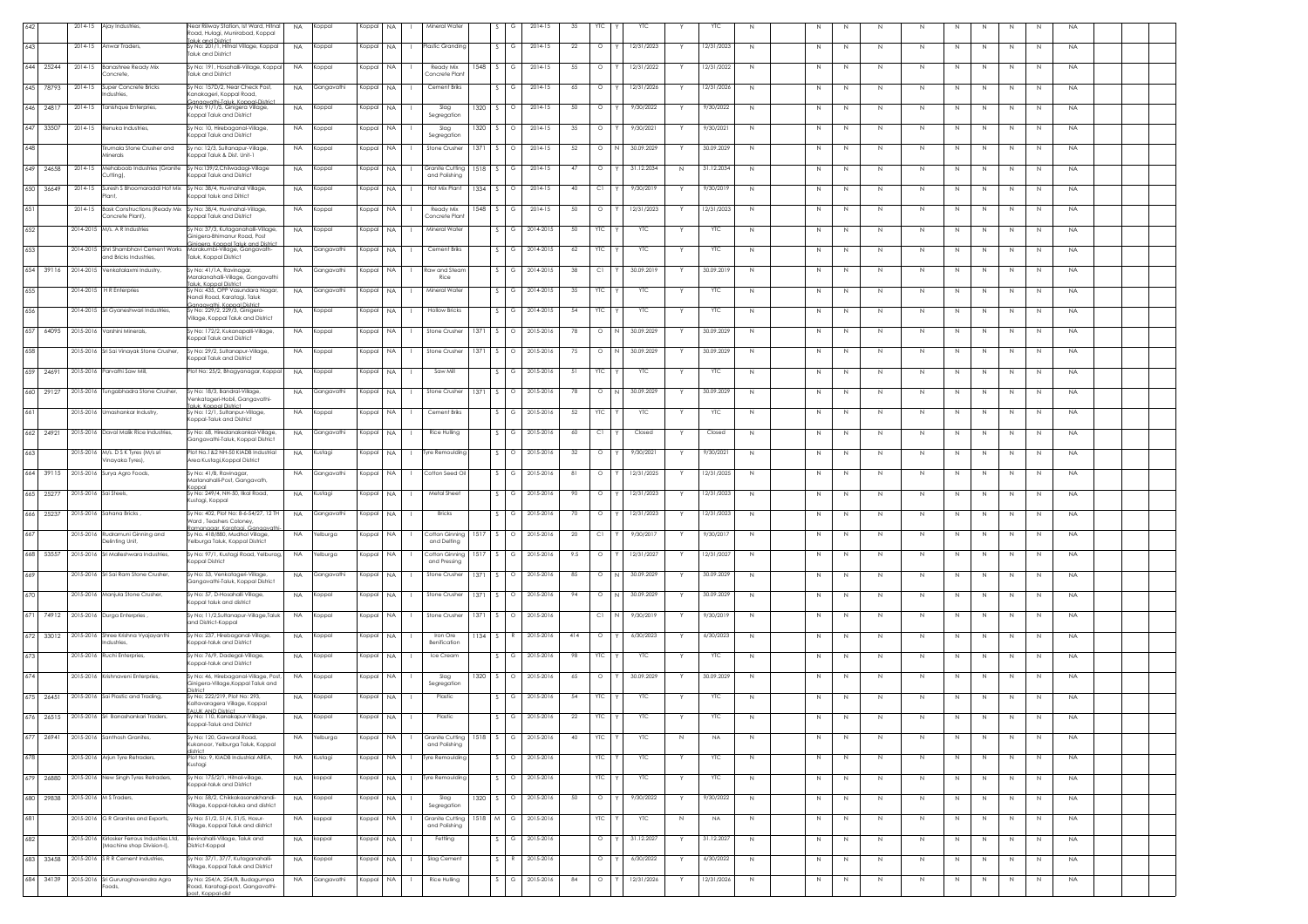|              | 2014-15               | Ajay Industries,                                                                 | Near Riilway Station, Ist Ward, Hitnal<br><b>NA</b><br>Koppal<br>Road, Hulagi, Munirabad, Koppal                                | Koppal<br><b>NA</b> | Mineral Water                  |        |                    | 2014-15   | 35<br>YTC        | <b>YTC</b>      |   | <b>YTC</b> |              |              |         |                              |              |              |    |              |           |  |
|--------------|-----------------------|----------------------------------------------------------------------------------|---------------------------------------------------------------------------------------------------------------------------------|---------------------|--------------------------------|--------|--------------------|-----------|------------------|-----------------|---|------------|--------------|--------------|---------|------------------------------|--------------|--------------|----|--------------|-----------|--|
| 643          | 2014-15               | Anwar Traders,                                                                   | aluk and District<br>Sy No: 201/1, Hitnal Village, Koppal<br><b>NA</b><br>Koppal                                                | Koppal<br>NA.       | Plastic Granding               |        | G                  | 2014-15   | 22<br>$\circ$    | 12/31/2023      |   | 12/31/2023 | N            | N            | N       | N<br>N                       |              | N.           |    | N            | <b>NA</b> |  |
|              |                       |                                                                                  | <b>Faluk and District</b>                                                                                                       |                     |                                |        |                    |           |                  |                 |   |            |              |              |         |                              |              |              |    |              |           |  |
| 644<br>25244 | 2014-15               | <b>Banashree Ready Mix</b><br>concrete.                                          | Sy No: 191, Hosahalli-Village, Koppal<br><b>NA</b><br>(oppal<br><b>Taluk and District</b>                                       | Koppal<br>NA.       | Ready Mix<br>Concrete Plan     | 1548   |                    | 2014-15   | $\circ$<br>-55   | 12/31/2022      |   | 12/31/2022 | N            | $\mathbb{N}$ | N       | N<br>-N                      | -N           | -N           | -N | N            | <b>NA</b> |  |
| 645 78793    | 2014-15               | Super Concrete Bricks                                                            | Sy No: 157D/2, Near Check Post,<br><b>NA</b><br>Gangavathi                                                                      | Koppal<br>NA.       | Cement Briks                   |        |                    | 2014-15   | 65<br>$\circ$    | 12/31/2026      |   | 12/31/2026 | N            | N            | N       | $\mathbb{N}$<br>$\mathbb N$  |              | $\mathbb N$  | N  | $\mathbb{N}$ | <b>NA</b> |  |
| 646 24817    | 2014-15               | ndustries,<br>Tanishque Enterpries,                                              | (anakageri, Koppal Road,<br>anaavathi-Taluk, Koppal-Dis<br>Sy No: 91/1/5, Ginigera Village,<br><b>NA</b><br>Koppal              | Koppal<br><b>NA</b> | Slag                           | 1320   | $\circ$            | 2014-15   | 50<br>$\circ$    | 9/30/2022       |   | 9/30/2022  | N            | N            | N       | $\mathbb N$<br>N             | Ν            | $\mathbb N$  | N  | $\mathbb{N}$ | <b>NA</b> |  |
|              |                       |                                                                                  | Coppal Taluk and District                                                                                                       |                     | Segregation                    |        |                    |           |                  |                 |   |            |              |              |         |                              |              |              |    |              |           |  |
| 647 33507    |                       | 2014-15 Renuka Industries.                                                       | Sy No: 10, Hirebaganal-Village,<br><b>NA</b><br>Koppal<br>oppal Taluk and District                                              | Koppal<br>NA.       | Slag<br>Segregation            | 1320   | $\sim$<br>$\circ$  | 2014-15   | 35<br>$\circ$    | 9/30/2021       |   | 9/30/2021  | N            | N            | N       | N<br>N                       | N            | N            | N  | N            | <b>NA</b> |  |
| 648          |                       | Tirumala Stone Crusher and                                                       | Sy no: 12/3, Sultanapur-Village,<br><b>NA</b><br>Koppal<br>(oppal Taluk & Dist. Unit-1                                          | Koppal<br>NA.       | Stone Crusher                  | 1371   | $\circ$            | 2014-15   | 52<br>$\circ$    | 30.09.2029      |   | 30.09.2029 | N            | N            | N       | N<br>N                       |              | N            | -N | N            | <b>NA</b> |  |
| 649 24658    | $2014 - 15$           | <i>linerals</i><br>Mehaboob Industries (Granite                                  | Sy No:139/2, Chilwadagi-Village<br><b>NA</b><br>Koppal                                                                          | Koppal<br><b>NA</b> | Granite Cutting                | 1518   | G                  | 2014-15   | 47<br>$\circ$    | 31.12.2034      | N | 31.12.2034 | N            | N            | N       | $\mathbb N$<br>N             |              | -N           | N  | N            | <b>NA</b> |  |
|              |                       | Cutting),                                                                        | Coppal Taluk and District                                                                                                       |                     | and Polishing                  |        |                    |           |                  |                 |   |            |              |              |         |                              |              |              |    |              |           |  |
| 650 36649    | 2014-15               | Suresh S Bhoomaraddi Hot Mix<br>ant                                              | Sy No: 38/4, Huvinahal Village,<br><b>NA</b><br>Koppal<br>oppal taluk and Ditrict                                               | Koppal<br><b>NA</b> | Hot Mix Plant                  | 1334   | $\sim$<br>$\circ$  | 2014-15   | 40<br>C1         | 9/30/2019       |   | 9/30/2019  | N            | N            | N       | $\mathbb N$<br>$\mathbb N$   | N            | $\mathbb N$  | N  | $\mathbb{N}$ | <b>NA</b> |  |
| 651          | 2014-15               | Bask Constructions (Ready Mix Sy No: 38/4, Huvinahal-Village<br>Concrete Plant). | <b>NA</b><br>Koppal<br>Koppal Taluk and District                                                                                | NA.<br>Koppal       | Ready Mix<br>Concrete Plant    | 1548   | G                  | 2014-15   | $\circ$<br>50    | 12/31/2023      | Y | 12/31/2023 | N            | N            | N       | N<br>N                       | N            | N            | N  | N            | <b>NA</b> |  |
| 652          |                       | 2014-2015 M/s. A R Industries                                                    | Sy No: 37/3, Kutaganahalli-Village,<br><b>NA</b><br>Koppal                                                                      | NA.<br>Koppal       | Mineral Water                  |        | G                  | 2014-2015 | 50<br>YTC        | <b>YTC</b>      |   | <b>YTC</b> | N            | N            | N       | $\mathbb N$<br>N             | N.           | N            | N  | N            | <b>NA</b> |  |
| 653          |                       | 2014-2015 Shri Shambhavi Cement Works                                            | Ginigera-Bhimanur Road, Post<br>Siniaera, Koppal Taluk and District<br>Marakumbi-Village, Gangavath-<br><b>NA</b><br>Gangavathi | Koppal<br><b>NA</b> | Cement Briks                   |        | G                  | 2014-2015 | <b>YTC</b><br>62 | <b>YTC</b>      |   | YTC        | N            | N            | N       | $\mathbb N$                  |              | N            |    | $\mathbb{N}$ | <b>NA</b> |  |
|              |                       | and Bricks Industries                                                            | <b>Taluk, Koppal District</b>                                                                                                   |                     |                                |        |                    |           |                  |                 |   |            |              |              |         |                              |              |              |    |              |           |  |
|              |                       | 654 39116 2014-2015 Venkatalaxmi Industry,                                       | Sv No: 41/1A, Ravinagar,<br><b>NA</b><br>Gangavathi<br>Maralanahalli-Village, Gangavathi                                        | Koppal<br>NA.       | Raw and Stear<br>Rice          |        | G                  | 2014-2015 | 38<br>C1         | 30.09.2019      |   | 30.09.2019 | N            | N            | N       | N<br>N                       |              | N.           |    | N            | <b>NA</b> |  |
| 655          |                       | 2014-2015 H R Enterpries                                                         | aluk, Koppal District<br>Sy No: 435, OPP Vasundara Nagar,<br><b>NA</b><br>Gangavathi<br>Nandi Road, Karataai, Taluk             | NA.<br>Koppal       | Mineral Water                  |        | G                  | 2014-2015 | YTC<br>-35       | <b>YTC</b>      |   | YTC        | N            | N            | N       | N<br>N                       | N.           | N            | N  | N            | <b>NA</b> |  |
| 656          |                       | 2014-2015 Sri Gyaneshwari Industries,                                            | Ganaavathi, Koppal District<br>Sy No: 229/2, 229/3, Ginigera-<br><b>NA</b><br>Koppal                                            | Koppal<br>NA.       | <b>Hollow Bricks</b>           |        |                    | 2014-2015 | 54<br>YTC        | <b>YTC</b>      |   | YTC        | N            | $\mathbb N$  | N       | $\mathbb N$<br>$\mathbb N$   |              | $\mathbb N$  | N  | $\mathbb{N}$ | <b>NA</b> |  |
| 657 64095    |                       | 2015-2016 Varshini Minerals,                                                     | /illage, Koppal Taluk and District<br>Sy No: 172/2, Kukanapalli-Village,<br><b>NA</b><br>Koppal                                 | Koppal<br><b>NA</b> | Stone Crusher                  | 1371   | $\circ$            | 2015-2016 | $\circ$<br>78    | 30.09.2029      |   | 30.09.2029 | N            |              |         | $\mathbb N$<br>N             | N            | $\mathbb N$  | N  | $\mathbb{N}$ | <b>NA</b> |  |
|              |                       |                                                                                  | Koppal Taluk and District                                                                                                       |                     |                                |        |                    |           |                  |                 |   |            |              | N            | N       |                              |              |              |    |              |           |  |
| 658          |                       | 2015-2016 Sri Sai Vinayak Stone Crusher,                                         | Sv No: 29/2, Sultanapur-Village,<br><b>NA</b><br>Koppal<br>onnal Taluk and District                                             | Koppal<br>NA.       | Stone Crusher                  | 1371   | $\circ$            | 2015-2016 | 75<br>$\circ$    | 30.09.2029      |   | 30.09.2029 | N            | N            | N       | N<br>N                       | N            | N            | N  | N            | <b>NA</b> |  |
| 659 24691    |                       | 2015-2016 Parvathi Saw Mill,                                                     | Plot No: 25/2, Bhagyanagar, Koppal<br><b>NA</b><br>Koppal                                                                       | Koppal<br><b>NA</b> | Saw Mil                        |        |                    | 2015-2016 | <b>YTC</b><br>51 | <b>YTC</b>      |   | <b>YTC</b> | N            | $\mathbb{N}$ | N       | N<br>N                       |              | N            | -N | N            | <b>NA</b> |  |
| 660 29127    |                       | 2015-2016 Tungabhadra Stone Crusher,                                             | Sy No: 18/3, Bandral-Village,<br><b>NA</b><br>Gangavathi                                                                        | Koppal<br>NA.       | Stone Crusher                  | 1371   |                    | 2015-2016 | 78<br>$\circ$    | 30.09.2029      |   | 30.09.2029 | N            | N            | N       | N<br>N                       |              |              | N  | N            | <b>NA</b> |  |
| 661          |                       | 2015-2016 Umashankar Industry,                                                   | enkatageri-Hobli, Gangavathi<br>aluk Konnal District<br>Sy No: 12/1, Sultanpur-Village,<br><b>NA</b><br>Koppal                  | Koppal<br><b>NA</b> | Cement Briks                   |        | G                  | 2015-2016 | 52<br>YTC        | <b>YTC</b>      |   | YTC        | N            | N            | N       | N<br>N                       | N            | N            | N  | N            | <b>NA</b> |  |
|              |                       |                                                                                  | oppal-Taluk and District                                                                                                        |                     |                                |        |                    |           |                  |                 |   |            |              |              |         |                              |              |              |    |              |           |  |
| 662 24921    |                       | 2015-2016 Daval Malik Rice Industries,                                           | Sv No: 68. Hiredanakankal-Village.<br><b>NA</b><br>Gangavathi<br>Gangavathi-Taluk, Koppal District                              | Koppal<br>NA.       | Rice Hulling                   |        | G                  | 2015-2016 | C1<br>60         | Closed          | Y | Closed     | N            | N            | N       | N<br>N                       | N            | N            | N  | N            | <b>NA</b> |  |
| 663          |                       | 2015-2016 M/s. D S K Tyres (M/s sri<br>/inayaka Tyres),                          | Plot No.1&2 NH-50 KIADB Industrial<br><b>NA</b><br>Kustagi<br>Area Kustagi, Koppal District                                     | Koppal<br><b>NA</b> | Tyre Remoulding                |        |                    | 2015-2016 | 32<br>$\circ$    | 9/30/2021       |   | 9/30/2021  | N            | N            | N       | $\mathbb N$<br>N             |              |              | N  | N            | <b>NA</b> |  |
| 664 39115    |                       | 2015-2016 Surya Agro Foods,                                                      | Sy No: 41/B, Ravinagar,<br><b>NA</b><br>Gangavathi<br>Marlanahalli-Post, Gangavath,                                             | Koppal<br>NA.       | Cotton Seed Oil                |        | G                  | 2015-2016 | $\circ$<br>-81   | 12/31/2025      |   | 12/31/2025 | N            | N            | N       | $\mathbb N$<br>N             | N            | $\mathbb N$  | N  | $\mathbb{N}$ | <b>NA</b> |  |
| 665 25277    | 2015-2016 Sai Steels, |                                                                                  | loago<br>Sv No: 249/4. NH-50. Ilkal Road.<br><b>NA</b><br>Kustagi                                                               | Koppal<br>NA.       | Metal Sheet                    |        | G                  | 2015-2016 | 90<br>$\circ$    | 12/31/2023      |   | 12/31/2023 | N            | N            | N       | N<br>N                       |              | N.           |    | N            | <b>NA</b> |  |
| 666 25237    |                       | 2015-2016 Sahana Bricks,                                                         | Kustagi, Koppal<br>Sy No: 402, Plot No: 8-6-54/27, 12 TH<br><b>NA</b><br>Gangavathi                                             | Koppal<br>NA.       | Bricks                         |        |                    | 2015-2016 | 70<br>$\circ$    | 12/31/2023      |   | 2/31/2023  | N            | $\mathbb N$  | N       | N<br>-N                      |              |              | -N | N            | <b>NA</b> |  |
| 667          |                       | 2015-2016 Rudramuni Ginning and                                                  | Ward, Teashers Coloney,<br>'amanaaar Karataai Ganaavat<br>Sy No. 418/880, Mudhol Village,<br><b>NA</b><br><b>Yelburga</b>       | Koppal<br><b>NA</b> | Cotton Ginning                 | 1517   | $\ddot{\circ}$     | 2015-2016 | 20<br>C1         | 9/30/2017       |   | 9/30/2017  | N            | $\mathbb N$  | N       | $\mathbb{N}$<br>$\mathbb N$  |              | $\mathbb{N}$ | N  | $\mathbb{N}$ | <b>NA</b> |  |
|              |                       | elinting Unit,                                                                   | elburga Taluk, Koppal District                                                                                                  |                     | and Delting                    |        |                    |           |                  |                 |   |            |              |              |         |                              |              |              |    |              |           |  |
|              |                       | 668 53557 2015-2016 Sri Malleshwara Industries,                                  | Sy No: 97/1, Kustagi Road, Yelburag,<br><b>NA</b><br>Yelburga<br>Coppal District                                                | Koppal<br><b>NA</b> | Cotton Ginning<br>and Pressing | 1517   | G                  | 2015-2016 | 9.5<br>$\circ$   | 12/31/2027      |   | 12/31/2027 | N            | $\mathbb N$  | $\,N\,$ | $\mathbb N$<br>N             | N            | $\,N\,$      | N  | N            | <b>NA</b> |  |
| 669          |                       | 2015-2016 Sri Sai Ram Stone Crusher.                                             | Sv No: 53. Venkatageri-Village.<br><b>NA</b><br>Gangavathi<br>Gangavathi-Taluk, Koppal District                                 | Koppal<br>NA.       | Stone Crusher                  | 1371   | $S_{-}$<br>$\circ$ | 2015-2016 | 85<br>$\circ$    | 30.09.2029<br>N | Y | 30.09.2029 | N            | N            | N       | N<br>N                       | N            | N            | N  | N            | <b>NA</b> |  |
| 670          |                       | 2015-2016 Manjula Stone Crusher,                                                 | Sy No: 57, D-Hosahalli Village,<br><b>NA</b><br>Koppal                                                                          | Koppal<br>NA.       | Stone Crusher                  | 1371   |                    | 2015-2016 | 94<br>$\circ$    | 30.09.2029      |   | 30.09.2029 | N            | N            | N       | $\mathbb N$                  |              |              |    | N            | <b>NA</b> |  |
|              |                       |                                                                                  | oppal taluk and district                                                                                                        |                     |                                |        |                    |           |                  |                 |   |            |              |              |         |                              |              |              |    |              |           |  |
|              |                       | 671 74912 2015-2016 Durga Enterpries                                             | Sy No; 11/2,Sultanapur-Village,Taluk<br><b>NA</b><br>Koppal<br>and District-Koppal                                              | Koppal<br><b>NA</b> | Stone Crusher                  | 1371   |                    | 2015-2016 |                  | 9/30/2019       |   | 9/30/2019  | $\mathbb N$  | N            | N       | $\mathbb N$                  |              |              |    | N            | <b>NA</b> |  |
| 672 33012    |                       | 2015-2016 Shree Krishna Vyajavanthi<br>dustries                                  | Sy No: 237, Hirebaganal-Village,<br><b>NA</b><br>Koppal<br>oppal-taluk and District                                             | Koppal<br><b>NA</b> | Iron Ore<br>Benification       | 1134 S |                    | 2015-2016 | 414<br>$\circ$   | 6/30/2023       |   | 6/30/2023  | N            | N            | N       | N<br>N                       | N            | N            | N  | N            | <b>NA</b> |  |
| 673          |                       | 2015-2016 Ruchi Enterpries,                                                      | Sy No: 76/9, Dadegal-Village,<br><b>NA</b><br>Koppal<br>Coppal-taluk and District                                               | <b>NA</b><br>Koppal | Ice Cream                      |        | G                  | 2015-2016 | YTC<br>98        | YTC             |   | <b>YIC</b> | N            | N            | N       | N<br>N                       | N.           | N            | N  | N            | <b>NA</b> |  |
| 674          |                       | 2015-2016 Krishnaveni Enterpries                                                 | Sy No: 46, Hirebaganal-Village, Post,<br><b>NA</b><br>Koppal<br>Ginigera-Village, Koppal Taluk and                              | Koppal<br>NA.       | Slag<br>Segregation            | 1320   | Ō                  | 2015-2016 | 65<br>$\circ$    | 30.09.2029      |   | 30.09.2029 | N            | N            | N       | $\mathbb N$<br>N             |              | N.           | N  | N.           | <b>NA</b> |  |
| 675 26451    |                       | 2015-2016 Sai Plastic and Trading,                                               | Sy No; 222/219, Plot No: 293,<br><b>NA</b><br>Koppal                                                                            | Koppal<br><b>NA</b> | Plastic                        |        | G                  | 2015-2016 | <b>YTC</b><br>54 | <b>YTC</b>      |   | YTC        | N            | N            | N       | N                            |              |              |    | N            | <b>NA</b> |  |
|              |                       | - ISri Ban                                                                       | Kaltavaragera Village, Koppal<br><b>FALLIK AND District.</b><br>NA<br>v No: 110. Kanakanur-Vill<br>Konnal                       | Konnal NA           | Plastic                        |        |                    |           |                  |                 |   |            |              |              |         |                              |              |              |    |              |           |  |
| 677<br>26941 |                       | 2015-2016 Santhosh Granites,                                                     | Koppal-Taluk and District<br>Sy No: 120, Gawaral Road,<br>elburga                                                               | Koppal<br><b>NA</b> | Granite Cutting 1518           |        | G                  | 2015-2016 | YTC              | <b>YTC</b>      |   | <b>NA</b>  |              |              |         |                              |              |              |    |              |           |  |
|              |                       |                                                                                  | <b>NA</b><br>ukanoor, Yelburga Taluk, Koppal<br>listrict.                                                                       |                     | and Polishing                  |        |                    |           | 40               |                 | N |            | N            | N            | N       | N<br>N                       | N            | N            | N  | N            | <b>NA</b> |  |
| 678          |                       | 2015-2016 Arjun Tyre Retraders,                                                  | Plot No: 9, KIADB Industrial AREA,<br>Kustagi<br><b>NA</b><br>(ustagi                                                           | NA.<br>Koppal       | Tyre Remoulding                |        | $\circ$            | 2015-2016 | <b>YTC</b>       | <b>YTC</b>      |   | <b>YTC</b> | N            | $\mathbb N$  | N       | $\mathbb{N}$<br>$\mathbb{N}$ | $\mathbb{N}$ | $\mathbb N$  | N  | N            | <b>NA</b> |  |
| 679 26880    |                       | 2015-2016 New Singh Tyres Retraders,                                             | Sy No: 175/2/1, Hitnal-village,<br>NA.<br>koppal<br>Coppal-taluk and District                                                   | Koppal NA           | Tyre Remoulding                |        | $\circ$            | 2015-2016 | <b>YTC</b>       | YTC             |   | <b>YTC</b> | N            | N            | N       | $\,N$<br>N                   | N            | N            | N  | N            | <b>NA</b> |  |
| 680 29838    |                       | 2015-2016 M S Traders,                                                           | Sy No: 58/2, Chikkakasanakhandi-<br>Koppal<br><b>NA</b><br>Village, Koppal-taluka and district                                  | Koppal<br>NA.       | Slag<br>Segregation            | 1320   |                    | 2015-2016 | 50<br>$\circ$    | 9/30/2022       | Y | 9/30/2022  | N            | N            | N       | N<br>N                       | N.           | N            | N  | N            | <b>NA</b> |  |
| 681          |                       | 2015-2016 G R Granites and Exports,                                              | Sy No: 51/2, 51/4, 51/5, Hosur-<br><b>NA</b><br>koppal                                                                          | Koppal<br>NA.       | Granite Cutting                | 1518 M |                    | 2015-2016 | YTC              | YTC             | N | <b>NA</b>  | N            | $\mathbb N$  | N       | $\mathbb{N}$<br>$\mathbb N$  |              | $\mathbb N$  | N  | N            | <b>NA</b> |  |
| 682          |                       | 2015-2016 Kirlosker Ferrous Industries Ltd,                                      | /illage, Koppal Taluk and district<br>Bevinahalli-Village, Taluk and<br><b>NA</b><br>koppal                                     | Koppal<br><b>NA</b> | and Polishing<br>Fettling      |        |                    | 2015-2016 | $\circ$          | 31.12.2027      |   | 31.12.2027 | N            | N            | N       | $\mathbb N$<br>N             |              | $\mathbb N$  | N  | N            | <b>NA</b> |  |
|              |                       | (Machine shop Division-I),                                                       | District-Koppal                                                                                                                 |                     |                                |        |                    |           |                  |                 |   |            |              |              |         |                              |              |              |    |              |           |  |
| 683<br>33458 |                       | 2015-2016 SRR Cement Industries.                                                 | Sy No: 37/1, 37/7, Kutaganahalli-<br><b>NA</b><br>Koppal<br>/illage, Koppal Taluk and District                                  | Koppal<br>NA.       | Slag Cement                    |        |                    | 2015-2016 | $\circ$          | 6/30/2022       |   | 6/30/2022  | N            | N            | N       | N<br>N                       | N            | N            | N  | N            | <b>NA</b> |  |
| 684 34139    |                       | 2015-2016 Sri Gururaghavendra Agro<br>ods                                        | Sy No: 254/A, 254/B, Budagumpa<br>Gangavathi<br><b>NA</b><br>oad, Karatagi-post, Gangavathi-<br>ost. Konnal-dist                | Koppal<br><b>NA</b> | Rice Hulling                   |        | G                  | 2015-2016 | 84<br>$\circ$    | 12/31/2026      | Y | 12/31/2026 | $\mathbb{N}$ | N            | $\,N\,$ | N<br>N                       | N            | N            | N  | N            | <b>NA</b> |  |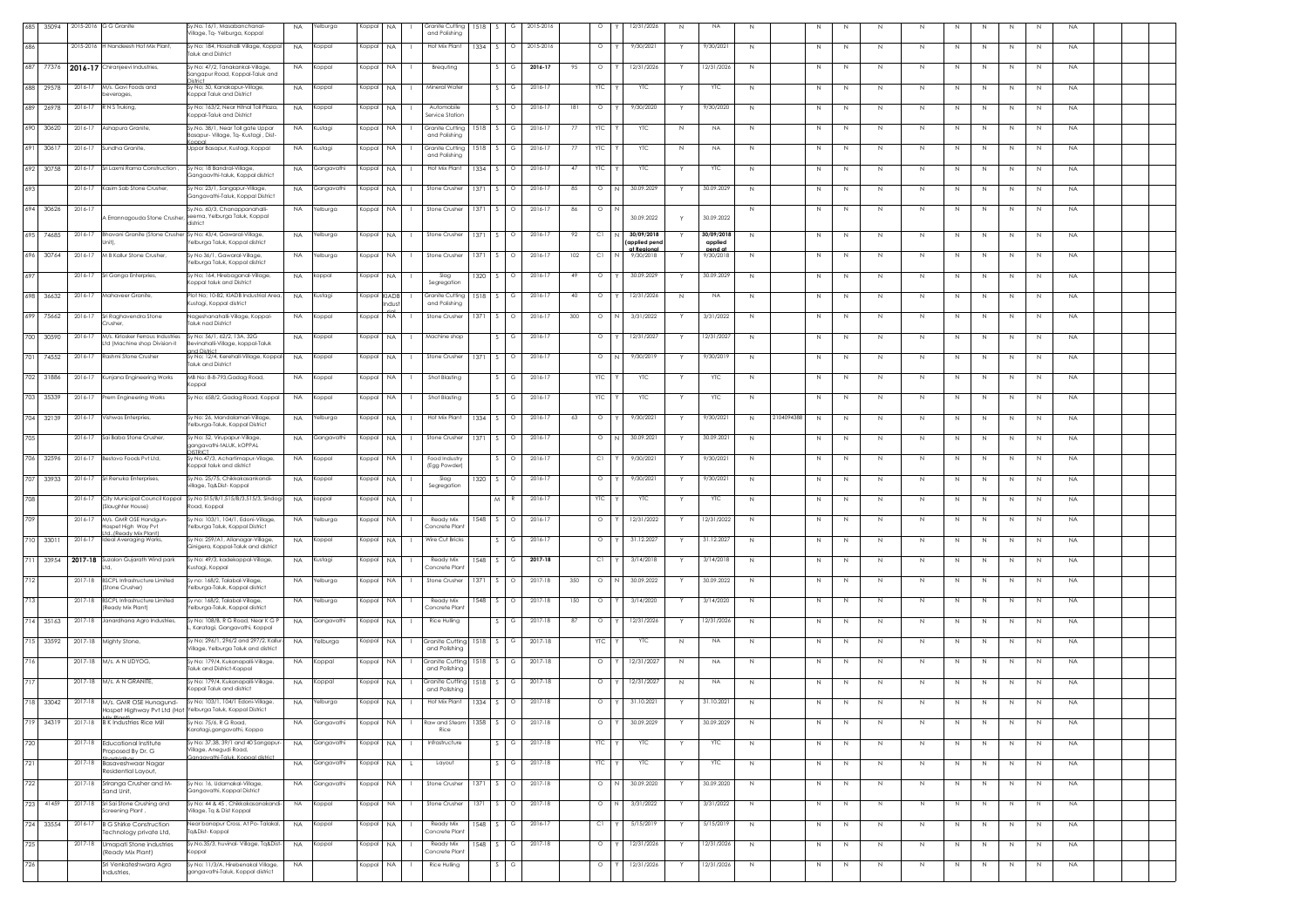| 685   | 35094     |             | 2015-2016 G G Granite                                    | /.No. 16/1, Masabanchanal-<br>ilage, Tq- Yelburga, Koppal                                     | <b>NA</b> | <b>Yelburga</b> | Koppal    | NA.         | Granite Cutting<br>1518<br>and Polishing                       |                          | 2015-2016   |     | $\circ$    | 12/31/2026<br>N                           | <b>NA</b>                       | N            |                  |             |              | N           | N  |              |    |              | <b>NA</b> |  |
|-------|-----------|-------------|----------------------------------------------------------|-----------------------------------------------------------------------------------------------|-----------|-----------------|-----------|-------------|----------------------------------------------------------------|--------------------------|-------------|-----|------------|-------------------------------------------|---------------------------------|--------------|------------------|-------------|--------------|-------------|----|--------------|----|--------------|-----------|--|
| 686   |           | 2015-2016   | HNandeesh Hot Mix Plant,                                 | Sy No: 184, Hosahalli Village, Koppal<br>aluk and District                                    | <b>NA</b> | Koppal          | Koppal    | NA.         | Hot Mix Plant<br>1334<br>$\sim$                                | $\circ$                  | 2015-2016   |     | $\circ$    | 9/30/2021                                 | 9/30/2021                       | N            | N                | N           | N.           | N           | N  | N.           | N  | N            | <b>NA</b> |  |
|       | 687 77376 |             | 2016-17 Chiranjeevi Industries,                          | Sy No: 47/2, Tanakankal-Village<br>angapur Road, Koppal-Taluk and                             | <b>NA</b> | Koppal          | Koppal    | NA.         | Brequting                                                      |                          | 2016-17     | 95  | $\circ$    | 12/31/2026                                | 12/31/2026                      | N            |                  | N           |              | N           |    |              |    | -N           | <b>NA</b> |  |
|       | 688 29578 | $2016 - 1$  | M/s. Gavi Foods and<br>erages                            | / No; 50, Kanakapur-Village,<br>oppal Taluk and District                                      | <b>NA</b> | Koppal          | Koppal    | NA          | Mineral Water                                                  |                          | $2016 - 17$ |     |            | YTC                                       | YTC                             | N            |                  |             |              | N           |    |              |    | N            | <b>NA</b> |  |
| 689   | 26978     | 2016-17     | N S Truking,                                             | No: 163/2, Near Hitnal Toll Plaza,<br>oppal-Taluk and District                                | <b>NA</b> | Koppal          | Koppal    | <b>NA</b>   | Automobile<br>ervice Station                                   |                          | 2016-17     | 181 | $\circ$    | 9/30/2020                                 | 9/30/2020                       | Ν            |                  | N           |              | N           |    | $\mathbb N$  | N  | $\mathbb N$  | <b>NA</b> |  |
|       | 690 30620 | 2016-17     | Ashapura Granite                                         | Sy.No. 38/1, Near Toll gate Uppar<br>asapur- Village, Tq- Kustagi , Dist-                     | NA        | Kustagi         | Koppal    | <b>NA</b>   | Granite Cuttina<br>1518<br>and Polishing                       |                          | 2016-12     | 77  | <b>YTC</b> | <b>YTC</b><br>N                           | <b>NA</b>                       | N            | N                | N           | N.           | N           | N  | N            | N  | N            | <b>NA</b> |  |
| 691   | 3061      | 2016-17     | undha Granite                                            | Jppar Basapur, Kustagi, Koppal                                                                | <b>NA</b> | Kustagi         | Koppal    | NA.         | 1518<br>Granite Cutting<br>and Polishing                       |                          | 2016-17     | 77  | YТC        | <b>YTC</b><br>N                           | NA.                             | N            | N                | N           | N.           | N           | N. | N.           | -N | N            | <b>NA</b> |  |
|       | 692 30758 | 2016-17     | ri Laxmi Rama Construction                               | Sy No; 18 Bandral-Village,<br>angaavthi-taluk, Koppal district                                | <b>NA</b> | Gangavathi      | Koppal    | <b>NA</b>   | Hot Mix Plan<br>1334                                           |                          | 2016-17     | 47  | <b>YTC</b> | <b>YTC</b>                                | <b>YTC</b>                      | $\mathbb{N}$ |                  | N           |              | N           |    |              |    | $\mathbb{N}$ | <b>NA</b> |  |
| 693   |           | 2016-17     | Kasim Sab Stone Crusher,                                 | Sy No: 23/1, Sangapur-Village<br>angavathi-Taluk, Koppal District                             | <b>NA</b> | Gangavathi      | Koppal    | <b>NA</b>   | Stone Crusher<br>1371                                          |                          | $2016 - 17$ | 85  | $\circ$    | 30.09.2029                                | 30.09.2029                      | N            | N                | N           |              | N           |    | N            | Ν  | N            | <b>NA</b> |  |
|       | 694 30626 | 2016-17     | Errannagouda Stone Crusher                               | Sy.No. 60/3, Chanappanahalli-<br>eema, Yelburga Taluk, Koppal                                 | NA        | felburga        | Koppal    | NA          | Stone Crusher<br>1371                                          | $\circ$                  | 2016-17     | 86  | $\circ$    | 30.09.2022                                | 30.09.2022                      | N            | N                | N           |              | N           | N  | N            | N  | N            | <b>NA</b> |  |
|       | 695 74685 | 2016-17     | <b>Bhavani Granite (Stone Crushe</b>                     | <b>listrict</b><br>Sy No: 43/4, Gawaral-Village                                               | NA        | Yelburga        | Koppal    | NA.         | Stone Crusher<br>1371                                          |                          | 2016-17     | 92  | -C1        | 30/09/2018                                | 30/09/2018                      | N            |                  | N           |              | N           |    |              |    |              | <b>NA</b> |  |
|       | 696 30764 | 2016-17     | <b>M B Kallur Stone Crusher</b>                          | elburga Taluk, Koppal district<br>y No 36/1, Gawaral-Village,                                 | NA.       | relburga        | Koppal    | NA.         | Stone Crusher<br>1371                                          |                          | 2016-17     | 102 | СI         | (applied pend<br>at Reaional<br>9/30/2018 | applied<br>pend at<br>9/30/2018 | N            | N.               | N           | -N           | N           | N. | N.           | -N | N            | NA.       |  |
| 697   |           | 2016-17     | Sri Ganga Enterpries                                     | elburga Taluk, Koppal district<br>y No; 164, Hirebaganal-Village,<br>oppal taluk and District | <b>NA</b> | koppal          | Koppal    | <b>NA</b>   | Slag<br>1320                                                   | $\circ$                  | 2016-17     | 49  | $\circ$    | 30.09.2029                                | 30.09.2029                      | N            | N                | N           |              | $\mathbb N$ |    | $\mathbb{N}$ | N  | N            | <b>NA</b> |  |
|       | 698 36632 | 2016-17     | Mahaveer Granite,                                        | Plot No; 10-B2, KIADB Industrial Area,<br>ustagi, Koppal district                             | <b>NA</b> | Kustagi         | Koppal    | KIADB       | Segregation<br><b>Granite Cutting</b><br>1518<br>and Polishing |                          | 2016-17     | 40  | $\circ$    | 12/31/2026<br>Ν                           | NA.                             | N            | N                | $\mathbb N$ | N            | $\mathbb N$ | N  | $\,N\,$      | N  | N            | <b>NA</b> |  |
| 699   | 75662     | 2016-17     | ri Raghavendra Stone<br>usher                            | Vageshanahalli-Village, Koppal<br>aluk nad District                                           | <b>NA</b> | Koppal          | Koppal    | dust<br>NA. | Stone Crusher<br>1371                                          | $\circ$                  | 2016-17     | 300 | $\circ$    | 3/31/2022                                 | 3/31/2022                       | N            | N                | N           | N.           | N           | N  | N            | N  | N            | <b>NA</b> |  |
|       | 700 30590 | 2016-17     | M/s. Kirlosker Ferrous Industries                        | Sy No: 56/1, 62/2, 13A, 32G<br>Bevinahalli-Village, koppal-Taluk                              | NA.       | Koppal          | Koppal    | NA.         | Machine shop                                                   |                          | 2016-17     |     | $\circ$    | 12/31/2027                                | 12/31/2027                      | N            |                  | $\mathbb N$ |              | N           |    | -N           |    | $\mathbb{N}$ | <b>NA</b> |  |
| 701 L | 74552     | $2016 - 17$ | td (Machine shop Division-II<br>Rashmi Stone Crusher     | ıd District<br>y No; 12/4, Kerehall-Village, Koppal-<br>aluk and District                     | <b>NA</b> | Koppal          | Koppal    | <b>NA</b>   | <b>Stone Crusher</b><br>1371                                   |                          | $2016 - 17$ |     | $\circ$    | 9/30/2019                                 | 9/30/2019                       | N            |                  |             |              | N           |    |              |    | N            | <b>NA</b> |  |
|       | 702 31886 | 2016-17     | Kunjana Engineering Works                                | MB No: 8-8-793,Gadag Road,<br>oppal                                                           | <b>NA</b> | Koppal          | Koppal    | NA.         | Shot Blasting                                                  | G                        | 2016-17     |     | YTC        | <b>YTC</b>                                | YTC                             | N            | N                | N           | N.           | N           | N  | N            | N  | N            | <b>NA</b> |  |
|       | 703 35339 | 2016-17     | Prem Engineering Works                                   | Sy No; 658/2, Gadag Road, Koppal                                                              | <b>NA</b> | Koppal          | Koppal    | NA.         | Shot Blasting<br>-S                                            |                          | 2016-17     |     | <b>YTC</b> | <b>YTC</b><br>Y                           | <b>YTC</b>                      | N            | N                | N           | N            | N           | N  | N            | N  | N            | <b>NA</b> |  |
|       | 704 32139 | 2016-17     | ishwas Enterpries,                                       | y No: 26, Mandalamari-Village,<br>elburga-Taluk, Koppal District                              | <b>NA</b> | elburga         | Koppal    | NA          | Hot Mix Plan<br>1334                                           |                          | 2016-17     | 63  | $\circ$    | 9/30/2021                                 | 9/30/2021                       | N            | 2104094388<br>N. | N           | N.           | N           | N  |              | N  | N.           | <b>NA</b> |  |
| 705   |           | 2016-17     | Sai Baba Stone Crusher,                                  | Sy No: 52, Virupapur-Village,<br>angavathi-tALUK, kOPPAL                                      | <b>NA</b> | Gangavathi      | Koppal    | NA.         | Stone Crusher<br>1371                                          | $\circ$                  | 2016-17     |     | $\circ$    | 30.09.202                                 | 30.09.2021                      | N            | N                | N           |              | N           | N  |              | N  | $\mathbb N$  | <b>NA</b> |  |
|       | 706 32596 | 2016-17     | Bestovo Foods Pvt Ltd                                    | Sy No.47/3, Achartimapur-Vilage,<br>oppal taluk and district                                  | NA        | Koppal          | Koppal    | NA.         | Food Industry                                                  |                          | 2016-17     |     | C1         | 9/30/2021                                 | 9/30/202                        | N            | N                | N           |              | N           |    | N            | N  | N            | <b>NA</b> |  |
|       | 707 33933 | 2016-17     | iri Renuka Enterprises,                                  | y.No. 25/75, Chikkakasankandi-<br>ilage, Tq&Dist- Koppal                                      | NA.       | Koppal          | Koppal    | NA.         | (Egg Powder)<br>1320<br>Slag<br>Segregation                    |                          | 2016-17     |     | $\circ$    | 9/30/2021                                 | 9/30/202                        | N            | N.               | N           | N.           | N           | N. | N.           | N  | N            | <b>NA</b> |  |
| 708   |           | 2016-17     | City Municipal Council Koppal<br>laughter House)         | Sy.No 515/B/1,515/B/3,515/3, Sindogi<br>ad, Koppal                                            | <b>NA</b> | koppal          | Koppal    | <b>NA</b>   | M                                                              |                          | 2016-17     |     | <b>YTC</b> | <b>YTC</b>                                | <b>YTC</b>                      | N            | N                | $\mathbb N$ | N            | $\mathbb N$ | N  | $\mathbb{N}$ | N  | N            | <b>NA</b> |  |
| 709   |           | 2016-17     | M/s. GMR OSE Handgun-<br>ospet High Way Pvt              | y No: 103/1, 104/1, Edoni-Village,<br>elburga Taluk, Koppal District                          | <b>NA</b> | Yelburga        | Koppal    | <b>NA</b>   | Ready Mix<br>1548<br>Concrete Plant                            | $\cap$                   | 2016-17     |     | $\circ$    | 12/31/2022                                | 12/31/2022                      | N            | N                | $\mathbb N$ | N            | $\mathbb N$ | N  | $\,N\,$      | N  | N            | <b>NA</b> |  |
|       | 710 33011 | 2016-17     | d. (Ready Mix Plant<br>ideal Averaging Works,            | ly No: 259/A1, Allanagar-Village,<br>Sinigera, Koppal-Taluk and district                      | NA.       | Koppal          | Koppal    | NA.         | Wire Cut Bricks                                                |                          | 2016-17     |     | $\circ$    | 31.12.202                                 | 31.12.202                       | N            | N                | -N          | N.           | N           | N. | N.           | N  | N            | <b>NA</b> |  |
|       | 711 33954 | 2017-18     | izalon Gujarath Wind park                                | iy No: 49/3, kadekoppal-Village,<br>ustagi, Koppal                                            | <b>NA</b> | (ustagi         | Koppal    | NA          | Ready Mi<br>1548<br>Concrete Plan                              |                          | 2017-18     |     | C1         | 3/14/2018                                 | 3/14/2018                       | N            |                  |             |              | N           |    |              |    | N            | <b>NA</b> |  |
| 712   |           | 2017-18     | BSCPL Infrastructure Limited<br>itone Crusher)           | y no: 168/2, Talabal-Village<br>elburga-Taluk, Koppal district                                | <b>NA</b> | felburga        | Koppal    | <b>NA</b>   | Stone Crusher<br>1371                                          |                          | 2017-18     | 350 | $\circ$    | 30.09.2022                                | 30.09.2022                      | N            |                  |             |              | N           |    |              |    | N            | <b>NA</b> |  |
| 713   |           | 2017-18     | <b>BSCPL Infrastructure Limited</b><br>eady Mix Plant)   | sy no: 168/2, Talabal-Village,<br>alburga-Taluk, Koppal district                              | <b>NA</b> | <b>Yelburga</b> | Koppal    | NA          | Ready Mix<br>1548<br>Concrete Plan                             | $\circ$                  | 2017-18     | 150 | $\circ$    | 3/14/2020                                 | 3/14/2020                       | N            | N                | N           | N.           | N           | N  | N            | N  | N            | <b>NA</b> |  |
|       | 714 35163 | 2017-18     | Janardhana Agro Industries,                              | Sy No: 108/B, R G Road, Near K G P<br>Karatagi, Gangavathi, Koppal                            | <b>NA</b> | Gangavathi      | Koppal    | NA.         | Rice Hulling                                                   |                          | 2017-18     | 87  | $\circ$    | 12/31/2026<br>Y                           | 12/31/2026                      | N            | N                | N           | -N           | N           | N  | N.           | N  | N            | <b>NA</b> |  |
|       | 715 33592 | 2017-18     | Aighty Stone,                                            | / No; 296/1, 296/2 and 297/2, Kallur-<br>illage, Yelburga Taluk and district                  | <b>NA</b> | Yelburga        | Koppal    | NA          | Sranite Cutting<br>1518<br>and Polishing                       | G                        | 2017-18     |     | YTC        | YTC<br>Ν                                  | NA.                             | N            | N                | N           | N            | $\mathbb N$ | N  | N            | N  | N            | <b>NA</b> |  |
| 716   |           | 2017-18     | W/s. A N UDYOG,                                          | iy No: 179/4, Kukanapalli-Village,<br>aluk and District-Koppal                                | <b>NA</b> | Koppal          | Koppal    | NA          | Sranite Cuttina<br>1518<br>and Polishing                       | G                        | 2017-18     |     | $\circ$    | 12/31/2027<br>Ν                           | <b>NA</b>                       | N            | N                | N           | $\mathbb N$  | N           | N  | $\mathbb N$  | N  | $\mathbb N$  | <b>NA</b> |  |
| 717   |           | 2017-18     | M/s A N GRANITE                                          | Sy No: 179/4, Kukanapalli-Village,<br>oppal Taluk and district                                | NA        | Koppal          | Koppal    | <b>NA</b>   | Granite Cuttino<br>1518<br>and Polishina                       |                          | 2017-18     |     | $\circ$    | 12/31/202<br>N                            | <b>NA</b>                       | N            | N                | N           |              | N           |    |              |    | N            | <b>NA</b> |  |
|       | 718 33042 | 2017-18     | M/s. GMR OSE Hunagund-<br>Hospet Highway Pvt Ltd (Hot    | Sy No; 103/1, 104/1 Edoni-Village,<br>Yelburga Taluk, Koppal District                         | <b>NA</b> | <b>Yelburga</b> | Koppal    | NA.         | 1334<br>Hot Mix Plant                                          |                          | 2017-18     |     | $\circ$    | 31.10.2021                                | 31.10.2021                      | N            |                  |             |              | N           |    |              |    |              | <b>NA</b> |  |
|       | 719 34319 |             | 2017-18 B K Industries Rice Mill                         | / No: 75/6, R G Road,<br>Caratagi,gangavathi, Koppa                                           | <b>NA</b> | Gangavathi      | Koppal NA |             | Raw and Steam<br>1358 S<br>Rice                                | $\overline{\phantom{a}}$ | 2017-18     |     | $\circ$    | 30.09.2029                                | 30.09.2029                      |              |                  |             |              |             |    |              |    |              | <b>NA</b> |  |
| 720   |           |             | 2017-18 Educational Institute<br>Proposed By Dr. G       | v No: 37,38, 39/1 and 40 Sangapur-<br>/illage, Anegudi Road,                                  |           | NA Gangavathi   | Koppal NA |             | Infrastructure                                                 | G                        | 2017-18     |     | YTC        | YTC                                       | <b>ALC</b>                      | N            | N                | N           | N            | N           | N  | N            | N  | N            | <b>NA</b> |  |
| 721   |           | 2017-18     | Shashidhar.<br>Basaveshwaar Nagar<br>Residential Layout, | anaavathi-Taluk, Koppal district                                                              | <b>NA</b> | Gangavathi      | Koppal    | NA          | Layout<br>S.<br>. L                                            | G                        | 2017-18     |     | YTC        | YTC<br>Y                                  | <b>YTC</b>                      | N            | N                | N           | N            | N           | N  | N            | N  | N            | <b>NA</b> |  |
| 722   |           | 2017-18     | Sriranga Crusher and M-<br>Sand Unit.                    | Sy No: 16, Udamakal-Village,<br>Gangavathi, Koppal District                                   | NA.       | Gangavathi      | Koppal    | <b>NA</b>   | Stone Crusher<br>1371                                          | $\circ$                  | 2017-18     |     | $\circ$    | 30.09.2020                                | 30.09.2020                      | N            | N                | $\mathbb N$ | $\mathbb{N}$ | N           | N  | N            | N  | N            | <b>NA</b> |  |
|       | 723 41459 |             | 2017-18 Sri Sai Stone Crushing and<br>creening Plant ,   | Sy No: 44 & 45 , Chikkakasanakandi-<br>/illage, Tq & Dist Koppal                              | <b>NA</b> | Koppal          | Koppal    | <b>NA</b>   | Stone Crusher<br>1371                                          | $\circ$                  | 2017-18     |     | $\circ$    | 3/31/2022                                 | 3/31/2022                       | N            | N                | N           | N            | N           |    | N            |    | N            | <b>NA</b> |  |
|       | 724 33554 | 2016-17     | <b>B G Shirke Construction</b><br>echnology private Ltd, | Vear banapur Cross, At Po-Talakal,<br>a&Dist-Koppal                                           | <b>NA</b> | Koppal          | Koppal    | NA.         | Ready Mix<br>1548<br>-S -<br>Concrete Plan                     | G                        | 2016-17     |     | C1         | 5/15/2019                                 | 5/15/2019                       | N            | N                | N           | N            | N           | N  | N            | N  | N            | <b>NA</b> |  |
| 725   |           | $2017 - 18$ | Umapati Stone industries<br>(Ready Mix Plant)            | Sy.No.35/3, huvinal- Village, Tq&Dist-<br>logopi                                              | <b>NA</b> | Koppal          | Koppal    | NA          | Ready Mix<br>1548<br>Concrete Plant                            | G                        | 2017-18     |     | $\circ$    | 12/31/2026                                | 12/31/2026                      | N            | N                | N           | N            | N           | N  | N            | N  | N            | <b>NA</b> |  |
| 726   |           |             | Sri Venkateshwara Agro<br>ndustries.                     | y No: 11/3/A, Hirebenakal Village,<br>angavathi-Taluk, Koppal district                        | <b>NA</b> |                 | Koppal    | <b>NA</b>   | Rice Hulling                                                   |                          |             |     | $\circ$    | 12/31/2026                                | 12/31/2026                      | N            | $\mathbb N$      | $\mathbb N$ | N            | N           | N  | $\,N\,$      | N  | N            | <b>NA</b> |  |
|       |           |             |                                                          |                                                                                               |           |                 |           |             |                                                                |                          |             |     |            |                                           |                                 |              |                  |             |              |             |    |              |    |              |           |  |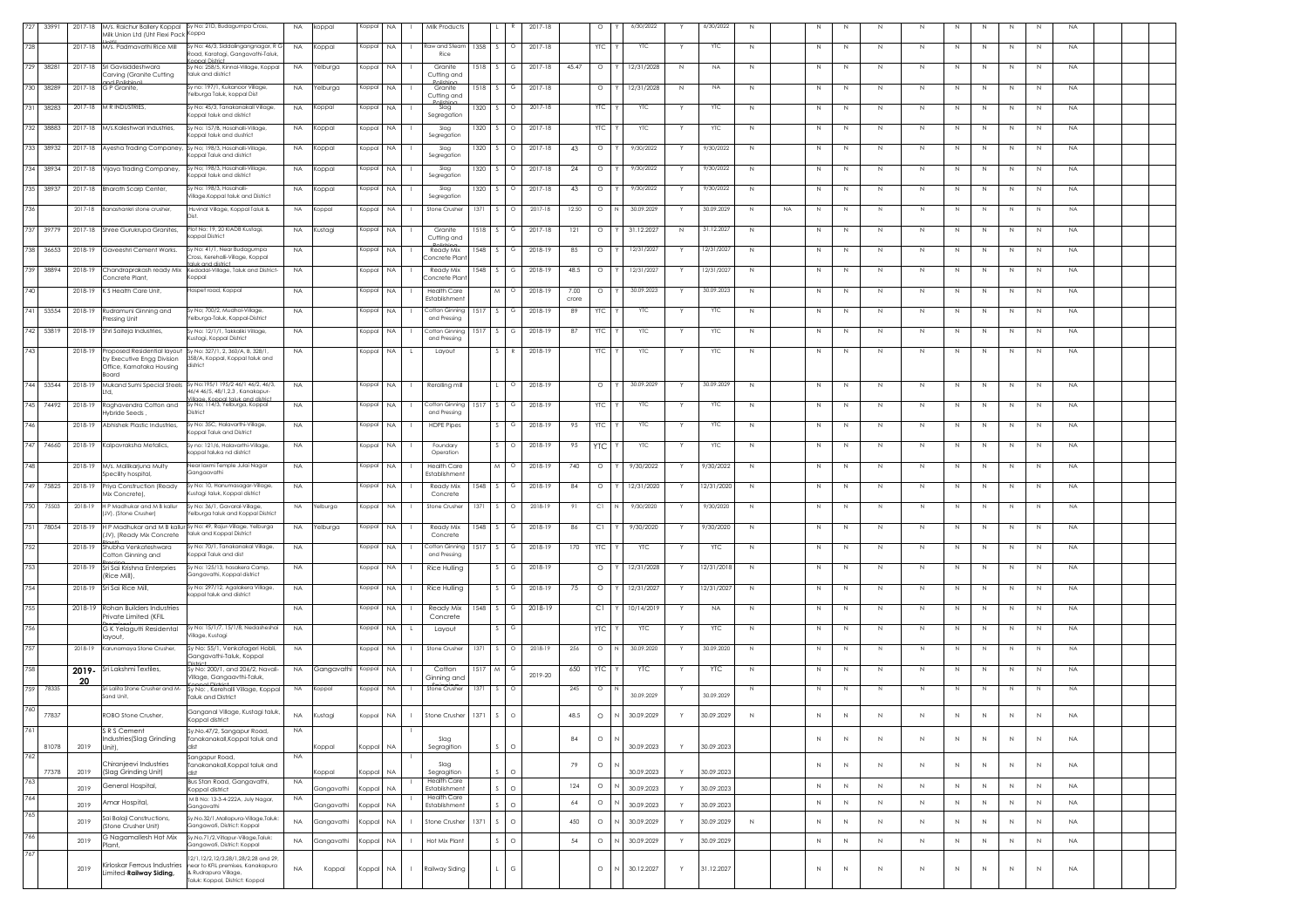| 727 | 33991     | 2017-18 | Milk Union Ltd (Uht Flexi Pack Koppa                       | M/s. Raichur Ballery Koppal Sy No: 21D, Budagumpa Cross,                                                                                    | <b>NA</b> | koppal               | Koppal | <b>NA</b>                 | Milk Products                       |        |        |          | 2017-18 |               | $\circ$    | 6/30/2022  |   | 6/30/2022  | $\,N\,$        | N           | N           | $\mathbb N$  | $\mathbb N$  | N            | $\mathbb N$ | N            | N            | <b>NA</b> |  |
|-----|-----------|---------|------------------------------------------------------------|---------------------------------------------------------------------------------------------------------------------------------------------|-----------|----------------------|--------|---------------------------|-------------------------------------|--------|--------|----------|---------|---------------|------------|------------|---|------------|----------------|-------------|-------------|--------------|--------------|--------------|-------------|--------------|--------------|-----------|--|
| 728 |           |         | 2017-18 M/s. Padmavathi Rice Mill                          | Sy No: 46/3, Siddalingangnagar, R G<br>Road, Karatagi, Gangavathi-Taluk,                                                                    | <b>NA</b> | Koppal               | Koppal | <b>NA</b>                 | Raw and Steam<br>Rice               | 1358   | -S -   | $\circ$  | 2017-18 |               | <b>YTC</b> | <b>YTC</b> |   | YTC        | N              | N           | N           | $\mathbb N$  | N            | N            | N           | N            | N            | NA.       |  |
|     | 729 38281 |         | 2017-18 Sri Gavisiddeshwara<br>Carving (Granite Cutting    | nal District<br>Sy No: 258/5, Kinnal-Village, Koppal<br>taluk and district                                                                  | <b>NA</b> | Yelburga             | Koppal | <b>NA</b>                 | Granite<br>Cutting and              | 1518   |        |          | 2017-18 | 45.47         | $\circ$    | 12/31/2028 | N | <b>NA</b>  | N              | N           | N           | N            | N            | N            | N           | N            | N            | <b>NA</b> |  |
| 730 | 38289     | 2017-18 | G P Granite,                                               | Sy no: 197/1, Kukanoor Village<br>Yelburga Taluk, koppal Dist                                                                               | <b>NA</b> | Yelburga             | Koppal | NA.                       | Granite                             | 1518   |        |          | 2017-18 |               | $\circ$    | 12/31/2028 | N | <b>NA</b>  | N              | N           | N           | -N           | N            | N            | N           | N            | N            | <b>NA</b> |  |
| 731 | 38283     |         | 2017-18 M R INDUSTRIES,                                    | iy No: 45/3, Tanakanakall Village,<br>oppal taluk and district                                                                              | <b>NA</b> | Koppal               | Koppal | NA.                       | Cutting and<br>Slag                 | 1320   |        | $\circ$  | 2017-18 |               | <b>YTC</b> | YTC        |   | YTC        | N              | N           | N           | $\mathbb N$  | N            | N            | $\mathbb N$ | N            | N            | <b>NA</b> |  |
| 732 | 38883     |         | 2017-18 M/s.Kaleshwari Industries                          | Sv No: 157/B, Hosahalli-Village                                                                                                             | <b>NA</b> | Koppal               | Koppal | <b>NA</b>                 | Segregation<br>Slag                 | 1320   |        | $\circ$  | 2017-18 |               | <b>YTC</b> | <b>YTC</b> |   | <b>YTC</b> | N              | N           | N           | $\mathbb N$  | N            | N            | $\mathbb N$ | N            | N            | NA        |  |
| 733 | 38932     | 2017-18 | Ayesha Trading Companey                                    | oppal taluk and dustrict<br>Sy No; 198/3, Hosahalli-Village,                                                                                | <b>NA</b> | Koppal               | Koppal | <b>NA</b>                 | Segregation<br>Slag                 | 1320   |        |          | 2017-18 | 43            | $\circ$    | 9/30/2022  |   | 7/30/2022  | N              | N           | N           | N            | N            | $\mathbb{N}$ | N           | N            | N            | NA.       |  |
| 734 | 38934     | 2017-18 | Vijaya Trading Companey,                                   | oppal Taluk and district<br>Sy No; 198/3, Hosahalli-Village,                                                                                | <b>NA</b> | Koppal               | Koppal | <b>NA</b>                 | Segregation<br>Slag                 | 1320   |        |          | 2017-18 | 24            | $\circ$    | 9/30/2022  |   | 9/30/2022  | N              | $\mathbb N$ | $\mathbb N$ | $\mathbb N$  | $\mathbb{N}$ | N            | $\mathbb N$ | N            | N            | <b>NA</b> |  |
|     | 735 38937 |         | 2017-18 Bharath Scarp Center,                              | Koppal taluk and district<br>Sy No: 198/3, Hosahalli-                                                                                       | <b>NA</b> | Koppal               | Koppal | NA.                       | Segregation<br>Slag                 | 1320   |        | $\Omega$ | 2017-18 | 43            | $\circ$    | 9/30/2022  |   | 9/30/2022  | $\,N\,$        | $\mathbb N$ | N           | $\mathbb N$  | N            | N            | $\mathbb N$ | N            | N            | NA        |  |
| 736 |           | 2017-18 | Banashankri stone crusher.                                 | Village.Koppal taluk and District<br>Huvinal Village, Koppal Taluk &                                                                        | <b>NA</b> | Koppal               | Koppal | <b>NA</b>                 | Segregation<br>Stone Crusher        | 1371   |        | $\circ$  | 2017-18 | 12.50         | $\circ$    | 30.09.2029 |   | 30.09.2029 | N<br><b>NA</b> | N.          | N           | N.           | N            | N.           | N           | N            | N            | <b>NA</b> |  |
| 737 | 39779     | 2017-18 | Shree Gurukrupa Granites,                                  | Plot No: 19, 20 KIADB Kustagi,                                                                                                              | <b>NA</b> | Kustagi              | Koppal | NA.                       | Granite                             | 1518   |        |          | 2017-18 | 121           | $\circ$    | 31.12.2027 | N | 31.12.2027 | $\,N\,$        | N           | N           | N            | N            | N            | N           | N            | N            | <b>NA</b> |  |
|     |           |         |                                                            | coppal District                                                                                                                             |           |                      |        |                           | Cutting and                         |        |        |          |         |               |            |            |   |            |                |             |             |              |              |              |             |              |              |           |  |
| 738 | 36653     | 2018-19 | Gaveeshri Cement Works.                                    | Sy No: 41/1, Near Budagumpa<br>.<br>Iross, Kerehalli-Village, Koppal.<br>aluk and district                                                  | <b>NA</b> |                      | Koppal | <b>NA</b>                 | Ready Mix<br>Concrete Plan          | 1548   |        |          | 2018-19 | 85            | $\circ$    | 12/31/2027 |   | 12/31/2027 | N              | N           | N           | $\mathbb N$  | N            | N            | $\mathbb N$ | N            | N            | NA        |  |
| 739 | 38894     | 2018-19 | Chandraprakash ready Mix<br>Concrete Plant,                | Kedadal-Village, Taluk and District-<br>oppal)                                                                                              | <b>NA</b> |                      | Koppal | <b>NA</b>                 | Ready Mix<br>Concrete Plant         | 1548   | $\sim$ | G        | 2018-19 | 48.5          | $\circ$    | 12/31/2023 |   | 12/31/202  | N              | $\mathbb N$ | N           | $\mathbb N$  | N            | N            | N           | N            | N            | NA.       |  |
| 740 |           |         | 2018-19 K S Health Care Unit.                              | Hospet road, Koppal                                                                                                                         | <b>NA</b> |                      | Koppal | <b>NA</b>                 | <b>Health Care</b><br>Establishment |        |        |          | 2018-19 | 7.00<br>crore | $\circ$    | 30.09.2023 |   | 30.09.2023 | N              | N           | N           | N            | N            | N            | N           | N            | N            | <b>NA</b> |  |
| 741 | 53554     | 2018-19 | Rudramuni Ginning and<br>ressing Unit                      | Sy No; 700/2, Mudhol-Village,<br>'elburga-Taluk, Koppal-District                                                                            | <b>NA</b> |                      | Koppal | <b>NA</b>                 | Cotton Ginning<br>and Pressing      | 1517   |        |          | 2018-19 | 89            | YТC        | YTC        |   | YTC        | N              | N           | N           | -N           | N            |              | N           | N            | N            | <b>NA</b> |  |
|     | 742 53819 | 2018-19 | Shri Saiteja Industries,                                   | Sy No: 12/1/1, Takkaliki Village,<br>ustagi, Koppal District                                                                                | <b>NA</b> |                      | Koppal | <b>NA</b>                 | Cotton Ginning<br>and Pressing      | 1517   |        | G        | 2018-19 | 87            | <b>YTC</b> | <b>YTC</b> |   | YTC        | N              | $\mathbb N$ | N           | $\mathbb N$  | N            | N            | $\mathbb N$ | N            | N            | <b>NA</b> |  |
| 743 |           | 2018-19 | by Executive Engg Division                                 | Proposed Residential layout Sy No: 327/1, 2, 360/A, B, 328/1,<br>358/A, Koppal, Koppal taluk and                                            | NA        |                      | Koppal | <b>NA</b>                 | Layout                              |        |        |          | 2018-19 |               | <b>YTC</b> | <b>YTC</b> |   | <b>YTC</b> | N              | N           | N           | $\mathbb N$  | N            | N            | $\,N$       | N            | N            | NA        |  |
|     |           |         | Office, Karnataka Housing<br>Board                         | district                                                                                                                                    |           |                      |        |                           |                                     |        |        | $\Omega$ |         |               |            |            |   |            |                |             |             |              |              |              |             |              |              |           |  |
|     | 744 53544 |         |                                                            | 2018-19 Mukand Sumi Special Steels Sy No:195/1 195/2 46/1 46/2, 46/3,<br>46/4 46/5, 48/1,2,3, Kanakapur-<br>lage. Konnal taluk and district | <b>NA</b> |                      | Koppal | <b>NA</b>                 | Rerolling mill                      |        |        |          | 2018-19 |               | $\circ$    | 30.09.2029 |   | 30.09.2029 | $\,N\,$        | $\mathbb N$ | N           | $\mathbb N$  | N            | N            | $\mathbb N$ | N            | N            | <b>NA</b> |  |
| 745 | 74492     | 2018-19 | Raghavendra Cotton and<br>Hybride Seeds                    | Sy No; 114/3, Yelburga, Koppal<br>District                                                                                                  | <b>NA</b> |                      | Koppal | NA.                       | Cotton Ginnina<br>and Pressing      | 1517   |        | G        | 2018-19 |               | <b>YTC</b> | <b>YTC</b> |   | <b>YTC</b> | N              | $\mathbb N$ | N           | N            | N            | N            | N           | N            | N            | NA.       |  |
| 746 |           | 2018-19 | Abhishek Plastic Industries.                               | Sy No: 35C, Halavarthi-Village,<br>Koppal Taluk and District                                                                                | NA        |                      | Koppal | <b>NA</b>                 | <b>HDPE Pipes</b>                   |        |        |          | 2018-19 | 95            | <b>YTC</b> | <b>YTC</b> |   | YTC        | N              | $\mathbb N$ | N           | N            | N            | N            | $\mathbb N$ | N            | N            | <b>NA</b> |  |
| 747 | 74660     | 2018-19 | Kalpavraksha Metalics,                                     | Sy no: 121/6, Halavarthi-Village,<br>koppal taluka nd district                                                                              | <b>NA</b> |                      | Koppal | NA.                       | Foundary<br>Operation               |        |        |          | 2018-19 | 95            | <b>YTC</b> | YTC        |   | YTC        | N              | N           | N           | $\mathbb N$  | N            | N            | $\mathbb N$ | N            | N            | <b>NA</b> |  |
| 748 |           | 2018-19 | M/s. Mallikarjuna Multy<br>Specility hospital,             | Near laxmi Temple Julai Nagar<br>Gangaavathi                                                                                                | <b>NA</b> |                      | Koppal | <b>NA</b>                 | <b>Health Care</b><br>Establishment |        | M      | $\Omega$ | 2018-19 | 740           | $\circ$    | 9/30/2022  |   | 9/30/2022  | N              | N           | N           | N            | N            | N            | N           | N            | N            | NA.       |  |
| 749 | 75825     | 2018-19 | Priya Construction (Ready<br>Mix Concrete),                | Sy No: 10, Hanumasagar-Village<br>Kustagi taluk, Koppal district                                                                            | <b>NA</b> |                      | Koppal | <b>NA</b>                 | Ready Mix<br>Concrete               | 1548   |        |          | 2018-19 | 84            | $\circ$    | 12/31/2020 |   | 12/31/2020 | N              | N           | N           | N            | N            | N            | N           | N            | N            | <b>NA</b> |  |
| 750 | 75503     | 2018-19 | H P Madhukar and M B kallur<br>(JV), (Stone Crusher)       | Sy No: 36/1, Gavaral-Village,<br>Yelburga taluk and Koppal District                                                                         | <b>NA</b> | 'elburga             | Koppa  | ΝA                        | Stone Crushe                        |        |        |          | 2018-19 |               | C1         | 9/30/2020  |   | 9/30/2020  |                |             |             |              | N            |              |             |              |              | <b>NA</b> |  |
| 751 | 78054     | 2018-19 | (JV), (Ready Mix Concrete                                  | H P Madhukar and M B kallur Sy No: 49, Rajur-Village, Yelburga<br>taluk and Koppal District                                                 | <b>NA</b> | Yelburga             | Koppal | <b>NA</b>                 | Ready Mix<br>Concrete               | 1548   |        | G        | 2018-19 | 86            | C1         | 9/30/2020  |   | 9/30/2020  | N              | $\mathbb N$ | N           | $\mathbb N$  | N            | N            | $\mathbb N$ | N            | N            | NA.       |  |
| 752 |           | 2018-19 | Shubha Venkateshwara<br>Cotton Ginning and                 | Sy No: 70/1, Tanakanakal Village,<br>Koppal Taluk and dist                                                                                  | NA        |                      | Koppal | <b>NA</b>                 | Cotton Ginnina<br>and Pressing      | 1517   |        | G        | 2018-19 | 170           | <b>YTC</b> | <b>YTC</b> |   | <b>YTC</b> | N              | N           | N           | $\mathbb N$  | N            | N            | $\,N$       | N            | N            | NA        |  |
| 753 |           | 2018-19 | Sri Sai Krishna Enterpries<br>(Rice Mill),                 | Sy No: 125/13, hosakera Camp,<br>Gangavathi, Koppal district                                                                                | <b>NA</b> |                      | Koppal | <b>NA</b>                 | Rice Hulling                        |        |        | G        | 2018-19 |               | $\circ$    | 12/31/2028 |   | 12/31/2018 | N              | N           | N           | N            | N            | N            | N           | N            | N            | <b>NA</b> |  |
| 754 |           | 2018-19 | Sri Sai Rice Mill,                                         | Sy No: 297/12, Agalakera Village,<br>koppal taluk and district                                                                              | <b>NA</b> |                      | Koppal | <b>NA</b>                 | Rice Hulling                        |        |        |          | 2018-19 | 75            | $\circ$    | 12/31/2027 |   | 12/31/202  | N              | N           | N           | -N           | $\mathbb N$  | N            | N           | N            | N            | <b>NA</b> |  |
| 755 |           |         | 2018-19 Rohan Builders Industries<br>Private Limited (KFIL |                                                                                                                                             | <b>NA</b> |                      | Koppal | NA.                       | Ready Mix<br>Concrete               | 1548   |        | G        | 2018-19 |               | C1         | 10/14/2019 |   | NA.        | N              | $\mathbb N$ | N           | $\mathbb N$  | N            | N            | $\mathbb N$ | N            | N            | <b>NA</b> |  |
| 756 |           |         | G K Yelagutti Residental<br>layout,                        | Sy No: 15/1/7, 15/1/8, Nedasheshai<br>/illage, Kustagi                                                                                      | NA.       |                      | Koppal | NA.                       | Layout                              |        |        |          |         |               | <b>YTC</b> | YTC        |   | YTC        | N              | N           | N           | N            | N            | $\mathbb{N}$ | N           | N            | N            | NA.       |  |
| 757 |           | 2018-19 | Karunamaya Stone Crusher,                                  | Sy No: 55/1, Venkatageri Hobli,<br>Gangavathi-Taluk, Koppal                                                                                 | <b>NA</b> |                      | Koppal | <b>NA</b>                 | Stone Crusher                       | 1371   |        |          | 2018-19 | 256           | $\circ$    | 30.09.2020 |   | 30.09.2020 | $\mathbb N$    | N           | N           |              |              |              | N           |              | N            | <b>NA</b> |  |
| 758 |           | 2019-   | Sri Lakshmi Textiles,                                      | Sy No: 200/1, and 206/2, Navali-<br>Village, Ganagaythi-Taluk                                                                               | <b>NA</b> | Gangavathi Koppal NA |        |                           | Cotton                              | 1517 M |        |          | 2019-20 | 650           | <b>YTC</b> | <b>YTC</b> |   | <b>YTC</b> | N              | N           | N           | $\mathbb N$  | N            | N            | $\mathbb N$ | N            | N            | <b>NA</b> |  |
| 759 | 78335     | 20      | Sri Lalita Stone Crusher and M-<br>Sand Unit,              | Sy No: , Kerehalli Village, Koppal<br><b>Taluk and District</b>                                                                             | <b>NA</b> | Koppal               | Koppal | <b>NA</b>                 | Ginning and<br>Stone Crusher        | 1371   |        | $\circ$  |         | 245           | $\circ$    | 30.09.2029 |   | 30.09.2029 |                | N.          | N           | N.           | N.           |              |             | N            | <sup>N</sup> | <b>NA</b> |  |
| 760 | 77837     |         | ROBO Stone Crusher,                                        | Ganganal Village, Kustagi taluk,                                                                                                            | NA        | Kustagi              | (oppa  | <b>NA</b>                 | Stone Crusher                       |        |        |          |         | 48.5          | $\circ$    | 30.09.2029 |   | 30.09.2029 | $\mathbb{N}$   | N           |             |              |              |              |             |              |              | <b>NA</b> |  |
| 761 |           |         | SRS Cement                                                 | Sy.No.47/2, Sangapur Road,                                                                                                                  | <b>NA</b> |                      |        |                           |                                     |        |        |          |         |               |            |            |   |            |                |             |             |              |              |              |             |              |              |           |  |
|     | 81078     | 2019    | Industries (Slag Grinding<br>Unit).                        | Tanakanakall, Koppal taluk and                                                                                                              |           | Koppal               | Koppal | <b>NA</b>                 | Slag<br>Segragition                 |        |        | $\circ$  |         | 84            | $\circ$    | 30.09.2023 | Y | 30.09.2023 |                | $\mathbb N$ | $\mathbb N$ | $\mathbb{N}$ | $\mathbb{N}$ | N            | $\,N\,$     | $\mathbb{N}$ | $\,N\,$      | <b>NA</b> |  |
| 762 | 77378     | 2019    | Chiranjeevi Industries<br>(Slag Grinding Unit)             | Sangapur Road,<br>Tanakanakall, Koppal taluk and<br>dist                                                                                    | <b>NA</b> | oppal)               | Koppal | <b>NA</b>                 | Slag<br>Segragition                 |        |        | Ó        |         | 79            | $\circ$    | 30.09.2023 |   | 30.09.2023 |                | $\,N\,$     | $\,N\,$     | $\mathbb{N}$ | N            | N            | $\,N\,$     | $\mathbb{N}$ | $\,N\,$      | NA        |  |
| 763 |           | 2019    | General Hospital,                                          | Bus Stan Road, Gangavathi,<br>Koppal district                                                                                               | <b>NA</b> | Gangavathi           | Koppal | <b>NA</b>                 | <b>Health Care</b><br>Establishment |        |        | $\circ$  |         | 124           | $\circ$    | 30.09.2023 |   | 30.09.2023 |                | $\,N\,$     | N           | $\mathbb N$  | $\,N\,$      | N            | $\mathbb N$ | $\,N\,$      | N            | <b>NA</b> |  |
| 764 |           | 2019    | Amar Hospital,                                             | M B No: 13-3-4-222A, July Nagar,<br>Gangavathi                                                                                              | NA        | Gangavathi           | Koppal | <b>NA</b>                 | <b>Health Care</b><br>Establishment |        |        | $\Omega$ |         | 64            | $\circ$    | 30.09.2023 | Y | 30.09.2023 |                | $\mathbb N$ | $\,N\,$     | $\mathbb N$  | $\,N\,$      | $\,N\,$      | $\mathbb N$ | N            | N            | <b>NA</b> |  |
| 765 |           | 2019    | Sai Balaji Constructions,<br>(Stone Crusher Unit)          | Sy.No.32/1,Mallapura-Village,Taluk:<br>Gangawati, District: Koppal                                                                          | <b>NA</b> | Gangavathi           | Koppal | NA                        | Stone Crusher                       | 1371   |        | $\circ$  |         | 450           | $\circ$    | 30.09.2029 | Y | 30.09.2029 | N              | $\,$ N      | $\,$ N      | $\mathbb N$  | $\,N\,$      | N            | $\,N\,$     | $\,N\,$      | $\,N\,$      | NA.       |  |
| 766 |           | 2019    | G Nagamallesh Hot Mix<br>Plant.                            | Sy.No.71/2,Vitlapur-Village,Taluk:<br>Gangawati, District: Koppal                                                                           | <b>NA</b> | Gangavathi           | Koppal | NA.                       | Hot Mix Plant                       |        |        | $\circ$  |         | 54            | $\circ$    | 30.09.2029 | Y | 30.09.2029 |                | $\mathbb N$ | N           | $\mathbb N$  | $\,N\,$      | N            | $\mathbb N$ | $\,N\,$      | $\,N\,$      | <b>NA</b> |  |
| 767 |           | 2019    | Kirloskar Ferrous Industries<br>Limited-Railway Siding,    | 12/1,12/2,12/3,28/1,28/2,28 and 29<br>near to KFIL premises, Kanakapura<br>& Rudrapura Village.                                             | <b>NA</b> | Koppal               | Koppal | <b>NA</b><br>$\mathbf{1}$ | Railway Siding                      |        |        | G        |         |               | $\circ$    | 30.12.2027 | Υ | 31.12.2027 |                | $\mathbb N$ | N           | $\mathbb N$  | $\,N\,$      | N            | $\mathbb N$ | $\,N\,$      | $\,N\,$      | NA.       |  |
|     |           |         |                                                            | Taluk: Koppal, District: Koppal                                                                                                             |           |                      |        |                           |                                     |        |        |          |         |               |            |            |   |            |                |             |             |              |              |              |             |              |              |           |  |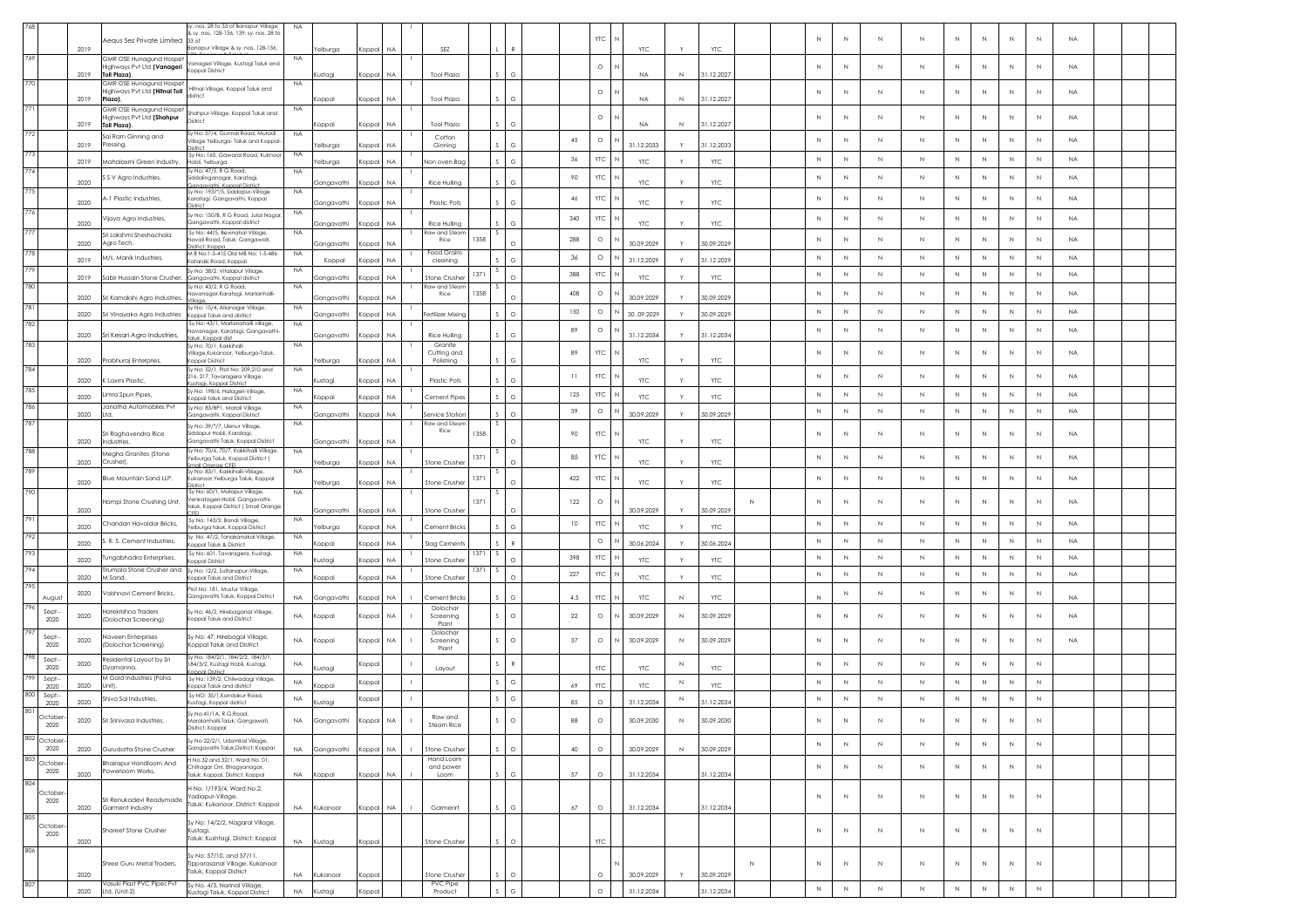|                              |      | equs Sez Private Limited                                              | sy. nos. 28 to 33 of Banapur Village<br>& sy. nos. 128-136, 139, sy. nos. 28 to                  | NA        |                          |           |           |                                |                 |         |     | <b>YTC</b> |                    |              |                          |   |              | N            | Ν           | N           | Ν            | N           | Ν            | N            | <b>NA</b> |
|------------------------------|------|-----------------------------------------------------------------------|--------------------------------------------------------------------------------------------------|-----------|--------------------------|-----------|-----------|--------------------------------|-----------------|---------|-----|------------|--------------------|--------------|--------------------------|---|--------------|--------------|-------------|-------------|--------------|-------------|--------------|--------------|-----------|
| 769                          | 2019 |                                                                       | Banapur Village & sy. nos. 128-136,                                                              |           | Yelburga                 | Koppal    | <b>NA</b> | SF7                            |                 |         |     |            | YTC:               |              | YTC:                     |   |              |              |             |             |              |             |              |              |           |
|                              | 2019 | GMR OSE Hunagund Hospet<br>Highways Pvt Ltd (Vanageri<br>Toll Plaza). | /anageri Village, Kustagi Taluk and<br>Koppal District                                           | NA        | Kustagi                  | Koppal NA |           | <b>Tool Plaza</b>              |                 |         |     | $\circ$    | <b>NA</b>          | $\mathbb N$  | 31.12.2027               |   |              | $\mathbb{N}$ | N           | $\mathbb N$ | N            | $\mathbb N$ | N            | N            | <b>NA</b> |
| 770                          |      | <b>GMR OSE Hunagund Hospet</b><br>lighways Pvt Ltd (Hitnal Toll       | Hitnal-Village, Koppal Taluk and<br>district                                                     | <b>NA</b> |                          |           |           |                                |                 |         |     | $\circ$    |                    |              |                          |   | N            | $\mathbb{N}$ | N           | $\mathbb N$ | N            | N           | N            | $\mathbb{N}$ | <b>NA</b> |
| 771                          | 2019 | Plaza).<br>GMR OSE Hunagund Hospet                                    | Shahpur-Village, Koppal Taluk and                                                                | <b>NA</b> | Koppal                   | Koppal NA |           | <b>Tool Plaza</b>              | $S$ $G$         |         |     |            | <b>NA</b>          | $\mathbb{N}$ | 31.12.2027               |   |              |              |             |             |              |             |              |              |           |
| 772                          | 2019 | Highways Pvt Ltd (Shahpur<br>Toll Plaza),                             | District<br>Sy No: 57/4, Gunnal Road, Muradi                                                     | <b>NA</b> | oppal                    | Koppal    | <b>NA</b> | <b>Tool Plaza</b>              | G               |         |     | $\circ$    | <b>NA</b>          | N            | 31.12.2027               |   | N            | $\mathbb N$  | Ν           | $\mathbb N$ |              | N           | Ν            | $\mathbb{N}$ | <b>NA</b> |
|                              | 2019 | ai Ram Ginning and<br>Pressing,                                       | Village Yelburga-Taluk and Koppal-                                                               |           | Yelburga                 | Koppal    | <b>NA</b> | Cotton<br>Ginning              | G               |         | 45  | $\circ$    | 31.12.2033         | Y            | 31.12.2033               |   | N            | N            | N           | N           | N            | N           | N            | N            | <b>NA</b> |
| 773                          | 2019 | Mahalaxmi Green Industry,                                             | Sy No: 160, Gawaral Road, Kuknoor<br>Hobli, Yelburga<br>Sy No: 47/5, R G Road                    | <b>NA</b> | elburga                  | Koppal    | NA.       | lon oven Bag                   | G               |         | 36  | <b>YTC</b> | <b>YTC</b>         |              | YTC                      |   | N            | N            | N           | N           | N            | N           | N            | N            | <b>NA</b> |
| 774                          | 2020 | S V Agro Industries,                                                  | Siddalinganagar, Karatagi,<br>anaavathi, Koppal Distric                                          | <b>NA</b> | Gangavathi               | Koppal NA |           | Rice Hulling                   | G               |         | 90  | YTC        | <b>YTC</b>         |              | <b>YTC</b>               |   | N            | N            | N           | N           | N            | N           | N            | N            | <b>NA</b> |
| 775                          | 2020 | -1 Plastic Industries,                                                | Sy No: 193/*/5, Siddapur-Village<br>aratagi, Gangavathi, Koppal                                  | <b>NA</b> | Gangavathi               | Koppal    | <b>NA</b> | <b>Plastic Pots</b>            | $\epsilon$      |         | 46  | <b>YTC</b> | <b>YTC</b>         |              | <b>YTC</b>               |   | N            | $\mathbb{N}$ | N           | $\,N\,$     | N            | N           | N            | N            | <b>NA</b> |
| 776                          | 2020 | Vijaya Agro Industries,                                               | Sy No: 150/B, R G Road, Julai Nagar,<br>Gangavathi, Koppal district                              | NA        | Gangavathi               | Koppal NA |           | Rice Hulling                   |                 |         | 340 | YTC        | <b>YTC</b>         |              | <b>YTC</b>               |   | N            | N            | N           | N           | N            | N           | N            | N            | <b>NA</b> |
| 777                          | 2020 | Sri Lakshmi Sheshachala<br>Agro Tech,                                 | Sy No: 44/5, Bevinahal Village<br><b>Javali Road, Taluk: Gangawati</b> ,                         | <b>NA</b> | Gangavathi               | Koppal NA |           | aw and Stear<br>1358<br>Rice   | -S.<br>$\Omega$ |         | 288 | $\circ$    | 30.09.2029         | Y            | 30.09.2029               |   | $\mathbb{N}$ | $\mathbb{N}$ | N           | $\,N\,$     | N            | $\mathbb N$ | N            | N            | <b>NA</b> |
| 778                          | 2019 | M/s. Manik Industries,                                                | District: Koppa<br>M B No:1-5-415 Old MB No: 1-5-486<br>Kataraki Road, Koppal                    | <b>NA</b> | Koppal                   | Koppal    | <b>NA</b> | <b>Food Grains</b><br>cleaning | G               |         | 36  | $\circ$    | 31.12.2029         | Y            | 31.12.2029               |   | $\mathbb{N}$ | $\mathbb{N}$ | $\mathbb N$ | N           | $\mathbb{N}$ | $\mathbb N$ | N            | N            | <b>NA</b> |
| 779                          |      |                                                                       | Sy No; 38/2, Vitalapur Village                                                                   | <b>NA</b> |                          |           |           | 1371                           |                 |         | 388 | <b>YTC</b> |                    |              |                          |   | N            | N            | N           | N           | N            | N           | N            | N            | <b>NA</b> |
| 780                          | 2019 | Sabir Hussain Stone Crusher.                                          | Gangavathi, Koppal district<br>Sv No: 43/2. R G Road.                                            | NA        | Gangavathi               | Koppal    | <b>NA</b> | itone Crushe<br>taw and Stear  | $\cap$          |         |     |            | <b>YTC</b>         |              | <b>YTC</b>               |   |              |              |             |             |              |             |              |              |           |
|                              | 2020 | Sri Kamakshi Agro Industries                                          | avanagar,Karatagi, Marlanhalli-                                                                  |           | Gangavathi               | Koppal    | <b>NA</b> | 1358<br>Rice                   |                 |         | 408 | $\circ$    | 30.09.2029         |              | 30.09.2029               |   | N            | N            | N           | N           | N            | N           | N            | N            | <b>NA</b> |
| 781                          | 2020 | Sri Vinayaka Agro Industries                                          | Sy No: 15/4, Allanagar Village,<br>oppal Taluk and district                                      | <b>NA</b> | Gangavathi               | Koppal    | <b>NA</b> | erfilizer Mixing               | $\circ$         |         | 150 | $\circ$    | 30.09.2029         |              | 30.09.2029               |   | N            | N            | N           | N           | N            | N           | N            | N            | <b>NA</b> |
| 782                          | 2020 | Sri Kesari Aaro Industries.                                           | Sv No: 43/1. Marlanahalli village<br>avanagar, Karatagi, Gangavathi<br>aluk. Koppal dist         | <b>NA</b> | Gangavathi               | Koppal NA |           | Rice Hulling                   | G               |         | 89  | $\circ$    | 31.12.2034         | Y            | 31.12.2034               |   | N            | N            | N           | N           | N            | N           | N            | N            | <b>NA</b> |
| 783                          |      |                                                                       | Sy No: 70/1, Kakkihalli<br>'illage,Kukanoor, Yelburga-Taluk,                                     | NA.       |                          |           |           | Granite<br>Cutting and         |                 |         | 89  | YTC        |                    |              |                          |   | N            | $\mathbb{N}$ | N           | $\mathbb N$ | N            | N           | N            | N            | <b>NA</b> |
| 784                          | 2020 | Prabhuraj Enterpries,                                                 | <b>Koppal District</b><br>Sy No: 52/1, Plot No: 209,210 and<br>216, 217, Tavaragera Village,     | <b>NA</b> | Yelburga                 | Koppal NA |           | Polishing                      | G               |         | 11  | YTC        | <b>YTC</b>         |              | <b>YTC</b>               |   | N            | $\mathbb N$  | N           | $\mathbb N$ | N            | N           | Ν            | N            | <b>NA</b> |
| 785                          | 2020 | CLaxmi Plastic,                                                       | <u>staai, Koopal District</u><br>Sy No: 198/6, Halageri-Village,                                 | NA        | ustagi                   | Koppal    | NA        | Plastic Pots                   | G               |         | 125 | YTC        | <b>YTC</b>         |              | <b>YTC</b>               |   | N            | $\mathbb N$  | N           | $\,N\,$     | N            | N           | Ν            | N            | <b>NA</b> |
| 786                          | 2020 | Limra Spun Pipes,<br>Janatha Automobiles Pvt                          | Coppal taluk and District<br>Sv No: 83/BP1. Marali Village                                       | NA        | Koppal                   | Koppal    | <b>NA</b> | <b>Cement Pipes</b>            | G               |         | 39  | $\circ$    | <b>YTC</b>         |              | <b>YTC</b>               |   | $\mathbb{N}$ | $\mathbb{N}$ | $\mathbb N$ | $\,N\,$     | $\mathbb N$  | $\mathbb N$ | N            | N            | <b>NA</b> |
| 787                          | 2020 | Ltd.                                                                  | Gangavathi, Koppal District<br>Sv No: 39/*/7, Ulenur Village,                                    | NA.       | Gangavathi               | Koppal NA |           | ervice Station<br>aw and Stear | $\Omega$        |         |     |            | 30.09.2029         | Y            | 30.09.2029               |   |              |              |             |             |              |             |              |              |           |
|                              | 2020 | ri Raghavendra Rice<br>Industries,                                    | Siddapur Hobli, Karatagi,<br>Gangavathi Taluk, Koppal District                                   |           | Gangavathi               | Koppal    | <b>NA</b> | Rice<br>1358                   |                 |         | 90  | <b>YTC</b> | <b>YTC</b>         |              | <b>YTC</b>               |   | N            | N            | N           | N           | N            | N           | N            | N            | <b>NA</b> |
| 788                          | 2020 | Aegha Granites (Stone<br>Crusher),                                    | Sy No: 70/6, 70/7, Kakkihalli Village,<br>Yelburga Taluk, Koppal District (<br>Small Orange CFE1 | <b>NA</b> | 'elburga                 | Koppal NA |           | 1371<br>Stone Crusher          |                 |         | 85  | <b>YTC</b> | <b>YTC</b>         |              | <b>YTC</b>               |   | $\mathbb{N}$ | $\mathbb N$  | N           | $\mathbb N$ | Ν            | $\mathbb N$ | Ν            | N            | <b>NA</b> |
| 789                          | 2020 | 3lue Mountain Sand LLP,                                               | Sy No: 83/1, Kakkihalli-Village,<br>ukanoor,Yelburga Taluk, Koppal                               | <b>NA</b> | Yelburga                 | Koppal NA |           | 1371<br>Stone Crushe           |                 |         | 422 | <b>YTC</b> | <b>YTC</b>         |              | <b>YTC</b>               |   | N            | N            | N           | N           | N            | N           | N            | N            | <b>NA</b> |
| 790                          |      | Iampi Stone Crushing Unit,                                            | Sy No: 60/1, Malapur Village,<br>/enkatageri-Hobli, Gangavathi-                                  | <b>NA</b> |                          |           |           | 1371                           |                 |         | 122 | $\circ$    |                    |              |                          | N | N            | $\mathbb N$  | Ν           | N           | N            | Ν           | Ν            | N            | <b>NA</b> |
| 791                          | 2020 | Chandan Havaldar Bricks,                                              | taluk, Koppal District ( Small Orange<br>Sy No: 143/3, Bandi Village                             | NA        | Gangavathi               | Koppal NA |           | Stone Crushe                   |                 |         | 10  | <b>YTC</b> | 30.09.2029         |              | 30.09.2029               |   | N            | N            | N           | N           | N            | N           | N            | N            | <b>NA</b> |
| 792                          | 2020 | . R. S. Cement Industries,                                            | felburga taluk, Koppal District<br>Sy. No. 47/2, Tanakanakal Village,                            | NA        | Yelburga                 | Koppal    | <b>NA</b> | Cement Bricks                  | G               |         |     | $\circ$    | YTC:               |              | <b>YTC</b>               |   | N            | N            | N           | N           | N            | N           | N            | N            | <b>NA</b> |
| 793                          | 2020 | lungabhadra Enterprises,                                              | oppal Taluk & District<br>Sy No: 601, Tavaragera, Kustagi,                                       | <b>NA</b> | oppal                    | Koppal    | <b>NA</b> | ilag Cement                    |                 |         | 398 | YTC        | 30.06.2024         |              | 0.06.2024                |   | N            | N            | N           | N           | N            | N           | Ν            | N            | <b>NA</b> |
| 794                          | 2020 | Tirumala Stone Crusher and                                            | oppal District<br>Sy No: 12/2, Sultanapur-Village,                                               | <b>NA</b> | <b>Custagi</b>           | Koppal    | <b>NA</b> | Stone Crusher<br>1371          | $\circ$         |         |     | <b>YTC</b> | <b>YTC</b>         |              | <b>YTC</b>               |   | $\mathbb{N}$ | $\mathbb{N}$ |             |             |              |             | N            | N            |           |
| 795                          | 2020 | M Sand.                                                               | Koppal Taluk and District<br>Plot No: 181. Mustur Village                                        |           | Koppal                   | Koppal NA |           | Stone Crushe                   | $\Omega$        |         | 227 |            | <b>YTC</b>         | Y            | <b>YTC</b>               |   |              |              | $\mathbb N$ | N           | $\mathbb N$  | $\mathbb N$ |              |              | <b>NA</b> |
| Augus<br>796                 | 2020 | Vaishnavi Cement Bricks,                                              | Gangavathi Taluk, Koppal District                                                                | <b>NA</b> | Gangavathi               | Koppal NA |           | Cement Bricks<br>Dolochar      | G               |         | 4.5 | <b>YTC</b> | <b>YTC</b>         | N            | <b>YTC</b>               |   | N            | $\mathbb{N}$ | N           | $\,N\,$     | N            | $\mathbb N$ | N            | N            | <b>NA</b> |
| Sept-<br>2020                | 2020 | Harekrishna Traders<br>(Dolochar Screenina)                           | Sy No: 46/2, Hirebaganal Village,<br>Coppal Taluk and District                                   | <b>NA</b> | Koppal                   | Koppal    | NA.       | Screening<br>Plant             | $\circ$         |         | 22  | $\circ$    | 30.09.2029         | N            | 30.09.2029               |   | N            | N            | Ν           | $\mathbb N$ | N            | Ν           | Ν            | N            | <b>NA</b> |
| 797<br>Sept-<br>2020         | 2020 | laveen Enterprises<br>(Dolochar Screening)                            | Sy No: 47, Hirebagal Village,<br>Koppal Taluk and District                                       | NA        | Koppal                   | Koppal    | <b>NA</b> | Dolochar<br>Screening<br>Plant | $\circ$         |         | 37  | $\circ$    | 30.09.2029         | $\mathbb N$  | 30.09.2029               |   | N            | N            | N           | $\mathbb N$ | N            | N           | N            | N            | <b>NA</b> |
| 798<br>Sept-<br>2020         | 2020 | esidental Layout by Sri<br>Dyamanna,                                  | Sv No: 184/2/1, 184/2/2, 184/3/1<br>184/3/2, Kustagi Hobli, Kustagi,                             | NA        |                          | Koppal    |           |                                | $\mathbb{R}$    |         |     | YTC        |                    | N            |                          |   | N            | $\mathbb{N}$ | N           | $\,N\,$     | N            | N           | N            | N            |           |
| 799<br>Sept-                 | 2020 | M Gold Industries (Poha<br>Unit).                                     | anal District<br>Sy No: 139/2, Chilwadagi Village,                                               | <b>NA</b> | <b>Custagi</b><br>Koppal | Koppal    |           | Layout                         | G               |         | 69  | <b>YTC</b> | <b>YTC</b><br>YTC: | $\mathbb N$  | <b>YTC</b><br><b>YTC</b> |   | $\mathbb{N}$ | N            | N           | N           | N            | N           | N            | N            |           |
| 2020<br>800<br>Sept-<br>2020 | 2020 | Shiva Sai Industries,                                                 | Koppal Taluk and district<br>Sy NO: 35/1, Kandakur Road,<br>ustagi, Koppal district              | NA.       | ustagi                   | Koppal    |           |                                | G               |         | 85  | $\circ$    | 31.12.2034         | N            | 31.12.2034               |   | N            | N            | N           | N           | N            | N           | N            | N            |           |
| 801                          |      |                                                                       | Sy.No.41/1A, R.G.Road,                                                                           |           |                          |           |           | kaw ana                        |                 |         |     | $\circ$    |                    |              |                          |   | $\mathbb N$  |              |             |             |              |             |              |              |           |
| 2020<br>802 October-         | 2020 | Sri Srinivasa Industries,                                             | Maralanhalli,Taluk: Gangawati,<br>District: Koppal                                               | <b>NA</b> | Gangavathi Koppal NA     |           |           | Steam Rice                     |                 | $\circ$ | 88  |            | 30.09.2030         | $\mathbb N$  | 30.09.2030               |   |              | N            | $\mathbb N$ | $\,N\,$     | Ν            | N           | N            | N            |           |
| 2020<br>803                  | 2020 | Gurudatta Stone Crusher                                               | Sy No 22/2/1, Udamkal Village,<br>Gangavathi Taluk,District: Koppal                              | <b>NA</b> | Gangavathi               | Koppal NA |           | Stone Crusher<br>Hand Loom     |                 | $\circ$ | 40  | $\circ$    | 30.09.2029         | $\mathbb N$  | 30.09.2029               |   | $\mathbb N$  | $\mathbb N$  | $\mathbb N$ | $\,N\,$     | N            | $\mathbb N$ | N            | $\,N\,$      |           |
| October<br>2020              | 2020 | Bhairapur Handloom And<br>'owerloom Works,                            | No.32 and 32/1, Ward No. 01,<br>Chitragar Oni, Bhagyanagar,<br>Taluk: Koppal, District: Koppal   |           | NA Koppal                | Koppal NA |           | and power<br>Loom              | G               |         | 57  | $\circ$    | 31.12.2034         |              | 31.12.2034               |   | $\mathbb N$  | $\mathbb N$  | $\mathbb N$ | $\,N\,$     | $\,N$        | $\,N\,$     | $\,N\,$      | N            |           |
| 804<br>Octobe                |      |                                                                       | H No. 1/193/4, Ward No.2,<br>Yadiapur-Village,                                                   |           |                          |           |           |                                |                 |         |     |            |                    |              |                          |   | $\mathbb{N}$ | $\mathbb{N}$ | N           | $\,N\,$     | N            | N           | N            | N            |           |
| 2020                         | 2020 | Sri Renukadevi Readymade<br>Garment Industry                          | Taluk: Kukanoor, District: Koppal                                                                | <b>NA</b> | Kukanoor                 | Koppal NA |           | Garmenrt                       | $\mathsf{G}$    |         | 67  | $\circ$    | 31.12.2034         |              | 31.12.2034               |   |              |              |             |             |              |             |              |              |           |
| 805<br>October               |      | Shareef Stone Crusher                                                 | Sy No: 14/2/2, Nagaral Village,<br>Kustagi,                                                      |           |                          |           |           |                                |                 |         |     |            |                    |              |                          |   | N            | $\mathbb N$  | $\mathbb N$ | $\mathbb N$ | N            | N           | N            | N            |           |
| 2020<br>806                  | 2020 |                                                                       | Taluk: Kushtagi, District: Koppal                                                                | <b>NA</b> | Kustagi                  | Koppal    |           | Stone Crusher                  | $\circ$         |         |     | <b>YTC</b> |                    |              |                          |   |              |              |             |             |              |             |              |              |           |
|                              |      | Shree Guru Metal Traders,                                             | Sy No: 57/10, and 57/11,<br>Tipparasanal Village, Kukanoor                                       |           |                          |           |           |                                |                 |         |     |            |                    |              |                          | N | $\mathbb{N}$ | N            | N           | $\,N\,$     | N            | $\,N\,$     | $\mathbb{N}$ | N            |           |
| 807                          | 2020 | Vasuki Plast PVC Pipes Pvt                                            | Taluk, Koppal District<br>Sy No. 4/3, Narinal Village,                                           | <b>NA</b> | Kukanoor                 | Koppal    |           | Stone Crusher<br>PVC Pipe      |                 | $\circ$ |     | $\circ$    | 30.09.2029         |              | 30.09.2029               |   |              |              |             |             |              |             |              |              |           |
|                              | 2020 | Ltd. (Unit-2)                                                         | Lustagi Taluk, Koppal District                                                                   | <b>NA</b> | Kustagi                  | Koppal    |           | Product                        | $S$ $G$         |         |     | $\circ$    | 31.12.2034         |              | 31.12.2034               |   | $\mathbb N$  | $\mathbb N$  | $\mathbb N$ | $\,N\,$     | $\,N\,$      | $\,N\,$     | $\,N\,$      | $\,N\,$      |           |